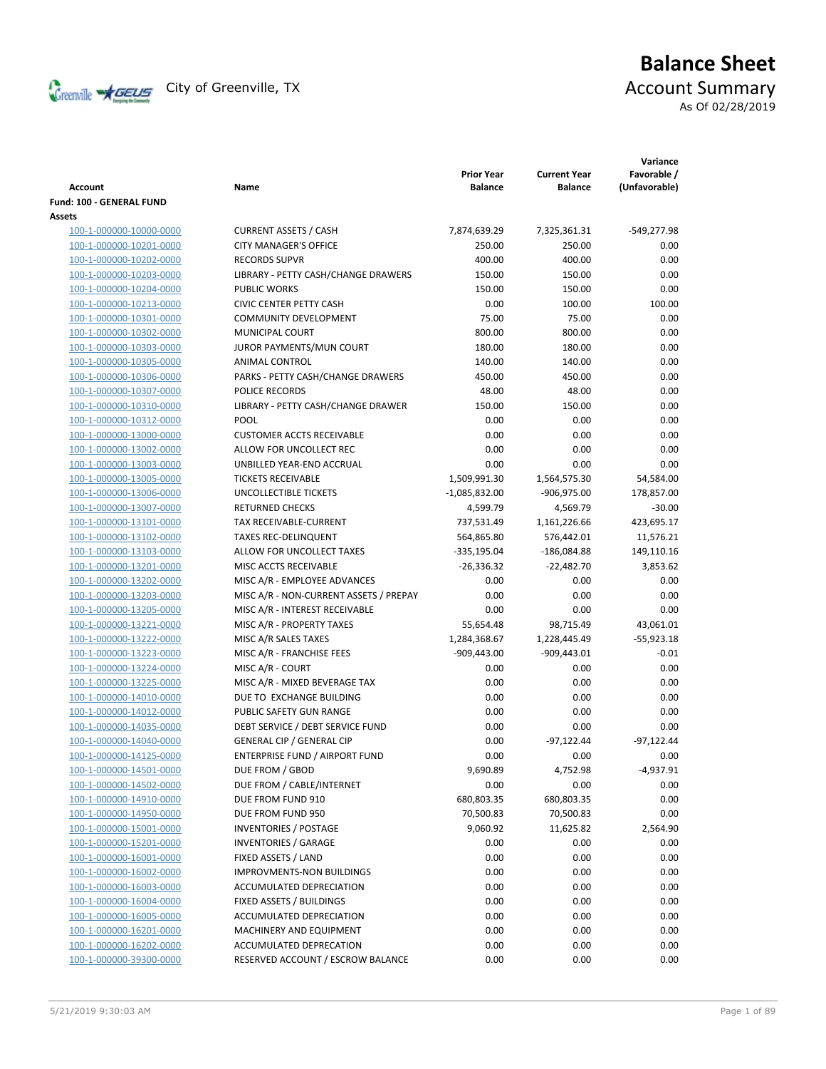

# **Balance Sheet** Creenville  $\star$  GEUS</del> City of Greenville, TX **ACCOUNT** Summary

As Of 02/28/2019

| Account                  | Name                                   | <b>Prior Year</b><br><b>Balance</b> | <b>Current Year</b><br><b>Balance</b> | Variance<br>Favorable /<br>(Unfavorable) |
|--------------------------|----------------------------------------|-------------------------------------|---------------------------------------|------------------------------------------|
| Fund: 100 - GENERAL FUND |                                        |                                     |                                       |                                          |
| Assets                   |                                        |                                     |                                       |                                          |
| 100-1-000000-10000-0000  | <b>CURRENT ASSETS / CASH</b>           | 7,874,639.29                        | 7,325,361.31                          | -549,277.98                              |
| 100-1-000000-10201-0000  | <b>CITY MANAGER'S OFFICE</b>           | 250.00                              | 250.00                                | 0.00                                     |
| 100-1-000000-10202-0000  | <b>RECORDS SUPVR</b>                   | 400.00                              | 400.00                                | 0.00                                     |
| 100-1-000000-10203-0000  | LIBRARY - PETTY CASH/CHANGE DRAWERS    | 150.00                              | 150.00                                | 0.00                                     |
| 100-1-000000-10204-0000  | <b>PUBLIC WORKS</b>                    | 150.00                              | 150.00                                | 0.00                                     |
| 100-1-000000-10213-0000  | <b>CIVIC CENTER PETTY CASH</b>         | 0.00                                | 100.00                                | 100.00                                   |
| 100-1-000000-10301-0000  | <b>COMMUNITY DEVELOPMENT</b>           | 75.00                               | 75.00                                 | 0.00                                     |
| 100-1-000000-10302-0000  | MUNICIPAL COURT                        | 800.00                              | 800.00                                | 0.00                                     |
| 100-1-000000-10303-0000  | JUROR PAYMENTS/MUN COURT               | 180.00                              | 180.00                                | 0.00                                     |
| 100-1-000000-10305-0000  | ANIMAL CONTROL                         | 140.00                              | 140.00                                | 0.00                                     |
| 100-1-000000-10306-0000  | PARKS - PETTY CASH/CHANGE DRAWERS      | 450.00                              | 450.00                                | 0.00                                     |
| 100-1-000000-10307-0000  | POLICE RECORDS                         | 48.00                               | 48.00                                 | 0.00                                     |
| 100-1-000000-10310-0000  | LIBRARY - PETTY CASH/CHANGE DRAWER     | 150.00                              | 150.00                                | 0.00                                     |
| 100-1-000000-10312-0000  | POOL                                   | 0.00                                | 0.00                                  | 0.00                                     |
| 100-1-000000-13000-0000  | <b>CUSTOMER ACCTS RECEIVABLE</b>       | 0.00                                | 0.00                                  | 0.00                                     |
| 100-1-000000-13002-0000  | ALLOW FOR UNCOLLECT REC                | 0.00                                | 0.00                                  | 0.00                                     |
| 100-1-000000-13003-0000  | UNBILLED YEAR-END ACCRUAL              | 0.00                                | 0.00                                  | 0.00                                     |
| 100-1-000000-13005-0000  | <b>TICKETS RECEIVABLE</b>              | 1,509,991.30                        | 1,564,575.30                          | 54,584.00                                |
| 100-1-000000-13006-0000  | UNCOLLECTIBLE TICKETS                  | $-1,085,832.00$                     | -906,975.00                           | 178,857.00                               |
| 100-1-000000-13007-0000  | <b>RETURNED CHECKS</b>                 | 4,599.79                            | 4,569.79                              | $-30.00$                                 |
| 100-1-000000-13101-0000  | TAX RECEIVABLE-CURRENT                 | 737,531.49                          | 1,161,226.66                          | 423,695.17                               |
| 100-1-000000-13102-0000  | <b>TAXES REC-DELINQUENT</b>            | 564,865.80                          | 576,442.01                            | 11,576.21                                |
| 100-1-000000-13103-0000  | ALLOW FOR UNCOLLECT TAXES              | -335,195.04                         | $-186,084.88$                         | 149,110.16                               |
| 100-1-000000-13201-0000  | MISC ACCTS RECEIVABLE                  | $-26,336.32$                        | $-22,482.70$                          | 3,853.62                                 |
| 100-1-000000-13202-0000  | MISC A/R - EMPLOYEE ADVANCES           | 0.00                                | 0.00                                  | 0.00                                     |
| 100-1-000000-13203-0000  | MISC A/R - NON-CURRENT ASSETS / PREPAY | 0.00                                | 0.00                                  | 0.00                                     |
| 100-1-000000-13205-0000  | MISC A/R - INTEREST RECEIVABLE         | 0.00                                | 0.00                                  | 0.00                                     |
| 100-1-000000-13221-0000  | MISC A/R - PROPERTY TAXES              | 55,654.48                           | 98,715.49                             | 43,061.01                                |
| 100-1-000000-13222-0000  | MISC A/R SALES TAXES                   | 1,284,368.67                        | 1,228,445.49                          | $-55,923.18$                             |
| 100-1-000000-13223-0000  | MISC A/R - FRANCHISE FEES              | $-909,443.00$                       | $-909,443.01$                         | $-0.01$                                  |
| 100-1-000000-13224-0000  | MISC A/R - COURT                       | 0.00                                | 0.00                                  | 0.00                                     |
| 100-1-000000-13225-0000  | MISC A/R - MIXED BEVERAGE TAX          | 0.00                                | 0.00                                  | 0.00                                     |
| 100-1-000000-14010-0000  | DUE TO EXCHANGE BUILDING               | 0.00                                | 0.00                                  | 0.00                                     |
| 100-1-000000-14012-0000  | PUBLIC SAFETY GUN RANGE                | 0.00                                | 0.00                                  | 0.00                                     |
| 100-1-000000-14035-0000  | DEBT SERVICE / DEBT SERVICE FUND       | 0.00                                | 0.00                                  | 0.00                                     |
| 100-1-000000-14040-0000  | <b>GENERAL CIP / GENERAL CIP</b>       | 0.00                                | $-97,122.44$                          | $-97,122.44$                             |
| 100-1-000000-14125-0000  | ENTERPRISE FUND / AIRPORT FUND         | 0.00                                | 0.00                                  | 0.00                                     |
| 100-1-000000-14501-0000  | DUE FROM / GBOD                        | 9,690.89                            | 4,752.98                              | $-4,937.91$                              |
| 100-1-000000-14502-0000  | DUE FROM / CABLE/INTERNET              | 0.00                                | 0.00                                  | 0.00                                     |
| 100-1-000000-14910-0000  | DUE FROM FUND 910                      | 680,803.35                          | 680,803.35                            | 0.00                                     |
| 100-1-000000-14950-0000  | DUE FROM FUND 950                      | 70,500.83                           | 70,500.83                             | 0.00                                     |
| 100-1-000000-15001-0000  | <b>INVENTORIES / POSTAGE</b>           | 9,060.92                            | 11,625.82                             | 2,564.90                                 |
| 100-1-000000-15201-0000  | <b>INVENTORIES / GARAGE</b>            | 0.00                                | 0.00                                  | 0.00                                     |
| 100-1-000000-16001-0000  | FIXED ASSETS / LAND                    | 0.00                                | 0.00                                  | 0.00                                     |
| 100-1-000000-16002-0000  | <b>IMPROVMENTS-NON BUILDINGS</b>       | 0.00                                | 0.00                                  | 0.00                                     |
| 100-1-000000-16003-0000  | ACCUMULATED DEPRECIATION               | 0.00                                | 0.00                                  | 0.00                                     |
| 100-1-000000-16004-0000  | FIXED ASSETS / BUILDINGS               | 0.00                                | 0.00                                  | 0.00                                     |
| 100-1-000000-16005-0000  | ACCUMULATED DEPRECIATION               | 0.00                                | 0.00                                  | 0.00                                     |
| 100-1-000000-16201-0000  | MACHINERY AND EQUIPMENT                | 0.00                                | 0.00                                  | 0.00                                     |
| 100-1-000000-16202-0000  | ACCUMULATED DEPRECATION                | 0.00                                | 0.00                                  | 0.00                                     |
| 100-1-000000-39300-0000  | RESERVED ACCOUNT / ESCROW BALANCE      | 0.00                                | 0.00                                  | 0.00                                     |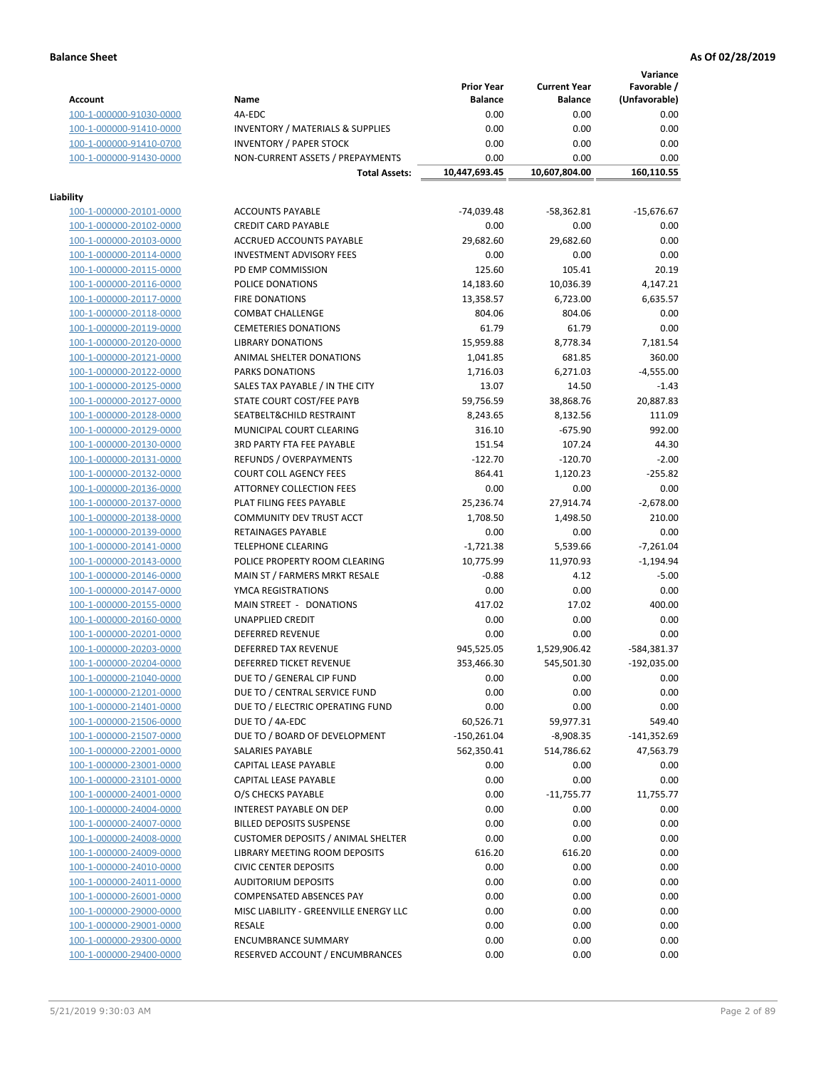**Variance**

|                                                    |                                             | <b>Prior Year</b> | <b>Current Year</b>  | Favorable /       |
|----------------------------------------------------|---------------------------------------------|-------------------|----------------------|-------------------|
| <b>Account</b>                                     | Name                                        | <b>Balance</b>    | <b>Balance</b>       | (Unfavorable)     |
| 100-1-000000-91030-0000                            | 4A-EDC                                      | 0.00              | 0.00                 | 0.00              |
| 100-1-000000-91410-0000                            | <b>INVENTORY / MATERIALS &amp; SUPPLIES</b> | 0.00              | 0.00                 | 0.00              |
| 100-1-000000-91410-0700                            | <b>INVENTORY / PAPER STOCK</b>              | 0.00              | 0.00                 | 0.00              |
| 100-1-000000-91430-0000                            | NON-CURRENT ASSETS / PREPAYMENTS            | 0.00              | 0.00                 | 0.00              |
|                                                    | <b>Total Assets:</b>                        | 10,447,693.45     | 10,607,804.00        | 160,110.55        |
|                                                    |                                             |                   |                      |                   |
| Liability                                          |                                             |                   |                      |                   |
| 100-1-000000-20101-0000                            | <b>ACCOUNTS PAYABLE</b>                     | $-74,039.48$      | $-58,362.81$         | $-15,676.67$      |
| 100-1-000000-20102-0000                            | <b>CREDIT CARD PAYABLE</b>                  | 0.00              | 0.00                 | 0.00              |
| 100-1-000000-20103-0000                            | ACCRUED ACCOUNTS PAYABLE                    | 29,682.60         | 29,682.60            | 0.00              |
| 100-1-000000-20114-0000                            | <b>INVESTMENT ADVISORY FEES</b>             | 0.00              | 0.00                 | 0.00              |
| 100-1-000000-20115-0000                            | PD EMP COMMISSION                           | 125.60            | 105.41               | 20.19             |
| 100-1-000000-20116-0000                            | POLICE DONATIONS                            | 14,183.60         | 10,036.39            | 4,147.21          |
| 100-1-000000-20117-0000                            | <b>FIRE DONATIONS</b>                       | 13,358.57         | 6,723.00             | 6,635.57          |
| 100-1-000000-20118-0000                            | <b>COMBAT CHALLENGE</b>                     | 804.06            | 804.06               | 0.00              |
| 100-1-000000-20119-0000                            | <b>CEMETERIES DONATIONS</b>                 | 61.79             | 61.79                | 0.00              |
| 100-1-000000-20120-0000                            | <b>LIBRARY DONATIONS</b>                    | 15,959.88         | 8,778.34             | 7,181.54          |
| 100-1-000000-20121-0000                            | ANIMAL SHELTER DONATIONS                    | 1,041.85          | 681.85               | 360.00            |
| 100-1-000000-20122-0000                            | PARKS DONATIONS                             | 1,716.03          | 6,271.03             | $-4,555.00$       |
| 100-1-000000-20125-0000                            | SALES TAX PAYABLE / IN THE CITY             | 13.07             | 14.50                | $-1.43$           |
| 100-1-000000-20127-0000                            | STATE COURT COST/FEE PAYB                   | 59,756.59         | 38,868.76            | 20,887.83         |
| 100-1-000000-20128-0000                            | SEATBELT&CHILD RESTRAINT                    | 8,243.65          | 8,132.56             | 111.09            |
| 100-1-000000-20129-0000                            | MUNICIPAL COURT CLEARING                    | 316.10            | $-675.90$            | 992.00            |
| 100-1-000000-20130-0000                            | 3RD PARTY FTA FEE PAYABLE                   | 151.54            | 107.24               | 44.30             |
| 100-1-000000-20131-0000                            | REFUNDS / OVERPAYMENTS                      | $-122.70$         | $-120.70$            | $-2.00$           |
| 100-1-000000-20132-0000                            | <b>COURT COLL AGENCY FEES</b>               | 864.41            | 1,120.23             | $-255.82$         |
| 100-1-000000-20136-0000                            | <b>ATTORNEY COLLECTION FEES</b>             | 0.00              | 0.00                 | 0.00              |
| 100-1-000000-20137-0000                            | PLAT FILING FEES PAYABLE                    | 25,236.74         | 27,914.74            | $-2,678.00$       |
| 100-1-000000-20138-0000                            | COMMUNITY DEV TRUST ACCT                    | 1,708.50          | 1,498.50             | 210.00            |
| 100-1-000000-20139-0000                            | RETAINAGES PAYABLE                          | 0.00              | 0.00                 | 0.00              |
| 100-1-000000-20141-0000                            | <b>TELEPHONE CLEARING</b>                   | $-1,721.38$       | 5,539.66             | $-7,261.04$       |
| 100-1-000000-20143-0000                            | POLICE PROPERTY ROOM CLEARING               | 10,775.99         | 11,970.93            | $-1,194.94$       |
| 100-1-000000-20146-0000                            | MAIN ST / FARMERS MRKT RESALE               | $-0.88$           | 4.12                 | $-5.00$           |
| 100-1-000000-20147-0000                            | YMCA REGISTRATIONS                          | 0.00              | 0.00                 | 0.00              |
| 100-1-000000-20155-0000                            | MAIN STREET - DONATIONS                     | 417.02            | 17.02                | 400.00            |
| 100-1-000000-20160-0000                            | <b>UNAPPLIED CREDIT</b>                     | 0.00              | 0.00                 | 0.00              |
| 100-1-000000-20201-0000                            | <b>DEFERRED REVENUE</b>                     | 0.00              | 0.00                 | 0.00              |
| 100-1-000000-20203-0000                            | DEFERRED TAX REVENUE                        | 945,525.05        | 1,529,906.42         | -584,381.37       |
| 100-1-000000-20204-0000                            | DEFERRED TICKET REVENUE                     | 353,466.30        | 545,501.30           | $-192,035.00$     |
| 100-1-000000-21040-0000                            | DUE TO / GENERAL CIP FUND                   | 0.00              | 0.00                 | 0.00              |
| 100-1-000000-21201-0000                            | DUE TO / CENTRAL SERVICE FUND               | 0.00              | 0.00                 | 0.00              |
| 100-1-000000-21401-0000                            | DUE TO / ELECTRIC OPERATING FUND            | 0.00              | 0.00                 | 0.00              |
| 100-1-000000-21506-0000                            | DUE TO / 4A-EDC                             | 60,526.71         | 59,977.31            | 549.40            |
| 100-1-000000-21507-0000                            | DUE TO / BOARD OF DEVELOPMENT               | $-150,261.04$     | $-8,908.35$          | -141,352.69       |
| 100-1-000000-22001-0000                            | SALARIES PAYABLE                            | 562,350.41        | 514,786.62           | 47,563.79         |
| 100-1-000000-23001-0000                            | CAPITAL LEASE PAYABLE                       | 0.00              | 0.00                 | 0.00              |
|                                                    | CAPITAL LEASE PAYABLE                       |                   |                      |                   |
| 100-1-000000-23101-0000<br>100-1-000000-24001-0000 | O/S CHECKS PAYABLE                          | 0.00              | 0.00                 | 0.00<br>11,755.77 |
|                                                    | INTEREST PAYABLE ON DEP                     | 0.00<br>0.00      | $-11,755.77$<br>0.00 | 0.00              |
| 100-1-000000-24004-0000<br>100-1-000000-24007-0000 | <b>BILLED DEPOSITS SUSPENSE</b>             | 0.00              | 0.00                 | 0.00              |
|                                                    | <b>CUSTOMER DEPOSITS / ANIMAL SHELTER</b>   |                   |                      |                   |
| 100-1-000000-24008-0000                            |                                             | 0.00              | 0.00                 | 0.00              |
| 100-1-000000-24009-0000                            | LIBRARY MEETING ROOM DEPOSITS               | 616.20            | 616.20               | 0.00              |
| 100-1-000000-24010-0000                            | <b>CIVIC CENTER DEPOSITS</b>                | 0.00              | 0.00                 | 0.00              |
| 100-1-000000-24011-0000                            | <b>AUDITORIUM DEPOSITS</b>                  | 0.00              | 0.00                 | 0.00              |
| 100-1-000000-26001-0000                            | COMPENSATED ABSENCES PAY                    | 0.00              | 0.00                 | 0.00              |
| 100-1-000000-29000-0000                            | MISC LIABILITY - GREENVILLE ENERGY LLC      | 0.00              | 0.00                 | 0.00              |
| 100-1-000000-29001-0000                            | <b>RESALE</b>                               | 0.00              | 0.00                 | 0.00              |
| 100-1-000000-29300-0000                            | <b>ENCUMBRANCE SUMMARY</b>                  | 0.00              | 0.00                 | 0.00              |
| 100-1-000000-29400-0000                            | RESERVED ACCOUNT / ENCUMBRANCES             | 0.00              | 0.00                 | 0.00              |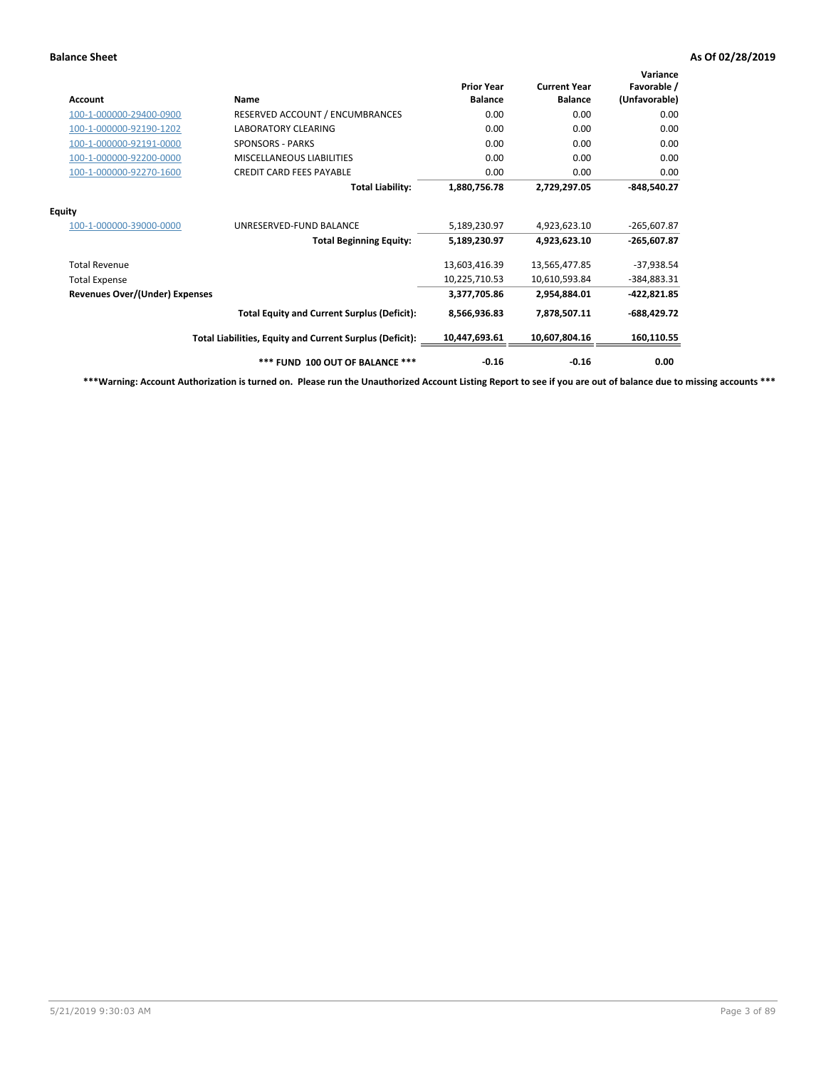| <b>Account</b>                        | Name                                                     | <b>Prior Year</b><br><b>Balance</b> | <b>Current Year</b><br><b>Balance</b> | Variance<br>Favorable /<br>(Unfavorable) |
|---------------------------------------|----------------------------------------------------------|-------------------------------------|---------------------------------------|------------------------------------------|
| 100-1-000000-29400-0900               | RESERVED ACCOUNT / ENCUMBRANCES                          | 0.00                                | 0.00                                  | 0.00                                     |
| 100-1-000000-92190-1202               | <b>LABORATORY CLEARING</b>                               | 0.00                                | 0.00                                  | 0.00                                     |
| 100-1-000000-92191-0000               | <b>SPONSORS - PARKS</b>                                  | 0.00                                | 0.00                                  | 0.00                                     |
| 100-1-000000-92200-0000               | MISCELLANEOUS LIABILITIES                                | 0.00                                | 0.00                                  | 0.00                                     |
| 100-1-000000-92270-1600               | <b>CREDIT CARD FEES PAYABLE</b>                          | 0.00                                | 0.00                                  | 0.00                                     |
|                                       | <b>Total Liability:</b>                                  | 1,880,756.78                        | 2,729,297.05                          | $-848,540.27$                            |
| <b>Equity</b>                         |                                                          |                                     |                                       |                                          |
| 100-1-000000-39000-0000               | UNRESERVED-FUND BALANCE                                  | 5,189,230.97                        | 4,923,623.10                          | $-265,607.87$                            |
|                                       | <b>Total Beginning Equity:</b>                           | 5,189,230.97                        | 4,923,623.10                          | -265,607.87                              |
| <b>Total Revenue</b>                  |                                                          | 13,603,416.39                       | 13,565,477.85                         | $-37,938.54$                             |
| <b>Total Expense</b>                  |                                                          | 10,225,710.53                       | 10,610,593.84                         | -384,883.31                              |
| <b>Revenues Over/(Under) Expenses</b> |                                                          | 3,377,705.86                        | 2,954,884.01                          | -422,821.85                              |
|                                       | <b>Total Equity and Current Surplus (Deficit):</b>       | 8,566,936.83                        | 7,878,507.11                          | $-688,429.72$                            |
|                                       | Total Liabilities, Equity and Current Surplus (Deficit): | 10,447,693.61                       | 10,607,804.16                         | 160,110.55                               |
|                                       | *** FUND 100 OUT OF BALANCE ***                          | $-0.16$                             | $-0.16$                               | 0.00                                     |

**\*\*\*Warning: Account Authorization is turned on. Please run the Unauthorized Account Listing Report to see if you are out of balance due to missing accounts \*\*\***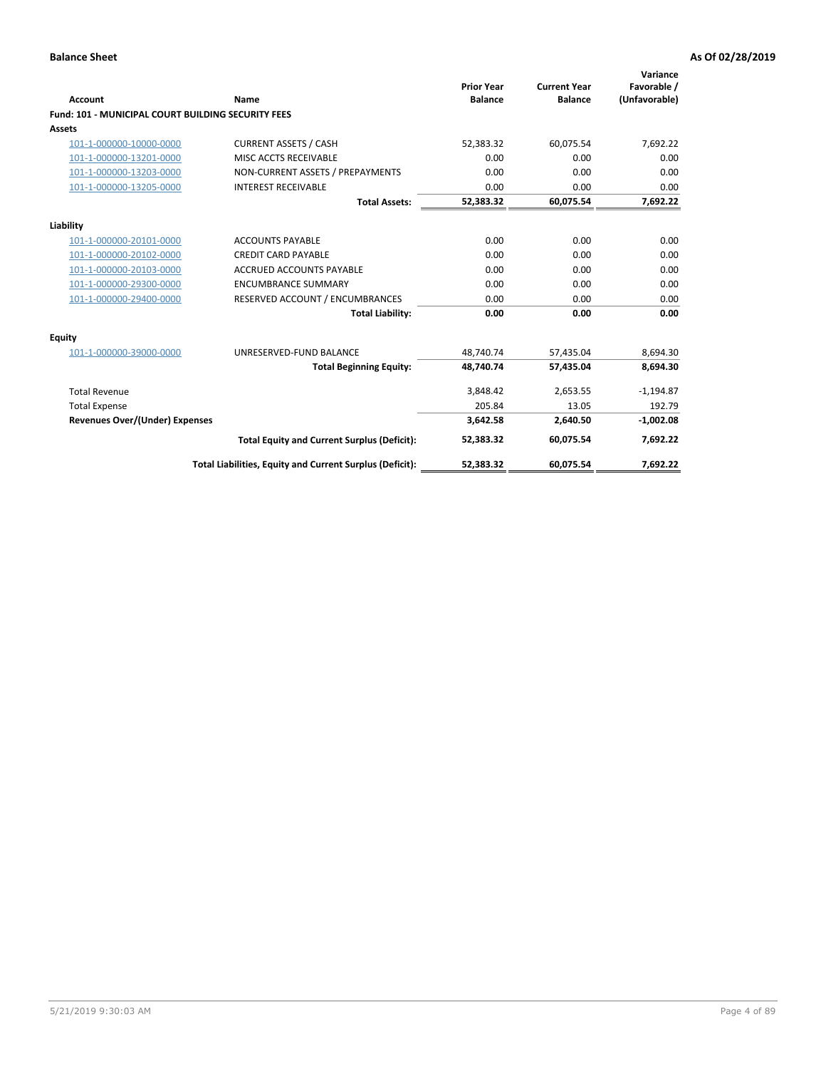| <b>Account</b>                                            | Name                                                     | <b>Prior Year</b><br><b>Balance</b> | <b>Current Year</b><br><b>Balance</b> | Variance<br>Favorable /<br>(Unfavorable) |
|-----------------------------------------------------------|----------------------------------------------------------|-------------------------------------|---------------------------------------|------------------------------------------|
| <b>Fund: 101 - MUNICIPAL COURT BUILDING SECURITY FEES</b> |                                                          |                                     |                                       |                                          |
| <b>Assets</b>                                             |                                                          |                                     |                                       |                                          |
| 101-1-000000-10000-0000                                   | <b>CURRENT ASSETS / CASH</b>                             | 52,383.32                           | 60,075.54                             | 7,692.22                                 |
| 101-1-000000-13201-0000                                   | MISC ACCTS RECEIVABLE                                    | 0.00                                | 0.00                                  | 0.00                                     |
| 101-1-000000-13203-0000                                   | NON-CURRENT ASSETS / PREPAYMENTS                         | 0.00                                | 0.00                                  | 0.00                                     |
| 101-1-000000-13205-0000                                   | <b>INTEREST RECEIVABLE</b>                               | 0.00                                | 0.00                                  | 0.00                                     |
|                                                           | <b>Total Assets:</b>                                     | 52,383.32                           | 60,075.54                             | 7,692.22                                 |
| Liability                                                 |                                                          |                                     |                                       |                                          |
| 101-1-000000-20101-0000                                   | <b>ACCOUNTS PAYABLE</b>                                  | 0.00                                | 0.00                                  | 0.00                                     |
| 101-1-000000-20102-0000                                   | <b>CREDIT CARD PAYABLE</b>                               | 0.00                                | 0.00                                  | 0.00                                     |
| 101-1-000000-20103-0000                                   | <b>ACCRUED ACCOUNTS PAYABLE</b>                          | 0.00                                | 0.00                                  | 0.00                                     |
| 101-1-000000-29300-0000                                   | <b>ENCUMBRANCE SUMMARY</b>                               | 0.00                                | 0.00                                  | 0.00                                     |
| 101-1-000000-29400-0000                                   | RESERVED ACCOUNT / ENCUMBRANCES                          | 0.00                                | 0.00                                  | 0.00                                     |
|                                                           | <b>Total Liability:</b>                                  | 0.00                                | 0.00                                  | 0.00                                     |
| <b>Equity</b>                                             |                                                          |                                     |                                       |                                          |
| 101-1-000000-39000-0000                                   | UNRESERVED-FUND BALANCE                                  | 48.740.74                           | 57,435.04                             | 8,694.30                                 |
|                                                           | <b>Total Beginning Equity:</b>                           | 48.740.74                           | 57.435.04                             | 8.694.30                                 |
| <b>Total Revenue</b>                                      |                                                          | 3,848.42                            | 2,653.55                              | $-1,194.87$                              |
| <b>Total Expense</b>                                      |                                                          | 205.84                              | 13.05                                 | 192.79                                   |
| <b>Revenues Over/(Under) Expenses</b>                     |                                                          | 3,642.58                            | 2,640.50                              | $-1,002.08$                              |
|                                                           | <b>Total Equity and Current Surplus (Deficit):</b>       | 52,383.32                           | 60,075.54                             | 7,692.22                                 |
|                                                           | Total Liabilities, Equity and Current Surplus (Deficit): | 52,383.32                           | 60,075.54                             | 7,692.22                                 |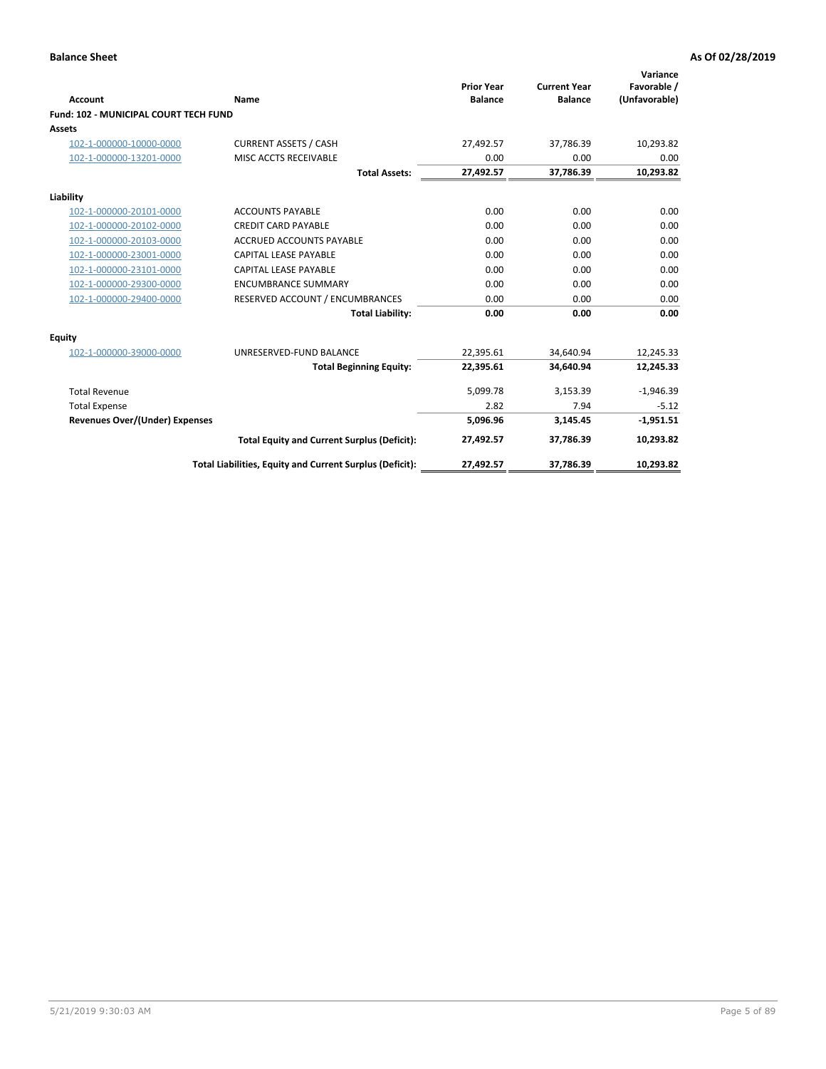| <b>Account</b>                        | Name                                                     | <b>Prior Year</b><br><b>Balance</b> | <b>Current Year</b><br><b>Balance</b> | Variance<br>Favorable /<br>(Unfavorable) |
|---------------------------------------|----------------------------------------------------------|-------------------------------------|---------------------------------------|------------------------------------------|
| Fund: 102 - MUNICIPAL COURT TECH FUND |                                                          |                                     |                                       |                                          |
| Assets                                |                                                          |                                     |                                       |                                          |
| 102-1-000000-10000-0000               | <b>CURRENT ASSETS / CASH</b>                             | 27,492.57                           | 37,786.39                             | 10,293.82                                |
| 102-1-000000-13201-0000               | MISC ACCTS RECEIVABLE                                    | 0.00                                | 0.00                                  | 0.00                                     |
|                                       | <b>Total Assets:</b>                                     | 27,492.57                           | 37,786.39                             | 10,293.82                                |
| Liability                             |                                                          |                                     |                                       |                                          |
| 102-1-000000-20101-0000               | <b>ACCOUNTS PAYABLE</b>                                  | 0.00                                | 0.00                                  | 0.00                                     |
| 102-1-000000-20102-0000               | <b>CREDIT CARD PAYABLE</b>                               | 0.00                                | 0.00                                  | 0.00                                     |
| 102-1-000000-20103-0000               | <b>ACCRUED ACCOUNTS PAYABLE</b>                          | 0.00                                | 0.00                                  | 0.00                                     |
| 102-1-000000-23001-0000               | <b>CAPITAL LEASE PAYABLE</b>                             | 0.00                                | 0.00                                  | 0.00                                     |
| 102-1-000000-23101-0000               | <b>CAPITAL LEASE PAYABLE</b>                             | 0.00                                | 0.00                                  | 0.00                                     |
| 102-1-000000-29300-0000               | <b>ENCUMBRANCE SUMMARY</b>                               | 0.00                                | 0.00                                  | 0.00                                     |
| 102-1-000000-29400-0000               | RESERVED ACCOUNT / ENCUMBRANCES                          | 0.00                                | 0.00                                  | 0.00                                     |
|                                       | <b>Total Liability:</b>                                  | 0.00                                | 0.00                                  | 0.00                                     |
| <b>Equity</b>                         |                                                          |                                     |                                       |                                          |
| 102-1-000000-39000-0000               | UNRESERVED-FUND BALANCE                                  | 22,395.61                           | 34,640.94                             | 12,245.33                                |
|                                       | <b>Total Beginning Equity:</b>                           | 22,395.61                           | 34.640.94                             | 12,245.33                                |
| <b>Total Revenue</b>                  |                                                          | 5,099.78                            | 3,153.39                              | $-1,946.39$                              |
| <b>Total Expense</b>                  |                                                          | 2.82                                | 7.94                                  | $-5.12$                                  |
| <b>Revenues Over/(Under) Expenses</b> |                                                          | 5,096.96                            | 3,145.45                              | $-1,951.51$                              |
|                                       | <b>Total Equity and Current Surplus (Deficit):</b>       | 27,492.57                           | 37,786.39                             | 10,293.82                                |
|                                       | Total Liabilities, Equity and Current Surplus (Deficit): | 27,492.57                           | 37,786.39                             | 10,293.82                                |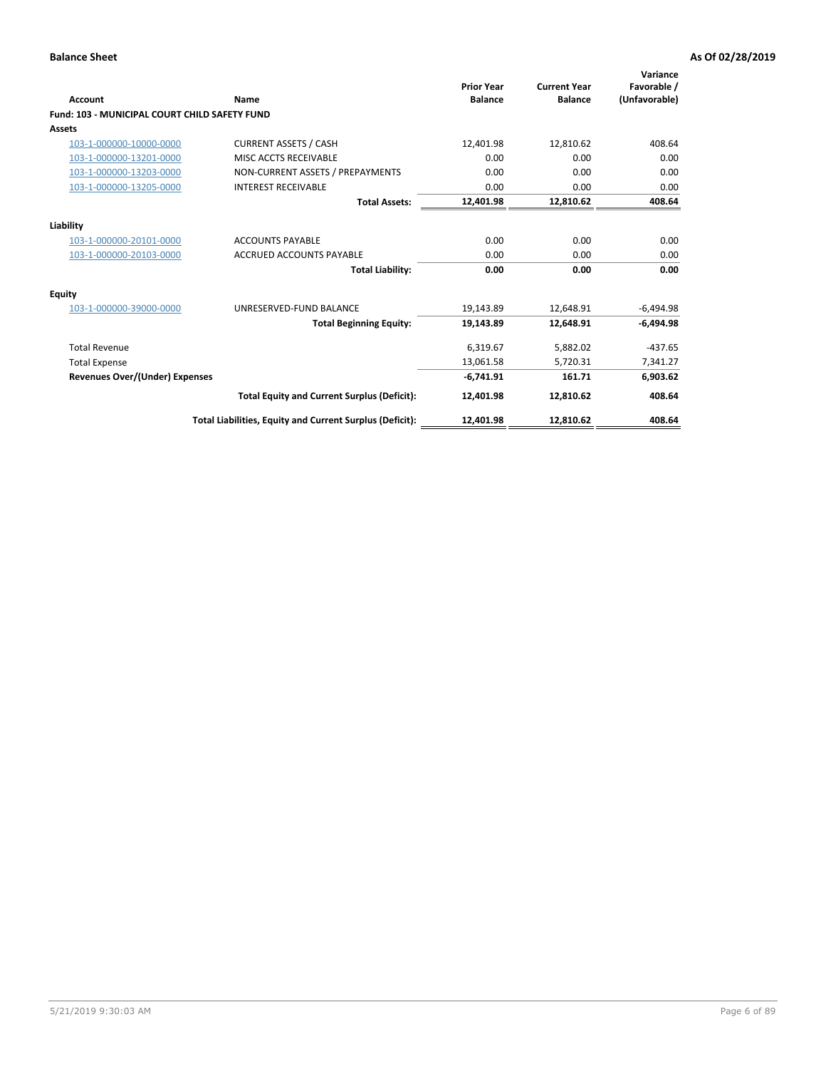| Account                                              | Name                                                     | <b>Prior Year</b><br><b>Balance</b> | <b>Current Year</b><br><b>Balance</b> | Variance<br>Favorable /<br>(Unfavorable) |
|------------------------------------------------------|----------------------------------------------------------|-------------------------------------|---------------------------------------|------------------------------------------|
| <b>Fund: 103 - MUNICIPAL COURT CHILD SAFETY FUND</b> |                                                          |                                     |                                       |                                          |
| <b>Assets</b>                                        |                                                          |                                     |                                       |                                          |
| 103-1-000000-10000-0000                              | <b>CURRENT ASSETS / CASH</b>                             | 12,401.98                           | 12,810.62                             | 408.64                                   |
| 103-1-000000-13201-0000                              | MISC ACCTS RECEIVABLE                                    | 0.00                                | 0.00                                  | 0.00                                     |
| 103-1-000000-13203-0000                              | NON-CURRENT ASSETS / PREPAYMENTS                         | 0.00                                | 0.00                                  | 0.00                                     |
| 103-1-000000-13205-0000                              | <b>INTEREST RECEIVABLE</b>                               | 0.00                                | 0.00                                  | 0.00                                     |
|                                                      | <b>Total Assets:</b>                                     | 12,401.98                           | 12,810.62                             | 408.64                                   |
| Liability                                            |                                                          |                                     |                                       |                                          |
| 103-1-000000-20101-0000                              | <b>ACCOUNTS PAYABLE</b>                                  | 0.00                                | 0.00                                  | 0.00                                     |
| 103-1-000000-20103-0000                              | <b>ACCRUED ACCOUNTS PAYABLE</b>                          | 0.00                                | 0.00                                  | 0.00                                     |
|                                                      | <b>Total Liability:</b>                                  | 0.00                                | 0.00                                  | 0.00                                     |
| <b>Equity</b>                                        |                                                          |                                     |                                       |                                          |
| 103-1-000000-39000-0000                              | UNRESERVED-FUND BALANCE                                  | 19,143.89                           | 12,648.91                             | -6,494.98                                |
|                                                      | <b>Total Beginning Equity:</b>                           | 19,143.89                           | 12,648.91                             | $-6,494.98$                              |
| <b>Total Revenue</b>                                 |                                                          | 6,319.67                            | 5,882.02                              | $-437.65$                                |
| <b>Total Expense</b>                                 |                                                          | 13,061.58                           | 5,720.31                              | 7,341.27                                 |
| Revenues Over/(Under) Expenses                       |                                                          | $-6,741.91$                         | 161.71                                | 6,903.62                                 |
|                                                      | <b>Total Equity and Current Surplus (Deficit):</b>       | 12,401.98                           | 12,810.62                             | 408.64                                   |
|                                                      | Total Liabilities, Equity and Current Surplus (Deficit): | 12,401.98                           | 12,810.62                             | 408.64                                   |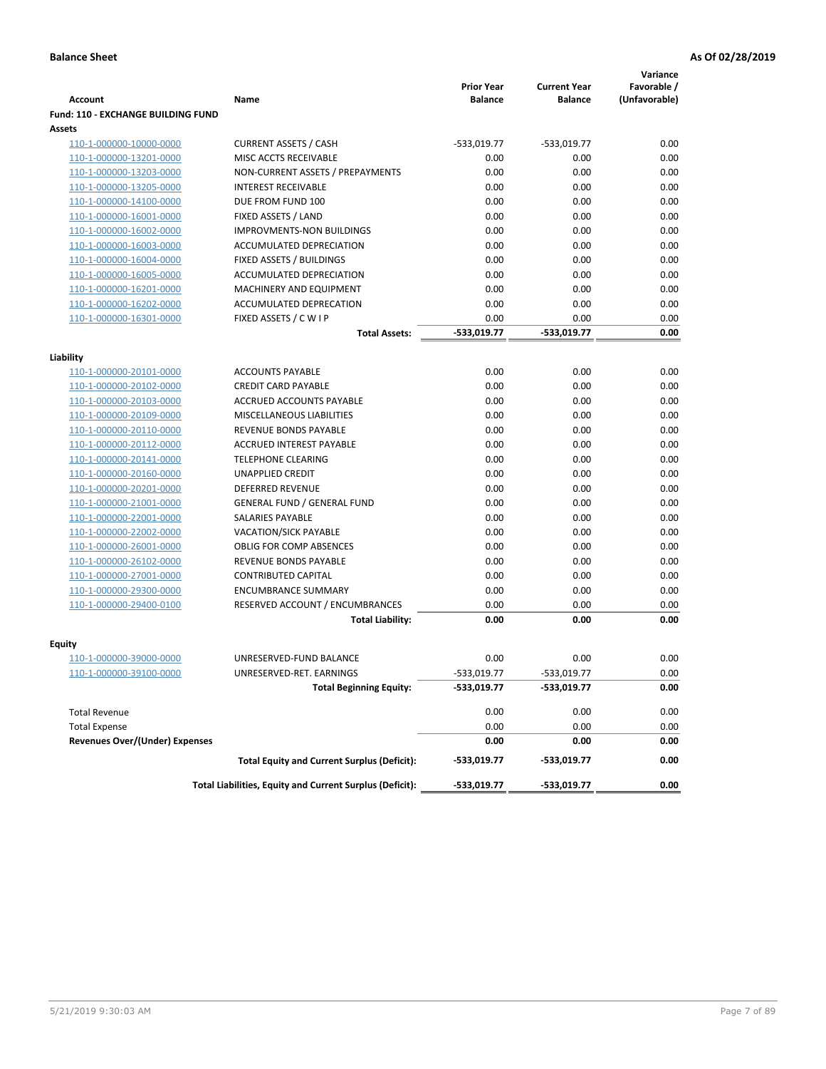|                                                    |                                                          |                                     |                                       | Variance                     |
|----------------------------------------------------|----------------------------------------------------------|-------------------------------------|---------------------------------------|------------------------------|
| <b>Account</b>                                     | Name                                                     | <b>Prior Year</b><br><b>Balance</b> | <b>Current Year</b><br><b>Balance</b> | Favorable /<br>(Unfavorable) |
| <b>Fund: 110 - EXCHANGE BUILDING FUND</b>          |                                                          |                                     |                                       |                              |
| Assets                                             |                                                          |                                     |                                       |                              |
| 110-1-000000-10000-0000                            | <b>CURRENT ASSETS / CASH</b>                             | -533,019.77                         | $-533,019.77$                         | 0.00                         |
| 110-1-000000-13201-0000                            | MISC ACCTS RECEIVABLE                                    | 0.00                                | 0.00                                  | 0.00                         |
| 110-1-000000-13203-0000                            | NON-CURRENT ASSETS / PREPAYMENTS                         | 0.00                                | 0.00                                  | 0.00                         |
| 110-1-000000-13205-0000                            | <b>INTEREST RECEIVABLE</b>                               | 0.00                                | 0.00                                  | 0.00                         |
| 110-1-000000-14100-0000                            | DUE FROM FUND 100                                        | 0.00                                | 0.00                                  | 0.00                         |
| 110-1-000000-16001-0000                            | FIXED ASSETS / LAND                                      | 0.00                                | 0.00                                  | 0.00                         |
| 110-1-000000-16002-0000                            | <b>IMPROVMENTS-NON BUILDINGS</b>                         | 0.00                                | 0.00                                  | 0.00                         |
| 110-1-000000-16003-0000                            | ACCUMULATED DEPRECIATION                                 | 0.00                                | 0.00                                  | 0.00                         |
| 110-1-000000-16004-0000                            | FIXED ASSETS / BUILDINGS                                 | 0.00                                | 0.00                                  | 0.00                         |
| 110-1-000000-16005-0000                            | ACCUMULATED DEPRECIATION                                 | 0.00                                | 0.00                                  | 0.00                         |
| 110-1-000000-16201-0000                            | <b>MACHINERY AND EQUIPMENT</b>                           | 0.00                                | 0.00                                  | 0.00                         |
| 110-1-000000-16202-0000                            | ACCUMULATED DEPRECATION                                  | 0.00                                | 0.00                                  | 0.00                         |
| 110-1-000000-16301-0000                            | FIXED ASSETS / C W I P                                   | 0.00                                | 0.00                                  | 0.00                         |
|                                                    | <b>Total Assets:</b>                                     | $-533,019.77$                       | -533,019.77                           | 0.00                         |
| Liability                                          |                                                          |                                     |                                       |                              |
| 110-1-000000-20101-0000                            | <b>ACCOUNTS PAYABLE</b>                                  | 0.00                                | 0.00                                  | 0.00                         |
| 110-1-000000-20102-0000                            | <b>CREDIT CARD PAYABLE</b>                               | 0.00                                | 0.00                                  | 0.00                         |
| 110-1-000000-20103-0000                            | ACCRUED ACCOUNTS PAYABLE                                 | 0.00                                | 0.00                                  | 0.00                         |
| 110-1-000000-20109-0000                            | MISCELLANEOUS LIABILITIES                                | 0.00                                | 0.00                                  | 0.00                         |
| 110-1-000000-20110-0000                            | REVENUE BONDS PAYABLE                                    | 0.00                                | 0.00                                  | 0.00                         |
| 110-1-000000-20112-0000                            | <b>ACCRUED INTEREST PAYABLE</b>                          | 0.00                                | 0.00                                  | 0.00                         |
| 110-1-000000-20141-0000                            | <b>TELEPHONE CLEARING</b>                                | 0.00                                | 0.00                                  | 0.00                         |
| 110-1-000000-20160-0000                            | <b>UNAPPLIED CREDIT</b>                                  | 0.00                                | 0.00                                  | 0.00                         |
| 110-1-000000-20201-0000                            | <b>DEFERRED REVENUE</b>                                  | 0.00                                | 0.00                                  | 0.00                         |
| 110-1-000000-21001-0000                            | <b>GENERAL FUND / GENERAL FUND</b>                       | 0.00                                | 0.00                                  | 0.00                         |
| 110-1-000000-22001-0000                            | SALARIES PAYABLE                                         | 0.00                                | 0.00                                  | 0.00                         |
| 110-1-000000-22002-0000                            | <b>VACATION/SICK PAYABLE</b>                             | 0.00                                | 0.00                                  | 0.00                         |
| 110-1-000000-26001-0000                            | <b>OBLIG FOR COMP ABSENCES</b>                           | 0.00                                | 0.00                                  | 0.00                         |
| 110-1-000000-26102-0000                            | REVENUE BONDS PAYABLE                                    | 0.00                                | 0.00                                  | 0.00                         |
| 110-1-000000-27001-0000                            | <b>CONTRIBUTED CAPITAL</b>                               | 0.00                                | 0.00                                  | 0.00                         |
| 110-1-000000-29300-0000                            | <b>ENCUMBRANCE SUMMARY</b>                               | 0.00                                | 0.00                                  | 0.00                         |
| 110-1-000000-29400-0100                            | RESERVED ACCOUNT / ENCUMBRANCES                          | 0.00                                | 0.00                                  | 0.00                         |
|                                                    | <b>Total Liability:</b>                                  | 0.00                                | 0.00                                  | 0.00                         |
|                                                    |                                                          |                                     |                                       |                              |
| <b>Equity</b>                                      | UNRESERVED-FUND BALANCE                                  | 0.00                                | 0.00                                  | 0.00                         |
| 110-1-000000-39000-0000<br>110-1-000000-39100-0000 | UNRESERVED-RET. EARNINGS                                 | -533,019.77                         | -533,019.77                           | 0.00                         |
|                                                    | <b>Total Beginning Equity:</b>                           | -533,019.77                         | -533,019.77                           | 0.00                         |
|                                                    |                                                          |                                     |                                       |                              |
| <b>Total Revenue</b>                               |                                                          | 0.00                                | 0.00                                  | 0.00                         |
| <b>Total Expense</b>                               |                                                          | 0.00                                | 0.00                                  | 0.00                         |
| <b>Revenues Over/(Under) Expenses</b>              |                                                          | 0.00                                | 0.00                                  | 0.00                         |
|                                                    | <b>Total Equity and Current Surplus (Deficit):</b>       | -533,019.77                         | -533,019.77                           | 0.00                         |
|                                                    | Total Liabilities, Equity and Current Surplus (Deficit): | -533,019.77                         | -533,019.77                           | 0.00                         |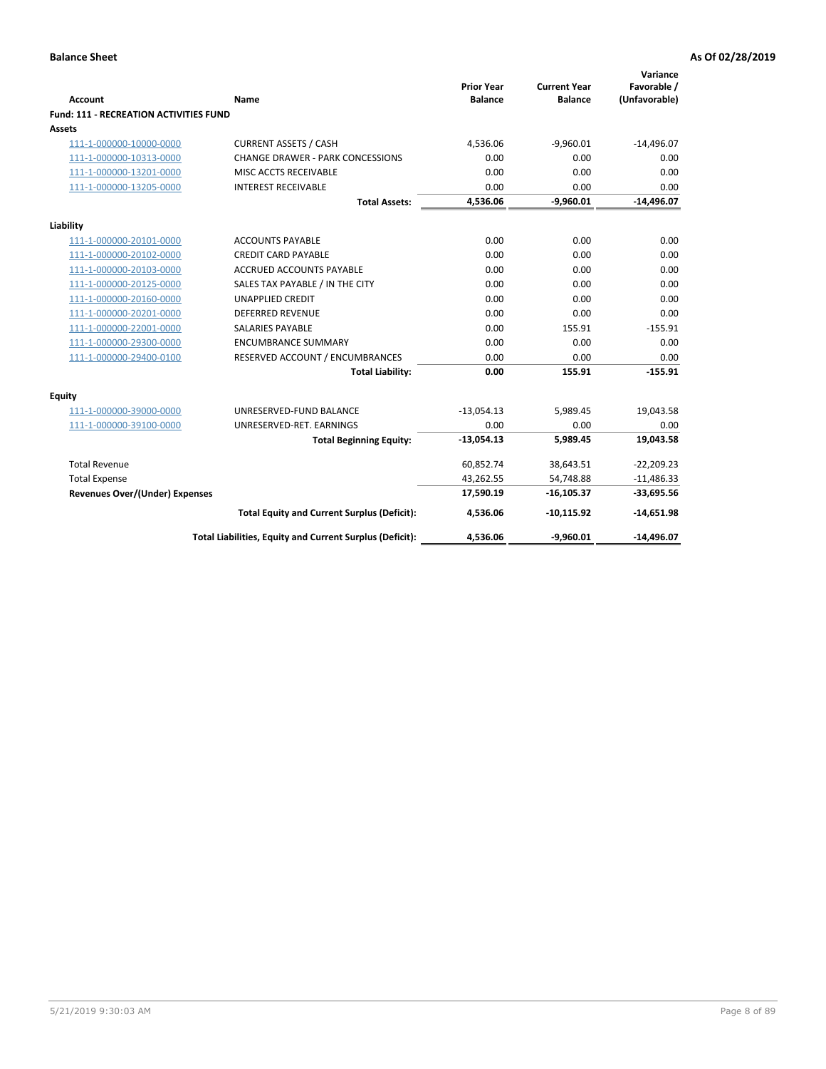| <b>Account</b>                         | <b>Name</b>                                              | <b>Prior Year</b><br><b>Balance</b> | <b>Current Year</b><br><b>Balance</b> | Variance<br>Favorable /<br>(Unfavorable) |
|----------------------------------------|----------------------------------------------------------|-------------------------------------|---------------------------------------|------------------------------------------|
| Fund: 111 - RECREATION ACTIVITIES FUND |                                                          |                                     |                                       |                                          |
| Assets                                 |                                                          |                                     |                                       |                                          |
| 111-1-000000-10000-0000                | <b>CURRENT ASSETS / CASH</b>                             | 4,536.06                            | $-9,960.01$                           | $-14,496.07$                             |
| 111-1-000000-10313-0000                | <b>CHANGE DRAWER - PARK CONCESSIONS</b>                  | 0.00                                | 0.00                                  | 0.00                                     |
| 111-1-000000-13201-0000                | MISC ACCTS RECEIVABLE                                    | 0.00                                | 0.00                                  | 0.00                                     |
| 111-1-000000-13205-0000                | <b>INTEREST RECEIVABLE</b>                               | 0.00                                | 0.00                                  | 0.00                                     |
|                                        | <b>Total Assets:</b>                                     | 4,536.06                            | $-9,960.01$                           | $-14,496.07$                             |
|                                        |                                                          |                                     |                                       |                                          |
| Liability                              |                                                          |                                     |                                       |                                          |
| 111-1-000000-20101-0000                | <b>ACCOUNTS PAYABLE</b>                                  | 0.00                                | 0.00                                  | 0.00                                     |
| 111-1-000000-20102-0000                | <b>CREDIT CARD PAYABLE</b>                               | 0.00                                | 0.00                                  | 0.00                                     |
| 111-1-000000-20103-0000                | <b>ACCRUED ACCOUNTS PAYABLE</b>                          | 0.00                                | 0.00                                  | 0.00                                     |
| 111-1-000000-20125-0000                | SALES TAX PAYABLE / IN THE CITY                          | 0.00                                | 0.00                                  | 0.00                                     |
| 111-1-000000-20160-0000                | <b>UNAPPLIED CREDIT</b>                                  | 0.00                                | 0.00                                  | 0.00                                     |
| 111-1-000000-20201-0000                | <b>DEFERRED REVENUE</b>                                  | 0.00                                | 0.00                                  | 0.00                                     |
| 111-1-000000-22001-0000                | <b>SALARIES PAYABLE</b>                                  | 0.00                                | 155.91                                | $-155.91$                                |
| 111-1-000000-29300-0000                | <b>ENCUMBRANCE SUMMARY</b>                               | 0.00                                | 0.00                                  | 0.00                                     |
| 111-1-000000-29400-0100                | RESERVED ACCOUNT / ENCUMBRANCES                          | 0.00                                | 0.00                                  | 0.00                                     |
|                                        | <b>Total Liability:</b>                                  | 0.00                                | 155.91                                | $-155.91$                                |
| <b>Equity</b>                          |                                                          |                                     |                                       |                                          |
| 111-1-000000-39000-0000                | UNRESERVED-FUND BALANCE                                  | $-13,054.13$                        | 5,989.45                              | 19,043.58                                |
| 111-1-000000-39100-0000                | UNRESERVED-RET. EARNINGS                                 | 0.00                                | 0.00                                  | 0.00                                     |
|                                        | <b>Total Beginning Equity:</b>                           | $-13,054.13$                        | 5,989.45                              | 19,043.58                                |
| <b>Total Revenue</b>                   |                                                          | 60,852.74                           | 38,643.51                             | $-22,209.23$                             |
| <b>Total Expense</b>                   |                                                          | 43,262.55                           | 54,748.88                             | $-11,486.33$                             |
| <b>Revenues Over/(Under) Expenses</b>  |                                                          | 17,590.19                           | $-16, 105.37$                         | $-33,695.56$                             |
|                                        | <b>Total Equity and Current Surplus (Deficit):</b>       | 4,536.06                            | $-10,115.92$                          | $-14,651.98$                             |
|                                        | Total Liabilities, Equity and Current Surplus (Deficit): | 4,536.06                            | $-9,960.01$                           | $-14,496.07$                             |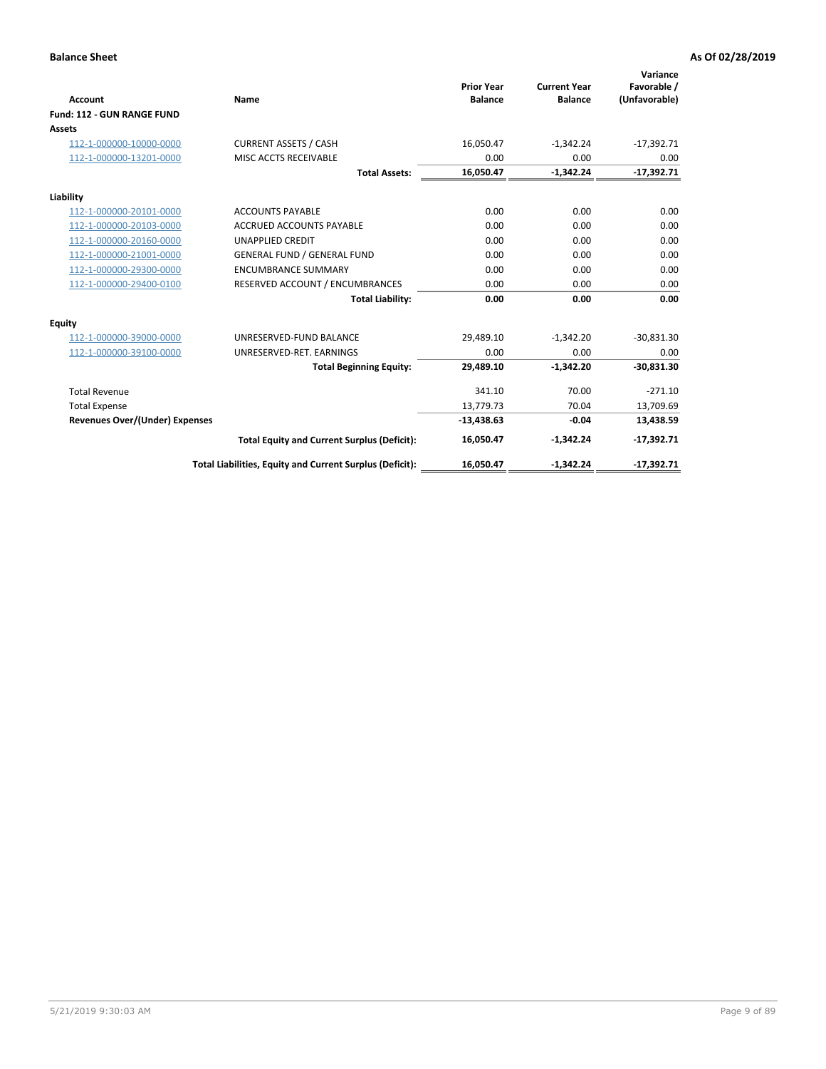|                                       |                                                          |                                     |                                       | Variance                     |
|---------------------------------------|----------------------------------------------------------|-------------------------------------|---------------------------------------|------------------------------|
| <b>Account</b>                        | Name                                                     | <b>Prior Year</b><br><b>Balance</b> | <b>Current Year</b><br><b>Balance</b> | Favorable /<br>(Unfavorable) |
| Fund: 112 - GUN RANGE FUND            |                                                          |                                     |                                       |                              |
| <b>Assets</b>                         |                                                          |                                     |                                       |                              |
| 112-1-000000-10000-0000               | <b>CURRENT ASSETS / CASH</b>                             | 16,050.47                           | $-1,342.24$                           | $-17,392.71$                 |
| 112-1-000000-13201-0000               | MISC ACCTS RECEIVABLE                                    | 0.00                                | 0.00                                  | 0.00                         |
|                                       | <b>Total Assets:</b>                                     | 16,050.47                           | $-1,342.24$                           | $-17,392.71$                 |
| Liability                             |                                                          |                                     |                                       |                              |
| 112-1-000000-20101-0000               | <b>ACCOUNTS PAYABLE</b>                                  | 0.00                                | 0.00                                  | 0.00                         |
| 112-1-000000-20103-0000               | <b>ACCRUED ACCOUNTS PAYABLE</b>                          | 0.00                                | 0.00                                  | 0.00                         |
| 112-1-000000-20160-0000               | <b>UNAPPLIED CREDIT</b>                                  | 0.00                                | 0.00                                  | 0.00                         |
| 112-1-000000-21001-0000               | <b>GENERAL FUND / GENERAL FUND</b>                       | 0.00                                | 0.00                                  | 0.00                         |
| 112-1-000000-29300-0000               | <b>ENCUMBRANCE SUMMARY</b>                               | 0.00                                | 0.00                                  | 0.00                         |
| 112-1-000000-29400-0100               | RESERVED ACCOUNT / ENCUMBRANCES                          | 0.00                                | 0.00                                  | 0.00                         |
|                                       | <b>Total Liability:</b>                                  | 0.00                                | 0.00                                  | 0.00                         |
| Equity                                |                                                          |                                     |                                       |                              |
| 112-1-000000-39000-0000               | UNRESERVED-FUND BALANCE                                  | 29,489.10                           | $-1,342.20$                           | $-30,831.30$                 |
| 112-1-000000-39100-0000               | UNRESERVED-RET. EARNINGS                                 | 0.00                                | 0.00                                  | 0.00                         |
|                                       | <b>Total Beginning Equity:</b>                           | 29,489.10                           | $-1,342.20$                           | $-30,831.30$                 |
| <b>Total Revenue</b>                  |                                                          | 341.10                              | 70.00                                 | $-271.10$                    |
| <b>Total Expense</b>                  |                                                          | 13,779.73                           | 70.04                                 | 13,709.69                    |
| <b>Revenues Over/(Under) Expenses</b> |                                                          | $-13,438.63$                        | $-0.04$                               | 13,438.59                    |
|                                       | <b>Total Equity and Current Surplus (Deficit):</b>       | 16,050.47                           | $-1,342.24$                           | $-17,392.71$                 |
|                                       | Total Liabilities, Equity and Current Surplus (Deficit): | 16,050.47                           | $-1,342.24$                           | $-17,392.71$                 |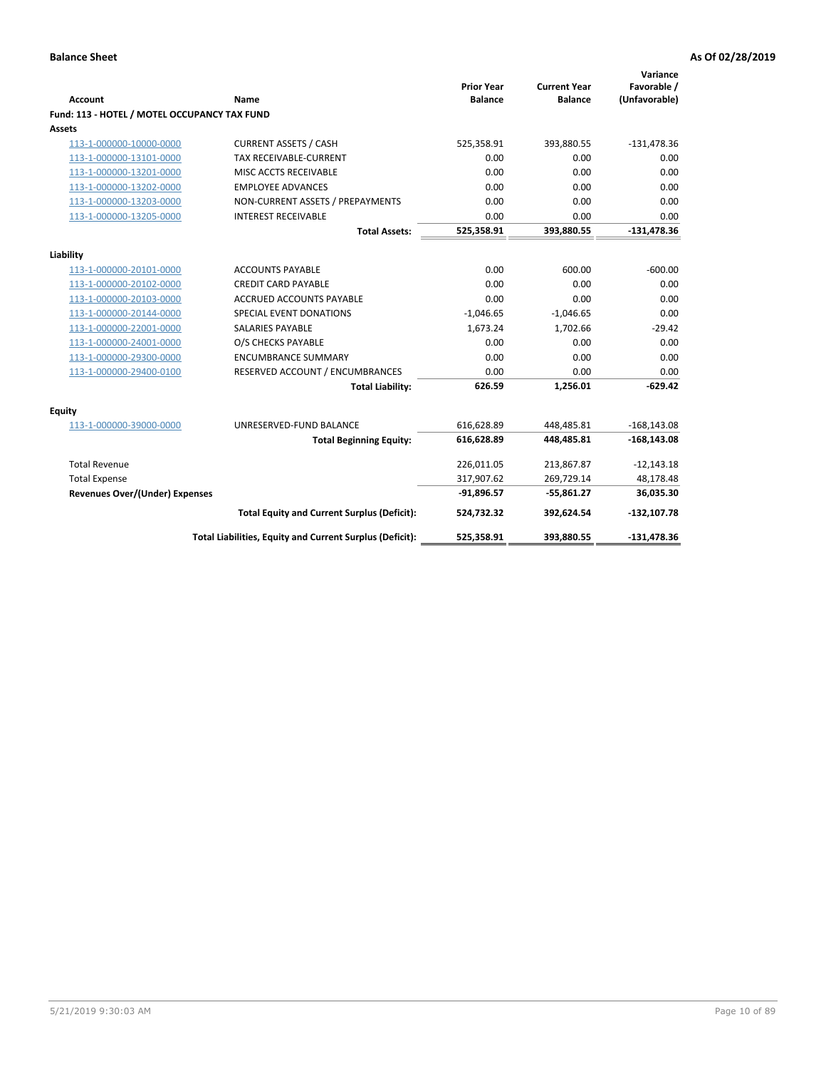| <b>Account</b>                               | Name                                                     | <b>Prior Year</b><br><b>Balance</b> | <b>Current Year</b><br><b>Balance</b> | Variance<br>Favorable /<br>(Unfavorable) |
|----------------------------------------------|----------------------------------------------------------|-------------------------------------|---------------------------------------|------------------------------------------|
| Fund: 113 - HOTEL / MOTEL OCCUPANCY TAX FUND |                                                          |                                     |                                       |                                          |
| Assets                                       |                                                          |                                     |                                       |                                          |
| 113-1-000000-10000-0000                      | <b>CURRENT ASSETS / CASH</b>                             | 525,358.91                          | 393,880.55                            | $-131,478.36$                            |
| 113-1-000000-13101-0000                      | TAX RECEIVABLE-CURRENT                                   | 0.00                                | 0.00                                  | 0.00                                     |
| 113-1-000000-13201-0000                      | MISC ACCTS RECEIVABLE                                    | 0.00                                | 0.00                                  | 0.00                                     |
| 113-1-000000-13202-0000                      | <b>EMPLOYEE ADVANCES</b>                                 | 0.00                                | 0.00                                  | 0.00                                     |
| 113-1-000000-13203-0000                      | NON-CURRENT ASSETS / PREPAYMENTS                         | 0.00                                | 0.00                                  | 0.00                                     |
| 113-1-000000-13205-0000                      | <b>INTEREST RECEIVABLE</b>                               | 0.00                                | 0.00                                  | 0.00                                     |
|                                              | <b>Total Assets:</b>                                     | 525,358.91                          | 393,880.55                            | $-131,478.36$                            |
| Liability                                    |                                                          |                                     |                                       |                                          |
| 113-1-000000-20101-0000                      | <b>ACCOUNTS PAYABLE</b>                                  | 0.00                                | 600.00                                | $-600.00$                                |
| 113-1-000000-20102-0000                      | <b>CREDIT CARD PAYABLE</b>                               | 0.00                                | 0.00                                  | 0.00                                     |
| 113-1-000000-20103-0000                      | ACCRUED ACCOUNTS PAYABLE                                 | 0.00                                | 0.00                                  | 0.00                                     |
| 113-1-000000-20144-0000                      | SPECIAL EVENT DONATIONS                                  | $-1,046.65$                         | $-1,046.65$                           | 0.00                                     |
| 113-1-000000-22001-0000                      | <b>SALARIES PAYABLE</b>                                  | 1,673.24                            | 1,702.66                              | $-29.42$                                 |
| 113-1-000000-24001-0000                      | O/S CHECKS PAYABLE                                       | 0.00                                | 0.00                                  | 0.00                                     |
| 113-1-000000-29300-0000                      | <b>ENCUMBRANCE SUMMARY</b>                               | 0.00                                | 0.00                                  | 0.00                                     |
| 113-1-000000-29400-0100                      | RESERVED ACCOUNT / ENCUMBRANCES                          | 0.00                                | 0.00                                  | 0.00                                     |
|                                              | <b>Total Liability:</b>                                  | 626.59                              | 1,256.01                              | $-629.42$                                |
| Equity                                       |                                                          |                                     |                                       |                                          |
| 113-1-000000-39000-0000                      | UNRESERVED-FUND BALANCE                                  | 616,628.89                          | 448,485.81                            | $-168, 143.08$                           |
|                                              | <b>Total Beginning Equity:</b>                           | 616,628.89                          | 448.485.81                            | $-168, 143.08$                           |
| <b>Total Revenue</b>                         |                                                          | 226,011.05                          | 213,867.87                            | $-12,143.18$                             |
| <b>Total Expense</b>                         |                                                          | 317,907.62                          | 269,729.14                            | 48,178.48                                |
| Revenues Over/(Under) Expenses               |                                                          | $-91,896.57$                        | $-55,861.27$                          | 36,035.30                                |
|                                              | <b>Total Equity and Current Surplus (Deficit):</b>       | 524,732.32                          | 392,624.54                            | $-132, 107.78$                           |
|                                              | Total Liabilities, Equity and Current Surplus (Deficit): | 525,358.91                          | 393,880.55                            | $-131,478.36$                            |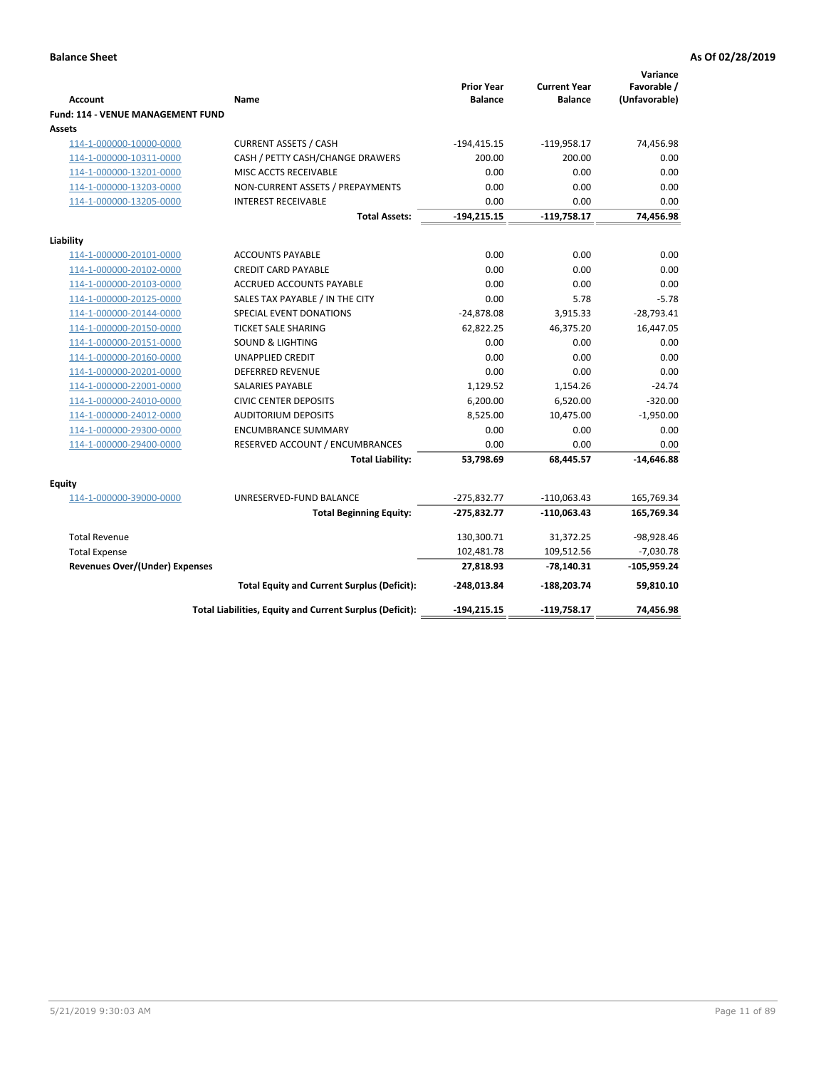|                                          |                                                          | <b>Prior Year</b> | <b>Current Year</b> | Variance                     |
|------------------------------------------|----------------------------------------------------------|-------------------|---------------------|------------------------------|
| <b>Account</b>                           | Name                                                     | <b>Balance</b>    | <b>Balance</b>      | Favorable /<br>(Unfavorable) |
| <b>Fund: 114 - VENUE MANAGEMENT FUND</b> |                                                          |                   |                     |                              |
| Assets                                   |                                                          |                   |                     |                              |
| 114-1-000000-10000-0000                  | <b>CURRENT ASSETS / CASH</b>                             | $-194,415.15$     | $-119,958.17$       | 74,456.98                    |
| 114-1-000000-10311-0000                  | CASH / PETTY CASH/CHANGE DRAWERS                         | 200.00            | 200.00              | 0.00                         |
| 114-1-000000-13201-0000                  | MISC ACCTS RECEIVABLE                                    | 0.00              | 0.00                | 0.00                         |
| 114-1-000000-13203-0000                  | NON-CURRENT ASSETS / PREPAYMENTS                         | 0.00              | 0.00                | 0.00                         |
| 114-1-000000-13205-0000                  | <b>INTEREST RECEIVABLE</b>                               | 0.00              | 0.00                | 0.00                         |
|                                          | <b>Total Assets:</b>                                     | $-194, 215.15$    | $-119,758.17$       | 74,456.98                    |
| Liability                                |                                                          |                   |                     |                              |
| 114-1-000000-20101-0000                  | <b>ACCOUNTS PAYABLE</b>                                  | 0.00              | 0.00                | 0.00                         |
| 114-1-000000-20102-0000                  | <b>CREDIT CARD PAYABLE</b>                               | 0.00              | 0.00                | 0.00                         |
| 114-1-000000-20103-0000                  | <b>ACCRUED ACCOUNTS PAYABLE</b>                          | 0.00              | 0.00                | 0.00                         |
| 114-1-000000-20125-0000                  | SALES TAX PAYABLE / IN THE CITY                          | 0.00              | 5.78                | $-5.78$                      |
| 114-1-000000-20144-0000                  | SPECIAL EVENT DONATIONS                                  | $-24,878.08$      | 3,915.33            | $-28,793.41$                 |
| 114-1-000000-20150-0000                  | <b>TICKET SALE SHARING</b>                               | 62,822.25         | 46,375.20           | 16,447.05                    |
| 114-1-000000-20151-0000                  | <b>SOUND &amp; LIGHTING</b>                              | 0.00              | 0.00                | 0.00                         |
| 114-1-000000-20160-0000                  | <b>UNAPPLIED CREDIT</b>                                  | 0.00              | 0.00                | 0.00                         |
| 114-1-000000-20201-0000                  | <b>DEFERRED REVENUE</b>                                  | 0.00              | 0.00                | 0.00                         |
| 114-1-000000-22001-0000                  | <b>SALARIES PAYABLE</b>                                  | 1,129.52          | 1,154.26            | $-24.74$                     |
| 114-1-000000-24010-0000                  | <b>CIVIC CENTER DEPOSITS</b>                             | 6,200.00          | 6,520.00            | $-320.00$                    |
| 114-1-000000-24012-0000                  | <b>AUDITORIUM DEPOSITS</b>                               | 8,525.00          | 10,475.00           | $-1,950.00$                  |
| 114-1-000000-29300-0000                  | <b>ENCUMBRANCE SUMMARY</b>                               | 0.00              | 0.00                | 0.00                         |
| 114-1-000000-29400-0000                  | RESERVED ACCOUNT / ENCUMBRANCES                          | 0.00              | 0.00                | 0.00                         |
|                                          | <b>Total Liability:</b>                                  | 53,798.69         | 68,445.57           | $-14,646.88$                 |
| Equity                                   |                                                          |                   |                     |                              |
| 114-1-000000-39000-0000                  | UNRESERVED-FUND BALANCE                                  | $-275,832.77$     | $-110,063.43$       | 165,769.34                   |
|                                          | <b>Total Beginning Equity:</b>                           | $-275,832.77$     | -110,063.43         | 165,769.34                   |
| <b>Total Revenue</b>                     |                                                          | 130,300.71        | 31,372.25           | -98,928.46                   |
| <b>Total Expense</b>                     |                                                          | 102,481.78        | 109,512.56          | $-7,030.78$                  |
| <b>Revenues Over/(Under) Expenses</b>    |                                                          | 27,818.93         | $-78,140.31$        | $-105,959.24$                |
|                                          | <b>Total Equity and Current Surplus (Deficit):</b>       | -248,013.84       | -188,203.74         | 59,810.10                    |
|                                          | Total Liabilities, Equity and Current Surplus (Deficit): | $-194, 215.15$    | -119,758.17         | 74,456.98                    |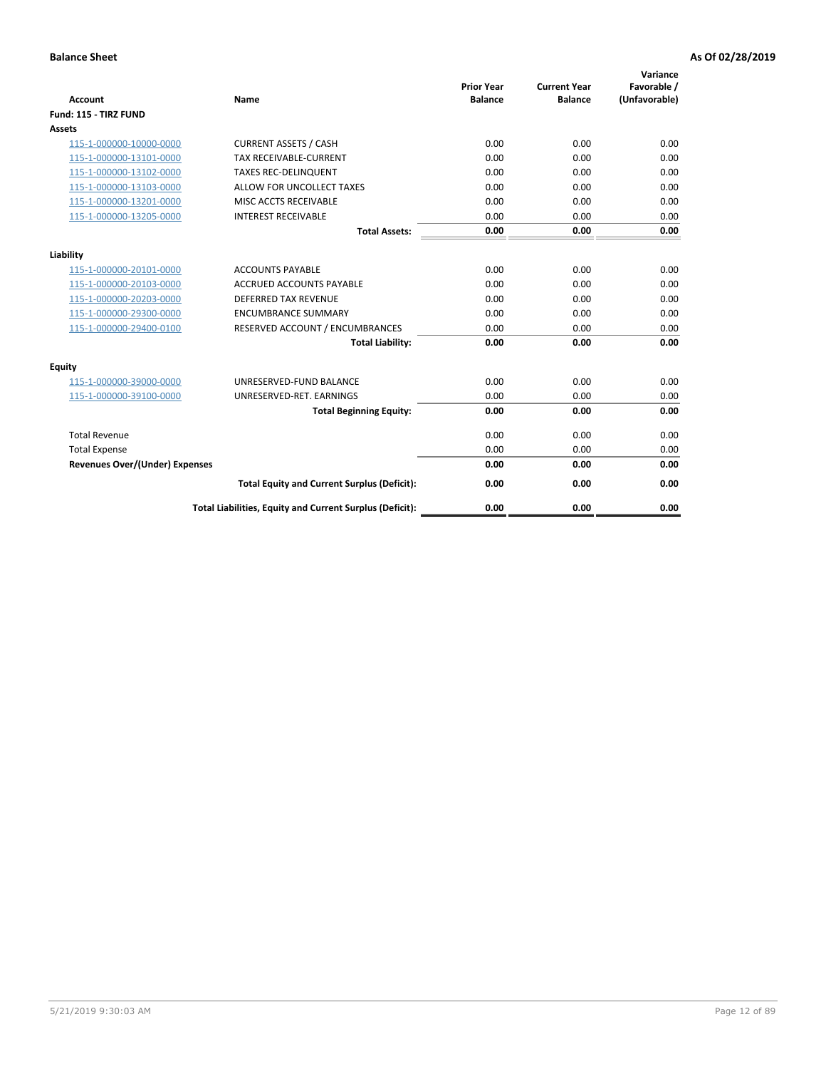| <b>Account</b>                        | <b>Name</b>                                              | <b>Prior Year</b><br><b>Balance</b> | <b>Current Year</b><br><b>Balance</b> | Variance<br>Favorable /<br>(Unfavorable) |
|---------------------------------------|----------------------------------------------------------|-------------------------------------|---------------------------------------|------------------------------------------|
| Fund: 115 - TIRZ FUND                 |                                                          |                                     |                                       |                                          |
| <b>Assets</b>                         |                                                          |                                     |                                       |                                          |
| 115-1-000000-10000-0000               | <b>CURRENT ASSETS / CASH</b>                             | 0.00                                | 0.00                                  | 0.00                                     |
| 115-1-000000-13101-0000               | <b>TAX RECEIVABLE-CURRENT</b>                            | 0.00                                | 0.00                                  | 0.00                                     |
| 115-1-000000-13102-0000               | <b>TAXES REC-DELINQUENT</b>                              | 0.00                                | 0.00                                  | 0.00                                     |
| 115-1-000000-13103-0000               | ALLOW FOR UNCOLLECT TAXES                                | 0.00                                | 0.00                                  | 0.00                                     |
| 115-1-000000-13201-0000               | <b>MISC ACCTS RECEIVABLE</b>                             | 0.00                                | 0.00                                  | 0.00                                     |
| 115-1-000000-13205-0000               | <b>INTEREST RECEIVABLE</b>                               | 0.00                                | 0.00                                  | 0.00                                     |
|                                       | <b>Total Assets:</b>                                     | 0.00                                | 0.00                                  | 0.00                                     |
| Liability                             |                                                          |                                     |                                       |                                          |
| 115-1-000000-20101-0000               | <b>ACCOUNTS PAYABLE</b>                                  | 0.00                                | 0.00                                  | 0.00                                     |
| 115-1-000000-20103-0000               | <b>ACCRUED ACCOUNTS PAYABLE</b>                          | 0.00                                | 0.00                                  | 0.00                                     |
| 115-1-000000-20203-0000               | <b>DEFERRED TAX REVENUE</b>                              | 0.00                                | 0.00                                  | 0.00                                     |
| 115-1-000000-29300-0000               | <b>ENCUMBRANCE SUMMARY</b>                               | 0.00                                | 0.00                                  | 0.00                                     |
| 115-1-000000-29400-0100               | RESERVED ACCOUNT / ENCUMBRANCES                          | 0.00                                | 0.00                                  | 0.00                                     |
|                                       | <b>Total Liability:</b>                                  | 0.00                                | 0.00                                  | 0.00                                     |
| <b>Equity</b>                         |                                                          |                                     |                                       |                                          |
| 115-1-000000-39000-0000               | UNRESERVED-FUND BALANCE                                  | 0.00                                | 0.00                                  | 0.00                                     |
| 115-1-000000-39100-0000               | UNRESERVED-RET. EARNINGS                                 | 0.00                                | 0.00                                  | 0.00                                     |
|                                       | <b>Total Beginning Equity:</b>                           | 0.00                                | 0.00                                  | 0.00                                     |
| <b>Total Revenue</b>                  |                                                          | 0.00                                | 0.00                                  | 0.00                                     |
| <b>Total Expense</b>                  |                                                          | 0.00                                | 0.00                                  | 0.00                                     |
| <b>Revenues Over/(Under) Expenses</b> |                                                          | 0.00                                | 0.00                                  | 0.00                                     |
|                                       | <b>Total Equity and Current Surplus (Deficit):</b>       | 0.00                                | 0.00                                  | 0.00                                     |
|                                       | Total Liabilities, Equity and Current Surplus (Deficit): | 0.00                                | 0.00                                  | 0.00                                     |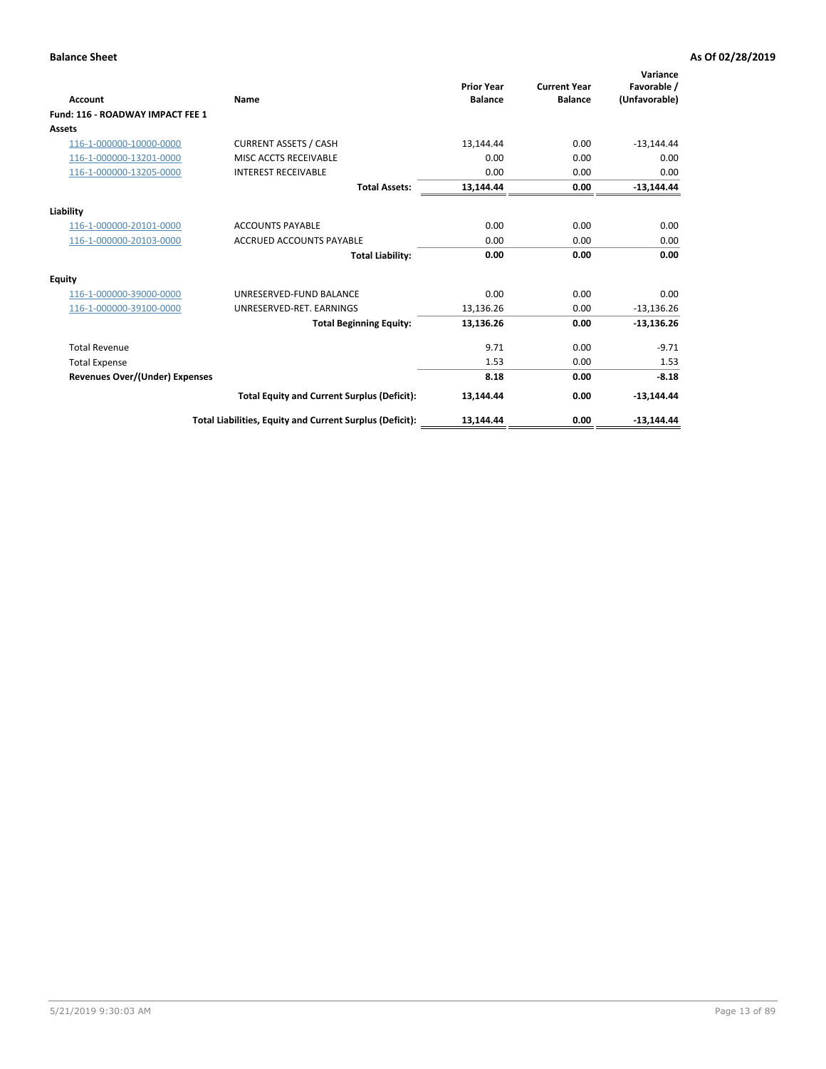| Account                               | Name                                                     | <b>Prior Year</b><br><b>Balance</b> | <b>Current Year</b><br><b>Balance</b> | Variance<br>Favorable /<br>(Unfavorable) |
|---------------------------------------|----------------------------------------------------------|-------------------------------------|---------------------------------------|------------------------------------------|
| Fund: 116 - ROADWAY IMPACT FEE 1      |                                                          |                                     |                                       |                                          |
| <b>Assets</b>                         |                                                          |                                     |                                       |                                          |
| 116-1-000000-10000-0000               | <b>CURRENT ASSETS / CASH</b>                             | 13,144.44                           | 0.00                                  | $-13,144.44$                             |
| 116-1-000000-13201-0000               | MISC ACCTS RECEIVABLE                                    | 0.00                                | 0.00                                  | 0.00                                     |
| 116-1-000000-13205-0000               | <b>INTEREST RECEIVABLE</b>                               | 0.00                                | 0.00                                  | 0.00                                     |
|                                       | <b>Total Assets:</b>                                     | 13,144.44                           | 0.00                                  | $-13,144.44$                             |
| Liability                             |                                                          |                                     |                                       |                                          |
| 116-1-000000-20101-0000               | <b>ACCOUNTS PAYABLE</b>                                  | 0.00                                | 0.00                                  | 0.00                                     |
| 116-1-000000-20103-0000               | <b>ACCRUED ACCOUNTS PAYABLE</b>                          | 0.00                                | 0.00                                  | 0.00                                     |
|                                       | <b>Total Liability:</b>                                  | 0.00                                | 0.00                                  | 0.00                                     |
| Equity                                |                                                          |                                     |                                       |                                          |
| 116-1-000000-39000-0000               | UNRESERVED-FUND BALANCE                                  | 0.00                                | 0.00                                  | 0.00                                     |
| 116-1-000000-39100-0000               | UNRESERVED-RET. EARNINGS                                 | 13,136.26                           | 0.00                                  | $-13,136.26$                             |
|                                       | <b>Total Beginning Equity:</b>                           | 13,136.26                           | 0.00                                  | $-13,136.26$                             |
| <b>Total Revenue</b>                  |                                                          | 9.71                                | 0.00                                  | $-9.71$                                  |
| <b>Total Expense</b>                  |                                                          | 1.53                                | 0.00                                  | 1.53                                     |
| <b>Revenues Over/(Under) Expenses</b> |                                                          | 8.18                                | 0.00                                  | $-8.18$                                  |
|                                       | <b>Total Equity and Current Surplus (Deficit):</b>       | 13,144.44                           | 0.00                                  | $-13,144.44$                             |
|                                       | Total Liabilities, Equity and Current Surplus (Deficit): | 13,144.44                           | 0.00                                  | $-13.144.44$                             |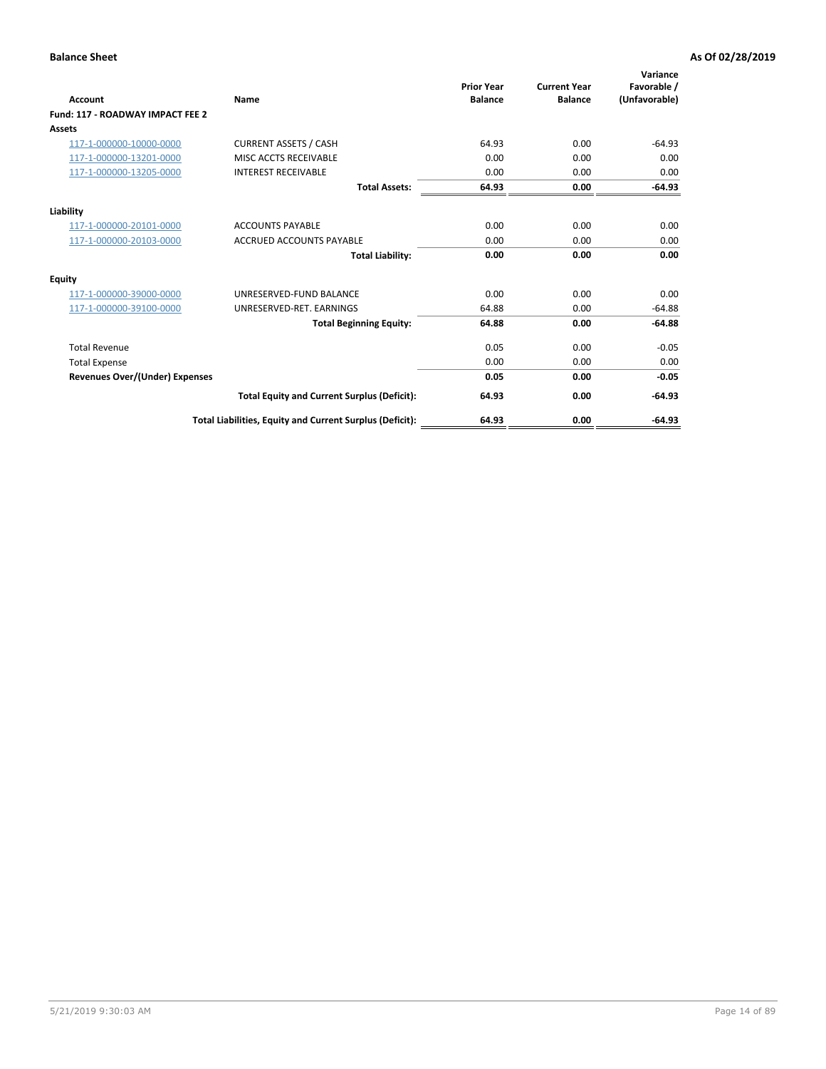| Account                               | <b>Name</b>                                              | <b>Prior Year</b><br><b>Balance</b> | <b>Current Year</b><br><b>Balance</b> | Variance<br>Favorable /<br>(Unfavorable) |
|---------------------------------------|----------------------------------------------------------|-------------------------------------|---------------------------------------|------------------------------------------|
| Fund: 117 - ROADWAY IMPACT FEE 2      |                                                          |                                     |                                       |                                          |
| Assets                                |                                                          |                                     |                                       |                                          |
| 117-1-000000-10000-0000               | <b>CURRENT ASSETS / CASH</b>                             | 64.93                               | 0.00                                  | $-64.93$                                 |
| 117-1-000000-13201-0000               | MISC ACCTS RECEIVABLE                                    | 0.00                                | 0.00                                  | 0.00                                     |
| 117-1-000000-13205-0000               | <b>INTEREST RECEIVABLE</b>                               | 0.00                                | 0.00                                  | 0.00                                     |
|                                       | <b>Total Assets:</b>                                     | 64.93                               | 0.00                                  | $-64.93$                                 |
| Liability                             |                                                          |                                     |                                       |                                          |
| 117-1-000000-20101-0000               | <b>ACCOUNTS PAYABLE</b>                                  | 0.00                                | 0.00                                  | 0.00                                     |
| 117-1-000000-20103-0000               | <b>ACCRUED ACCOUNTS PAYABLE</b>                          | 0.00                                | 0.00                                  | 0.00                                     |
|                                       | <b>Total Liability:</b>                                  | 0.00                                | 0.00                                  | 0.00                                     |
| Equity                                |                                                          |                                     |                                       |                                          |
| 117-1-000000-39000-0000               | UNRESERVED-FUND BALANCE                                  | 0.00                                | 0.00                                  | 0.00                                     |
| 117-1-000000-39100-0000               | UNRESERVED-RET. EARNINGS                                 | 64.88                               | 0.00                                  | $-64.88$                                 |
|                                       | <b>Total Beginning Equity:</b>                           | 64.88                               | 0.00                                  | $-64.88$                                 |
| <b>Total Revenue</b>                  |                                                          | 0.05                                | 0.00                                  | $-0.05$                                  |
| <b>Total Expense</b>                  |                                                          | 0.00                                | 0.00                                  | 0.00                                     |
| <b>Revenues Over/(Under) Expenses</b> |                                                          | 0.05                                | 0.00                                  | $-0.05$                                  |
|                                       | <b>Total Equity and Current Surplus (Deficit):</b>       | 64.93                               | 0.00                                  | $-64.93$                                 |
|                                       | Total Liabilities, Equity and Current Surplus (Deficit): | 64.93                               | 0.00                                  | $-64.93$                                 |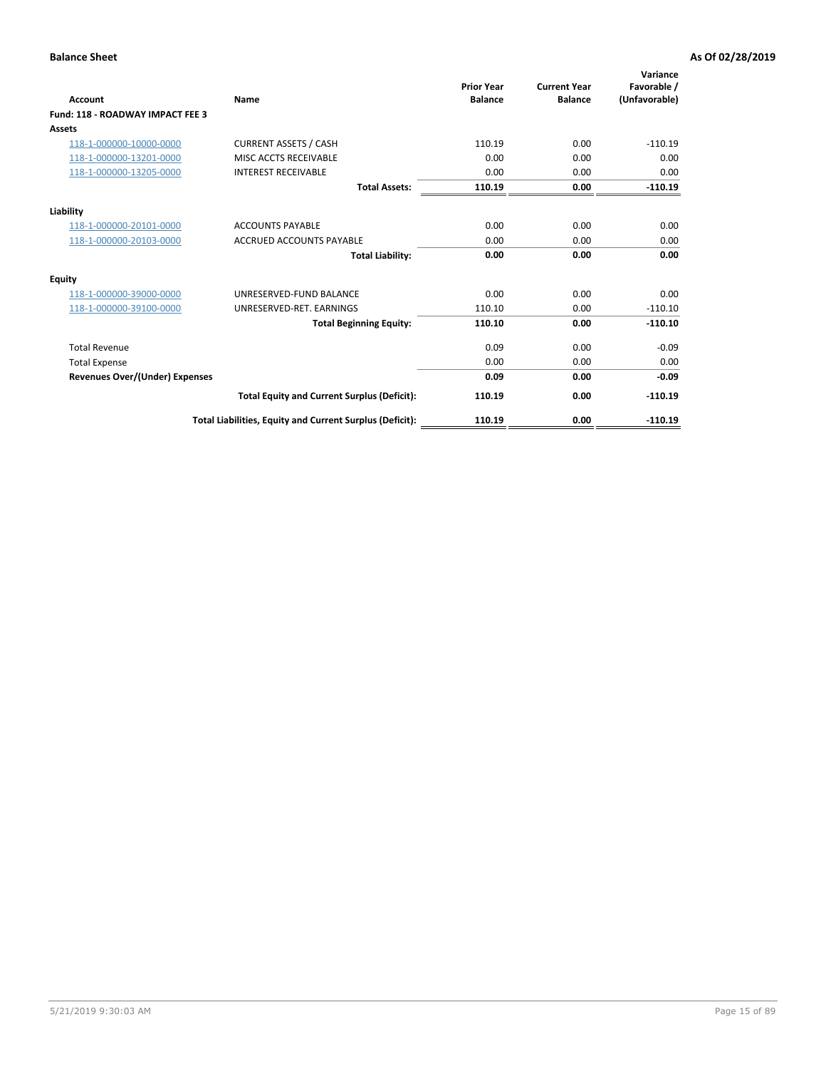| <b>Account</b>                        | Name                                                     | <b>Prior Year</b><br><b>Balance</b> | <b>Current Year</b><br><b>Balance</b> | Variance<br>Favorable /<br>(Unfavorable) |
|---------------------------------------|----------------------------------------------------------|-------------------------------------|---------------------------------------|------------------------------------------|
| Fund: 118 - ROADWAY IMPACT FEE 3      |                                                          |                                     |                                       |                                          |
| Assets                                |                                                          |                                     |                                       |                                          |
| 118-1-000000-10000-0000               | <b>CURRENT ASSETS / CASH</b>                             | 110.19                              | 0.00                                  | $-110.19$                                |
| 118-1-000000-13201-0000               | MISC ACCTS RECEIVABLE                                    | 0.00                                | 0.00                                  | 0.00                                     |
| 118-1-000000-13205-0000               | <b>INTEREST RECEIVABLE</b>                               | 0.00                                | 0.00                                  | 0.00                                     |
|                                       | <b>Total Assets:</b>                                     | 110.19                              | 0.00                                  | $-110.19$                                |
| Liability                             |                                                          |                                     |                                       |                                          |
| 118-1-000000-20101-0000               | <b>ACCOUNTS PAYABLE</b>                                  | 0.00                                | 0.00                                  | 0.00                                     |
| 118-1-000000-20103-0000               | <b>ACCRUED ACCOUNTS PAYABLE</b>                          | 0.00                                | 0.00                                  | 0.00                                     |
|                                       | <b>Total Liability:</b>                                  | 0.00                                | 0.00                                  | 0.00                                     |
| Equity                                |                                                          |                                     |                                       |                                          |
| 118-1-000000-39000-0000               | UNRESERVED-FUND BALANCE                                  | 0.00                                | 0.00                                  | 0.00                                     |
| 118-1-000000-39100-0000               | UNRESERVED-RET, EARNINGS                                 | 110.10                              | 0.00                                  | $-110.10$                                |
|                                       | <b>Total Beginning Equity:</b>                           | 110.10                              | 0.00                                  | $-110.10$                                |
| <b>Total Revenue</b>                  |                                                          | 0.09                                | 0.00                                  | $-0.09$                                  |
| <b>Total Expense</b>                  |                                                          | 0.00                                | 0.00                                  | 0.00                                     |
| <b>Revenues Over/(Under) Expenses</b> |                                                          | 0.09                                | 0.00                                  | $-0.09$                                  |
|                                       | <b>Total Equity and Current Surplus (Deficit):</b>       | 110.19                              | 0.00                                  | $-110.19$                                |
|                                       | Total Liabilities, Equity and Current Surplus (Deficit): | 110.19                              | 0.00                                  | $-110.19$                                |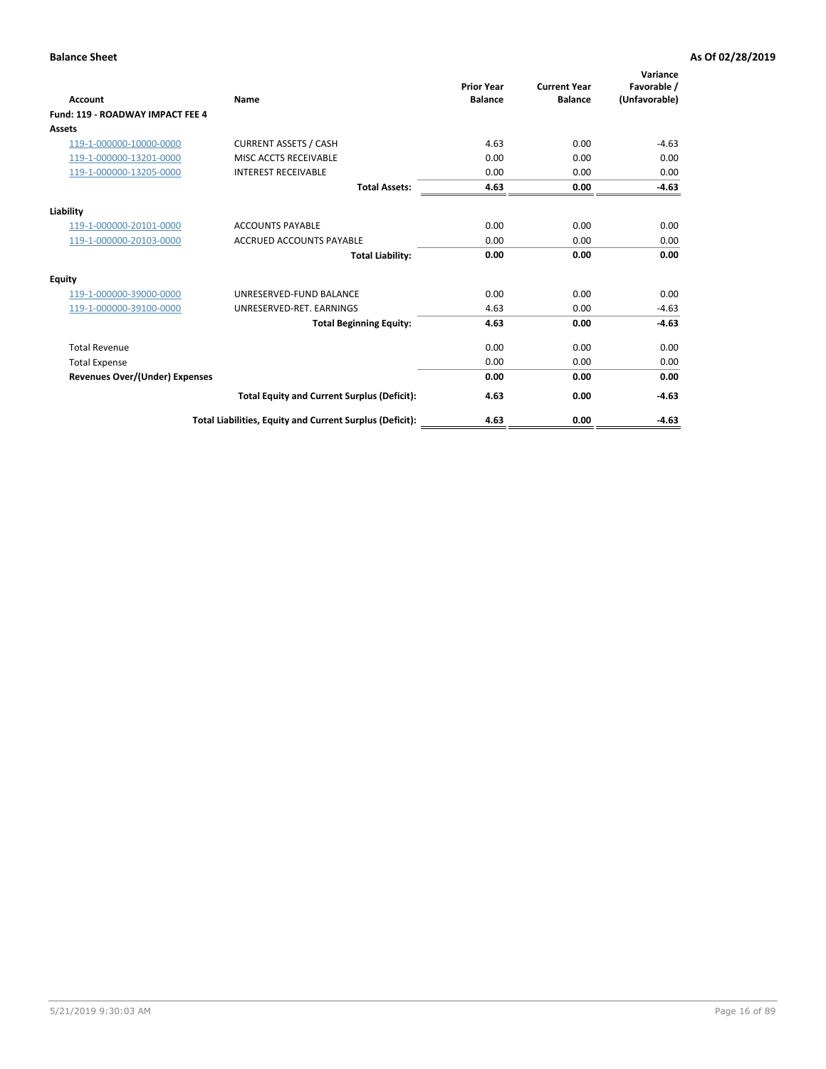| Account                               | <b>Name</b>                                              | <b>Prior Year</b><br><b>Balance</b> | <b>Current Year</b><br><b>Balance</b> | Variance<br>Favorable /<br>(Unfavorable) |
|---------------------------------------|----------------------------------------------------------|-------------------------------------|---------------------------------------|------------------------------------------|
| Fund: 119 - ROADWAY IMPACT FEE 4      |                                                          |                                     |                                       |                                          |
| Assets                                |                                                          |                                     |                                       |                                          |
| 119-1-000000-10000-0000               | <b>CURRENT ASSETS / CASH</b>                             | 4.63                                | 0.00                                  | $-4.63$                                  |
| 119-1-000000-13201-0000               | <b>MISC ACCTS RECEIVABLE</b>                             | 0.00                                | 0.00                                  | 0.00                                     |
| 119-1-000000-13205-0000               | <b>INTEREST RECEIVABLE</b>                               | 0.00                                | 0.00                                  | 0.00                                     |
|                                       | <b>Total Assets:</b>                                     | 4.63                                | 0.00                                  | $-4.63$                                  |
| Liability                             |                                                          |                                     |                                       |                                          |
| 119-1-000000-20101-0000               | <b>ACCOUNTS PAYABLE</b>                                  | 0.00                                | 0.00                                  | 0.00                                     |
| 119-1-000000-20103-0000               | <b>ACCRUED ACCOUNTS PAYABLE</b>                          | 0.00                                | 0.00                                  | 0.00                                     |
|                                       | <b>Total Liability:</b>                                  | 0.00                                | 0.00                                  | 0.00                                     |
| Equity                                |                                                          |                                     |                                       |                                          |
| 119-1-000000-39000-0000               | UNRESERVED-FUND BALANCE                                  | 0.00                                | 0.00                                  | 0.00                                     |
| 119-1-000000-39100-0000               | UNRESERVED-RET. EARNINGS                                 | 4.63                                | 0.00                                  | $-4.63$                                  |
|                                       | <b>Total Beginning Equity:</b>                           | 4.63                                | 0.00                                  | $-4.63$                                  |
| <b>Total Revenue</b>                  |                                                          | 0.00                                | 0.00                                  | 0.00                                     |
| <b>Total Expense</b>                  |                                                          | 0.00                                | 0.00                                  | 0.00                                     |
| <b>Revenues Over/(Under) Expenses</b> |                                                          | 0.00                                | 0.00                                  | 0.00                                     |
|                                       | <b>Total Equity and Current Surplus (Deficit):</b>       | 4.63                                | 0.00                                  | $-4.63$                                  |
|                                       | Total Liabilities, Equity and Current Surplus (Deficit): | 4.63                                | 0.00                                  | $-4.63$                                  |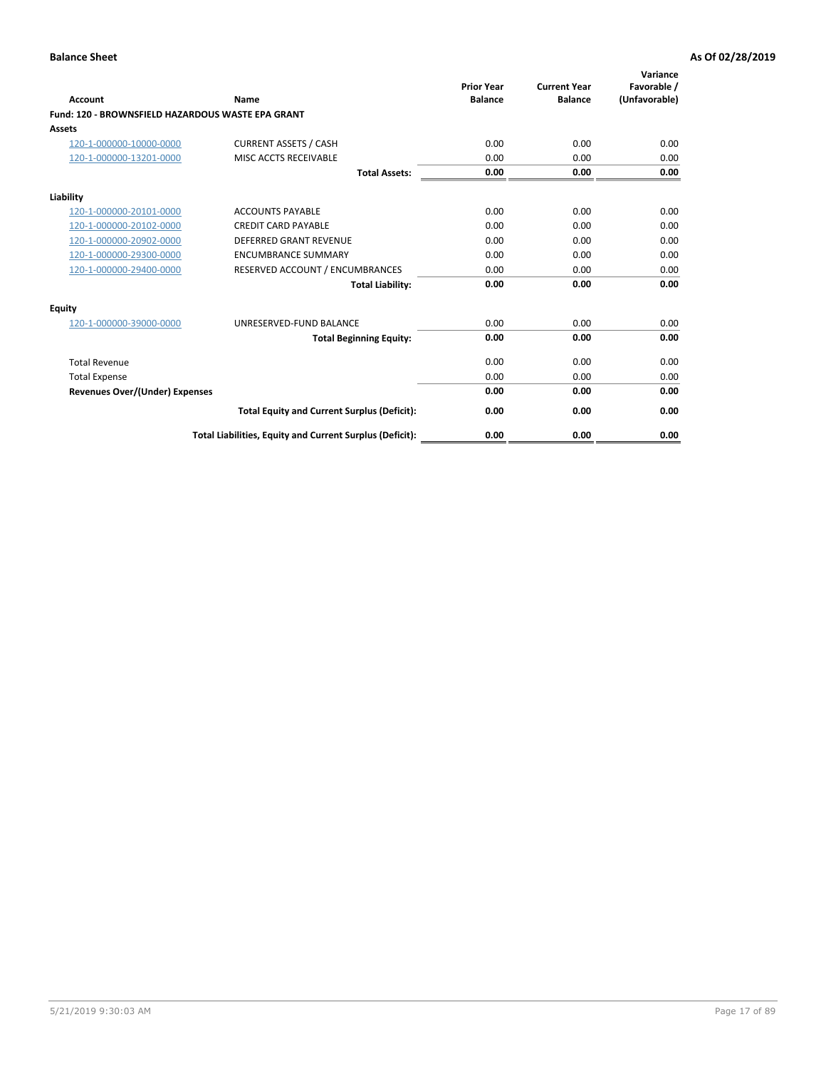|                                                   |                                                          | <b>Prior Year</b> | <b>Current Year</b> | Variance<br>Favorable / |
|---------------------------------------------------|----------------------------------------------------------|-------------------|---------------------|-------------------------|
| <b>Account</b>                                    | Name                                                     | <b>Balance</b>    | <b>Balance</b>      | (Unfavorable)           |
| Fund: 120 - BROWNSFIELD HAZARDOUS WASTE EPA GRANT |                                                          |                   |                     |                         |
| <b>Assets</b>                                     |                                                          |                   |                     |                         |
| 120-1-000000-10000-0000                           | <b>CURRENT ASSETS / CASH</b>                             | 0.00              | 0.00                | 0.00                    |
| 120-1-000000-13201-0000                           | MISC ACCTS RECEIVABLE                                    | 0.00              | 0.00                | 0.00                    |
|                                                   | <b>Total Assets:</b>                                     | 0.00              | 0.00                | 0.00                    |
| Liability                                         |                                                          |                   |                     |                         |
| 120-1-000000-20101-0000                           | <b>ACCOUNTS PAYABLE</b>                                  | 0.00              | 0.00                | 0.00                    |
| 120-1-000000-20102-0000                           | <b>CREDIT CARD PAYABLE</b>                               | 0.00              | 0.00                | 0.00                    |
| 120-1-000000-20902-0000                           | DEFERRED GRANT REVENUE                                   | 0.00              | 0.00                | 0.00                    |
| 120-1-000000-29300-0000                           | <b>ENCUMBRANCE SUMMARY</b>                               | 0.00              | 0.00                | 0.00                    |
| 120-1-000000-29400-0000                           | RESERVED ACCOUNT / ENCUMBRANCES                          | 0.00              | 0.00                | 0.00                    |
|                                                   | <b>Total Liability:</b>                                  | 0.00              | 0.00                | 0.00                    |
| Equity                                            |                                                          |                   |                     |                         |
| 120-1-000000-39000-0000                           | UNRESERVED-FUND BALANCE                                  | 0.00              | 0.00                | 0.00                    |
|                                                   | <b>Total Beginning Equity:</b>                           | 0.00              | 0.00                | 0.00                    |
| <b>Total Revenue</b>                              |                                                          | 0.00              | 0.00                | 0.00                    |
| <b>Total Expense</b>                              |                                                          | 0.00              | 0.00                | 0.00                    |
| Revenues Over/(Under) Expenses                    |                                                          | 0.00              | 0.00                | 0.00                    |
|                                                   | <b>Total Equity and Current Surplus (Deficit):</b>       | 0.00              | 0.00                | 0.00                    |
|                                                   | Total Liabilities, Equity and Current Surplus (Deficit): | 0.00              | 0.00                | 0.00                    |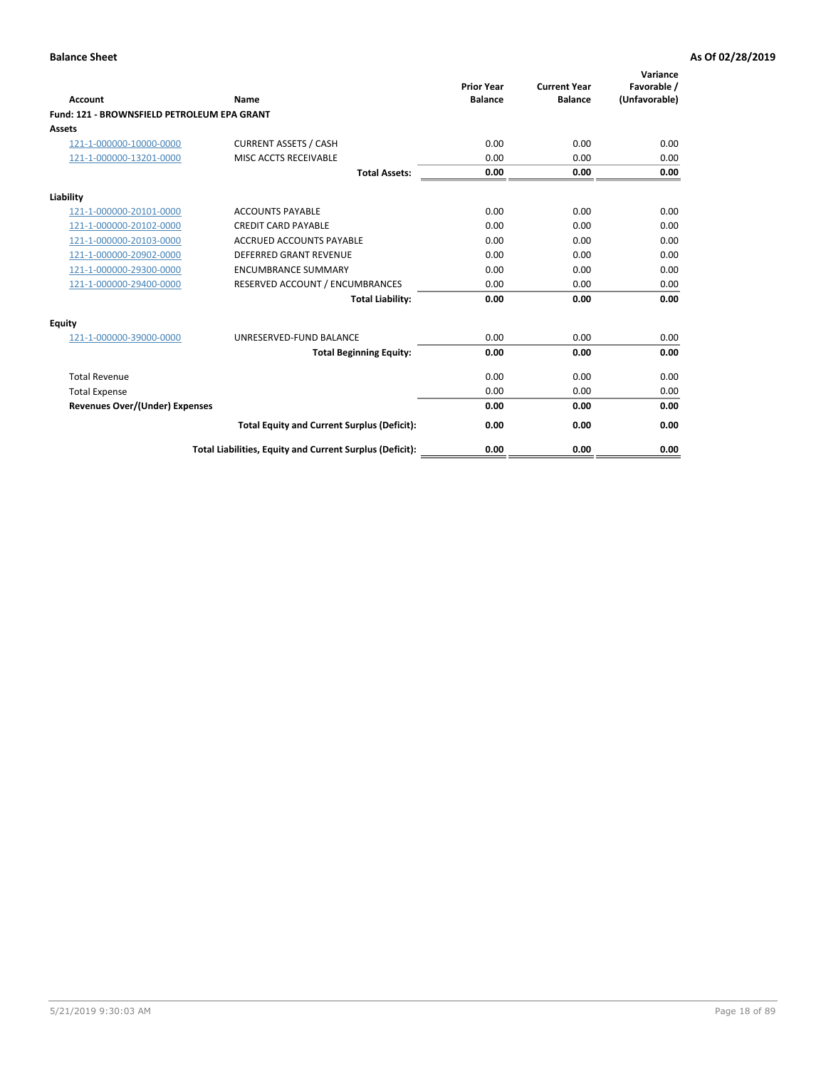| Account                                     | Name                                                     | <b>Prior Year</b><br><b>Balance</b> | <b>Current Year</b><br><b>Balance</b> | Variance<br>Favorable /<br>(Unfavorable) |
|---------------------------------------------|----------------------------------------------------------|-------------------------------------|---------------------------------------|------------------------------------------|
| Fund: 121 - BROWNSFIELD PETROLEUM EPA GRANT |                                                          |                                     |                                       |                                          |
| <b>Assets</b>                               |                                                          |                                     |                                       |                                          |
| 121-1-000000-10000-0000                     | <b>CURRENT ASSETS / CASH</b>                             | 0.00                                | 0.00                                  | 0.00                                     |
| 121-1-000000-13201-0000                     | <b>MISC ACCTS RECEIVABLE</b>                             | 0.00                                | 0.00                                  | 0.00                                     |
|                                             | <b>Total Assets:</b>                                     | 0.00                                | 0.00                                  | 0.00                                     |
| Liability                                   |                                                          |                                     |                                       |                                          |
| 121-1-000000-20101-0000                     | <b>ACCOUNTS PAYABLE</b>                                  | 0.00                                | 0.00                                  | 0.00                                     |
| 121-1-000000-20102-0000                     | <b>CREDIT CARD PAYABLE</b>                               | 0.00                                | 0.00                                  | 0.00                                     |
| 121-1-000000-20103-0000                     | <b>ACCRUED ACCOUNTS PAYABLE</b>                          | 0.00                                | 0.00                                  | 0.00                                     |
| 121-1-000000-20902-0000                     | <b>DEFERRED GRANT REVENUE</b>                            | 0.00                                | 0.00                                  | 0.00                                     |
| 121-1-000000-29300-0000                     | <b>ENCUMBRANCE SUMMARY</b>                               | 0.00                                | 0.00                                  | 0.00                                     |
| 121-1-000000-29400-0000                     | RESERVED ACCOUNT / ENCUMBRANCES                          | 0.00                                | 0.00                                  | 0.00                                     |
|                                             | <b>Total Liability:</b>                                  | 0.00                                | 0.00                                  | 0.00                                     |
| <b>Equity</b>                               |                                                          |                                     |                                       |                                          |
| 121-1-000000-39000-0000                     | UNRESERVED-FUND BALANCE                                  | 0.00                                | 0.00                                  | 0.00                                     |
|                                             | <b>Total Beginning Equity:</b>                           | 0.00                                | 0.00                                  | 0.00                                     |
| <b>Total Revenue</b>                        |                                                          | 0.00                                | 0.00                                  | 0.00                                     |
| <b>Total Expense</b>                        |                                                          | 0.00                                | 0.00                                  | 0.00                                     |
| <b>Revenues Over/(Under) Expenses</b>       |                                                          | 0.00                                | 0.00                                  | 0.00                                     |
|                                             | <b>Total Equity and Current Surplus (Deficit):</b>       | 0.00                                | 0.00                                  | 0.00                                     |
|                                             | Total Liabilities, Equity and Current Surplus (Deficit): | 0.00                                | 0.00                                  | 0.00                                     |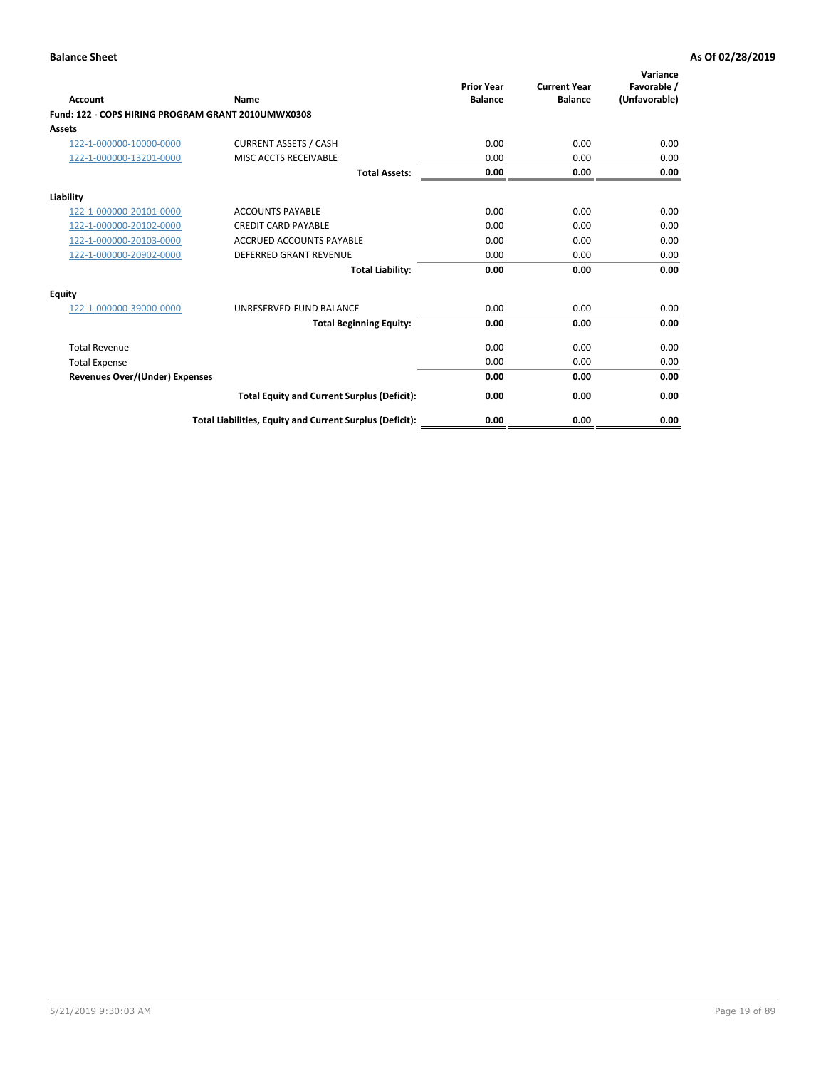| <b>Account</b>                                     | Name                                                     | <b>Prior Year</b><br><b>Balance</b> | <b>Current Year</b><br><b>Balance</b> | Variance<br>Favorable /<br>(Unfavorable) |
|----------------------------------------------------|----------------------------------------------------------|-------------------------------------|---------------------------------------|------------------------------------------|
| Fund: 122 - COPS HIRING PROGRAM GRANT 2010UMWX0308 |                                                          |                                     |                                       |                                          |
| Assets                                             |                                                          |                                     |                                       |                                          |
| 122-1-000000-10000-0000                            | <b>CURRENT ASSETS / CASH</b>                             | 0.00                                | 0.00                                  | 0.00                                     |
| 122-1-000000-13201-0000                            | MISC ACCTS RECEIVABLE                                    | 0.00                                | 0.00                                  | 0.00                                     |
|                                                    | <b>Total Assets:</b>                                     | 0.00                                | 0.00                                  | 0.00                                     |
| Liability                                          |                                                          |                                     |                                       |                                          |
| 122-1-000000-20101-0000                            | <b>ACCOUNTS PAYABLE</b>                                  | 0.00                                | 0.00                                  | 0.00                                     |
| 122-1-000000-20102-0000                            | <b>CREDIT CARD PAYABLE</b>                               | 0.00                                | 0.00                                  | 0.00                                     |
| 122-1-000000-20103-0000                            | <b>ACCRUED ACCOUNTS PAYABLE</b>                          | 0.00                                | 0.00                                  | 0.00                                     |
| 122-1-000000-20902-0000                            | <b>DEFERRED GRANT REVENUE</b>                            | 0.00                                | 0.00                                  | 0.00                                     |
|                                                    | <b>Total Liability:</b>                                  | 0.00                                | 0.00                                  | 0.00                                     |
| Equity                                             |                                                          |                                     |                                       |                                          |
| 122-1-000000-39000-0000                            | UNRESERVED-FUND BALANCE                                  | 0.00                                | 0.00                                  | 0.00                                     |
|                                                    | <b>Total Beginning Equity:</b>                           | 0.00                                | 0.00                                  | 0.00                                     |
| <b>Total Revenue</b>                               |                                                          | 0.00                                | 0.00                                  | 0.00                                     |
| <b>Total Expense</b>                               |                                                          | 0.00                                | 0.00                                  | 0.00                                     |
| <b>Revenues Over/(Under) Expenses</b>              |                                                          | 0.00                                | 0.00                                  | 0.00                                     |
|                                                    | <b>Total Equity and Current Surplus (Deficit):</b>       | 0.00                                | 0.00                                  | 0.00                                     |
|                                                    | Total Liabilities, Equity and Current Surplus (Deficit): | 0.00                                | 0.00                                  | 0.00                                     |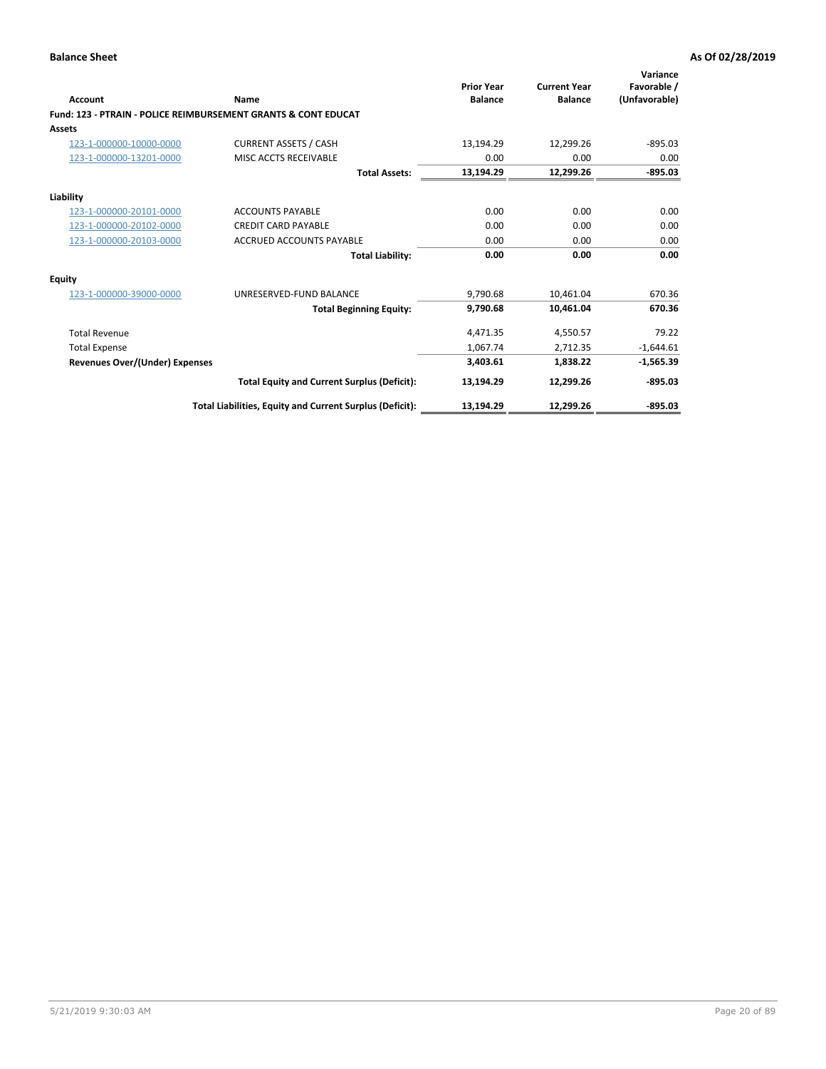| Account                        | <b>Name</b>                                                    | <b>Prior Year</b><br><b>Balance</b> | <b>Current Year</b><br><b>Balance</b> | Variance<br>Favorable /<br>(Unfavorable) |
|--------------------------------|----------------------------------------------------------------|-------------------------------------|---------------------------------------|------------------------------------------|
|                                | Fund: 123 - PTRAIN - POLICE REIMBURSEMENT GRANTS & CONT EDUCAT |                                     |                                       |                                          |
| Assets                         |                                                                |                                     |                                       |                                          |
| 123-1-000000-10000-0000        | <b>CURRENT ASSETS / CASH</b>                                   | 13,194.29                           | 12,299.26                             | $-895.03$                                |
| 123-1-000000-13201-0000        | MISC ACCTS RECEIVABLE                                          | 0.00                                | 0.00                                  | 0.00                                     |
|                                | <b>Total Assets:</b>                                           | 13,194.29                           | 12,299.26                             | $-895.03$                                |
| Liability                      |                                                                |                                     |                                       |                                          |
| 123-1-000000-20101-0000        | <b>ACCOUNTS PAYABLE</b>                                        | 0.00                                | 0.00                                  | 0.00                                     |
| 123-1-000000-20102-0000        | <b>CREDIT CARD PAYABLE</b>                                     | 0.00                                | 0.00                                  | 0.00                                     |
| 123-1-000000-20103-0000        | <b>ACCRUED ACCOUNTS PAYABLE</b>                                | 0.00                                | 0.00                                  | 0.00                                     |
|                                | <b>Total Liability:</b>                                        | 0.00                                | 0.00                                  | 0.00                                     |
| Equity                         |                                                                |                                     |                                       |                                          |
| 123-1-000000-39000-0000        | UNRESERVED-FUND BALANCE                                        | 9,790.68                            | 10.461.04                             | 670.36                                   |
|                                | <b>Total Beginning Equity:</b>                                 | 9,790.68                            | 10,461.04                             | 670.36                                   |
| <b>Total Revenue</b>           |                                                                | 4,471.35                            | 4,550.57                              | 79.22                                    |
| <b>Total Expense</b>           |                                                                | 1,067.74                            | 2,712.35                              | $-1,644.61$                              |
| Revenues Over/(Under) Expenses |                                                                | 3,403.61                            | 1,838.22                              | $-1,565.39$                              |
|                                | <b>Total Equity and Current Surplus (Deficit):</b>             | 13,194.29                           | 12,299.26                             | $-895.03$                                |
|                                | Total Liabilities, Equity and Current Surplus (Deficit):       | 13,194.29                           | 12,299.26                             | $-895.03$                                |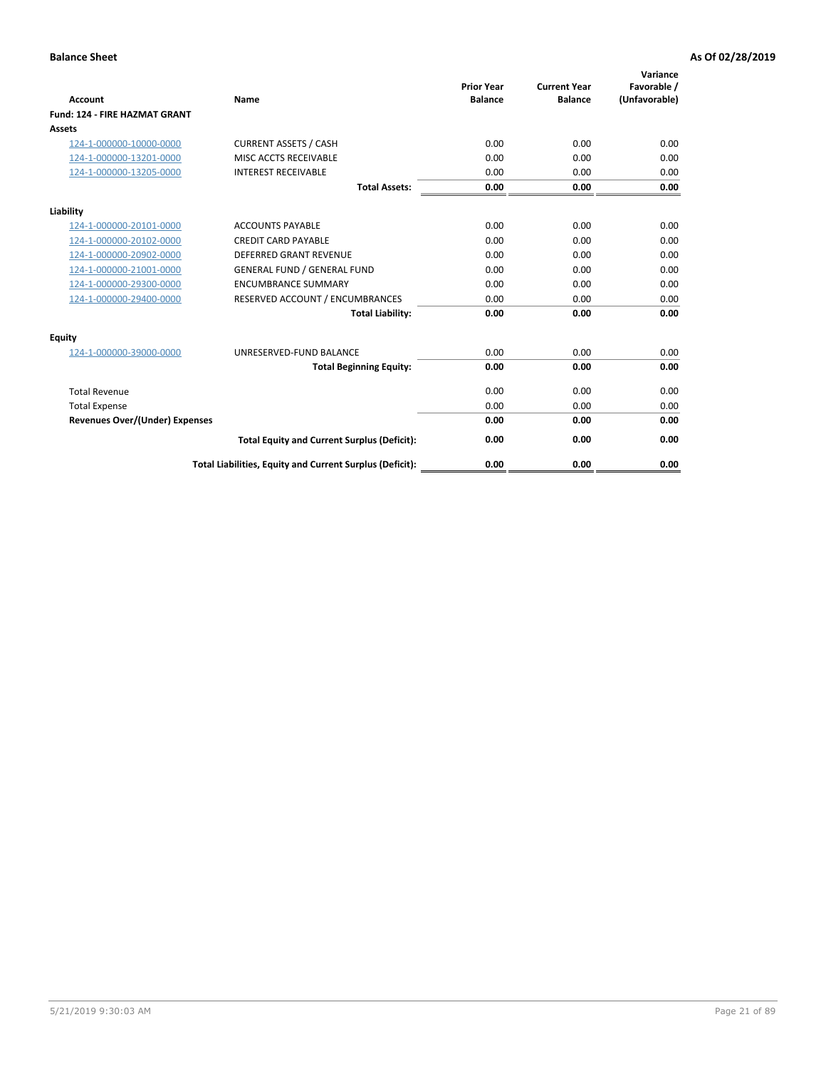| <b>Account</b>                        | Name                                                     | <b>Prior Year</b><br><b>Balance</b> | <b>Current Year</b><br><b>Balance</b> | Variance<br>Favorable /<br>(Unfavorable) |
|---------------------------------------|----------------------------------------------------------|-------------------------------------|---------------------------------------|------------------------------------------|
| <b>Fund: 124 - FIRE HAZMAT GRANT</b>  |                                                          |                                     |                                       |                                          |
| Assets                                |                                                          |                                     |                                       |                                          |
| 124-1-000000-10000-0000               | <b>CURRENT ASSETS / CASH</b>                             | 0.00                                | 0.00                                  | 0.00                                     |
| 124-1-000000-13201-0000               | MISC ACCTS RECEIVABLE                                    | 0.00                                | 0.00                                  | 0.00                                     |
| 124-1-000000-13205-0000               | <b>INTEREST RECEIVABLE</b>                               | 0.00                                | 0.00                                  | 0.00                                     |
|                                       | <b>Total Assets:</b>                                     | 0.00                                | 0.00                                  | 0.00                                     |
| Liability                             |                                                          |                                     |                                       |                                          |
| 124-1-000000-20101-0000               | <b>ACCOUNTS PAYABLE</b>                                  | 0.00                                | 0.00                                  | 0.00                                     |
| 124-1-000000-20102-0000               | <b>CREDIT CARD PAYABLE</b>                               | 0.00                                | 0.00                                  | 0.00                                     |
| 124-1-000000-20902-0000               | <b>DEFERRED GRANT REVENUE</b>                            | 0.00                                | 0.00                                  | 0.00                                     |
| 124-1-000000-21001-0000               | <b>GENERAL FUND / GENERAL FUND</b>                       | 0.00                                | 0.00                                  | 0.00                                     |
| 124-1-000000-29300-0000               | <b>ENCUMBRANCE SUMMARY</b>                               | 0.00                                | 0.00                                  | 0.00                                     |
| 124-1-000000-29400-0000               | RESERVED ACCOUNT / ENCUMBRANCES                          | 0.00                                | 0.00                                  | 0.00                                     |
|                                       | <b>Total Liability:</b>                                  | 0.00                                | 0.00                                  | 0.00                                     |
| <b>Equity</b>                         |                                                          |                                     |                                       |                                          |
| 124-1-000000-39000-0000               | UNRESERVED-FUND BALANCE                                  | 0.00                                | 0.00                                  | 0.00                                     |
|                                       | <b>Total Beginning Equity:</b>                           | 0.00                                | 0.00                                  | 0.00                                     |
| <b>Total Revenue</b>                  |                                                          | 0.00                                | 0.00                                  | 0.00                                     |
| <b>Total Expense</b>                  |                                                          | 0.00                                | 0.00                                  | 0.00                                     |
| <b>Revenues Over/(Under) Expenses</b> |                                                          | 0.00                                | 0.00                                  | 0.00                                     |
|                                       | <b>Total Equity and Current Surplus (Deficit):</b>       | 0.00                                | 0.00                                  | 0.00                                     |
|                                       | Total Liabilities, Equity and Current Surplus (Deficit): | 0.00                                | 0.00                                  | 0.00                                     |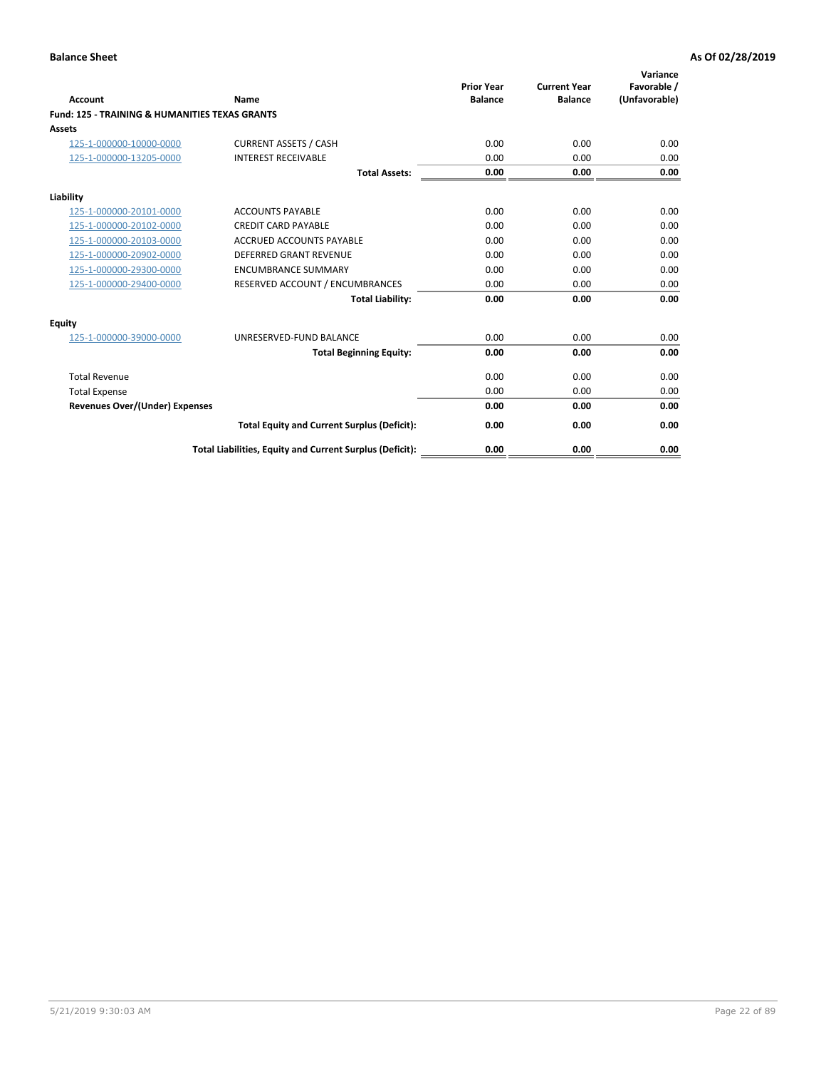| Account                                                   | Name                                                     | <b>Prior Year</b><br><b>Balance</b> | <b>Current Year</b><br><b>Balance</b> | Variance<br>Favorable /<br>(Unfavorable) |
|-----------------------------------------------------------|----------------------------------------------------------|-------------------------------------|---------------------------------------|------------------------------------------|
| <b>Fund: 125 - TRAINING &amp; HUMANITIES TEXAS GRANTS</b> |                                                          |                                     |                                       |                                          |
| <b>Assets</b>                                             |                                                          |                                     |                                       |                                          |
| 125-1-000000-10000-0000                                   | <b>CURRENT ASSETS / CASH</b>                             | 0.00                                | 0.00                                  | 0.00                                     |
| 125-1-000000-13205-0000                                   | <b>INTEREST RECEIVABLE</b>                               | 0.00                                | 0.00                                  | 0.00                                     |
|                                                           | <b>Total Assets:</b>                                     | 0.00                                | 0.00                                  | 0.00                                     |
| Liability                                                 |                                                          |                                     |                                       |                                          |
| 125-1-000000-20101-0000                                   | <b>ACCOUNTS PAYABLE</b>                                  | 0.00                                | 0.00                                  | 0.00                                     |
| 125-1-000000-20102-0000                                   | <b>CREDIT CARD PAYABLE</b>                               | 0.00                                | 0.00                                  | 0.00                                     |
| 125-1-000000-20103-0000                                   | <b>ACCRUED ACCOUNTS PAYABLE</b>                          | 0.00                                | 0.00                                  | 0.00                                     |
| 125-1-000000-20902-0000                                   | <b>DEFERRED GRANT REVENUE</b>                            | 0.00                                | 0.00                                  | 0.00                                     |
| 125-1-000000-29300-0000                                   | <b>ENCUMBRANCE SUMMARY</b>                               | 0.00                                | 0.00                                  | 0.00                                     |
| 125-1-000000-29400-0000                                   | RESERVED ACCOUNT / ENCUMBRANCES                          | 0.00                                | 0.00                                  | 0.00                                     |
|                                                           | <b>Total Liability:</b>                                  | 0.00                                | 0.00                                  | 0.00                                     |
| <b>Equity</b>                                             |                                                          |                                     |                                       |                                          |
| 125-1-000000-39000-0000                                   | UNRESERVED-FUND BALANCE                                  | 0.00                                | 0.00                                  | 0.00                                     |
|                                                           | <b>Total Beginning Equity:</b>                           | 0.00                                | 0.00                                  | 0.00                                     |
| <b>Total Revenue</b>                                      |                                                          | 0.00                                | 0.00                                  | 0.00                                     |
| <b>Total Expense</b>                                      |                                                          | 0.00                                | 0.00                                  | 0.00                                     |
| <b>Revenues Over/(Under) Expenses</b>                     |                                                          | 0.00                                | 0.00                                  | 0.00                                     |
|                                                           | <b>Total Equity and Current Surplus (Deficit):</b>       | 0.00                                | 0.00                                  | 0.00                                     |
|                                                           | Total Liabilities, Equity and Current Surplus (Deficit): | 0.00                                | 0.00                                  | 0.00                                     |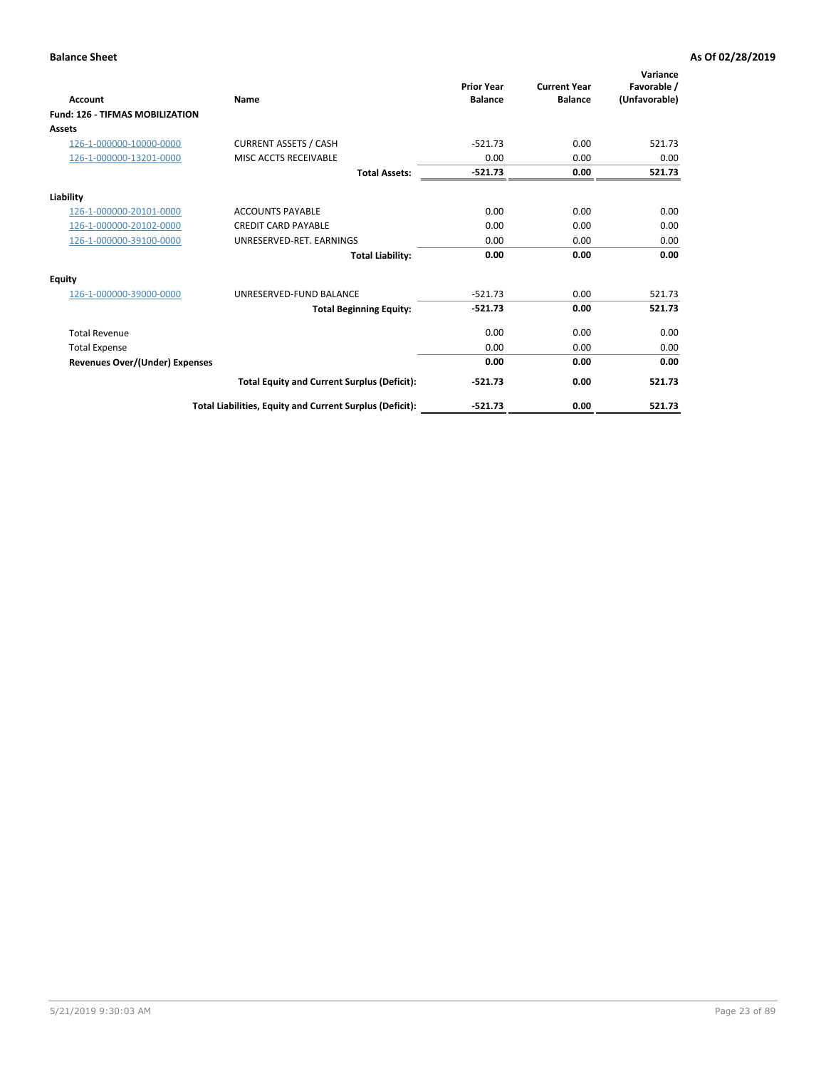| <b>Account</b>                         | <b>Name</b>                                              | <b>Prior Year</b><br><b>Balance</b> | <b>Current Year</b><br><b>Balance</b> | Variance<br>Favorable /<br>(Unfavorable) |
|----------------------------------------|----------------------------------------------------------|-------------------------------------|---------------------------------------|------------------------------------------|
| <b>Fund: 126 - TIFMAS MOBILIZATION</b> |                                                          |                                     |                                       |                                          |
| Assets                                 |                                                          |                                     |                                       |                                          |
| 126-1-000000-10000-0000                | <b>CURRENT ASSETS / CASH</b>                             | $-521.73$                           | 0.00                                  | 521.73                                   |
| 126-1-000000-13201-0000                | MISC ACCTS RECEIVABLE                                    | 0.00                                | 0.00                                  | 0.00                                     |
|                                        | <b>Total Assets:</b>                                     | $-521.73$                           | 0.00                                  | 521.73                                   |
| Liability                              |                                                          |                                     |                                       |                                          |
| 126-1-000000-20101-0000                | <b>ACCOUNTS PAYABLE</b>                                  | 0.00                                | 0.00                                  | 0.00                                     |
| 126-1-000000-20102-0000                | <b>CREDIT CARD PAYABLE</b>                               | 0.00                                | 0.00                                  | 0.00                                     |
| 126-1-000000-39100-0000                | UNRESERVED-RET. EARNINGS                                 | 0.00                                | 0.00                                  | 0.00                                     |
|                                        | <b>Total Liability:</b>                                  | 0.00                                | 0.00                                  | 0.00                                     |
| Equity                                 |                                                          |                                     |                                       |                                          |
| 126-1-000000-39000-0000                | UNRESERVED-FUND BALANCE                                  | $-521.73$                           | 0.00                                  | 521.73                                   |
|                                        | <b>Total Beginning Equity:</b>                           | $-521.73$                           | 0.00                                  | 521.73                                   |
| <b>Total Revenue</b>                   |                                                          | 0.00                                | 0.00                                  | 0.00                                     |
| <b>Total Expense</b>                   |                                                          | 0.00                                | 0.00                                  | 0.00                                     |
| <b>Revenues Over/(Under) Expenses</b>  |                                                          | 0.00                                | 0.00                                  | 0.00                                     |
|                                        | <b>Total Equity and Current Surplus (Deficit):</b>       | $-521.73$                           | 0.00                                  | 521.73                                   |
|                                        | Total Liabilities, Equity and Current Surplus (Deficit): | $-521.73$                           | 0.00                                  | 521.73                                   |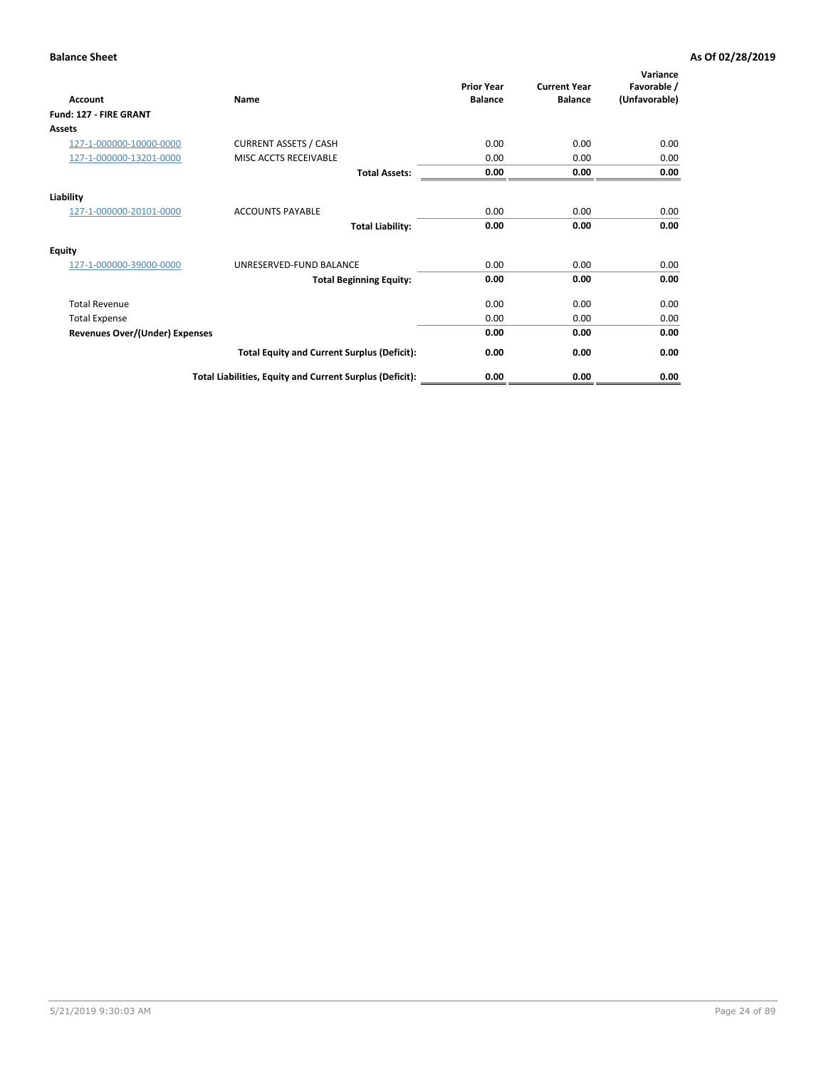| <b>Account</b>                        | Name                                                     | <b>Prior Year</b><br><b>Balance</b> | <b>Current Year</b><br><b>Balance</b> | Variance<br>Favorable /<br>(Unfavorable) |
|---------------------------------------|----------------------------------------------------------|-------------------------------------|---------------------------------------|------------------------------------------|
| Fund: 127 - FIRE GRANT                |                                                          |                                     |                                       |                                          |
| <b>Assets</b>                         |                                                          |                                     |                                       |                                          |
| 127-1-000000-10000-0000               | <b>CURRENT ASSETS / CASH</b>                             | 0.00                                | 0.00                                  | 0.00                                     |
| 127-1-000000-13201-0000               | MISC ACCTS RECEIVABLE                                    | 0.00                                | 0.00                                  | 0.00                                     |
|                                       | <b>Total Assets:</b>                                     | 0.00                                | 0.00                                  | 0.00                                     |
| Liability                             |                                                          |                                     |                                       |                                          |
| 127-1-000000-20101-0000               | <b>ACCOUNTS PAYABLE</b>                                  | 0.00                                | 0.00                                  | 0.00                                     |
|                                       | <b>Total Liability:</b>                                  | 0.00                                | 0.00                                  | 0.00                                     |
| Equity                                |                                                          |                                     |                                       |                                          |
| 127-1-000000-39000-0000               | UNRESERVED-FUND BALANCE                                  | 0.00                                | 0.00                                  | 0.00                                     |
|                                       | <b>Total Beginning Equity:</b>                           | 0.00                                | 0.00                                  | 0.00                                     |
| <b>Total Revenue</b>                  |                                                          | 0.00                                | 0.00                                  | 0.00                                     |
| <b>Total Expense</b>                  |                                                          | 0.00                                | 0.00                                  | 0.00                                     |
| <b>Revenues Over/(Under) Expenses</b> |                                                          | 0.00                                | 0.00                                  | 0.00                                     |
|                                       | <b>Total Equity and Current Surplus (Deficit):</b>       | 0.00                                | 0.00                                  | 0.00                                     |
|                                       | Total Liabilities, Equity and Current Surplus (Deficit): | 0.00                                | 0.00                                  | 0.00                                     |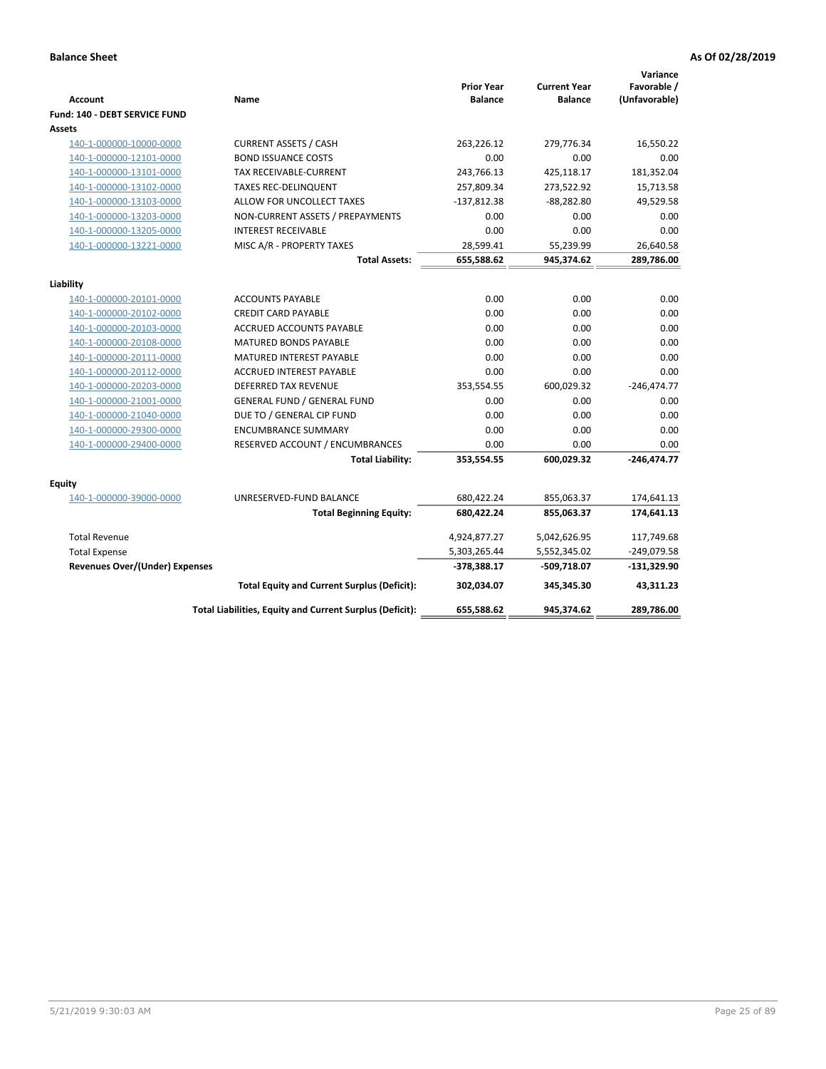| <b>Account</b>                        | Name                                                     | <b>Prior Year</b><br><b>Balance</b> | <b>Current Year</b><br><b>Balance</b> | Variance<br>Favorable /<br>(Unfavorable) |
|---------------------------------------|----------------------------------------------------------|-------------------------------------|---------------------------------------|------------------------------------------|
| Fund: 140 - DEBT SERVICE FUND         |                                                          |                                     |                                       |                                          |
| Assets                                |                                                          |                                     |                                       |                                          |
| 140-1-000000-10000-0000               | <b>CURRENT ASSETS / CASH</b>                             | 263,226.12                          | 279,776.34                            | 16,550.22                                |
| 140-1-000000-12101-0000               | <b>BOND ISSUANCE COSTS</b>                               | 0.00                                | 0.00                                  | 0.00                                     |
| 140-1-000000-13101-0000               | TAX RECEIVABLE-CURRENT                                   | 243,766.13                          | 425,118.17                            | 181,352.04                               |
| 140-1-000000-13102-0000               | <b>TAXES REC-DELINQUENT</b>                              | 257,809.34                          | 273,522.92                            | 15,713.58                                |
| 140-1-000000-13103-0000               | ALLOW FOR UNCOLLECT TAXES                                | $-137,812.38$                       | $-88,282.80$                          | 49,529.58                                |
| 140-1-000000-13203-0000               | NON-CURRENT ASSETS / PREPAYMENTS                         | 0.00                                | 0.00                                  | 0.00                                     |
| 140-1-000000-13205-0000               | <b>INTEREST RECEIVABLE</b>                               | 0.00                                | 0.00                                  | 0.00                                     |
| 140-1-000000-13221-0000               | MISC A/R - PROPERTY TAXES                                | 28,599.41                           | 55,239.99                             | 26,640.58                                |
|                                       | <b>Total Assets:</b>                                     | 655,588.62                          | 945,374.62                            | 289,786.00                               |
| Liability                             |                                                          |                                     |                                       |                                          |
| 140-1-000000-20101-0000               | <b>ACCOUNTS PAYABLE</b>                                  | 0.00                                | 0.00                                  | 0.00                                     |
| 140-1-000000-20102-0000               | <b>CREDIT CARD PAYABLE</b>                               | 0.00                                | 0.00                                  | 0.00                                     |
| 140-1-000000-20103-0000               | ACCRUED ACCOUNTS PAYABLE                                 | 0.00                                | 0.00                                  | 0.00                                     |
| 140-1-000000-20108-0000               | MATURED BONDS PAYABLE                                    | 0.00                                | 0.00                                  | 0.00                                     |
| 140-1-000000-20111-0000               | MATURED INTEREST PAYABLE                                 | 0.00                                | 0.00                                  | 0.00                                     |
| 140-1-000000-20112-0000               | <b>ACCRUED INTEREST PAYABLE</b>                          | 0.00                                | 0.00                                  | 0.00                                     |
| 140-1-000000-20203-0000               | <b>DEFERRED TAX REVENUE</b>                              | 353,554.55                          | 600,029.32                            | $-246,474.77$                            |
| 140-1-000000-21001-0000               | <b>GENERAL FUND / GENERAL FUND</b>                       | 0.00                                | 0.00                                  | 0.00                                     |
| 140-1-000000-21040-0000               | DUE TO / GENERAL CIP FUND                                | 0.00                                | 0.00                                  | 0.00                                     |
| 140-1-000000-29300-0000               | <b>ENCUMBRANCE SUMMARY</b>                               | 0.00                                | 0.00                                  | 0.00                                     |
| 140-1-000000-29400-0000               | RESERVED ACCOUNT / ENCUMBRANCES                          | 0.00                                | 0.00                                  | 0.00                                     |
|                                       | <b>Total Liability:</b>                                  | 353,554.55                          | 600,029.32                            | $-246,474.77$                            |
| Equity                                |                                                          |                                     |                                       |                                          |
| 140-1-000000-39000-0000               | UNRESERVED-FUND BALANCE                                  | 680,422.24                          | 855,063.37                            | 174,641.13                               |
|                                       | <b>Total Beginning Equity:</b>                           | 680,422.24                          | 855,063.37                            | 174,641.13                               |
| <b>Total Revenue</b>                  |                                                          | 4,924,877.27                        | 5,042,626.95                          | 117,749.68                               |
| <b>Total Expense</b>                  |                                                          | 5,303,265.44                        | 5,552,345.02                          | $-249,079.58$                            |
| <b>Revenues Over/(Under) Expenses</b> |                                                          | -378,388.17                         | -509,718.07                           | $-131,329.90$                            |
|                                       | <b>Total Equity and Current Surplus (Deficit):</b>       | 302.034.07                          | 345,345.30                            | 43.311.23                                |
|                                       | Total Liabilities, Equity and Current Surplus (Deficit): | 655,588.62                          | 945,374.62                            | 289,786.00                               |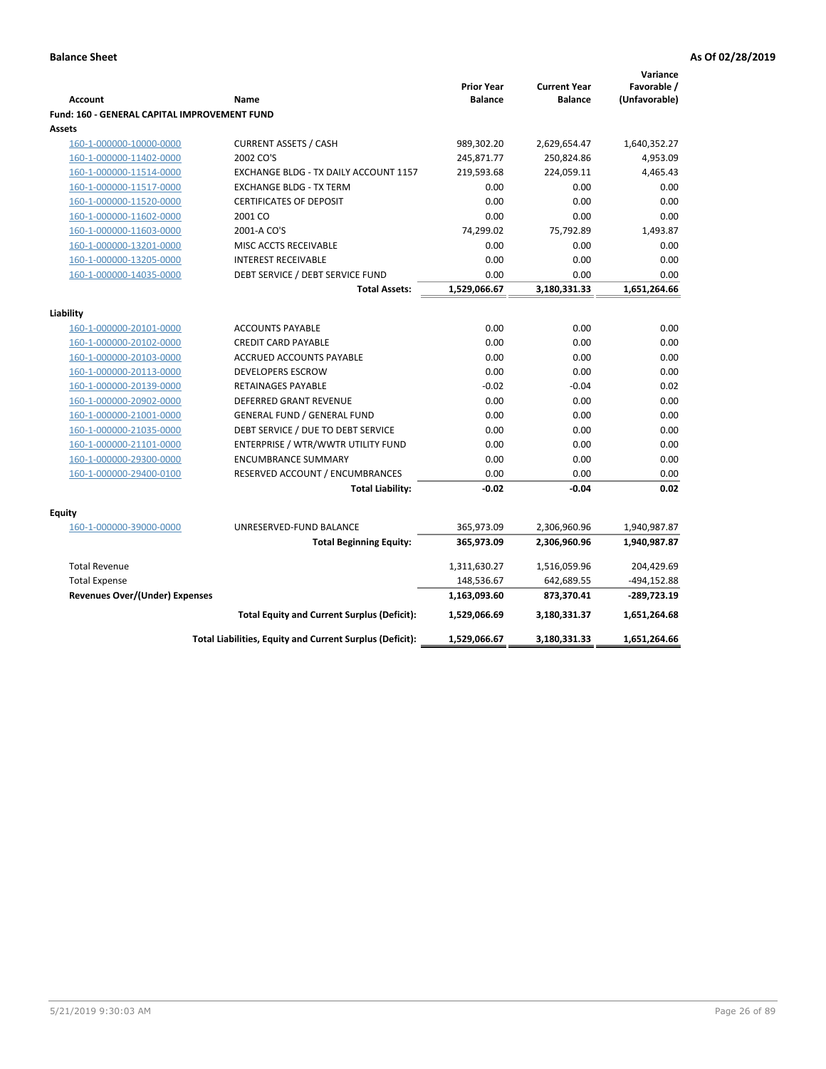|                                                     |                                                          |                                     |                                       | Variance                     |
|-----------------------------------------------------|----------------------------------------------------------|-------------------------------------|---------------------------------------|------------------------------|
| <b>Account</b>                                      | Name                                                     | <b>Prior Year</b><br><b>Balance</b> | <b>Current Year</b><br><b>Balance</b> | Favorable /<br>(Unfavorable) |
| <b>Fund: 160 - GENERAL CAPITAL IMPROVEMENT FUND</b> |                                                          |                                     |                                       |                              |
| Assets                                              |                                                          |                                     |                                       |                              |
| 160-1-000000-10000-0000                             | <b>CURRENT ASSETS / CASH</b>                             | 989,302.20                          | 2,629,654.47                          | 1,640,352.27                 |
| 160-1-000000-11402-0000                             | 2002 CO'S                                                | 245,871.77                          | 250,824.86                            | 4,953.09                     |
| 160-1-000000-11514-0000                             | EXCHANGE BLDG - TX DAILY ACCOUNT 1157                    | 219,593.68                          | 224,059.11                            | 4,465.43                     |
| 160-1-000000-11517-0000                             | <b>EXCHANGE BLDG - TX TERM</b>                           | 0.00                                | 0.00                                  | 0.00                         |
| 160-1-000000-11520-0000                             | <b>CERTIFICATES OF DEPOSIT</b>                           | 0.00                                | 0.00                                  | 0.00                         |
| 160-1-000000-11602-0000                             | 2001 CO                                                  | 0.00                                | 0.00                                  | 0.00                         |
| 160-1-000000-11603-0000                             | 2001-A CO'S                                              | 74,299.02                           | 75,792.89                             | 1,493.87                     |
| 160-1-000000-13201-0000                             | MISC ACCTS RECEIVABLE                                    | 0.00                                | 0.00                                  | 0.00                         |
| 160-1-000000-13205-0000                             | <b>INTEREST RECEIVABLE</b>                               | 0.00                                | 0.00                                  | 0.00                         |
| 160-1-000000-14035-0000                             | DEBT SERVICE / DEBT SERVICE FUND                         | 0.00                                | 0.00                                  | 0.00                         |
|                                                     | <b>Total Assets:</b>                                     | 1,529,066.67                        | 3,180,331.33                          | 1,651,264.66                 |
|                                                     |                                                          |                                     |                                       |                              |
| Liability                                           |                                                          |                                     |                                       |                              |
| 160-1-000000-20101-0000                             | <b>ACCOUNTS PAYABLE</b>                                  | 0.00                                | 0.00                                  | 0.00                         |
| 160-1-000000-20102-0000                             | <b>CREDIT CARD PAYABLE</b>                               | 0.00                                | 0.00                                  | 0.00                         |
| 160-1-000000-20103-0000                             | ACCRUED ACCOUNTS PAYABLE                                 | 0.00                                | 0.00                                  | 0.00                         |
| 160-1-000000-20113-0000                             | <b>DEVELOPERS ESCROW</b>                                 | 0.00                                | 0.00                                  | 0.00                         |
| 160-1-000000-20139-0000                             | <b>RETAINAGES PAYABLE</b>                                | $-0.02$                             | $-0.04$                               | 0.02                         |
| 160-1-000000-20902-0000                             | <b>DEFERRED GRANT REVENUE</b>                            | 0.00                                | 0.00                                  | 0.00                         |
| 160-1-000000-21001-0000                             | <b>GENERAL FUND / GENERAL FUND</b>                       | 0.00                                | 0.00                                  | 0.00                         |
| 160-1-000000-21035-0000                             | DEBT SERVICE / DUE TO DEBT SERVICE                       | 0.00                                | 0.00                                  | 0.00                         |
| 160-1-000000-21101-0000                             | ENTERPRISE / WTR/WWTR UTILITY FUND                       | 0.00                                | 0.00                                  | 0.00                         |
| 160-1-000000-29300-0000                             | <b>ENCUMBRANCE SUMMARY</b>                               | 0.00                                | 0.00                                  | 0.00                         |
| 160-1-000000-29400-0100                             | RESERVED ACCOUNT / ENCUMBRANCES                          | 0.00                                | 0.00                                  | 0.00                         |
|                                                     | <b>Total Liability:</b>                                  | $-0.02$                             | $-0.04$                               | 0.02                         |
|                                                     |                                                          |                                     |                                       |                              |
| <b>Equity</b>                                       |                                                          |                                     |                                       |                              |
| 160-1-000000-39000-0000                             | UNRESERVED-FUND BALANCE                                  | 365,973.09                          | 2,306,960.96                          | 1,940,987.87                 |
|                                                     | <b>Total Beginning Equity:</b>                           | 365,973.09                          | 2,306,960.96                          | 1,940,987.87                 |
| <b>Total Revenue</b>                                |                                                          | 1,311,630.27                        | 1,516,059.96                          | 204,429.69                   |
| <b>Total Expense</b>                                |                                                          | 148,536.67                          | 642,689.55                            | -494,152.88                  |
| <b>Revenues Over/(Under) Expenses</b>               |                                                          | 1,163,093.60                        | 873,370.41                            | -289,723.19                  |
|                                                     | <b>Total Equity and Current Surplus (Deficit):</b>       | 1,529,066.69                        | 3,180,331.37                          | 1,651,264.68                 |
|                                                     | Total Liabilities, Equity and Current Surplus (Deficit): | 1,529,066.67                        | 3,180,331.33                          | 1,651,264.66                 |
|                                                     |                                                          |                                     |                                       |                              |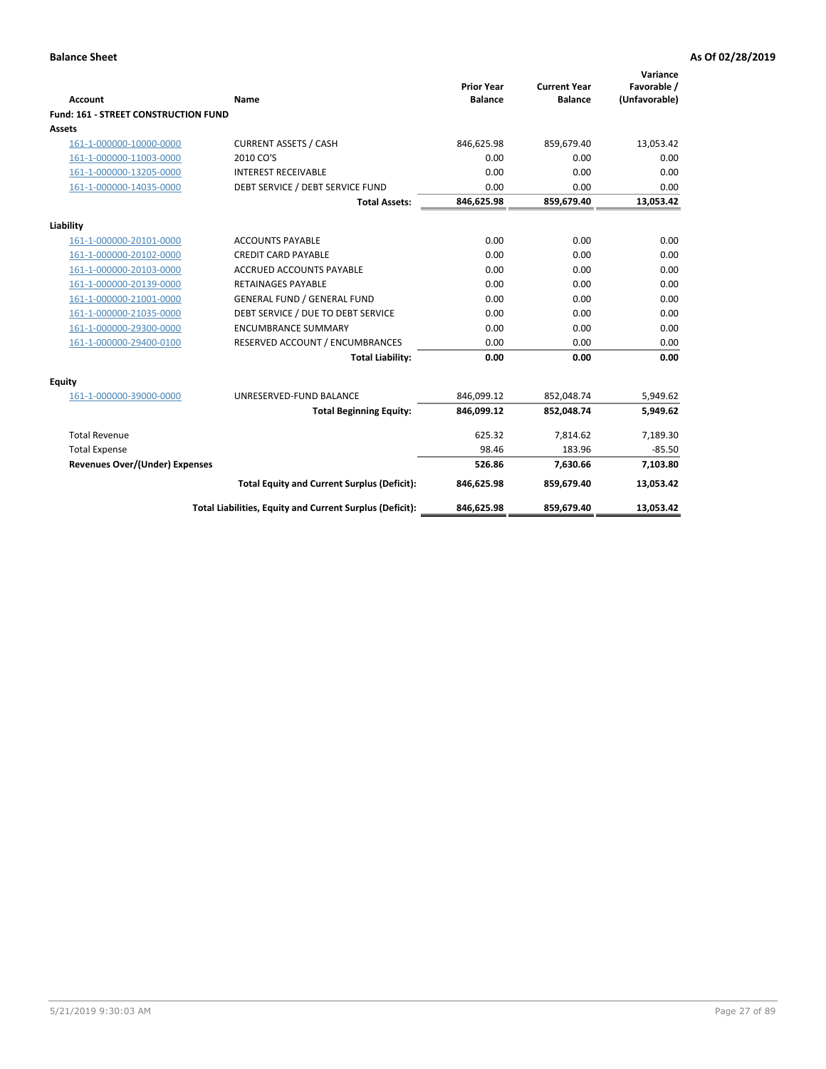| <b>Account</b>                              | Name                                                     | <b>Prior Year</b><br><b>Balance</b> | <b>Current Year</b><br><b>Balance</b> | Variance<br>Favorable /<br>(Unfavorable) |
|---------------------------------------------|----------------------------------------------------------|-------------------------------------|---------------------------------------|------------------------------------------|
| <b>Fund: 161 - STREET CONSTRUCTION FUND</b> |                                                          |                                     |                                       |                                          |
| Assets                                      |                                                          |                                     |                                       |                                          |
| 161-1-000000-10000-0000                     | <b>CURRENT ASSETS / CASH</b>                             | 846,625.98                          | 859,679.40                            | 13,053.42                                |
| 161-1-000000-11003-0000                     | 2010 CO'S                                                | 0.00                                | 0.00                                  | 0.00                                     |
| 161-1-000000-13205-0000                     | <b>INTEREST RECEIVABLE</b>                               | 0.00                                | 0.00                                  | 0.00                                     |
| 161-1-000000-14035-0000                     | DEBT SERVICE / DEBT SERVICE FUND                         | 0.00                                | 0.00                                  | 0.00                                     |
|                                             | <b>Total Assets:</b>                                     | 846,625.98                          | 859,679.40                            | 13,053.42                                |
| Liability                                   |                                                          |                                     |                                       |                                          |
| 161-1-000000-20101-0000                     | <b>ACCOUNTS PAYABLE</b>                                  | 0.00                                | 0.00                                  | 0.00                                     |
| 161-1-000000-20102-0000                     | <b>CREDIT CARD PAYABLE</b>                               | 0.00                                | 0.00                                  | 0.00                                     |
| 161-1-000000-20103-0000                     | <b>ACCRUED ACCOUNTS PAYABLE</b>                          | 0.00                                | 0.00                                  | 0.00                                     |
| 161-1-000000-20139-0000                     | <b>RETAINAGES PAYABLE</b>                                | 0.00                                | 0.00                                  | 0.00                                     |
| 161-1-000000-21001-0000                     | <b>GENERAL FUND / GENERAL FUND</b>                       | 0.00                                | 0.00                                  | 0.00                                     |
| 161-1-000000-21035-0000                     | DEBT SERVICE / DUE TO DEBT SERVICE                       | 0.00                                | 0.00                                  | 0.00                                     |
| 161-1-000000-29300-0000                     | <b>ENCUMBRANCE SUMMARY</b>                               | 0.00                                | 0.00                                  | 0.00                                     |
| 161-1-000000-29400-0100                     | RESERVED ACCOUNT / ENCUMBRANCES                          | 0.00                                | 0.00                                  | 0.00                                     |
|                                             | <b>Total Liability:</b>                                  | 0.00                                | 0.00                                  | 0.00                                     |
| <b>Equity</b>                               |                                                          |                                     |                                       |                                          |
| 161-1-000000-39000-0000                     | UNRESERVED-FUND BALANCE                                  | 846,099.12                          | 852,048.74                            | 5,949.62                                 |
|                                             | <b>Total Beginning Equity:</b>                           | 846,099.12                          | 852,048.74                            | 5,949.62                                 |
| <b>Total Revenue</b>                        |                                                          | 625.32                              | 7,814.62                              | 7,189.30                                 |
| <b>Total Expense</b>                        |                                                          | 98.46                               | 183.96                                | $-85.50$                                 |
| Revenues Over/(Under) Expenses              |                                                          | 526.86                              | 7,630.66                              | 7,103.80                                 |
|                                             | <b>Total Equity and Current Surplus (Deficit):</b>       | 846,625.98                          | 859,679.40                            | 13,053.42                                |
|                                             | Total Liabilities, Equity and Current Surplus (Deficit): | 846,625.98                          | 859,679.40                            | 13,053.42                                |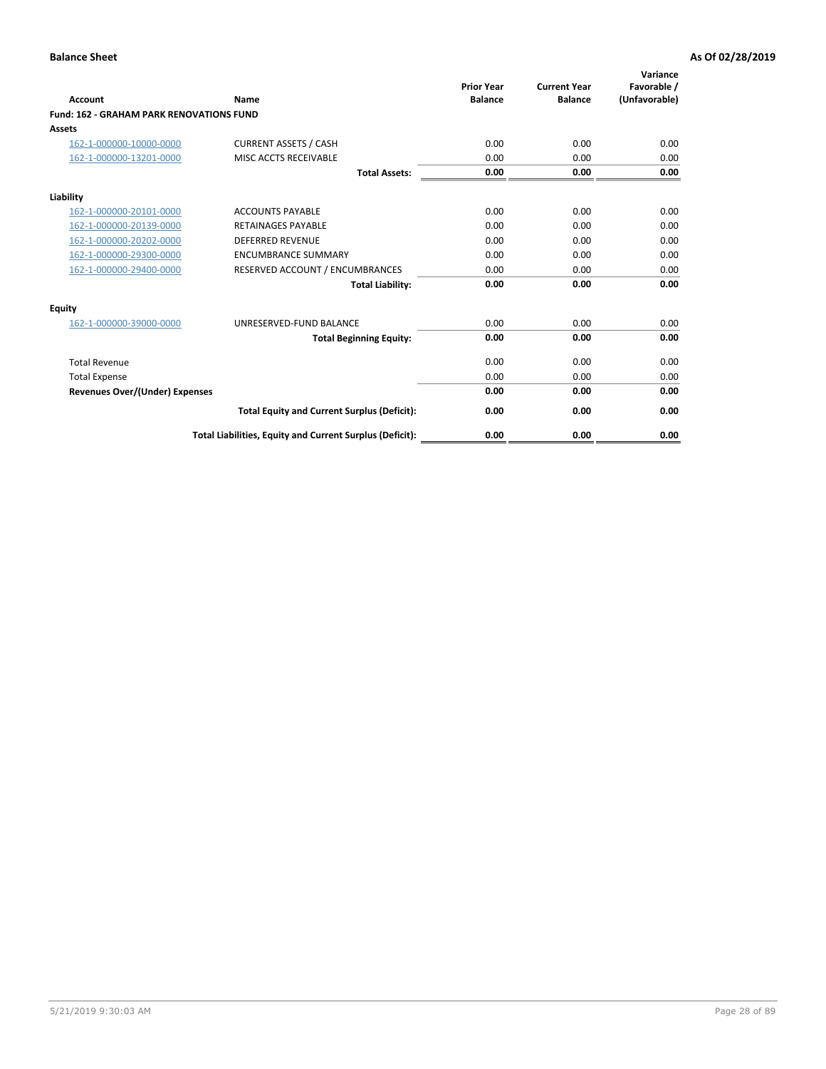|                                                 |                                                          | <b>Prior Year</b><br><b>Balance</b> | <b>Current Year</b> | Variance<br>Favorable / |
|-------------------------------------------------|----------------------------------------------------------|-------------------------------------|---------------------|-------------------------|
| <b>Account</b>                                  | Name                                                     |                                     | <b>Balance</b>      | (Unfavorable)           |
| <b>Fund: 162 - GRAHAM PARK RENOVATIONS FUND</b> |                                                          |                                     |                     |                         |
| <b>Assets</b>                                   |                                                          |                                     |                     |                         |
| 162-1-000000-10000-0000                         | <b>CURRENT ASSETS / CASH</b>                             | 0.00                                | 0.00                | 0.00                    |
| 162-1-000000-13201-0000                         | MISC ACCTS RECEIVABLE                                    | 0.00                                | 0.00                | 0.00                    |
|                                                 | <b>Total Assets:</b>                                     | 0.00                                | 0.00                | 0.00                    |
| Liability                                       |                                                          |                                     |                     |                         |
| 162-1-000000-20101-0000                         | <b>ACCOUNTS PAYABLE</b>                                  | 0.00                                | 0.00                | 0.00                    |
| 162-1-000000-20139-0000                         | <b>RETAINAGES PAYABLE</b>                                | 0.00                                | 0.00                | 0.00                    |
| 162-1-000000-20202-0000                         | <b>DEFERRED REVENUE</b>                                  | 0.00                                | 0.00                | 0.00                    |
| 162-1-000000-29300-0000                         | <b>ENCUMBRANCE SUMMARY</b>                               | 0.00                                | 0.00                | 0.00                    |
| 162-1-000000-29400-0000                         | RESERVED ACCOUNT / ENCUMBRANCES                          | 0.00                                | 0.00                | 0.00                    |
|                                                 | <b>Total Liability:</b>                                  | 0.00                                | 0.00                | 0.00                    |
| Equity                                          |                                                          |                                     |                     |                         |
| 162-1-000000-39000-0000                         | UNRESERVED-FUND BALANCE                                  | 0.00                                | 0.00                | 0.00                    |
|                                                 | <b>Total Beginning Equity:</b>                           | 0.00                                | 0.00                | 0.00                    |
| <b>Total Revenue</b>                            |                                                          | 0.00                                | 0.00                | 0.00                    |
| <b>Total Expense</b>                            |                                                          | 0.00                                | 0.00                | 0.00                    |
| Revenues Over/(Under) Expenses                  |                                                          | 0.00                                | 0.00                | 0.00                    |
|                                                 | <b>Total Equity and Current Surplus (Deficit):</b>       | 0.00                                | 0.00                | 0.00                    |
|                                                 | Total Liabilities, Equity and Current Surplus (Deficit): | 0.00                                | 0.00                | 0.00                    |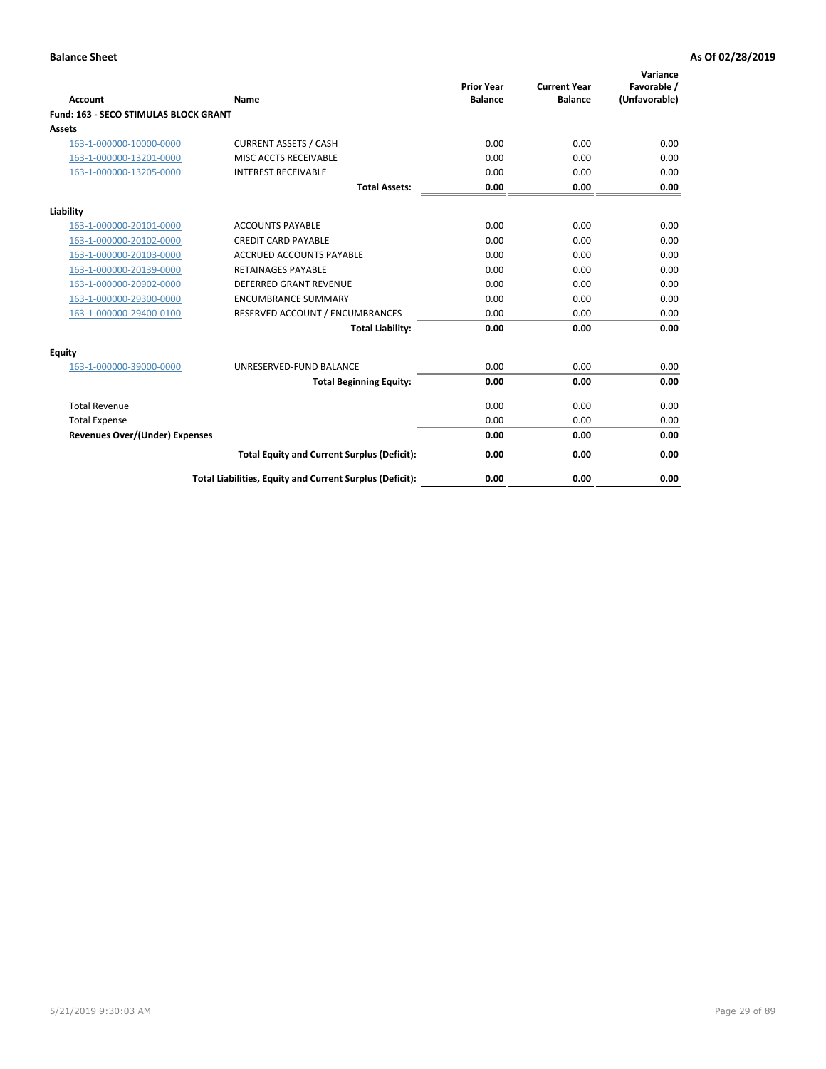|                                              |                                                          | <b>Prior Year</b> | <b>Current Year</b> | Variance<br>Favorable / |
|----------------------------------------------|----------------------------------------------------------|-------------------|---------------------|-------------------------|
| <b>Account</b>                               | Name                                                     | <b>Balance</b>    | <b>Balance</b>      | (Unfavorable)           |
| <b>Fund: 163 - SECO STIMULAS BLOCK GRANT</b> |                                                          |                   |                     |                         |
| Assets                                       |                                                          |                   |                     |                         |
| 163-1-000000-10000-0000                      | <b>CURRENT ASSETS / CASH</b>                             | 0.00              | 0.00                | 0.00                    |
| 163-1-000000-13201-0000                      | MISC ACCTS RECEIVABLE                                    | 0.00              | 0.00                | 0.00                    |
| 163-1-000000-13205-0000                      | <b>INTEREST RECEIVABLE</b>                               | 0.00              | 0.00                | 0.00                    |
|                                              | <b>Total Assets:</b>                                     | 0.00              | 0.00                | 0.00                    |
| Liability                                    |                                                          |                   |                     |                         |
| 163-1-000000-20101-0000                      | <b>ACCOUNTS PAYABLE</b>                                  | 0.00              | 0.00                | 0.00                    |
| 163-1-000000-20102-0000                      | <b>CREDIT CARD PAYABLE</b>                               | 0.00              | 0.00                | 0.00                    |
| 163-1-000000-20103-0000                      | <b>ACCRUED ACCOUNTS PAYABLE</b>                          | 0.00              | 0.00                | 0.00                    |
| 163-1-000000-20139-0000                      | <b>RETAINAGES PAYABLE</b>                                | 0.00              | 0.00                | 0.00                    |
| 163-1-000000-20902-0000                      | <b>DEFERRED GRANT REVENUE</b>                            | 0.00              | 0.00                | 0.00                    |
| 163-1-000000-29300-0000                      | <b>ENCUMBRANCE SUMMARY</b>                               | 0.00              | 0.00                | 0.00                    |
| 163-1-000000-29400-0100                      | RESERVED ACCOUNT / ENCUMBRANCES                          | 0.00              | 0.00                | 0.00                    |
|                                              | <b>Total Liability:</b>                                  | 0.00              | 0.00                | 0.00                    |
| <b>Equity</b>                                |                                                          |                   |                     |                         |
| 163-1-000000-39000-0000                      | UNRESERVED-FUND BALANCE                                  | 0.00              | 0.00                | 0.00                    |
|                                              | <b>Total Beginning Equity:</b>                           | 0.00              | 0.00                | 0.00                    |
| <b>Total Revenue</b>                         |                                                          | 0.00              | 0.00                | 0.00                    |
| <b>Total Expense</b>                         |                                                          | 0.00              | 0.00                | 0.00                    |
| Revenues Over/(Under) Expenses               |                                                          | 0.00              | 0.00                | 0.00                    |
|                                              | <b>Total Equity and Current Surplus (Deficit):</b>       | 0.00              | 0.00                | 0.00                    |
|                                              | Total Liabilities, Equity and Current Surplus (Deficit): | 0.00              | 0.00                | 0.00                    |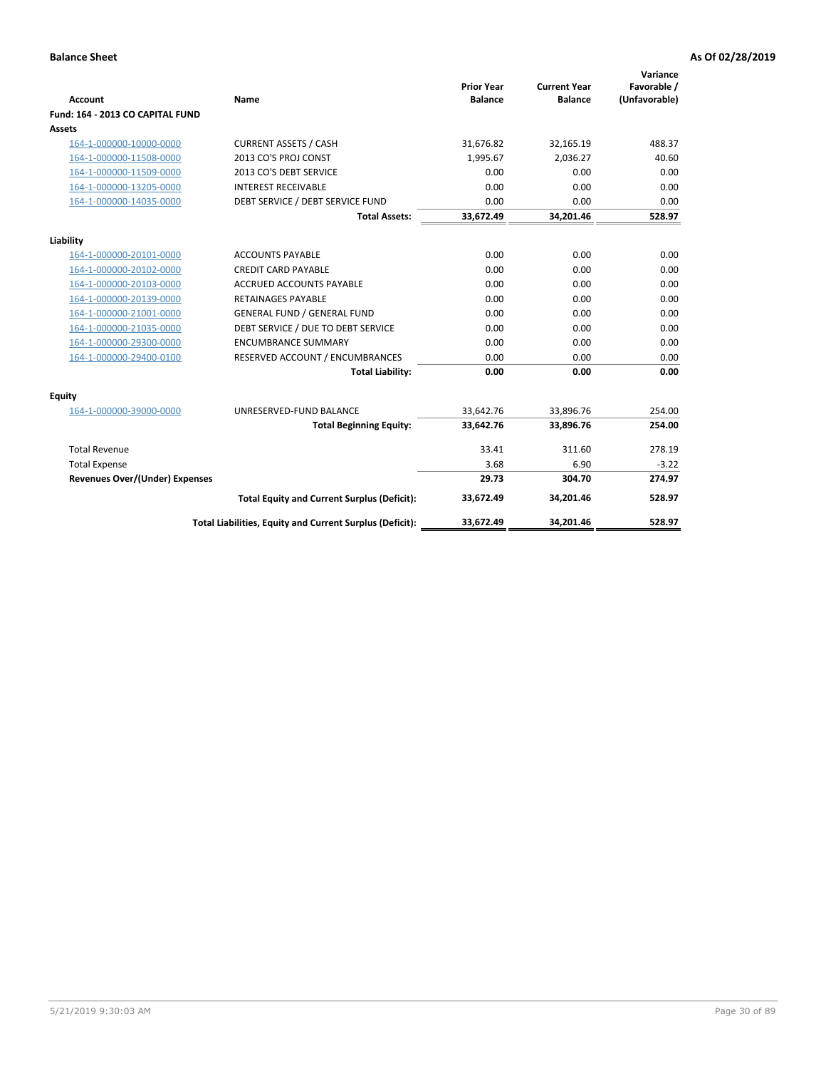| <b>Account</b>                        | Name                                                     | <b>Prior Year</b><br><b>Balance</b> | <b>Current Year</b><br><b>Balance</b> | Variance<br>Favorable /<br>(Unfavorable) |
|---------------------------------------|----------------------------------------------------------|-------------------------------------|---------------------------------------|------------------------------------------|
| Fund: 164 - 2013 CO CAPITAL FUND      |                                                          |                                     |                                       |                                          |
| Assets                                |                                                          |                                     |                                       |                                          |
| 164-1-000000-10000-0000               | <b>CURRENT ASSETS / CASH</b>                             | 31,676.82                           | 32,165.19                             | 488.37                                   |
| 164-1-000000-11508-0000               | 2013 CO'S PROJ CONST                                     | 1,995.67                            | 2,036.27                              | 40.60                                    |
| 164-1-000000-11509-0000               | 2013 CO'S DEBT SERVICE                                   | 0.00                                | 0.00                                  | 0.00                                     |
| 164-1-000000-13205-0000               | <b>INTEREST RECEIVABLE</b>                               | 0.00                                | 0.00                                  | 0.00                                     |
| 164-1-000000-14035-0000               | DEBT SERVICE / DEBT SERVICE FUND                         | 0.00                                | 0.00                                  | 0.00                                     |
|                                       | <b>Total Assets:</b>                                     | 33,672.49                           | 34,201.46                             | 528.97                                   |
| Liability                             |                                                          |                                     |                                       |                                          |
| 164-1-000000-20101-0000               | <b>ACCOUNTS PAYABLE</b>                                  | 0.00                                | 0.00                                  | 0.00                                     |
| 164-1-000000-20102-0000               | <b>CREDIT CARD PAYABLE</b>                               | 0.00                                | 0.00                                  | 0.00                                     |
| 164-1-000000-20103-0000               | <b>ACCRUED ACCOUNTS PAYABLE</b>                          | 0.00                                | 0.00                                  | 0.00                                     |
| 164-1-000000-20139-0000               | <b>RETAINAGES PAYABLE</b>                                | 0.00                                | 0.00                                  | 0.00                                     |
| 164-1-000000-21001-0000               | <b>GENERAL FUND / GENERAL FUND</b>                       | 0.00                                | 0.00                                  | 0.00                                     |
| 164-1-000000-21035-0000               | DEBT SERVICE / DUE TO DEBT SERVICE                       | 0.00                                | 0.00                                  | 0.00                                     |
| 164-1-000000-29300-0000               | <b>ENCUMBRANCE SUMMARY</b>                               | 0.00                                | 0.00                                  | 0.00                                     |
| 164-1-000000-29400-0100               | RESERVED ACCOUNT / ENCUMBRANCES                          | 0.00                                | 0.00                                  | 0.00                                     |
|                                       | <b>Total Liability:</b>                                  | 0.00                                | 0.00                                  | 0.00                                     |
| Equity                                |                                                          |                                     |                                       |                                          |
| 164-1-000000-39000-0000               | UNRESERVED-FUND BALANCE                                  | 33,642.76                           | 33,896.76                             | 254.00                                   |
|                                       | <b>Total Beginning Equity:</b>                           | 33,642.76                           | 33,896.76                             | 254.00                                   |
| <b>Total Revenue</b>                  |                                                          | 33.41                               | 311.60                                | 278.19                                   |
| <b>Total Expense</b>                  |                                                          | 3.68                                | 6.90                                  | $-3.22$                                  |
| <b>Revenues Over/(Under) Expenses</b> |                                                          | 29.73                               | 304.70                                | 274.97                                   |
|                                       | <b>Total Equity and Current Surplus (Deficit):</b>       | 33,672.49                           | 34,201.46                             | 528.97                                   |
|                                       | Total Liabilities, Equity and Current Surplus (Deficit): | 33,672.49                           | 34,201.46                             | 528.97                                   |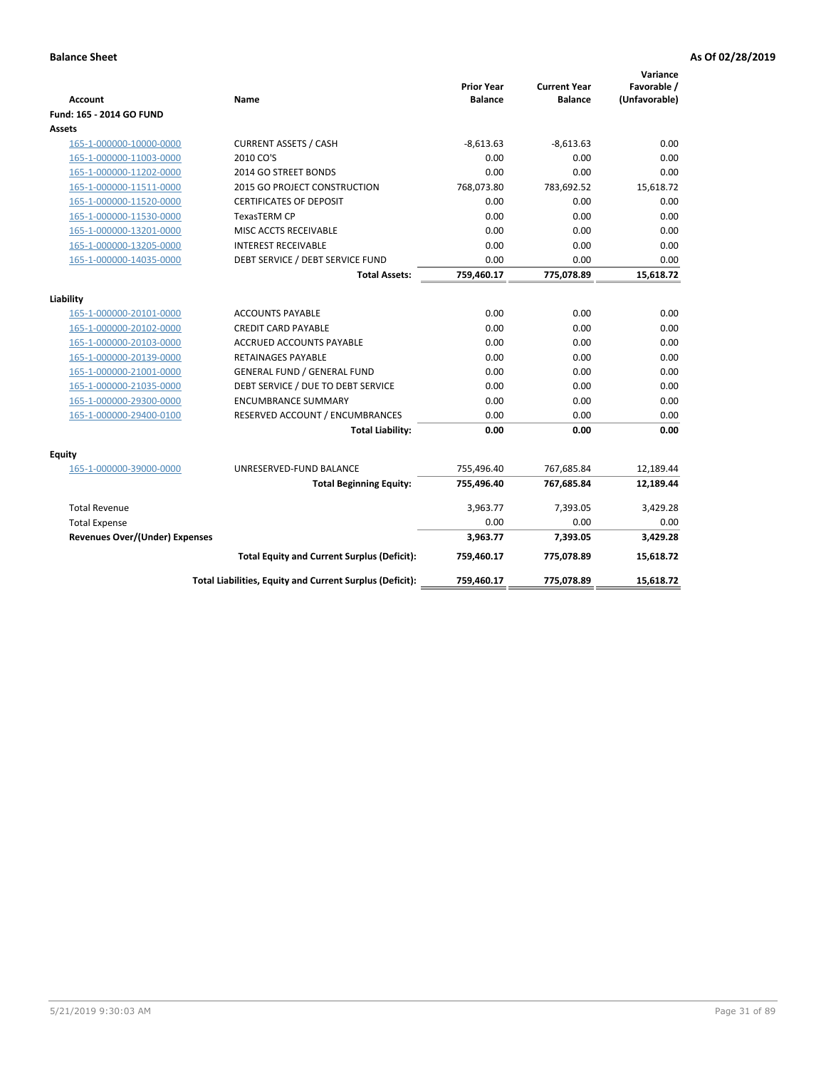| <b>Account</b>                        | Name                                                     | <b>Prior Year</b><br><b>Balance</b> | <b>Current Year</b><br><b>Balance</b> | Variance<br>Favorable /<br>(Unfavorable) |
|---------------------------------------|----------------------------------------------------------|-------------------------------------|---------------------------------------|------------------------------------------|
| Fund: 165 - 2014 GO FUND              |                                                          |                                     |                                       |                                          |
| Assets                                |                                                          |                                     |                                       |                                          |
| 165-1-000000-10000-0000               | <b>CURRENT ASSETS / CASH</b>                             | $-8,613.63$                         | $-8,613.63$                           | 0.00                                     |
| 165-1-000000-11003-0000               | 2010 CO'S                                                | 0.00                                | 0.00                                  | 0.00                                     |
| 165-1-000000-11202-0000               | 2014 GO STREET BONDS                                     | 0.00                                | 0.00                                  | 0.00                                     |
| 165-1-000000-11511-0000               | 2015 GO PROJECT CONSTRUCTION                             | 768,073.80                          | 783,692.52                            | 15,618.72                                |
| 165-1-000000-11520-0000               | <b>CERTIFICATES OF DEPOSIT</b>                           | 0.00                                | 0.00                                  | 0.00                                     |
| 165-1-000000-11530-0000               | <b>TexasTERM CP</b>                                      | 0.00                                | 0.00                                  | 0.00                                     |
| 165-1-000000-13201-0000               | MISC ACCTS RECEIVABLE                                    | 0.00                                | 0.00                                  | 0.00                                     |
| 165-1-000000-13205-0000               | <b>INTEREST RECEIVABLE</b>                               | 0.00                                | 0.00                                  | 0.00                                     |
| 165-1-000000-14035-0000               | DEBT SERVICE / DEBT SERVICE FUND                         | 0.00                                | 0.00                                  | 0.00                                     |
|                                       | <b>Total Assets:</b>                                     | 759,460.17                          | 775,078.89                            | 15,618.72                                |
| Liability                             |                                                          |                                     |                                       |                                          |
| 165-1-000000-20101-0000               | <b>ACCOUNTS PAYABLE</b>                                  | 0.00                                | 0.00                                  | 0.00                                     |
| 165-1-000000-20102-0000               | <b>CREDIT CARD PAYABLE</b>                               | 0.00                                | 0.00                                  | 0.00                                     |
| 165-1-000000-20103-0000               | <b>ACCRUED ACCOUNTS PAYABLE</b>                          | 0.00                                | 0.00                                  | 0.00                                     |
| 165-1-000000-20139-0000               | <b>RETAINAGES PAYABLE</b>                                | 0.00                                | 0.00                                  | 0.00                                     |
| 165-1-000000-21001-0000               | <b>GENERAL FUND / GENERAL FUND</b>                       | 0.00                                | 0.00                                  | 0.00                                     |
| 165-1-000000-21035-0000               | DEBT SERVICE / DUE TO DEBT SERVICE                       | 0.00                                | 0.00                                  | 0.00                                     |
| 165-1-000000-29300-0000               | <b>ENCUMBRANCE SUMMARY</b>                               | 0.00                                | 0.00                                  | 0.00                                     |
| 165-1-000000-29400-0100               | RESERVED ACCOUNT / ENCUMBRANCES                          | 0.00                                | 0.00                                  | 0.00                                     |
|                                       | <b>Total Liability:</b>                                  | 0.00                                | 0.00                                  | 0.00                                     |
| Equity                                |                                                          |                                     |                                       |                                          |
| 165-1-000000-39000-0000               | UNRESERVED-FUND BALANCE                                  | 755,496.40                          | 767,685.84                            | 12,189.44                                |
|                                       | <b>Total Beginning Equity:</b>                           | 755,496.40                          | 767,685.84                            | 12,189.44                                |
| <b>Total Revenue</b>                  |                                                          | 3,963.77                            | 7,393.05                              | 3,429.28                                 |
| <b>Total Expense</b>                  |                                                          | 0.00                                | 0.00                                  | 0.00                                     |
| <b>Revenues Over/(Under) Expenses</b> |                                                          | 3,963.77                            | 7,393.05                              | 3,429.28                                 |
|                                       | <b>Total Equity and Current Surplus (Deficit):</b>       | 759,460.17                          | 775,078.89                            | 15,618.72                                |
|                                       | Total Liabilities, Equity and Current Surplus (Deficit): | 759,460.17                          | 775,078.89                            | 15.618.72                                |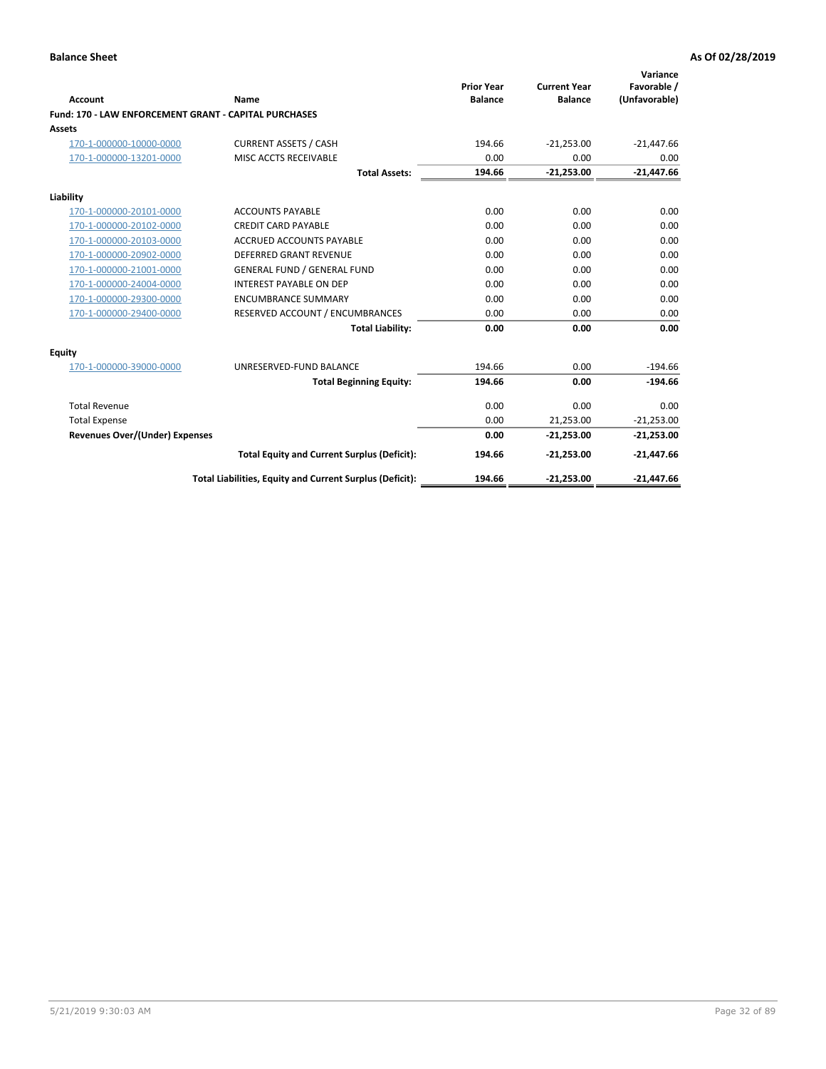| Account                                                      | Name                                                     | <b>Prior Year</b><br><b>Balance</b> | <b>Current Year</b><br><b>Balance</b> | Variance<br>Favorable /<br>(Unfavorable) |
|--------------------------------------------------------------|----------------------------------------------------------|-------------------------------------|---------------------------------------|------------------------------------------|
| <b>Fund: 170 - LAW ENFORCEMENT GRANT - CAPITAL PURCHASES</b> |                                                          |                                     |                                       |                                          |
| <b>Assets</b>                                                |                                                          |                                     |                                       |                                          |
| 170-1-000000-10000-0000                                      | <b>CURRENT ASSETS / CASH</b>                             | 194.66                              | $-21,253.00$                          | $-21,447.66$                             |
| 170-1-000000-13201-0000                                      | MISC ACCTS RECEIVABLE                                    | 0.00                                | 0.00                                  | 0.00                                     |
|                                                              | <b>Total Assets:</b>                                     | 194.66                              | $-21,253.00$                          | $-21,447.66$                             |
| Liability                                                    |                                                          |                                     |                                       |                                          |
| 170-1-000000-20101-0000                                      | <b>ACCOUNTS PAYABLE</b>                                  | 0.00                                | 0.00                                  | 0.00                                     |
| 170-1-000000-20102-0000                                      | <b>CREDIT CARD PAYABLE</b>                               | 0.00                                | 0.00                                  | 0.00                                     |
| 170-1-000000-20103-0000                                      | <b>ACCRUED ACCOUNTS PAYABLE</b>                          | 0.00                                | 0.00                                  | 0.00                                     |
| 170-1-000000-20902-0000                                      | <b>DEFERRED GRANT REVENUE</b>                            | 0.00                                | 0.00                                  | 0.00                                     |
| 170-1-000000-21001-0000                                      | <b>GENERAL FUND / GENERAL FUND</b>                       | 0.00                                | 0.00                                  | 0.00                                     |
| 170-1-000000-24004-0000                                      | <b>INTEREST PAYABLE ON DEP</b>                           | 0.00                                | 0.00                                  | 0.00                                     |
| 170-1-000000-29300-0000                                      | <b>ENCUMBRANCE SUMMARY</b>                               | 0.00                                | 0.00                                  | 0.00                                     |
| 170-1-000000-29400-0000                                      | RESERVED ACCOUNT / ENCUMBRANCES                          | 0.00                                | 0.00                                  | 0.00                                     |
|                                                              | <b>Total Liability:</b>                                  | 0.00                                | 0.00                                  | 0.00                                     |
| <b>Equity</b>                                                |                                                          |                                     |                                       |                                          |
| 170-1-000000-39000-0000                                      | UNRESERVED-FUND BALANCE                                  | 194.66                              | 0.00                                  | $-194.66$                                |
|                                                              | <b>Total Beginning Equity:</b>                           | 194.66                              | 0.00                                  | $-194.66$                                |
| <b>Total Revenue</b>                                         |                                                          | 0.00                                | 0.00                                  | 0.00                                     |
| <b>Total Expense</b>                                         |                                                          | 0.00                                | 21,253.00                             | $-21,253.00$                             |
| Revenues Over/(Under) Expenses                               |                                                          | 0.00                                | $-21,253.00$                          | $-21,253.00$                             |
|                                                              | <b>Total Equity and Current Surplus (Deficit):</b>       | 194.66                              | $-21,253.00$                          | $-21,447.66$                             |
|                                                              | Total Liabilities, Equity and Current Surplus (Deficit): | 194.66                              | $-21,253.00$                          | $-21,447.66$                             |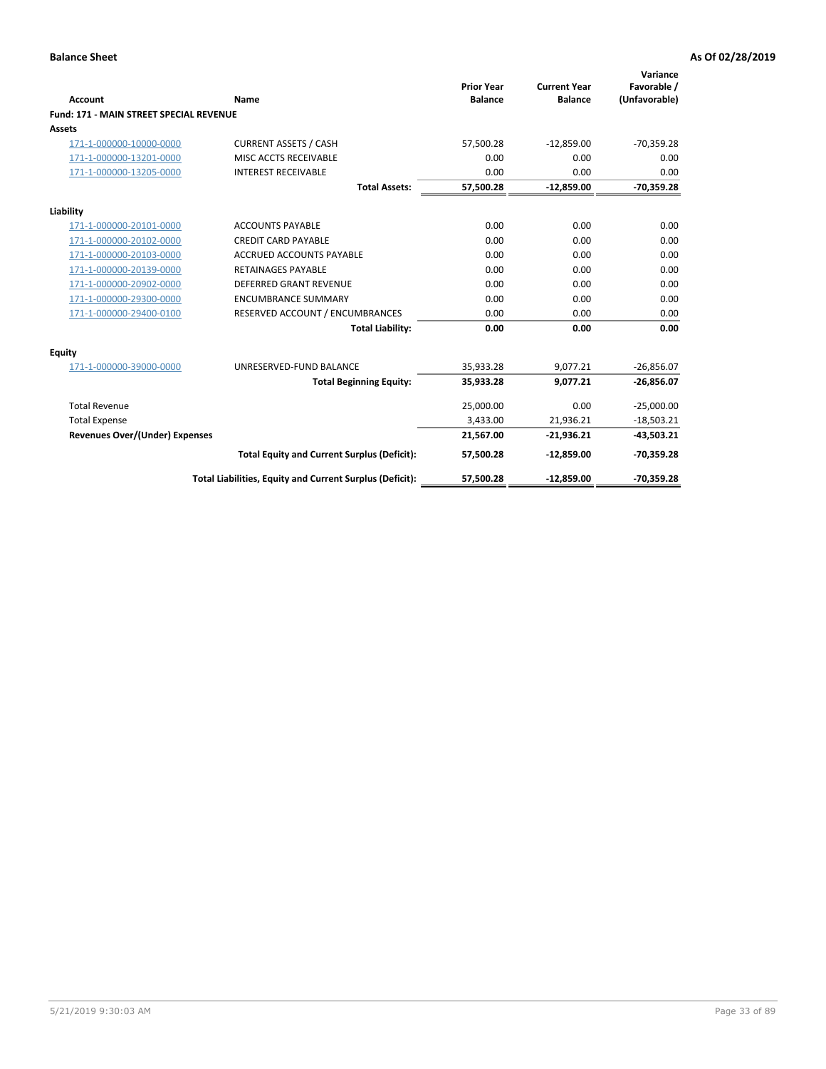| Account                                        | <b>Name</b>                                              | <b>Prior Year</b><br><b>Balance</b> | <b>Current Year</b><br><b>Balance</b> | Variance<br>Favorable /<br>(Unfavorable) |
|------------------------------------------------|----------------------------------------------------------|-------------------------------------|---------------------------------------|------------------------------------------|
| <b>Fund: 171 - MAIN STREET SPECIAL REVENUE</b> |                                                          |                                     |                                       |                                          |
| Assets                                         |                                                          |                                     |                                       |                                          |
| 171-1-000000-10000-0000                        | <b>CURRENT ASSETS / CASH</b>                             | 57,500.28                           | $-12,859.00$                          | $-70,359.28$                             |
| 171-1-000000-13201-0000                        | MISC ACCTS RECEIVABLE                                    | 0.00                                | 0.00                                  | 0.00                                     |
| 171-1-000000-13205-0000                        | <b>INTEREST RECEIVABLE</b>                               | 0.00                                | 0.00                                  | 0.00                                     |
|                                                | <b>Total Assets:</b>                                     | 57,500.28                           | $-12,859.00$                          | $-70,359.28$                             |
| Liability                                      |                                                          |                                     |                                       |                                          |
| 171-1-000000-20101-0000                        | <b>ACCOUNTS PAYABLE</b>                                  | 0.00                                | 0.00                                  | 0.00                                     |
| 171-1-000000-20102-0000                        | <b>CREDIT CARD PAYABLE</b>                               | 0.00                                | 0.00                                  | 0.00                                     |
| 171-1-000000-20103-0000                        | <b>ACCRUED ACCOUNTS PAYABLE</b>                          | 0.00                                | 0.00                                  | 0.00                                     |
| 171-1-000000-20139-0000                        | <b>RETAINAGES PAYABLE</b>                                | 0.00                                | 0.00                                  | 0.00                                     |
| 171-1-000000-20902-0000                        | <b>DEFERRED GRANT REVENUE</b>                            | 0.00                                | 0.00                                  | 0.00                                     |
| 171-1-000000-29300-0000                        | <b>ENCUMBRANCE SUMMARY</b>                               | 0.00                                | 0.00                                  | 0.00                                     |
| 171-1-000000-29400-0100                        | RESERVED ACCOUNT / ENCUMBRANCES                          | 0.00                                | 0.00                                  | 0.00                                     |
|                                                | <b>Total Liability:</b>                                  | 0.00                                | 0.00                                  | 0.00                                     |
| <b>Equity</b>                                  |                                                          |                                     |                                       |                                          |
| 171-1-000000-39000-0000                        | UNRESERVED-FUND BALANCE                                  | 35,933.28                           | 9,077.21                              | $-26,856.07$                             |
|                                                | <b>Total Beginning Equity:</b>                           | 35,933.28                           | 9,077.21                              | $-26,856.07$                             |
| <b>Total Revenue</b>                           |                                                          | 25,000.00                           | 0.00                                  | $-25,000.00$                             |
| <b>Total Expense</b>                           |                                                          | 3,433.00                            | 21,936.21                             | $-18,503.21$                             |
| Revenues Over/(Under) Expenses                 |                                                          | 21,567.00                           | $-21,936.21$                          | $-43,503.21$                             |
|                                                | <b>Total Equity and Current Surplus (Deficit):</b>       | 57,500.28                           | $-12,859.00$                          | $-70,359.28$                             |
|                                                | Total Liabilities, Equity and Current Surplus (Deficit): | 57,500.28                           | $-12,859.00$                          | $-70,359.28$                             |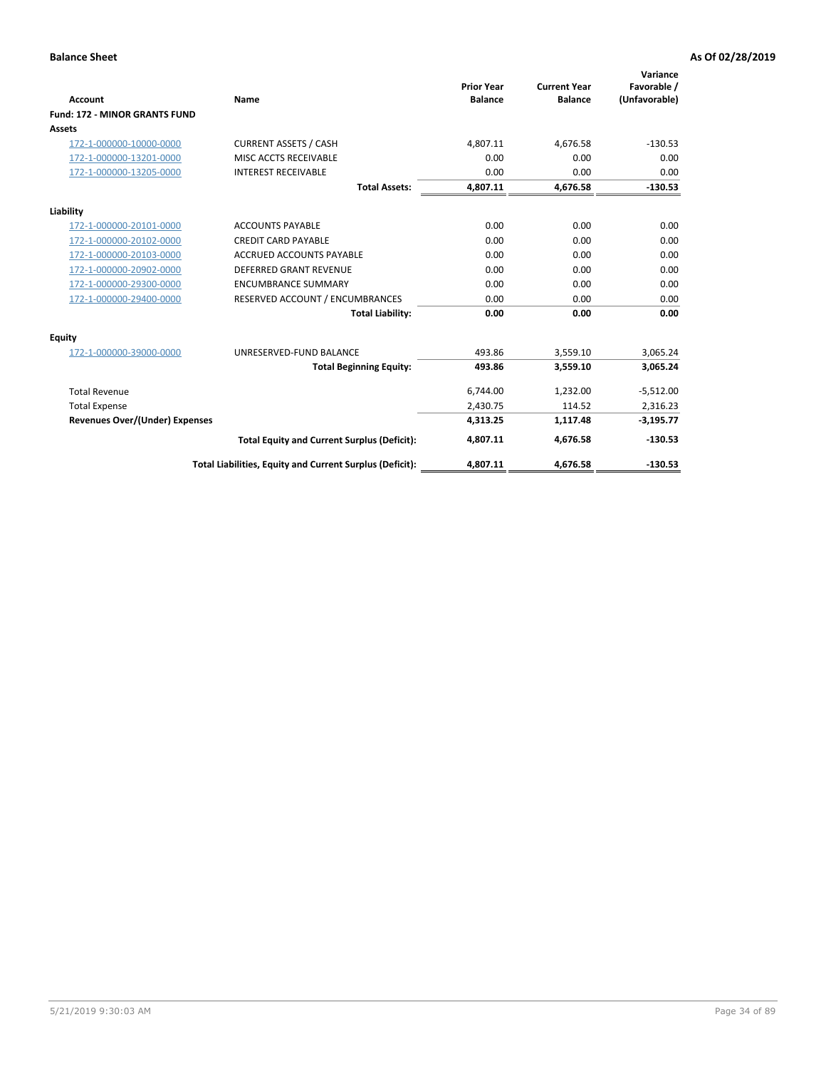|                                      |                                                          | <b>Prior Year</b> | <b>Current Year</b> | Variance<br>Favorable / |
|--------------------------------------|----------------------------------------------------------|-------------------|---------------------|-------------------------|
| <b>Account</b>                       | <b>Name</b>                                              | <b>Balance</b>    | <b>Balance</b>      | (Unfavorable)           |
| <b>Fund: 172 - MINOR GRANTS FUND</b> |                                                          |                   |                     |                         |
| <b>Assets</b>                        |                                                          |                   |                     |                         |
| 172-1-000000-10000-0000              | <b>CURRENT ASSETS / CASH</b>                             | 4,807.11          | 4,676.58            | $-130.53$               |
| 172-1-000000-13201-0000              | MISC ACCTS RECEIVABLE                                    | 0.00              | 0.00                | 0.00                    |
| 172-1-000000-13205-0000              | <b>INTEREST RECEIVABLE</b>                               | 0.00              | 0.00                | 0.00                    |
|                                      | <b>Total Assets:</b>                                     | 4,807.11          | 4,676.58            | $-130.53$               |
| Liability                            |                                                          |                   |                     |                         |
| 172-1-000000-20101-0000              | <b>ACCOUNTS PAYABLE</b>                                  | 0.00              | 0.00                | 0.00                    |
| 172-1-000000-20102-0000              | <b>CREDIT CARD PAYABLE</b>                               | 0.00              | 0.00                | 0.00                    |
| 172-1-000000-20103-0000              | <b>ACCRUED ACCOUNTS PAYABLE</b>                          | 0.00              | 0.00                | 0.00                    |
| 172-1-000000-20902-0000              | DEFERRED GRANT REVENUE                                   | 0.00              | 0.00                | 0.00                    |
| 172-1-000000-29300-0000              | <b>ENCUMBRANCE SUMMARY</b>                               | 0.00              | 0.00                | 0.00                    |
| 172-1-000000-29400-0000              | RESERVED ACCOUNT / ENCUMBRANCES                          | 0.00              | 0.00                | 0.00                    |
|                                      | <b>Total Liability:</b>                                  | 0.00              | 0.00                | 0.00                    |
| Equity                               |                                                          |                   |                     |                         |
| 172-1-000000-39000-0000              | UNRESERVED-FUND BALANCE                                  | 493.86            | 3,559.10            | 3,065.24                |
|                                      | <b>Total Beginning Equity:</b>                           | 493.86            | 3,559.10            | 3,065.24                |
| <b>Total Revenue</b>                 |                                                          | 6,744.00          | 1,232.00            | $-5,512.00$             |
| <b>Total Expense</b>                 |                                                          | 2,430.75          | 114.52              | 2,316.23                |
| Revenues Over/(Under) Expenses       |                                                          | 4,313.25          | 1,117.48            | $-3,195.77$             |
|                                      | <b>Total Equity and Current Surplus (Deficit):</b>       | 4,807.11          | 4,676.58            | $-130.53$               |
|                                      | Total Liabilities, Equity and Current Surplus (Deficit): | 4,807.11          | 4,676.58            | $-130.53$               |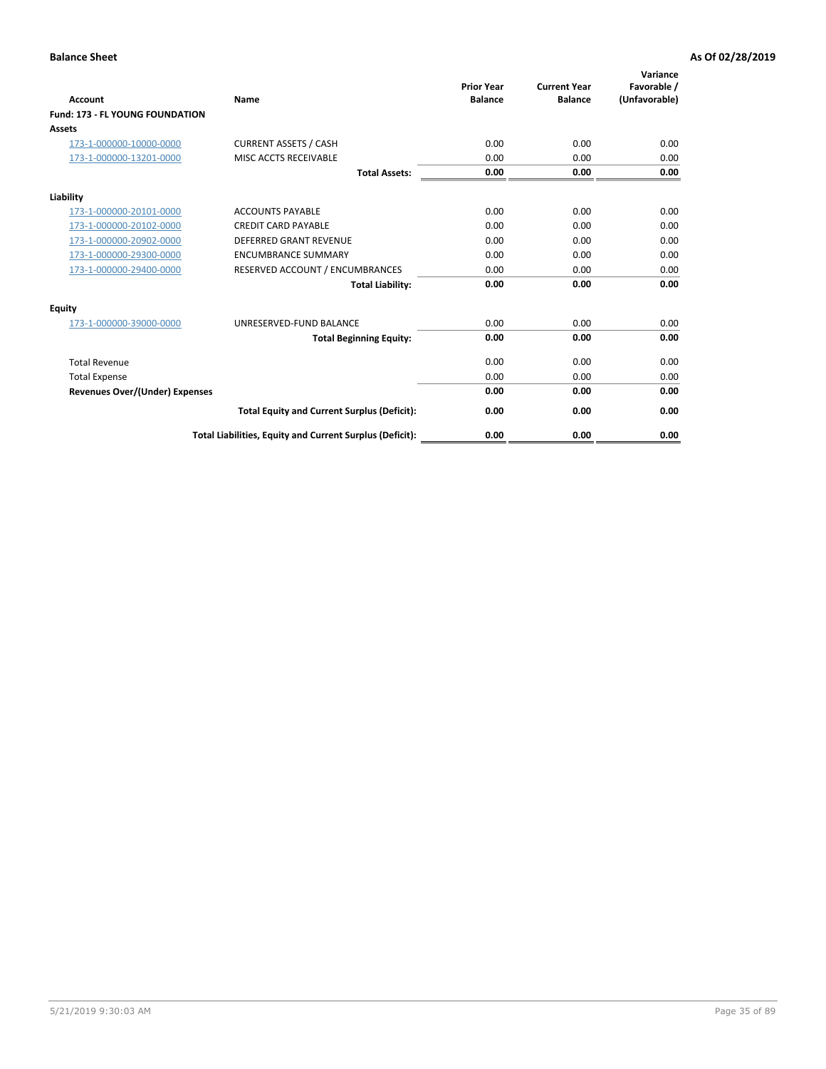| <b>Account</b>                         | Name                                                     | <b>Prior Year</b><br><b>Balance</b> | <b>Current Year</b><br><b>Balance</b> | Variance<br>Favorable /<br>(Unfavorable) |
|----------------------------------------|----------------------------------------------------------|-------------------------------------|---------------------------------------|------------------------------------------|
| <b>Fund: 173 - FL YOUNG FOUNDATION</b> |                                                          |                                     |                                       |                                          |
| Assets                                 |                                                          |                                     |                                       |                                          |
| 173-1-000000-10000-0000                | <b>CURRENT ASSETS / CASH</b>                             | 0.00                                | 0.00                                  | 0.00                                     |
| 173-1-000000-13201-0000                | MISC ACCTS RECEIVABLE                                    | 0.00                                | 0.00                                  | 0.00                                     |
|                                        | <b>Total Assets:</b>                                     | 0.00                                | 0.00                                  | 0.00                                     |
| Liability                              |                                                          |                                     |                                       |                                          |
| 173-1-000000-20101-0000                | <b>ACCOUNTS PAYABLE</b>                                  | 0.00                                | 0.00                                  | 0.00                                     |
| 173-1-000000-20102-0000                | <b>CREDIT CARD PAYABLE</b>                               | 0.00                                | 0.00                                  | 0.00                                     |
| 173-1-000000-20902-0000                | <b>DEFERRED GRANT REVENUE</b>                            | 0.00                                | 0.00                                  | 0.00                                     |
| 173-1-000000-29300-0000                | <b>ENCUMBRANCE SUMMARY</b>                               | 0.00                                | 0.00                                  | 0.00                                     |
| 173-1-000000-29400-0000                | RESERVED ACCOUNT / ENCUMBRANCES                          | 0.00                                | 0.00                                  | 0.00                                     |
|                                        | <b>Total Liability:</b>                                  | 0.00                                | 0.00                                  | 0.00                                     |
| Equity                                 |                                                          |                                     |                                       |                                          |
| 173-1-000000-39000-0000                | UNRESERVED-FUND BALANCE                                  | 0.00                                | 0.00                                  | 0.00                                     |
|                                        | <b>Total Beginning Equity:</b>                           | 0.00                                | 0.00                                  | 0.00                                     |
| <b>Total Revenue</b>                   |                                                          | 0.00                                | 0.00                                  | 0.00                                     |
| <b>Total Expense</b>                   |                                                          | 0.00                                | 0.00                                  | 0.00                                     |
| <b>Revenues Over/(Under) Expenses</b>  |                                                          | 0.00                                | 0.00                                  | 0.00                                     |
|                                        | <b>Total Equity and Current Surplus (Deficit):</b>       | 0.00                                | 0.00                                  | 0.00                                     |
|                                        | Total Liabilities, Equity and Current Surplus (Deficit): | 0.00                                | 0.00                                  | 0.00                                     |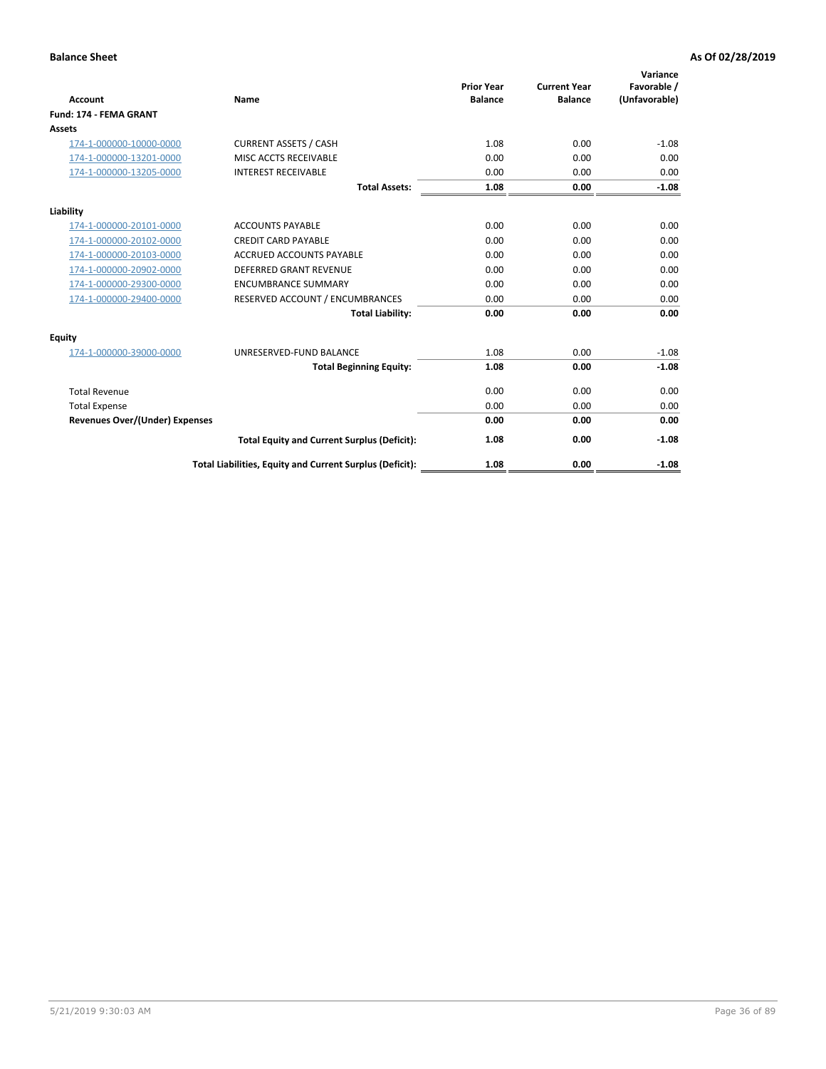| Account                               | Name                                                     | <b>Prior Year</b><br><b>Balance</b> | <b>Current Year</b><br><b>Balance</b> | Variance<br>Favorable /<br>(Unfavorable) |
|---------------------------------------|----------------------------------------------------------|-------------------------------------|---------------------------------------|------------------------------------------|
| Fund: 174 - FEMA GRANT                |                                                          |                                     |                                       |                                          |
| Assets                                |                                                          |                                     |                                       |                                          |
| 174-1-000000-10000-0000               | <b>CURRENT ASSETS / CASH</b>                             | 1.08                                | 0.00                                  | $-1.08$                                  |
| 174-1-000000-13201-0000               | MISC ACCTS RECEIVABLE                                    | 0.00                                | 0.00                                  | 0.00                                     |
| 174-1-000000-13205-0000               | <b>INTEREST RECEIVABLE</b>                               | 0.00                                | 0.00                                  | 0.00                                     |
|                                       | <b>Total Assets:</b>                                     | 1.08                                | 0.00                                  | $-1.08$                                  |
| Liability                             |                                                          |                                     |                                       |                                          |
| 174-1-000000-20101-0000               | <b>ACCOUNTS PAYABLE</b>                                  | 0.00                                | 0.00                                  | 0.00                                     |
| 174-1-000000-20102-0000               | <b>CREDIT CARD PAYABLE</b>                               | 0.00                                | 0.00                                  | 0.00                                     |
| 174-1-000000-20103-0000               | <b>ACCRUED ACCOUNTS PAYABLE</b>                          | 0.00                                | 0.00                                  | 0.00                                     |
| 174-1-000000-20902-0000               | <b>DEFERRED GRANT REVENUE</b>                            | 0.00                                | 0.00                                  | 0.00                                     |
| 174-1-000000-29300-0000               | <b>ENCUMBRANCE SUMMARY</b>                               | 0.00                                | 0.00                                  | 0.00                                     |
| 174-1-000000-29400-0000               | RESERVED ACCOUNT / ENCUMBRANCES                          | 0.00                                | 0.00                                  | 0.00                                     |
|                                       | <b>Total Liability:</b>                                  | 0.00                                | 0.00                                  | 0.00                                     |
| <b>Equity</b>                         |                                                          |                                     |                                       |                                          |
| 174-1-000000-39000-0000               | UNRESERVED-FUND BALANCE                                  | 1.08                                | 0.00                                  | $-1.08$                                  |
|                                       | <b>Total Beginning Equity:</b>                           | 1.08                                | 0.00                                  | $-1.08$                                  |
| <b>Total Revenue</b>                  |                                                          | 0.00                                | 0.00                                  | 0.00                                     |
| <b>Total Expense</b>                  |                                                          | 0.00                                | 0.00                                  | 0.00                                     |
| <b>Revenues Over/(Under) Expenses</b> |                                                          | 0.00                                | 0.00                                  | 0.00                                     |
|                                       | <b>Total Equity and Current Surplus (Deficit):</b>       | 1.08                                | 0.00                                  | $-1.08$                                  |
|                                       | Total Liabilities, Equity and Current Surplus (Deficit): | 1.08                                | 0.00                                  | $-1.08$                                  |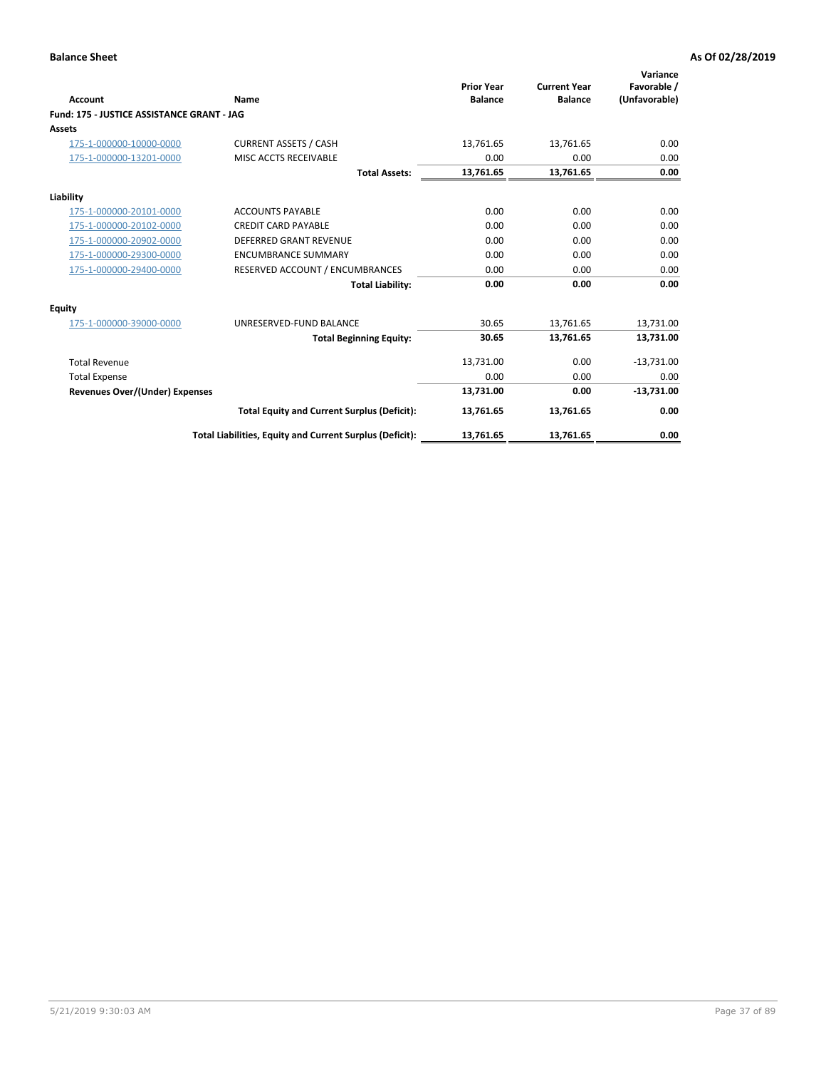| <b>Account</b>                             | Name                                                     | <b>Prior Year</b><br><b>Balance</b> | <b>Current Year</b><br><b>Balance</b> | Variance<br>Favorable /<br>(Unfavorable) |
|--------------------------------------------|----------------------------------------------------------|-------------------------------------|---------------------------------------|------------------------------------------|
| Fund: 175 - JUSTICE ASSISTANCE GRANT - JAG |                                                          |                                     |                                       |                                          |
| <b>Assets</b>                              |                                                          |                                     |                                       |                                          |
| 175-1-000000-10000-0000                    | <b>CURRENT ASSETS / CASH</b>                             | 13,761.65                           | 13,761.65                             | 0.00                                     |
| 175-1-000000-13201-0000                    | MISC ACCTS RECEIVABLE                                    | 0.00                                | 0.00                                  | 0.00                                     |
|                                            | <b>Total Assets:</b>                                     | 13,761.65                           | 13,761.65                             | 0.00                                     |
| Liability                                  |                                                          |                                     |                                       |                                          |
| 175-1-000000-20101-0000                    | <b>ACCOUNTS PAYABLE</b>                                  | 0.00                                | 0.00                                  | 0.00                                     |
| 175-1-000000-20102-0000                    | <b>CREDIT CARD PAYABLE</b>                               | 0.00                                | 0.00                                  | 0.00                                     |
| 175-1-000000-20902-0000                    | DEFERRED GRANT REVENUE                                   | 0.00                                | 0.00                                  | 0.00                                     |
| 175-1-000000-29300-0000                    | <b>ENCUMBRANCE SUMMARY</b>                               | 0.00                                | 0.00                                  | 0.00                                     |
| 175-1-000000-29400-0000                    | RESERVED ACCOUNT / ENCUMBRANCES                          | 0.00                                | 0.00                                  | 0.00                                     |
|                                            | <b>Total Liability:</b>                                  | 0.00                                | 0.00                                  | 0.00                                     |
| <b>Equity</b>                              |                                                          |                                     |                                       |                                          |
| 175-1-000000-39000-0000                    | UNRESERVED-FUND BALANCE                                  | 30.65                               | 13,761.65                             | 13,731.00                                |
|                                            | <b>Total Beginning Equity:</b>                           | 30.65                               | 13.761.65                             | 13.731.00                                |
| <b>Total Revenue</b>                       |                                                          | 13,731.00                           | 0.00                                  | $-13,731.00$                             |
| <b>Total Expense</b>                       |                                                          | 0.00                                | 0.00                                  | 0.00                                     |
| <b>Revenues Over/(Under) Expenses</b>      |                                                          | 13,731.00                           | 0.00                                  | $-13,731.00$                             |
|                                            | <b>Total Equity and Current Surplus (Deficit):</b>       | 13,761.65                           | 13,761.65                             | 0.00                                     |
|                                            | Total Liabilities, Equity and Current Surplus (Deficit): | 13,761.65                           | 13,761.65                             | 0.00                                     |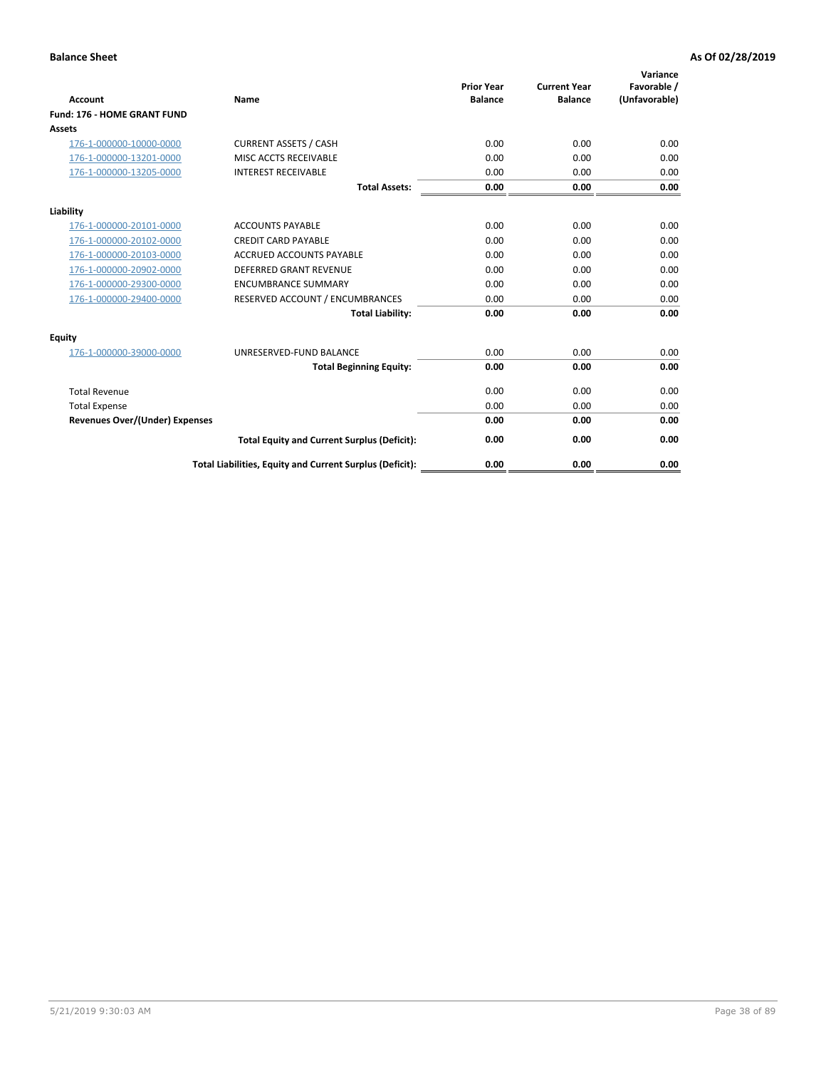| Account                               | Name                                                     | <b>Prior Year</b><br><b>Balance</b> | <b>Current Year</b><br><b>Balance</b> | Variance<br>Favorable /<br>(Unfavorable) |
|---------------------------------------|----------------------------------------------------------|-------------------------------------|---------------------------------------|------------------------------------------|
| Fund: 176 - HOME GRANT FUND           |                                                          |                                     |                                       |                                          |
| Assets                                |                                                          |                                     |                                       |                                          |
| 176-1-000000-10000-0000               | <b>CURRENT ASSETS / CASH</b>                             | 0.00                                | 0.00                                  | 0.00                                     |
| 176-1-000000-13201-0000               | MISC ACCTS RECEIVABLE                                    | 0.00                                | 0.00                                  | 0.00                                     |
| 176-1-000000-13205-0000               | <b>INTEREST RECEIVABLE</b>                               | 0.00                                | 0.00                                  | 0.00                                     |
|                                       | <b>Total Assets:</b>                                     | 0.00                                | 0.00                                  | 0.00                                     |
| Liability                             |                                                          |                                     |                                       |                                          |
| 176-1-000000-20101-0000               | <b>ACCOUNTS PAYABLE</b>                                  | 0.00                                | 0.00                                  | 0.00                                     |
| 176-1-000000-20102-0000               | <b>CREDIT CARD PAYABLE</b>                               | 0.00                                | 0.00                                  | 0.00                                     |
| 176-1-000000-20103-0000               | <b>ACCRUED ACCOUNTS PAYABLE</b>                          | 0.00                                | 0.00                                  | 0.00                                     |
| 176-1-000000-20902-0000               | <b>DEFERRED GRANT REVENUE</b>                            | 0.00                                | 0.00                                  | 0.00                                     |
| 176-1-000000-29300-0000               | <b>ENCUMBRANCE SUMMARY</b>                               | 0.00                                | 0.00                                  | 0.00                                     |
| 176-1-000000-29400-0000               | RESERVED ACCOUNT / ENCUMBRANCES                          | 0.00                                | 0.00                                  | 0.00                                     |
|                                       | <b>Total Liability:</b>                                  | 0.00                                | 0.00                                  | 0.00                                     |
| <b>Equity</b>                         |                                                          |                                     |                                       |                                          |
| 176-1-000000-39000-0000               | UNRESERVED-FUND BALANCE                                  | 0.00                                | 0.00                                  | 0.00                                     |
|                                       | <b>Total Beginning Equity:</b>                           | 0.00                                | 0.00                                  | 0.00                                     |
| <b>Total Revenue</b>                  |                                                          | 0.00                                | 0.00                                  | 0.00                                     |
| <b>Total Expense</b>                  |                                                          | 0.00                                | 0.00                                  | 0.00                                     |
| <b>Revenues Over/(Under) Expenses</b> |                                                          | 0.00                                | 0.00                                  | 0.00                                     |
|                                       | <b>Total Equity and Current Surplus (Deficit):</b>       | 0.00                                | 0.00                                  | 0.00                                     |
|                                       | Total Liabilities, Equity and Current Surplus (Deficit): | 0.00                                | 0.00                                  | 0.00                                     |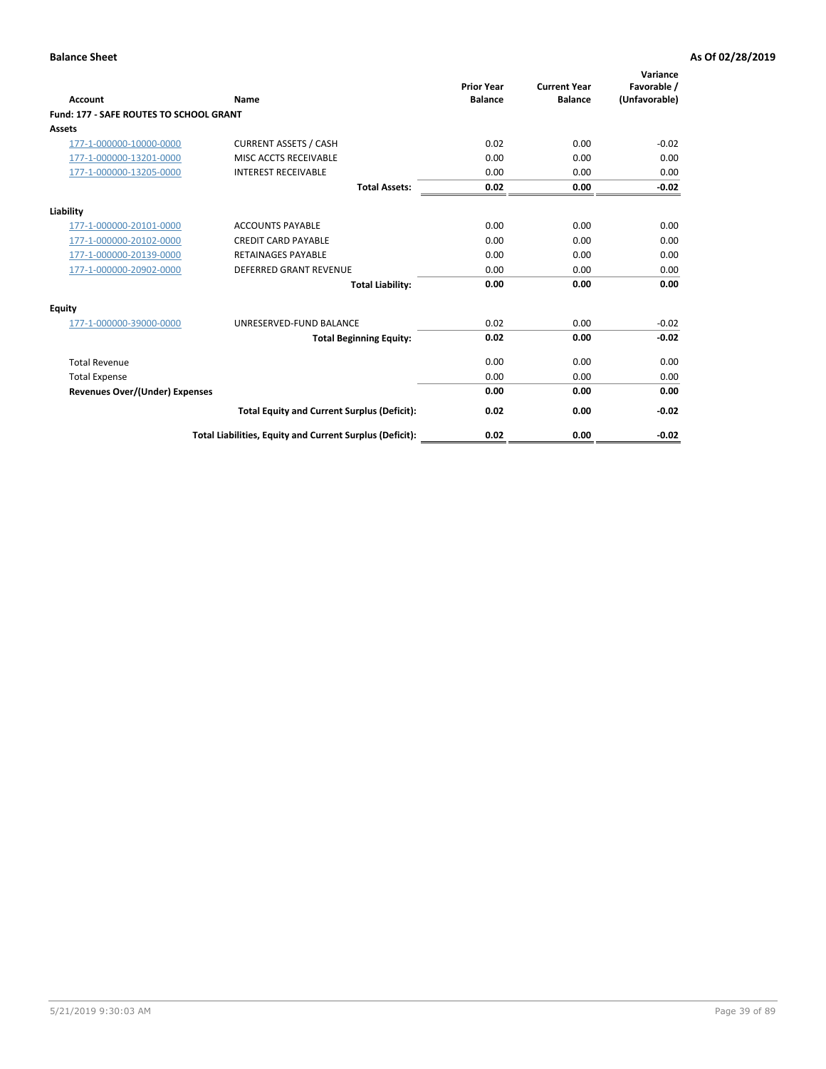| Account                                        | Name                                                     | <b>Prior Year</b><br><b>Balance</b> | <b>Current Year</b><br><b>Balance</b> | Variance<br>Favorable /<br>(Unfavorable) |
|------------------------------------------------|----------------------------------------------------------|-------------------------------------|---------------------------------------|------------------------------------------|
| <b>Fund: 177 - SAFE ROUTES TO SCHOOL GRANT</b> |                                                          |                                     |                                       |                                          |
| <b>Assets</b>                                  |                                                          |                                     |                                       |                                          |
| 177-1-000000-10000-0000                        | <b>CURRENT ASSETS / CASH</b>                             | 0.02                                | 0.00                                  | $-0.02$                                  |
| 177-1-000000-13201-0000                        | MISC ACCTS RECEIVABLE                                    | 0.00                                | 0.00                                  | 0.00                                     |
| 177-1-000000-13205-0000                        | <b>INTEREST RECEIVABLE</b>                               | 0.00                                | 0.00                                  | 0.00                                     |
|                                                | <b>Total Assets:</b>                                     | 0.02                                | 0.00                                  | $-0.02$                                  |
| Liability                                      |                                                          |                                     |                                       |                                          |
| 177-1-000000-20101-0000                        | <b>ACCOUNTS PAYABLE</b>                                  | 0.00                                | 0.00                                  | 0.00                                     |
| 177-1-000000-20102-0000                        | <b>CREDIT CARD PAYABLE</b>                               | 0.00                                | 0.00                                  | 0.00                                     |
| 177-1-000000-20139-0000                        | <b>RETAINAGES PAYABLE</b>                                | 0.00                                | 0.00                                  | 0.00                                     |
| 177-1-000000-20902-0000                        | <b>DEFERRED GRANT REVENUE</b>                            | 0.00                                | 0.00                                  | 0.00                                     |
|                                                | <b>Total Liability:</b>                                  | 0.00                                | 0.00                                  | 0.00                                     |
| Equity                                         |                                                          |                                     |                                       |                                          |
| 177-1-000000-39000-0000                        | UNRESERVED-FUND BALANCE                                  | 0.02                                | 0.00                                  | $-0.02$                                  |
|                                                | <b>Total Beginning Equity:</b>                           | 0.02                                | 0.00                                  | $-0.02$                                  |
| <b>Total Revenue</b>                           |                                                          | 0.00                                | 0.00                                  | 0.00                                     |
| <b>Total Expense</b>                           |                                                          | 0.00                                | 0.00                                  | 0.00                                     |
| <b>Revenues Over/(Under) Expenses</b>          |                                                          | 0.00                                | 0.00                                  | 0.00                                     |
|                                                | <b>Total Equity and Current Surplus (Deficit):</b>       | 0.02                                | 0.00                                  | $-0.02$                                  |
|                                                | Total Liabilities, Equity and Current Surplus (Deficit): | 0.02                                | 0.00                                  | $-0.02$                                  |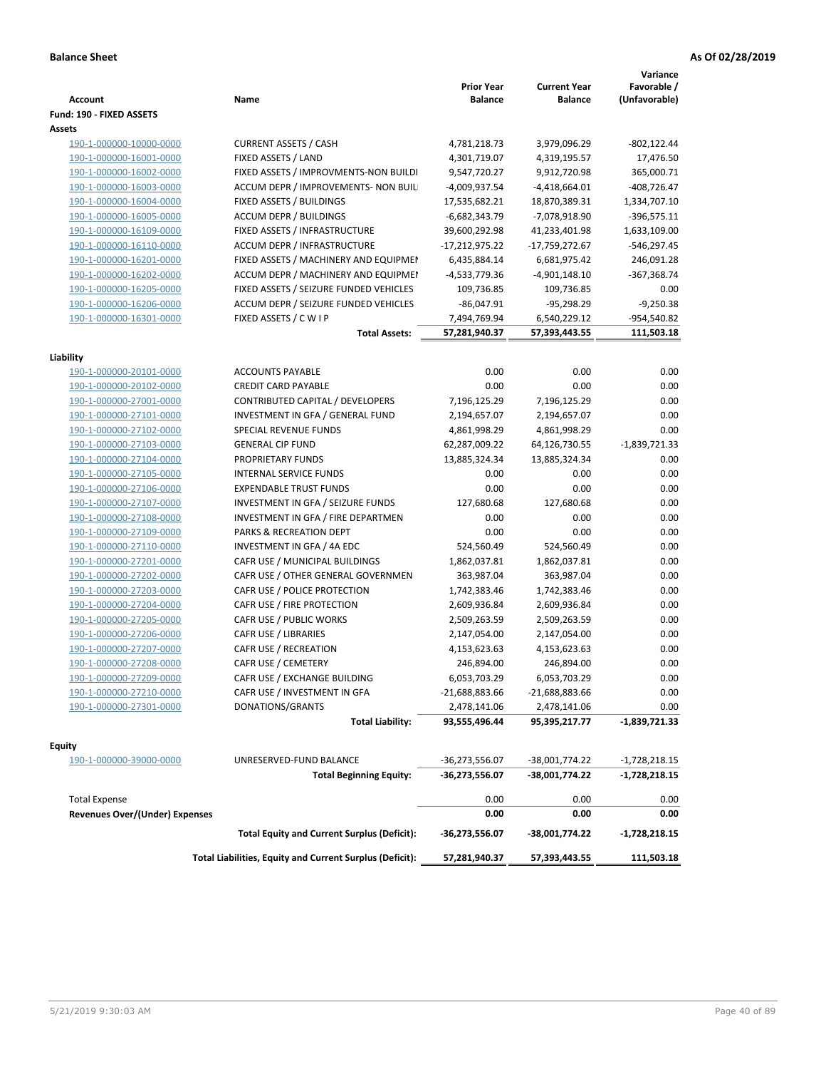|                                |                                                          |                              |                                       | Variance                     |
|--------------------------------|----------------------------------------------------------|------------------------------|---------------------------------------|------------------------------|
| Account                        | Name                                                     | <b>Prior Year</b><br>Balance | <b>Current Year</b><br><b>Balance</b> | Favorable /<br>(Unfavorable) |
| Fund: 190 - FIXED ASSETS       |                                                          |                              |                                       |                              |
| Assets                         |                                                          |                              |                                       |                              |
| 190-1-000000-10000-0000        | <b>CURRENT ASSETS / CASH</b>                             | 4,781,218.73                 | 3,979,096.29                          | -802,122.44                  |
| 190-1-000000-16001-0000        | FIXED ASSETS / LAND                                      | 4,301,719.07                 | 4,319,195.57                          | 17,476.50                    |
| 190-1-000000-16002-0000        | FIXED ASSETS / IMPROVMENTS-NON BUILDI                    | 9,547,720.27                 | 9,912,720.98                          | 365,000.71                   |
| 190-1-000000-16003-0000        | ACCUM DEPR / IMPROVEMENTS- NON BUIL                      | -4,009,937.54                | $-4,418,664.01$                       | $-408,726.47$                |
| 190-1-000000-16004-0000        | FIXED ASSETS / BUILDINGS                                 | 17,535,682.21                | 18,870,389.31                         | 1,334,707.10                 |
| 190-1-000000-16005-0000        | <b>ACCUM DEPR / BUILDINGS</b>                            | $-6,682,343.79$              | -7,078,918.90                         | $-396,575.11$                |
| 190-1-000000-16109-0000        | FIXED ASSETS / INFRASTRUCTURE                            | 39,600,292.98                | 41,233,401.98                         | 1,633,109.00                 |
| 190-1-000000-16110-0000        | ACCUM DEPR / INFRASTRUCTURE                              | $-17,212,975.22$             | -17,759,272.67                        | $-546,297.45$                |
| 190-1-000000-16201-0000        | FIXED ASSETS / MACHINERY AND EQUIPMEN                    | 6,435,884.14                 | 6,681,975.42                          | 246,091.28                   |
| 190-1-000000-16202-0000        | ACCUM DEPR / MACHINERY AND EQUIPMEI                      | -4,533,779.36                | $-4,901,148.10$                       | $-367,368.74$                |
| 190-1-000000-16205-0000        | FIXED ASSETS / SEIZURE FUNDED VEHICLES                   | 109,736.85                   | 109,736.85                            | 0.00                         |
| 190-1-000000-16206-0000        | ACCUM DEPR / SEIZURE FUNDED VEHICLES                     | $-86,047.91$                 | $-95,298.29$                          | $-9,250.38$                  |
| 190-1-000000-16301-0000        | FIXED ASSETS / C W I P                                   | 7,494,769.94                 | 6,540,229.12                          | -954,540.82                  |
|                                | <b>Total Assets:</b>                                     | 57,281,940.37                | 57,393,443.55                         | 111,503.18                   |
|                                |                                                          |                              |                                       |                              |
| Liability                      |                                                          |                              |                                       |                              |
| 190-1-000000-20101-0000        | <b>ACCOUNTS PAYABLE</b>                                  | 0.00                         | 0.00                                  | 0.00                         |
| 190-1-000000-20102-0000        | <b>CREDIT CARD PAYABLE</b>                               | 0.00                         | 0.00                                  | 0.00                         |
| 190-1-000000-27001-0000        | CONTRIBUTED CAPITAL / DEVELOPERS                         | 7,196,125.29                 | 7,196,125.29                          | 0.00                         |
| 190-1-000000-27101-0000        | INVESTMENT IN GFA / GENERAL FUND                         | 2,194,657.07                 | 2,194,657.07                          | 0.00                         |
| 190-1-000000-27102-0000        | <b>SPECIAL REVENUE FUNDS</b>                             | 4,861,998.29                 | 4,861,998.29                          | 0.00                         |
| 190-1-000000-27103-0000        | <b>GENERAL CIP FUND</b>                                  | 62,287,009.22                | 64,126,730.55                         | $-1,839,721.33$              |
| 190-1-000000-27104-0000        | PROPRIETARY FUNDS                                        | 13,885,324.34                | 13,885,324.34                         | 0.00                         |
| 190-1-000000-27105-0000        | <b>INTERNAL SERVICE FUNDS</b>                            | 0.00                         | 0.00                                  | 0.00                         |
| 190-1-000000-27106-0000        | <b>EXPENDABLE TRUST FUNDS</b>                            | 0.00                         | 0.00                                  | 0.00                         |
| 190-1-000000-27107-0000        | INVESTMENT IN GFA / SEIZURE FUNDS                        | 127,680.68                   | 127,680.68                            | 0.00                         |
| 190-1-000000-27108-0000        | INVESTMENT IN GFA / FIRE DEPARTMEN                       | 0.00                         | 0.00                                  | 0.00                         |
| 190-1-000000-27109-0000        | PARKS & RECREATION DEPT                                  | 0.00                         | 0.00                                  | 0.00                         |
| 190-1-000000-27110-0000        | INVESTMENT IN GFA / 4A EDC                               | 524,560.49                   | 524,560.49                            | 0.00                         |
| 190-1-000000-27201-0000        | CAFR USE / MUNICIPAL BUILDINGS                           | 1,862,037.81                 | 1,862,037.81                          | 0.00                         |
| 190-1-000000-27202-0000        | CAFR USE / OTHER GENERAL GOVERNMEN                       | 363,987.04                   | 363,987.04                            | 0.00                         |
| 190-1-000000-27203-0000        | CAFR USE / POLICE PROTECTION                             | 1,742,383.46                 | 1,742,383.46                          | 0.00                         |
| 190-1-000000-27204-0000        | CAFR USE / FIRE PROTECTION                               | 2,609,936.84                 | 2,609,936.84                          | 0.00                         |
| 190-1-000000-27205-0000        | CAFR USE / PUBLIC WORKS                                  | 2,509,263.59                 | 2,509,263.59                          | 0.00                         |
| 190-1-000000-27206-0000        | <b>CAFR USE / LIBRARIES</b>                              | 2,147,054.00                 | 2,147,054.00                          | 0.00                         |
| 190-1-000000-27207-0000        | CAFR USE / RECREATION                                    | 4,153,623.63                 | 4,153,623.63                          | 0.00                         |
| 190-1-000000-27208-0000        | CAFR USE / CEMETERY                                      | 246,894.00                   | 246,894.00                            | 0.00                         |
| 190-1-000000-27209-0000        | CAFR USE / EXCHANGE BUILDING                             | 6,053,703.29                 | 6,053,703.29                          | 0.00                         |
| 190-1-000000-27210-0000        | CAFR USE / INVESTMENT IN GFA                             | -21,688,883.66               | $-21,688,883.66$                      | 0.00                         |
| 190-1-000000-27301-0000        | DONATIONS/GRANTS                                         | 2,478,141.06                 | 2,478,141.06                          | 0.00                         |
|                                | <b>Total Liability:</b>                                  | 93,555,496.44                | 95,395,217.77                         | $-1,839,721.33$              |
|                                |                                                          |                              |                                       |                              |
| Equity                         |                                                          |                              |                                       |                              |
| 190-1-000000-39000-0000        | UNRESERVED-FUND BALANCE                                  | -36,273,556.07               | -38,001,774.22                        | $-1,728,218.15$              |
|                                | <b>Total Beginning Equity:</b>                           | -36,273,556.07               | -38,001,774.22                        | -1,728,218.15                |
| <b>Total Expense</b>           |                                                          | 0.00                         | 0.00                                  | 0.00                         |
| Revenues Over/(Under) Expenses |                                                          | 0.00                         | 0.00                                  | 0.00                         |
|                                | <b>Total Equity and Current Surplus (Deficit):</b>       | -36,273,556.07               | -38,001,774.22                        | -1,728,218.15                |
|                                | Total Liabilities, Equity and Current Surplus (Deficit): | 57,281,940.37                | 57,393,443.55                         | 111,503.18                   |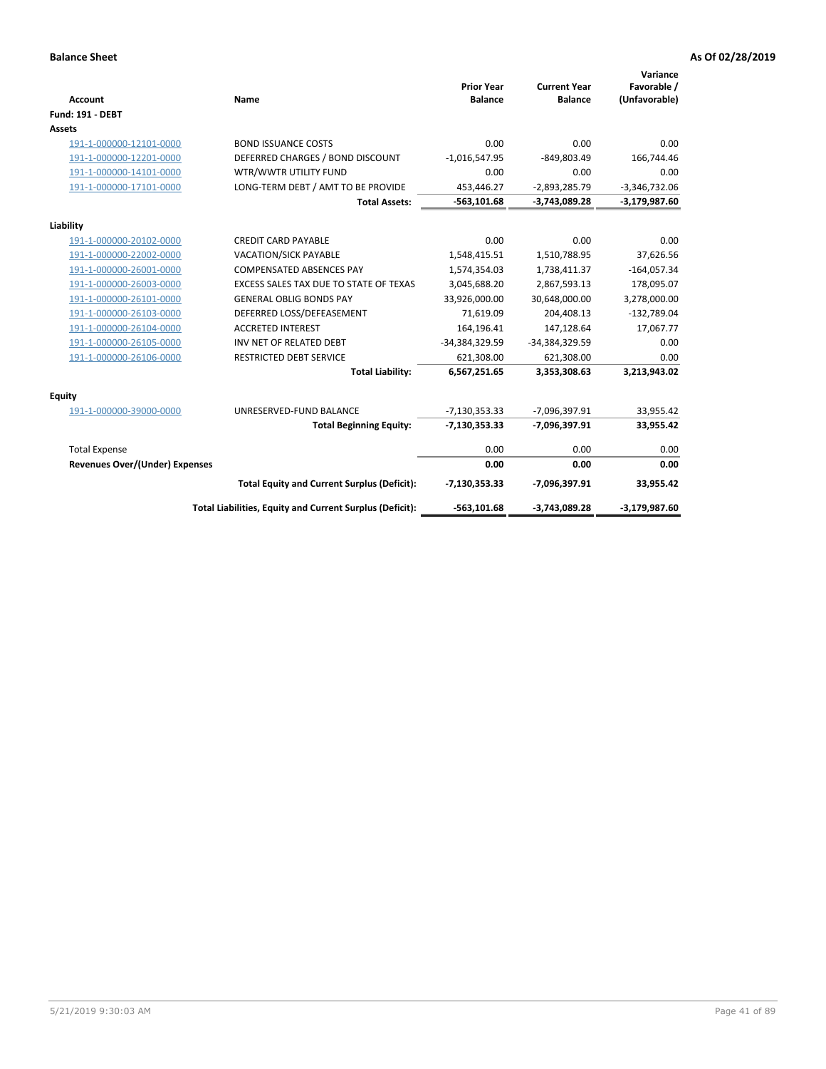| Account                               | Name                                                     | <b>Prior Year</b><br><b>Balance</b> | <b>Current Year</b><br><b>Balance</b> | Variance<br>Favorable /<br>(Unfavorable) |
|---------------------------------------|----------------------------------------------------------|-------------------------------------|---------------------------------------|------------------------------------------|
| <b>Fund: 191 - DEBT</b>               |                                                          |                                     |                                       |                                          |
| Assets                                |                                                          |                                     |                                       |                                          |
| 191-1-000000-12101-0000               | <b>BOND ISSUANCE COSTS</b>                               | 0.00                                | 0.00                                  | 0.00                                     |
| 191-1-000000-12201-0000               | DEFERRED CHARGES / BOND DISCOUNT                         | $-1,016,547.95$                     | $-849,803.49$                         | 166,744.46                               |
| 191-1-000000-14101-0000               | WTR/WWTR UTILITY FUND                                    | 0.00                                | 0.00                                  | 0.00                                     |
| 191-1-000000-17101-0000               | LONG-TERM DEBT / AMT TO BE PROVIDE                       | 453,446.27                          | $-2,893,285.79$                       | $-3,346,732.06$                          |
|                                       | <b>Total Assets:</b>                                     | $-563,101.68$                       | $-3,743,089.28$                       | $-3,179,987.60$                          |
| Liability                             |                                                          |                                     |                                       |                                          |
| 191-1-000000-20102-0000               | <b>CREDIT CARD PAYABLE</b>                               | 0.00                                | 0.00                                  | 0.00                                     |
| 191-1-000000-22002-0000               | <b>VACATION/SICK PAYABLE</b>                             | 1,548,415.51                        | 1,510,788.95                          | 37,626.56                                |
| 191-1-000000-26001-0000               | <b>COMPENSATED ABSENCES PAY</b>                          | 1,574,354.03                        | 1,738,411.37                          | $-164,057.34$                            |
| 191-1-000000-26003-0000               | EXCESS SALES TAX DUE TO STATE OF TEXAS                   | 3,045,688.20                        | 2,867,593.13                          | 178,095.07                               |
| 191-1-000000-26101-0000               | <b>GENERAL OBLIG BONDS PAY</b>                           | 33,926,000.00                       | 30,648,000.00                         | 3,278,000.00                             |
| 191-1-000000-26103-0000               | DEFERRED LOSS/DEFEASEMENT                                | 71,619.09                           | 204,408.13                            | $-132,789.04$                            |
| 191-1-000000-26104-0000               | <b>ACCRETED INTEREST</b>                                 | 164,196.41                          | 147,128.64                            | 17,067.77                                |
| 191-1-000000-26105-0000               | INV NET OF RELATED DEBT                                  | -34,384,329.59                      | -34,384,329.59                        | 0.00                                     |
| 191-1-000000-26106-0000               | <b>RESTRICTED DEBT SERVICE</b>                           | 621,308.00                          | 621,308.00                            | 0.00                                     |
|                                       | <b>Total Liability:</b>                                  | 6,567,251.65                        | 3,353,308.63                          | 3,213,943.02                             |
| <b>Equity</b>                         |                                                          |                                     |                                       |                                          |
| 191-1-000000-39000-0000               | UNRESERVED-FUND BALANCE                                  | $-7,130,353.33$                     | -7,096,397.91                         | 33,955.42                                |
|                                       | <b>Total Beginning Equity:</b>                           | $-7,130,353.33$                     | -7,096,397.91                         | 33,955.42                                |
| <b>Total Expense</b>                  |                                                          | 0.00                                | 0.00                                  | 0.00                                     |
| <b>Revenues Over/(Under) Expenses</b> |                                                          | 0.00                                | 0.00                                  | 0.00                                     |
|                                       | <b>Total Equity and Current Surplus (Deficit):</b>       | $-7,130,353.33$                     | -7,096,397.91                         | 33,955.42                                |
|                                       | Total Liabilities, Equity and Current Surplus (Deficit): | $-563,101.68$                       | $-3,743,089.28$                       | $-3,179,987.60$                          |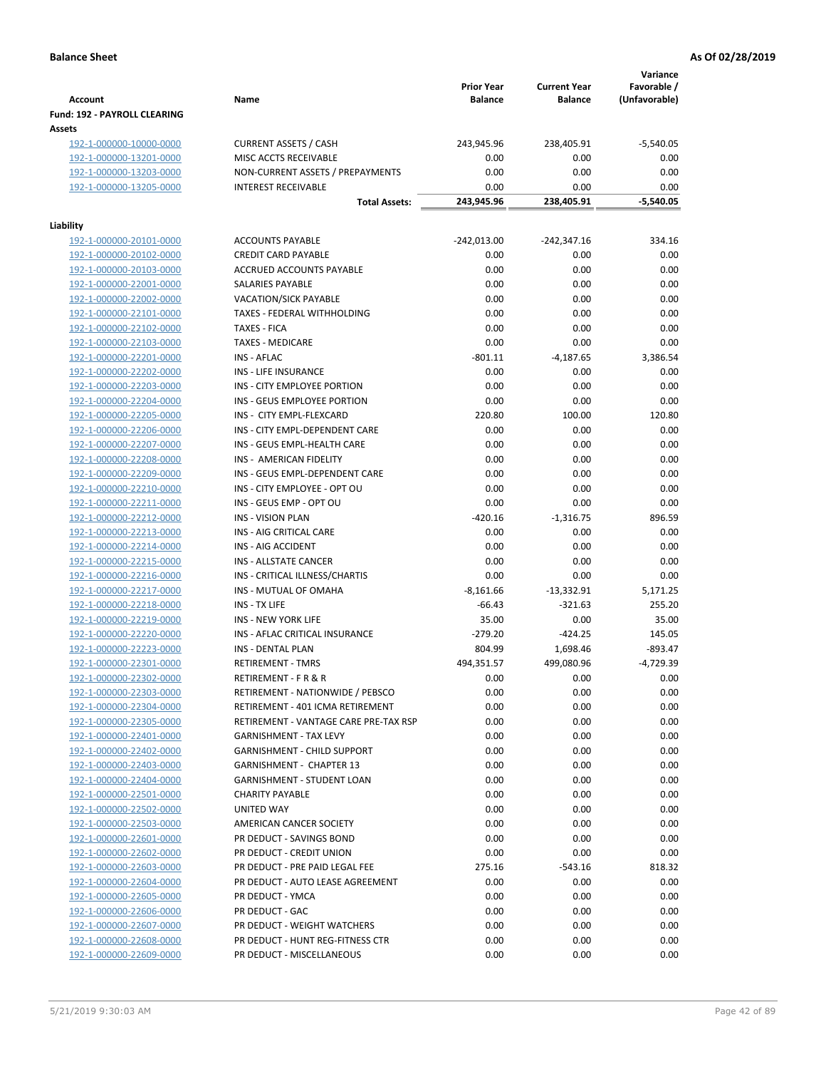|                                                           |                                                  |                    |                     | Variance                 |
|-----------------------------------------------------------|--------------------------------------------------|--------------------|---------------------|--------------------------|
|                                                           |                                                  | <b>Prior Year</b>  | <b>Current Year</b> | Favorable /              |
| <b>Account</b>                                            | Name                                             | <b>Balance</b>     | <b>Balance</b>      | (Unfavorable)            |
| Fund: 192 - PAYROLL CLEARING                              |                                                  |                    |                     |                          |
| Assets<br>192-1-000000-10000-0000                         | <b>CURRENT ASSETS / CASH</b>                     | 243,945.96         | 238,405.91          | $-5,540.05$              |
| 192-1-000000-13201-0000                                   | MISC ACCTS RECEIVABLE                            | 0.00               | 0.00                | 0.00                     |
| 192-1-000000-13203-0000                                   | NON-CURRENT ASSETS / PREPAYMENTS                 | 0.00               | 0.00                | 0.00                     |
| 192-1-000000-13205-0000                                   | <b>INTEREST RECEIVABLE</b>                       | 0.00               | 0.00                | 0.00                     |
|                                                           | <b>Total Assets:</b>                             | 243,945.96         | 238,405.91          | $-5,540.05$              |
|                                                           |                                                  |                    |                     |                          |
| Liability                                                 |                                                  |                    |                     |                          |
| 192-1-000000-20101-0000                                   | <b>ACCOUNTS PAYABLE</b>                          | $-242,013.00$      | -242,347.16         | 334.16                   |
| 192-1-000000-20102-0000                                   | <b>CREDIT CARD PAYABLE</b>                       | 0.00               | 0.00                | 0.00                     |
| 192-1-000000-20103-0000<br>192-1-000000-22001-0000        | ACCRUED ACCOUNTS PAYABLE<br>SALARIES PAYABLE     | 0.00<br>0.00       | 0.00<br>0.00        | 0.00<br>0.00             |
| 192-1-000000-22002-0000                                   | <b>VACATION/SICK PAYABLE</b>                     | 0.00               | 0.00                | 0.00                     |
| 192-1-000000-22101-0000                                   | TAXES - FEDERAL WITHHOLDING                      | 0.00               | 0.00                | 0.00                     |
| 192-1-000000-22102-0000                                   | <b>TAXES - FICA</b>                              | 0.00               | 0.00                | 0.00                     |
| 192-1-000000-22103-0000                                   | <b>TAXES - MEDICARE</b>                          | 0.00               | 0.00                | 0.00                     |
| 192-1-000000-22201-0000                                   | <b>INS - AFLAC</b>                               | $-801.11$          | $-4,187.65$         | 3,386.54                 |
| 192-1-000000-22202-0000                                   | INS - LIFE INSURANCE                             | 0.00               | 0.00                | 0.00                     |
| 192-1-000000-22203-0000                                   | INS - CITY EMPLOYEE PORTION                      | 0.00               | 0.00                | 0.00                     |
| 192-1-000000-22204-0000                                   | INS - GEUS EMPLOYEE PORTION                      | 0.00               | 0.00                | 0.00                     |
| 192-1-000000-22205-0000                                   | INS - CITY EMPL-FLEXCARD                         | 220.80             | 100.00              | 120.80                   |
| 192-1-000000-22206-0000                                   | INS - CITY EMPL-DEPENDENT CARE                   | 0.00               | 0.00                | 0.00                     |
| 192-1-000000-22207-0000                                   | INS - GEUS EMPL-HEALTH CARE                      | 0.00               | 0.00                | 0.00                     |
| 192-1-000000-22208-0000                                   | INS - AMERICAN FIDELITY                          | 0.00               | 0.00                | 0.00                     |
| 192-1-000000-22209-0000                                   | INS - GEUS EMPL-DEPENDENT CARE                   | 0.00               | 0.00                | 0.00                     |
| 192-1-000000-22210-0000                                   | INS - CITY EMPLOYEE - OPT OU                     | 0.00               | 0.00                | 0.00                     |
| 192-1-000000-22211-0000                                   | INS - GEUS EMP - OPT OU                          | 0.00               | 0.00                | 0.00                     |
| 192-1-000000-22212-0000                                   | <b>INS - VISION PLAN</b>                         | $-420.16$          | $-1,316.75$         | 896.59                   |
| 192-1-000000-22213-0000                                   | INS - AIG CRITICAL CARE                          | 0.00               | 0.00                | 0.00                     |
| 192-1-000000-22214-0000                                   | INS - AIG ACCIDENT                               | 0.00               | 0.00                | 0.00                     |
| 192-1-000000-22215-0000                                   | INS - ALLSTATE CANCER                            | 0.00               | 0.00                | 0.00                     |
| 192-1-000000-22216-0000                                   | INS - CRITICAL ILLNESS/CHARTIS                   | 0.00               | 0.00                | 0.00                     |
| 192-1-000000-22217-0000                                   | INS - MUTUAL OF OMAHA                            | $-8,161.66$        | $-13,332.91$        | 5,171.25                 |
| 192-1-000000-22218-0000                                   | INS - TX LIFE                                    | $-66.43$           | $-321.63$           | 255.20                   |
| 192-1-000000-22219-0000                                   | <b>INS - NEW YORK LIFE</b>                       | 35.00              | 0.00                | 35.00                    |
| 192-1-000000-22220-0000                                   | INS - AFLAC CRITICAL INSURANCE                   | $-279.20$          | $-424.25$           | 145.05                   |
| 192-1-000000-22223-0000                                   | INS - DENTAL PLAN                                | 804.99             | 1,698.46            | $-893.47$<br>$-4,729.39$ |
| <u>192-1-000000-22301-0000</u><br>192-1-000000-22302-0000 | <b>RETIREMENT - TMRS</b><br>RETIREMENT - F R & R | 494,351.57<br>0.00 | 499,080.96<br>0.00  | 0.00                     |
| 192-1-000000-22303-0000                                   | RETIREMENT - NATIONWIDE / PEBSCO                 | 0.00               | 0.00                | 0.00                     |
| 192-1-000000-22304-0000                                   | RETIREMENT - 401 ICMA RETIREMENT                 | 0.00               | 0.00                | 0.00                     |
| 192-1-000000-22305-0000                                   | RETIREMENT - VANTAGE CARE PRE-TAX RSP            | 0.00               | 0.00                | 0.00                     |
| 192-1-000000-22401-0000                                   | <b>GARNISHMENT - TAX LEVY</b>                    | 0.00               | 0.00                | 0.00                     |
| 192-1-000000-22402-0000                                   | GARNISHMENT - CHILD SUPPORT                      | 0.00               | 0.00                | 0.00                     |
| 192-1-000000-22403-0000                                   | <b>GARNISHMENT - CHAPTER 13</b>                  | 0.00               | 0.00                | 0.00                     |
| 192-1-000000-22404-0000                                   | <b>GARNISHMENT - STUDENT LOAN</b>                | 0.00               | 0.00                | 0.00                     |
| 192-1-000000-22501-0000                                   | <b>CHARITY PAYABLE</b>                           | 0.00               | 0.00                | 0.00                     |
| 192-1-000000-22502-0000                                   | UNITED WAY                                       | 0.00               | 0.00                | 0.00                     |
| 192-1-000000-22503-0000                                   | AMERICAN CANCER SOCIETY                          | 0.00               | 0.00                | 0.00                     |
| 192-1-000000-22601-0000                                   | PR DEDUCT - SAVINGS BOND                         | 0.00               | 0.00                | 0.00                     |
| 192-1-000000-22602-0000                                   | PR DEDUCT - CREDIT UNION                         | 0.00               | 0.00                | 0.00                     |
| 192-1-000000-22603-0000                                   | PR DEDUCT - PRE PAID LEGAL FEE                   | 275.16             | $-543.16$           | 818.32                   |
| 192-1-000000-22604-0000                                   | PR DEDUCT - AUTO LEASE AGREEMENT                 | 0.00               | 0.00                | 0.00                     |
| 192-1-000000-22605-0000                                   | PR DEDUCT - YMCA                                 | 0.00               | 0.00                | 0.00                     |
| 192-1-000000-22606-0000                                   | PR DEDUCT - GAC                                  | 0.00               | 0.00                | 0.00                     |
| 192-1-000000-22607-0000                                   | PR DEDUCT - WEIGHT WATCHERS                      | 0.00               | 0.00                | 0.00                     |
| 192-1-000000-22608-0000                                   | PR DEDUCT - HUNT REG-FITNESS CTR                 | 0.00               | 0.00                | 0.00                     |
| 192-1-000000-22609-0000                                   | PR DEDUCT - MISCELLANEOUS                        | 0.00               | 0.00                | 0.00                     |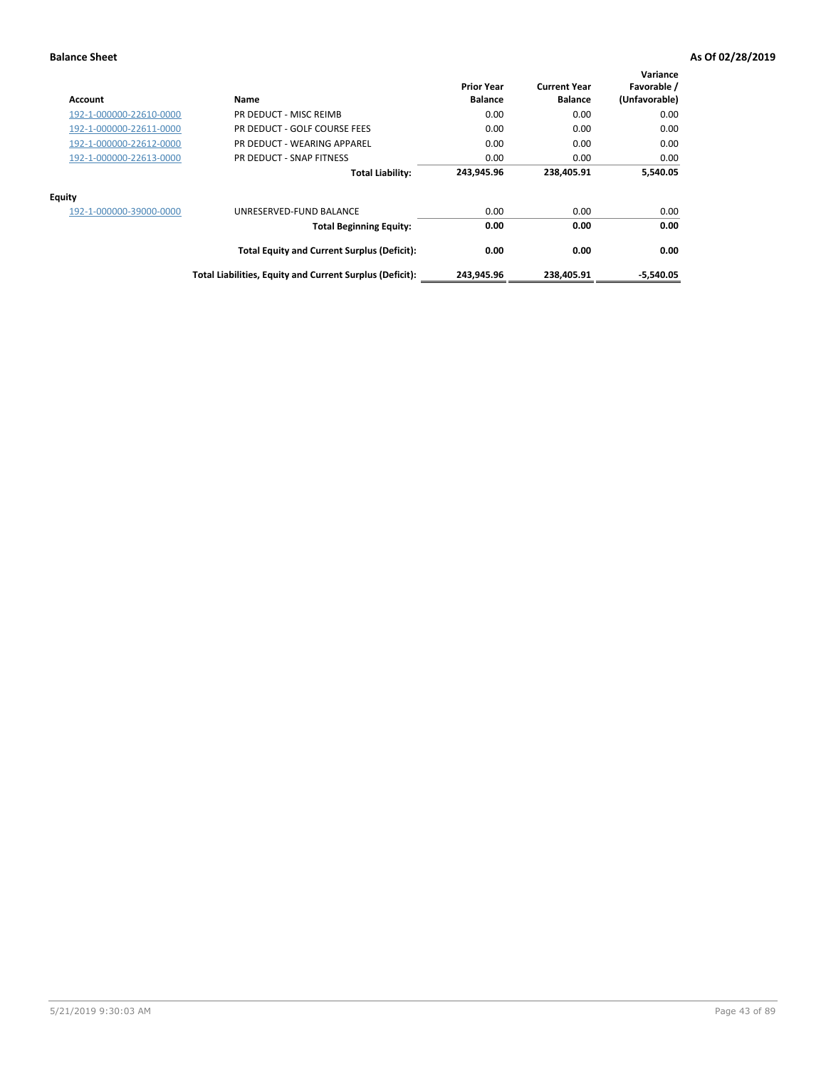| Account                 | Name                                                     | <b>Prior Year</b><br><b>Balance</b> | <b>Current Year</b><br><b>Balance</b> | Variance<br>Favorable /<br>(Unfavorable) |
|-------------------------|----------------------------------------------------------|-------------------------------------|---------------------------------------|------------------------------------------|
| 192-1-000000-22610-0000 | PR DEDUCT - MISC REIMB                                   | 0.00                                | 0.00                                  | 0.00                                     |
| 192-1-000000-22611-0000 | PR DEDUCT - GOLF COURSE FEES                             | 0.00                                | 0.00                                  | 0.00                                     |
| 192-1-000000-22612-0000 | PR DEDUCT - WEARING APPAREL                              | 0.00                                | 0.00                                  | 0.00                                     |
| 192-1-000000-22613-0000 | PR DEDUCT - SNAP FITNESS                                 | 0.00                                | 0.00                                  | 0.00                                     |
|                         | <b>Total Liability:</b>                                  | 243.945.96                          | 238.405.91                            | 5,540.05                                 |
| Equity                  |                                                          |                                     |                                       |                                          |
| 192-1-000000-39000-0000 | UNRESERVED-FUND BALANCE                                  | 0.00                                | 0.00                                  | 0.00                                     |
|                         | <b>Total Beginning Equity:</b>                           | 0.00                                | 0.00                                  | 0.00                                     |
|                         | <b>Total Equity and Current Surplus (Deficit):</b>       | 0.00                                | 0.00                                  | 0.00                                     |
|                         | Total Liabilities, Equity and Current Surplus (Deficit): | 243,945.96                          | 238,405.91                            | $-5,540.05$                              |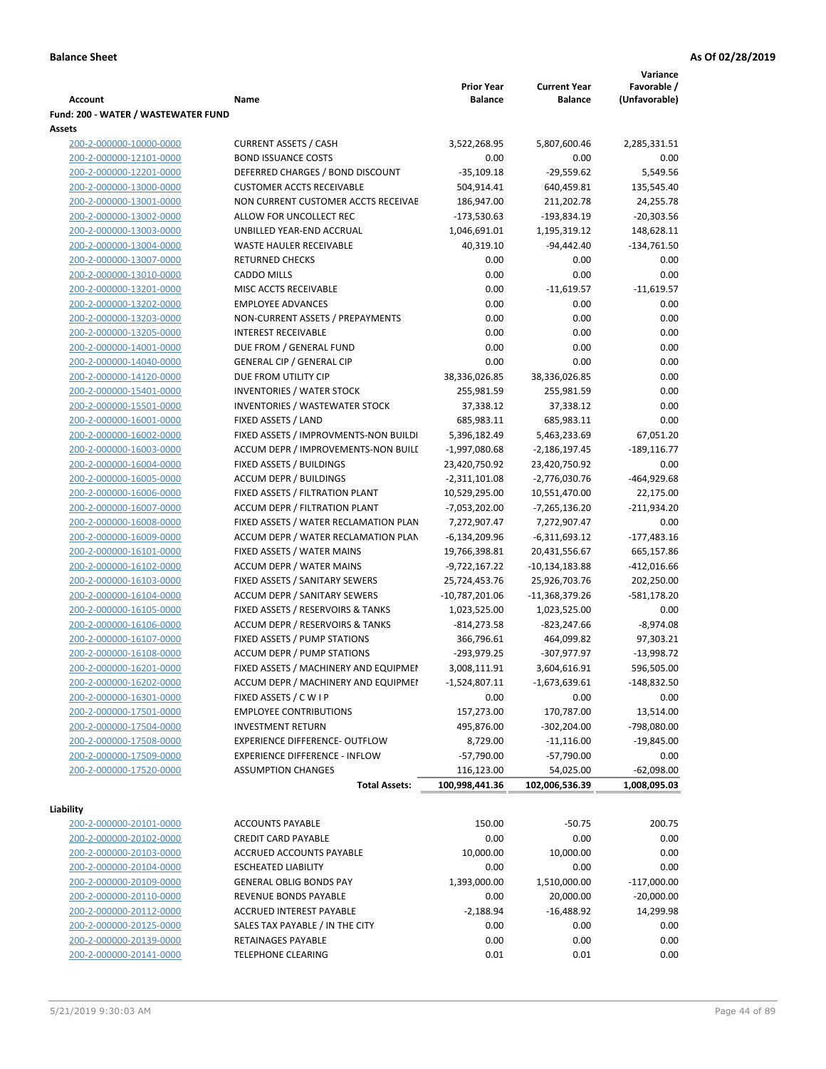|                                                    |                                                                              |                                 |                                 | Variance                   |
|----------------------------------------------------|------------------------------------------------------------------------------|---------------------------------|---------------------------------|----------------------------|
|                                                    |                                                                              | <b>Prior Year</b>               | <b>Current Year</b>             | Favorable /                |
| Account                                            | Name                                                                         | <b>Balance</b>                  | <b>Balance</b>                  | (Unfavorable)              |
| Fund: 200 - WATER / WASTEWATER FUND                |                                                                              |                                 |                                 |                            |
| Assets                                             |                                                                              |                                 |                                 |                            |
| 200-2-000000-10000-0000                            | <b>CURRENT ASSETS / CASH</b><br><b>BOND ISSUANCE COSTS</b>                   | 3,522,268.95<br>0.00            | 5,807,600.46<br>0.00            | 2,285,331.51<br>0.00       |
| 200-2-000000-12101-0000<br>200-2-000000-12201-0000 | DEFERRED CHARGES / BOND DISCOUNT                                             | $-35,109.18$                    | $-29,559.62$                    | 5,549.56                   |
| 200-2-000000-13000-0000                            | <b>CUSTOMER ACCTS RECEIVABLE</b>                                             | 504,914.41                      | 640,459.81                      | 135,545.40                 |
| 200-2-000000-13001-0000                            | NON CURRENT CUSTOMER ACCTS RECEIVAE                                          | 186,947.00                      | 211,202.78                      | 24,255.78                  |
| 200-2-000000-13002-0000                            | ALLOW FOR UNCOLLECT REC                                                      | $-173,530.63$                   | $-193,834.19$                   | $-20,303.56$               |
| 200-2-000000-13003-0000                            | UNBILLED YEAR-END ACCRUAL                                                    | 1,046,691.01                    | 1,195,319.12                    | 148,628.11                 |
| 200-2-000000-13004-0000                            | <b>WASTE HAULER RECEIVABLE</b>                                               | 40,319.10                       | $-94,442.40$                    | $-134,761.50$              |
| 200-2-000000-13007-0000                            | <b>RETURNED CHECKS</b>                                                       | 0.00                            | 0.00                            | 0.00                       |
| 200-2-000000-13010-0000                            | <b>CADDO MILLS</b>                                                           | 0.00                            | 0.00                            | 0.00                       |
| 200-2-000000-13201-0000                            | MISC ACCTS RECEIVABLE                                                        | 0.00                            | $-11,619.57$                    | $-11,619.57$               |
| 200-2-000000-13202-0000                            | <b>EMPLOYEE ADVANCES</b>                                                     | 0.00                            | 0.00                            | 0.00                       |
| 200-2-000000-13203-0000                            | NON-CURRENT ASSETS / PREPAYMENTS                                             | 0.00                            | 0.00                            | 0.00                       |
| 200-2-000000-13205-0000                            | <b>INTEREST RECEIVABLE</b>                                                   | 0.00                            | 0.00                            | 0.00                       |
| 200-2-000000-14001-0000                            | DUE FROM / GENERAL FUND                                                      | 0.00                            | 0.00                            | 0.00                       |
| 200-2-000000-14040-0000                            | <b>GENERAL CIP / GENERAL CIP</b>                                             | 0.00                            | 0.00                            | 0.00                       |
| 200-2-000000-14120-0000                            | DUE FROM UTILITY CIP                                                         | 38,336,026.85                   | 38,336,026.85                   | 0.00                       |
| 200-2-000000-15401-0000                            | <b>INVENTORIES / WATER STOCK</b>                                             | 255,981.59                      | 255,981.59                      | 0.00                       |
| 200-2-000000-15501-0000                            | <b>INVENTORIES / WASTEWATER STOCK</b>                                        | 37,338.12                       | 37,338.12                       | 0.00                       |
| 200-2-000000-16001-0000                            | FIXED ASSETS / LAND                                                          | 685,983.11                      | 685,983.11                      | 0.00                       |
| 200-2-000000-16002-0000                            | FIXED ASSETS / IMPROVMENTS-NON BUILDI                                        | 5,396,182.49                    | 5,463,233.69                    | 67,051.20                  |
| 200-2-000000-16003-0000                            | ACCUM DEPR / IMPROVEMENTS-NON BUILI                                          | $-1,997,080.68$                 | -2,186,197.45                   | $-189, 116.77$             |
| 200-2-000000-16004-0000                            | FIXED ASSETS / BUILDINGS                                                     | 23,420,750.92                   | 23,420,750.92                   | 0.00                       |
| 200-2-000000-16005-0000                            | <b>ACCUM DEPR / BUILDINGS</b>                                                | $-2,311,101.08$                 | $-2,776,030.76$                 | $-464,929.68$              |
| 200-2-000000-16006-0000                            | FIXED ASSETS / FILTRATION PLANT                                              | 10,529,295.00                   | 10,551,470.00                   | 22,175.00                  |
| 200-2-000000-16007-0000                            | ACCUM DEPR / FILTRATION PLANT                                                | -7,053,202.00                   | $-7,265,136.20$                 | $-211,934.20$              |
| 200-2-000000-16008-0000                            | FIXED ASSETS / WATER RECLAMATION PLAN                                        | 7,272,907.47                    | 7,272,907.47                    | 0.00                       |
| 200-2-000000-16009-0000                            | ACCUM DEPR / WATER RECLAMATION PLAN                                          | $-6,134,209.96$                 | $-6,311,693.12$                 | $-177,483.16$              |
| 200-2-000000-16101-0000                            | FIXED ASSETS / WATER MAINS                                                   | 19,766,398.81                   | 20,431,556.67                   | 665,157.86                 |
| 200-2-000000-16102-0000                            | <b>ACCUM DEPR / WATER MAINS</b>                                              | $-9,722,167.22$                 | -10,134,183.88                  | $-412,016.66$              |
| 200-2-000000-16103-0000                            | FIXED ASSETS / SANITARY SEWERS                                               | 25,724,453.76                   | 25,926,703.76                   | 202,250.00                 |
| 200-2-000000-16104-0000                            | <b>ACCUM DEPR / SANITARY SEWERS</b>                                          | $-10,787,201.06$                | -11,368,379.26                  | -581,178.20                |
| 200-2-000000-16105-0000                            | FIXED ASSETS / RESERVOIRS & TANKS                                            | 1,023,525.00                    | 1,023,525.00                    | 0.00                       |
| 200-2-000000-16106-0000                            | ACCUM DEPR / RESERVOIRS & TANKS                                              | $-814,273.58$                   | $-823,247.66$                   | $-8,974.08$                |
| 200-2-000000-16107-0000                            | FIXED ASSETS / PUMP STATIONS                                                 | 366,796.61                      | 464,099.82                      | 97,303.21                  |
| 200-2-000000-16108-0000                            | <b>ACCUM DEPR / PUMP STATIONS</b>                                            | -293,979.25                     | -307,977.97                     | $-13,998.72$<br>596,505.00 |
| 200-2-000000-16201-0000<br>200-2-000000-16202-0000 | FIXED ASSETS / MACHINERY AND EQUIPMEN<br>ACCUM DEPR / MACHINERY AND EQUIPMEI | 3,008,111.91<br>$-1,524,807.11$ | 3,604,616.91<br>$-1,673,639.61$ | -148,832.50                |
| 200-2-000000-16301-0000                            | FIXED ASSETS / C W I P                                                       | 0.00                            | 0.00                            | 0.00                       |
| 200-2-000000-17501-0000                            | <b>EMPLOYEE CONTRIBUTIONS</b>                                                | 157,273.00                      | 170,787.00                      | 13,514.00                  |
| 200-2-000000-17504-0000                            | <b>INVESTMENT RETURN</b>                                                     | 495,876.00                      | $-302,204.00$                   | -798,080.00                |
| 200-2-000000-17508-0000                            | EXPERIENCE DIFFERENCE- OUTFLOW                                               | 8,729.00                        | $-11,116.00$                    | $-19,845.00$               |
| 200-2-000000-17509-0000                            | <b>EXPERIENCE DIFFERENCE - INFLOW</b>                                        | $-57,790.00$                    | $-57,790.00$                    | 0.00                       |
| 200-2-000000-17520-0000                            | <b>ASSUMPTION CHANGES</b>                                                    | 116,123.00                      | 54,025.00                       | $-62,098.00$               |
|                                                    | <b>Total Assets:</b>                                                         | 100,998,441.36                  | 102,006,536.39                  | 1,008,095.03               |
|                                                    |                                                                              |                                 |                                 |                            |
| Liability                                          |                                                                              |                                 |                                 |                            |
| 200-2-000000-20101-0000                            | <b>ACCOUNTS PAYABLE</b>                                                      | 150.00                          | $-50.75$                        | 200.75                     |
| 200-2-000000-20102-0000                            | <b>CREDIT CARD PAYABLE</b>                                                   | 0.00                            | 0.00                            | 0.00                       |
| 200-2-000000-20103-0000                            | ACCRUED ACCOUNTS PAYABLE                                                     | 10,000.00                       | 10,000.00                       | 0.00                       |
| 200-2-000000-20104-0000                            | <b>ESCHEATED LIABILITY</b>                                                   | 0.00                            | 0.00                            | 0.00                       |
| 200-2-000000-20109-0000                            | <b>GENERAL OBLIG BONDS PAY</b>                                               | 1,393,000.00                    | 1,510,000.00                    | $-117,000.00$              |
| 200-2-000000-20110-0000                            | REVENUE BONDS PAYABLE                                                        | 0.00                            | 20,000.00                       | $-20,000.00$               |
| 200-2-000000-20112-0000                            | ACCRUED INTEREST PAYABLE                                                     | $-2,188.94$                     | $-16,488.92$                    | 14,299.98                  |
| 200-2-000000-20125-0000                            | SALES TAX PAYABLE / IN THE CITY                                              | 0.00                            | 0.00                            | 0.00                       |
| 200-2-000000-20139-0000                            | RETAINAGES PAYABLE                                                           | 0.00                            | 0.00                            | 0.00                       |
| 200-2-000000-20141-0000                            | <b>TELEPHONE CLEARING</b>                                                    | 0.01                            | 0.01                            | 0.00                       |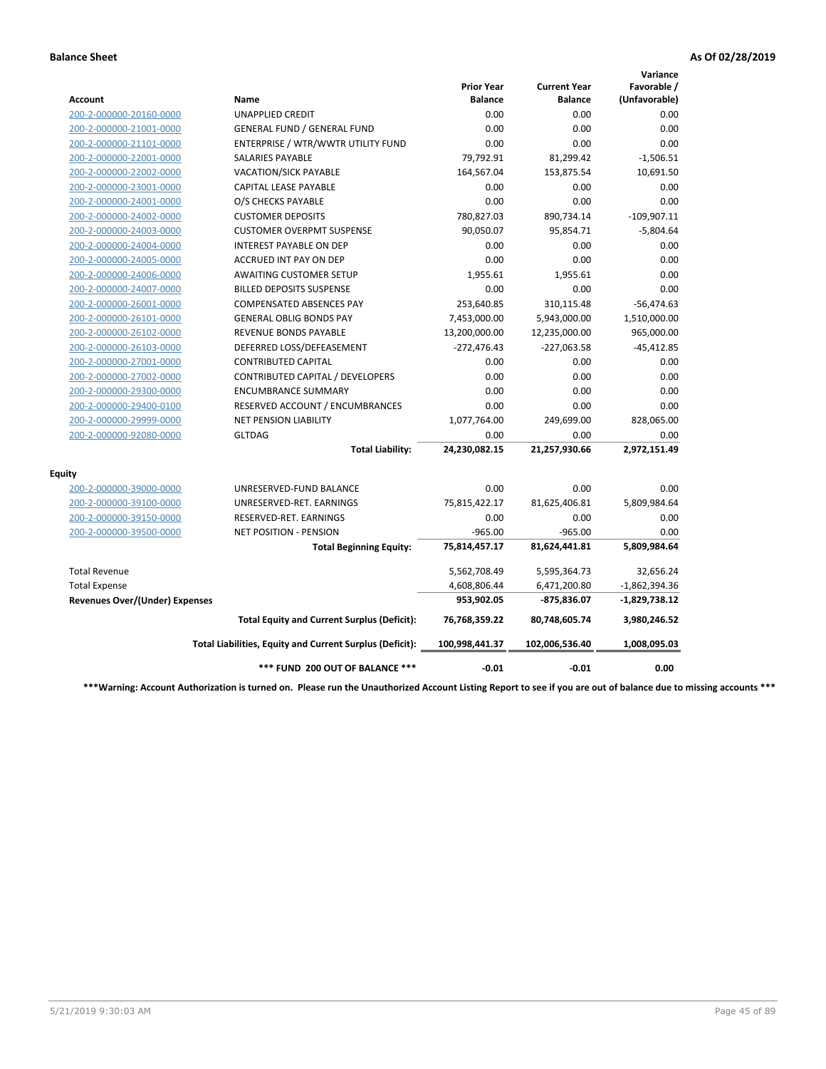|                                       |                                                          |                                     |                                       | Variance                     |
|---------------------------------------|----------------------------------------------------------|-------------------------------------|---------------------------------------|------------------------------|
| Account                               | Name                                                     | <b>Prior Year</b><br><b>Balance</b> | <b>Current Year</b><br><b>Balance</b> | Favorable /<br>(Unfavorable) |
| 200-2-000000-20160-0000               | <b>UNAPPLIED CREDIT</b>                                  | 0.00                                | 0.00                                  | 0.00                         |
| 200-2-000000-21001-0000               | <b>GENERAL FUND / GENERAL FUND</b>                       | 0.00                                | 0.00                                  | 0.00                         |
| 200-2-000000-21101-0000               | ENTERPRISE / WTR/WWTR UTILITY FUND                       | 0.00                                | 0.00                                  | 0.00                         |
| 200-2-000000-22001-0000               | <b>SALARIES PAYABLE</b>                                  | 79,792.91                           | 81,299.42                             | $-1,506.51$                  |
| 200-2-000000-22002-0000               | <b>VACATION/SICK PAYABLE</b>                             | 164,567.04                          | 153,875.54                            | 10,691.50                    |
| 200-2-000000-23001-0000               | CAPITAL LEASE PAYABLE                                    | 0.00                                | 0.00                                  | 0.00                         |
| 200-2-000000-24001-0000               | O/S CHECKS PAYABLE                                       | 0.00                                | 0.00                                  | 0.00                         |
| 200-2-000000-24002-0000               | <b>CUSTOMER DEPOSITS</b>                                 | 780,827.03                          | 890,734.14                            | $-109,907.11$                |
| 200-2-000000-24003-0000               | <b>CUSTOMER OVERPMT SUSPENSE</b>                         | 90,050.07                           | 95,854.71                             | $-5,804.64$                  |
| 200-2-000000-24004-0000               | <b>INTEREST PAYABLE ON DEP</b>                           | 0.00                                | 0.00                                  | 0.00                         |
| 200-2-000000-24005-0000               | <b>ACCRUED INT PAY ON DEP</b>                            | 0.00                                | 0.00                                  | 0.00                         |
| 200-2-000000-24006-0000               | <b>AWAITING CUSTOMER SETUP</b>                           | 1,955.61                            | 1,955.61                              | 0.00                         |
| 200-2-000000-24007-0000               | <b>BILLED DEPOSITS SUSPENSE</b>                          | 0.00                                | 0.00                                  | 0.00                         |
| 200-2-000000-26001-0000               | <b>COMPENSATED ABSENCES PAY</b>                          | 253,640.85                          | 310,115.48                            | $-56,474.63$                 |
| 200-2-000000-26101-0000               | <b>GENERAL OBLIG BONDS PAY</b>                           | 7,453,000.00                        | 5,943,000.00                          | 1,510,000.00                 |
| 200-2-000000-26102-0000               | <b>REVENUE BONDS PAYABLE</b>                             | 13,200,000.00                       | 12,235,000.00                         | 965,000.00                   |
| 200-2-000000-26103-0000               | DEFERRED LOSS/DEFEASEMENT                                | $-272,476.43$                       | $-227,063.58$                         | $-45,412.85$                 |
| 200-2-000000-27001-0000               | <b>CONTRIBUTED CAPITAL</b>                               | 0.00                                | 0.00                                  | 0.00                         |
| 200-2-000000-27002-0000               | CONTRIBUTED CAPITAL / DEVELOPERS                         | 0.00                                | 0.00                                  | 0.00                         |
| 200-2-000000-29300-0000               | <b>ENCUMBRANCE SUMMARY</b>                               | 0.00                                | 0.00                                  | 0.00                         |
| 200-2-000000-29400-0100               | RESERVED ACCOUNT / ENCUMBRANCES                          | 0.00                                | 0.00                                  | 0.00                         |
| 200-2-000000-29999-0000               | <b>NET PENSION LIABILITY</b>                             | 1,077,764.00                        | 249,699.00                            | 828,065.00                   |
| 200-2-000000-92080-0000               | <b>GLTDAG</b>                                            | 0.00                                | 0.00                                  | 0.00                         |
|                                       | <b>Total Liability:</b>                                  | 24,230,082.15                       | 21,257,930.66                         | 2,972,151.49                 |
| <b>Equity</b>                         |                                                          |                                     |                                       |                              |
| 200-2-000000-39000-0000               | UNRESERVED-FUND BALANCE                                  | 0.00                                | 0.00                                  | 0.00                         |
| 200-2-000000-39100-0000               | UNRESERVED-RET. EARNINGS                                 | 75,815,422.17                       | 81,625,406.81                         | 5,809,984.64                 |
| 200-2-000000-39150-0000               | RESERVED-RET. EARNINGS                                   | 0.00                                | 0.00                                  | 0.00                         |
| 200-2-000000-39500-0000               | NET POSITION - PENSION                                   | $-965.00$                           | $-965.00$                             | 0.00                         |
|                                       | <b>Total Beginning Equity:</b>                           | 75,814,457.17                       | 81,624,441.81                         | 5,809,984.64                 |
| <b>Total Revenue</b>                  |                                                          | 5,562,708.49                        | 5,595,364.73                          | 32,656.24                    |
| <b>Total Expense</b>                  |                                                          | 4,608,806.44                        | 6,471,200.80                          | $-1,862,394.36$              |
| <b>Revenues Over/(Under) Expenses</b> |                                                          | 953,902.05                          | -875,836.07                           | $-1,829,738.12$              |
|                                       | <b>Total Equity and Current Surplus (Deficit):</b>       | 76,768,359.22                       | 80,748,605.74                         | 3,980,246.52                 |
|                                       | Total Liabilities, Equity and Current Surplus (Deficit): | 100,998,441.37                      | 102,006,536.40                        | 1,008,095.03                 |
|                                       | *** FUND 200 OUT OF BALANCE ***                          | $-0.01$                             | $-0.01$                               | 0.00                         |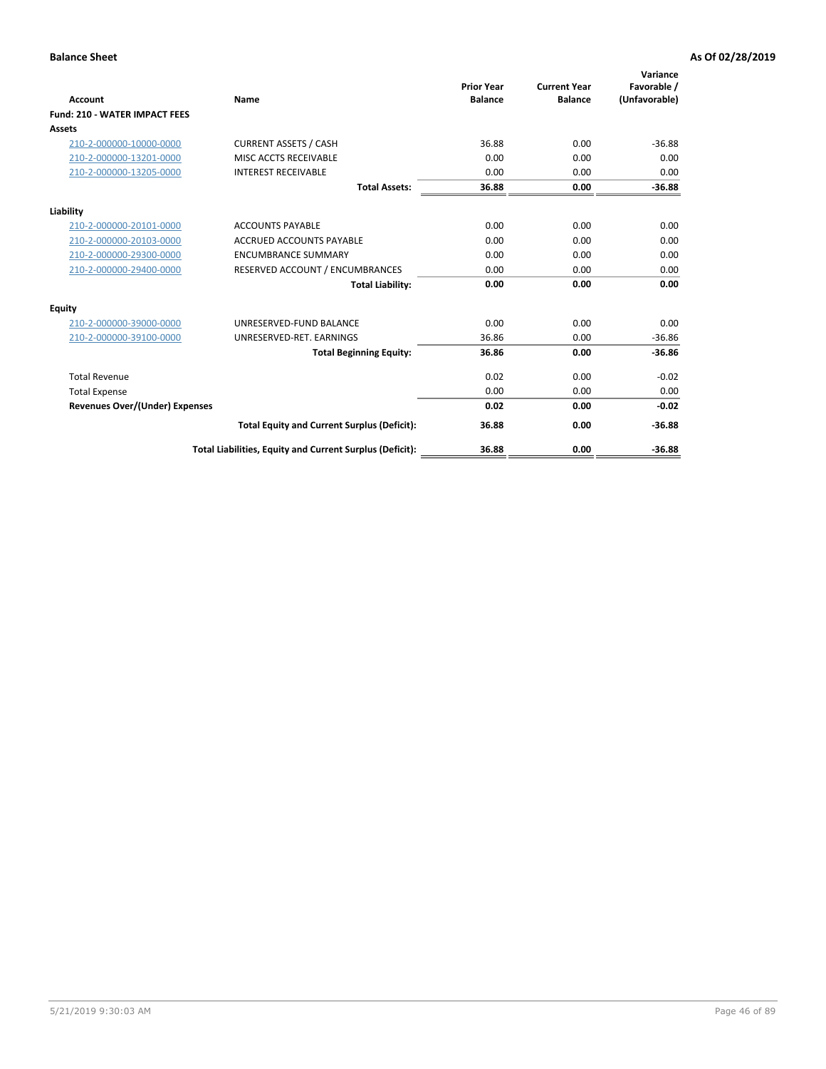| <b>Account</b>                        | Name                                                     | <b>Prior Year</b><br><b>Balance</b> | <b>Current Year</b><br><b>Balance</b> | Variance<br>Favorable /<br>(Unfavorable) |
|---------------------------------------|----------------------------------------------------------|-------------------------------------|---------------------------------------|------------------------------------------|
| <b>Fund: 210 - WATER IMPACT FEES</b>  |                                                          |                                     |                                       |                                          |
| <b>Assets</b>                         |                                                          |                                     |                                       |                                          |
| 210-2-000000-10000-0000               | <b>CURRENT ASSETS / CASH</b>                             | 36.88                               | 0.00                                  | $-36.88$                                 |
| 210-2-000000-13201-0000               | MISC ACCTS RECEIVABLE                                    | 0.00                                | 0.00                                  | 0.00                                     |
| 210-2-000000-13205-0000               | <b>INTEREST RECEIVABLE</b>                               | 0.00                                | 0.00                                  | 0.00                                     |
|                                       | <b>Total Assets:</b>                                     | 36.88                               | 0.00                                  | $-36.88$                                 |
| Liability                             |                                                          |                                     |                                       |                                          |
| 210-2-000000-20101-0000               | <b>ACCOUNTS PAYABLE</b>                                  | 0.00                                | 0.00                                  | 0.00                                     |
| 210-2-000000-20103-0000               | <b>ACCRUED ACCOUNTS PAYABLE</b>                          | 0.00                                | 0.00                                  | 0.00                                     |
| 210-2-000000-29300-0000               | <b>ENCUMBRANCE SUMMARY</b>                               | 0.00                                | 0.00                                  | 0.00                                     |
| 210-2-000000-29400-0000               | RESERVED ACCOUNT / ENCUMBRANCES                          | 0.00                                | 0.00                                  | 0.00                                     |
|                                       | <b>Total Liability:</b>                                  | 0.00                                | 0.00                                  | 0.00                                     |
| <b>Equity</b>                         |                                                          |                                     |                                       |                                          |
| 210-2-000000-39000-0000               | UNRESERVED-FUND BALANCE                                  | 0.00                                | 0.00                                  | 0.00                                     |
| 210-2-000000-39100-0000               | UNRESERVED-RET. EARNINGS                                 | 36.86                               | 0.00                                  | $-36.86$                                 |
|                                       | <b>Total Beginning Equity:</b>                           | 36.86                               | 0.00                                  | $-36.86$                                 |
| <b>Total Revenue</b>                  |                                                          | 0.02                                | 0.00                                  | $-0.02$                                  |
| <b>Total Expense</b>                  |                                                          | 0.00                                | 0.00                                  | 0.00                                     |
| <b>Revenues Over/(Under) Expenses</b> |                                                          | 0.02                                | 0.00                                  | $-0.02$                                  |
|                                       | <b>Total Equity and Current Surplus (Deficit):</b>       | 36.88                               | 0.00                                  | $-36.88$                                 |
|                                       | Total Liabilities, Equity and Current Surplus (Deficit): | 36.88                               | 0.00                                  | $-36.88$                                 |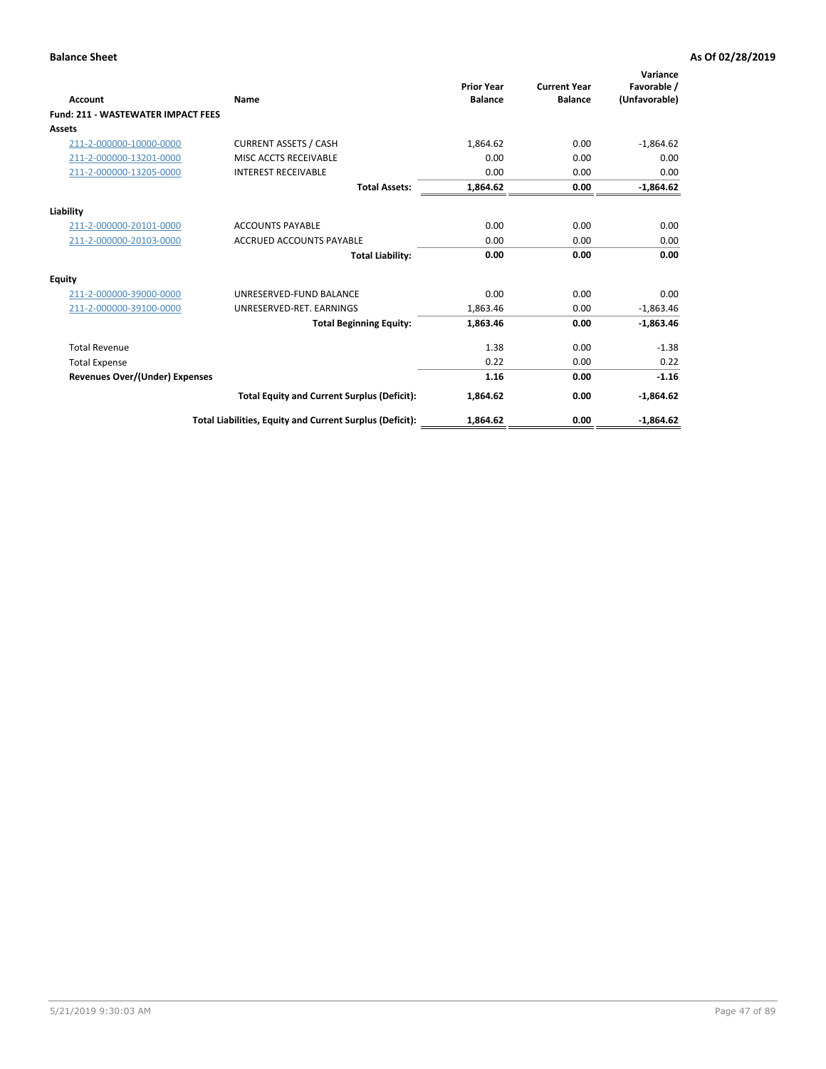| Account                                   | Name                                                     | <b>Prior Year</b><br><b>Balance</b> | <b>Current Year</b><br><b>Balance</b> | Variance<br>Favorable /<br>(Unfavorable) |
|-------------------------------------------|----------------------------------------------------------|-------------------------------------|---------------------------------------|------------------------------------------|
| <b>Fund: 211 - WASTEWATER IMPACT FEES</b> |                                                          |                                     |                                       |                                          |
| <b>Assets</b>                             |                                                          |                                     |                                       |                                          |
| 211-2-000000-10000-0000                   | <b>CURRENT ASSETS / CASH</b>                             | 1,864.62                            | 0.00                                  | $-1,864.62$                              |
| 211-2-000000-13201-0000                   | MISC ACCTS RECEIVABLE                                    | 0.00                                | 0.00                                  | 0.00                                     |
| 211-2-000000-13205-0000                   | <b>INTEREST RECEIVABLE</b>                               | 0.00                                | 0.00                                  | 0.00                                     |
|                                           | <b>Total Assets:</b>                                     | 1,864.62                            | 0.00                                  | $-1,864.62$                              |
| Liability                                 |                                                          |                                     |                                       |                                          |
| 211-2-000000-20101-0000                   | <b>ACCOUNTS PAYABLE</b>                                  | 0.00                                | 0.00                                  | 0.00                                     |
| 211-2-000000-20103-0000                   | <b>ACCRUED ACCOUNTS PAYABLE</b>                          | 0.00                                | 0.00                                  | 0.00                                     |
|                                           | <b>Total Liability:</b>                                  | 0.00                                | 0.00                                  | 0.00                                     |
| Equity                                    |                                                          |                                     |                                       |                                          |
| 211-2-000000-39000-0000                   | UNRESERVED-FUND BALANCE                                  | 0.00                                | 0.00                                  | 0.00                                     |
| 211-2-000000-39100-0000                   | UNRESERVED-RET. EARNINGS                                 | 1,863.46                            | 0.00                                  | $-1,863.46$                              |
|                                           | <b>Total Beginning Equity:</b>                           | 1,863.46                            | 0.00                                  | $-1,863.46$                              |
| <b>Total Revenue</b>                      |                                                          | 1.38                                | 0.00                                  | $-1.38$                                  |
| <b>Total Expense</b>                      |                                                          | 0.22                                | 0.00                                  | 0.22                                     |
| <b>Revenues Over/(Under) Expenses</b>     |                                                          | 1.16                                | 0.00                                  | $-1.16$                                  |
|                                           | <b>Total Equity and Current Surplus (Deficit):</b>       | 1,864.62                            | 0.00                                  | $-1,864.62$                              |
|                                           | Total Liabilities, Equity and Current Surplus (Deficit): | 1,864.62                            | 0.00                                  | $-1.864.62$                              |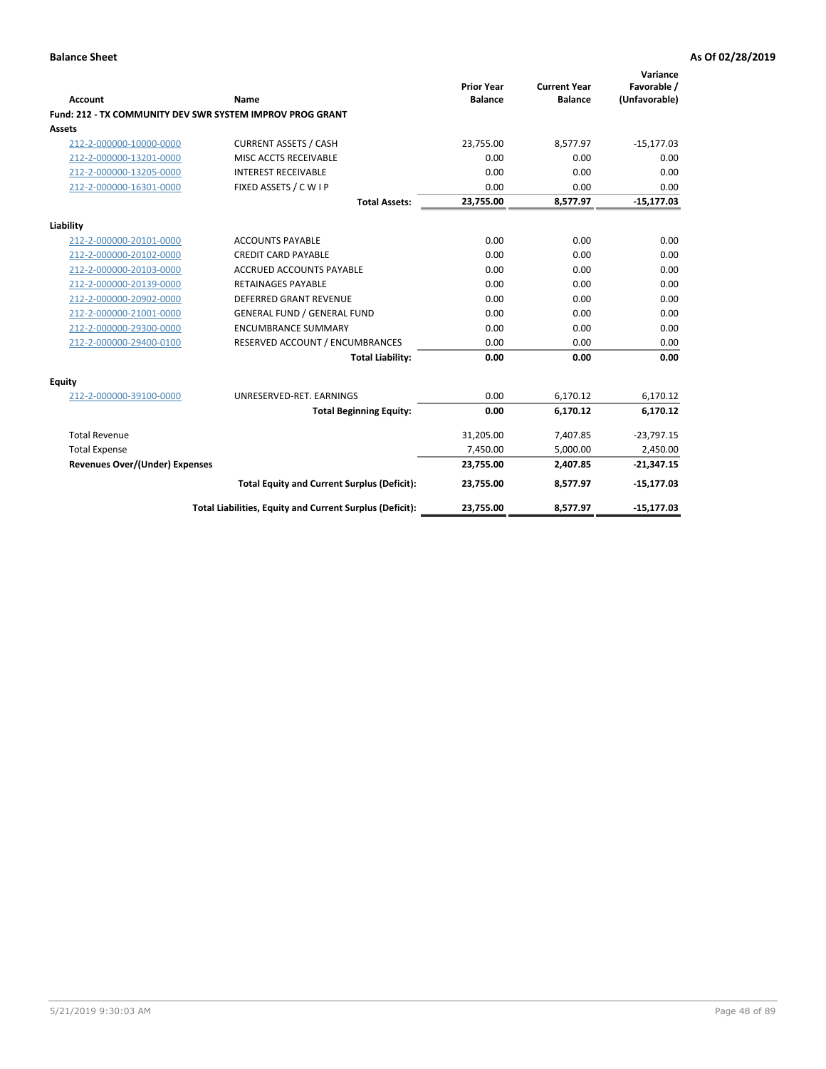| <b>Account</b>                        | Name                                                      | <b>Prior Year</b><br><b>Balance</b> | <b>Current Year</b><br><b>Balance</b> | Variance<br>Favorable /<br>(Unfavorable) |
|---------------------------------------|-----------------------------------------------------------|-------------------------------------|---------------------------------------|------------------------------------------|
|                                       | Fund: 212 - TX COMMUNITY DEV SWR SYSTEM IMPROV PROG GRANT |                                     |                                       |                                          |
| Assets                                |                                                           |                                     |                                       |                                          |
| 212-2-000000-10000-0000               | <b>CURRENT ASSETS / CASH</b>                              | 23,755.00                           | 8,577.97                              | $-15,177.03$                             |
| 212-2-000000-13201-0000               | MISC ACCTS RECEIVABLE                                     | 0.00                                | 0.00                                  | 0.00                                     |
| 212-2-000000-13205-0000               | <b>INTEREST RECEIVABLE</b>                                | 0.00                                | 0.00                                  | 0.00                                     |
| 212-2-000000-16301-0000               | FIXED ASSETS / C W I P                                    | 0.00                                | 0.00                                  | 0.00                                     |
|                                       | <b>Total Assets:</b>                                      | 23,755.00                           | 8,577.97                              | $-15,177.03$                             |
| Liability                             |                                                           |                                     |                                       |                                          |
| 212-2-000000-20101-0000               | <b>ACCOUNTS PAYABLE</b>                                   | 0.00                                | 0.00                                  | 0.00                                     |
| 212-2-000000-20102-0000               | <b>CREDIT CARD PAYABLE</b>                                | 0.00                                | 0.00                                  | 0.00                                     |
| 212-2-000000-20103-0000               | <b>ACCRUED ACCOUNTS PAYABLE</b>                           | 0.00                                | 0.00                                  | 0.00                                     |
| 212-2-000000-20139-0000               | <b>RETAINAGES PAYABLE</b>                                 | 0.00                                | 0.00                                  | 0.00                                     |
| 212-2-000000-20902-0000               | <b>DEFERRED GRANT REVENUE</b>                             | 0.00                                | 0.00                                  | 0.00                                     |
| 212-2-000000-21001-0000               | <b>GENERAL FUND / GENERAL FUND</b>                        | 0.00                                | 0.00                                  | 0.00                                     |
| 212-2-000000-29300-0000               | <b>ENCUMBRANCE SUMMARY</b>                                | 0.00                                | 0.00                                  | 0.00                                     |
| 212-2-000000-29400-0100               | RESERVED ACCOUNT / ENCUMBRANCES                           | 0.00                                | 0.00                                  | 0.00                                     |
|                                       | <b>Total Liability:</b>                                   | 0.00                                | 0.00                                  | 0.00                                     |
| Equity                                |                                                           |                                     |                                       |                                          |
| 212-2-000000-39100-0000               | UNRESERVED-RET. EARNINGS                                  | 0.00                                | 6,170.12                              | 6,170.12                                 |
|                                       | <b>Total Beginning Equity:</b>                            | 0.00                                | 6.170.12                              | 6,170.12                                 |
| <b>Total Revenue</b>                  |                                                           | 31,205.00                           | 7,407.85                              | $-23,797.15$                             |
| <b>Total Expense</b>                  |                                                           | 7,450.00                            | 5,000.00                              | 2,450.00                                 |
| <b>Revenues Over/(Under) Expenses</b> |                                                           | 23,755.00                           | 2,407.85                              | $-21,347.15$                             |
|                                       | <b>Total Equity and Current Surplus (Deficit):</b>        | 23,755.00                           | 8,577.97                              | $-15,177.03$                             |
|                                       | Total Liabilities, Equity and Current Surplus (Deficit):  | 23,755.00                           | 8,577.97                              | $-15,177.03$                             |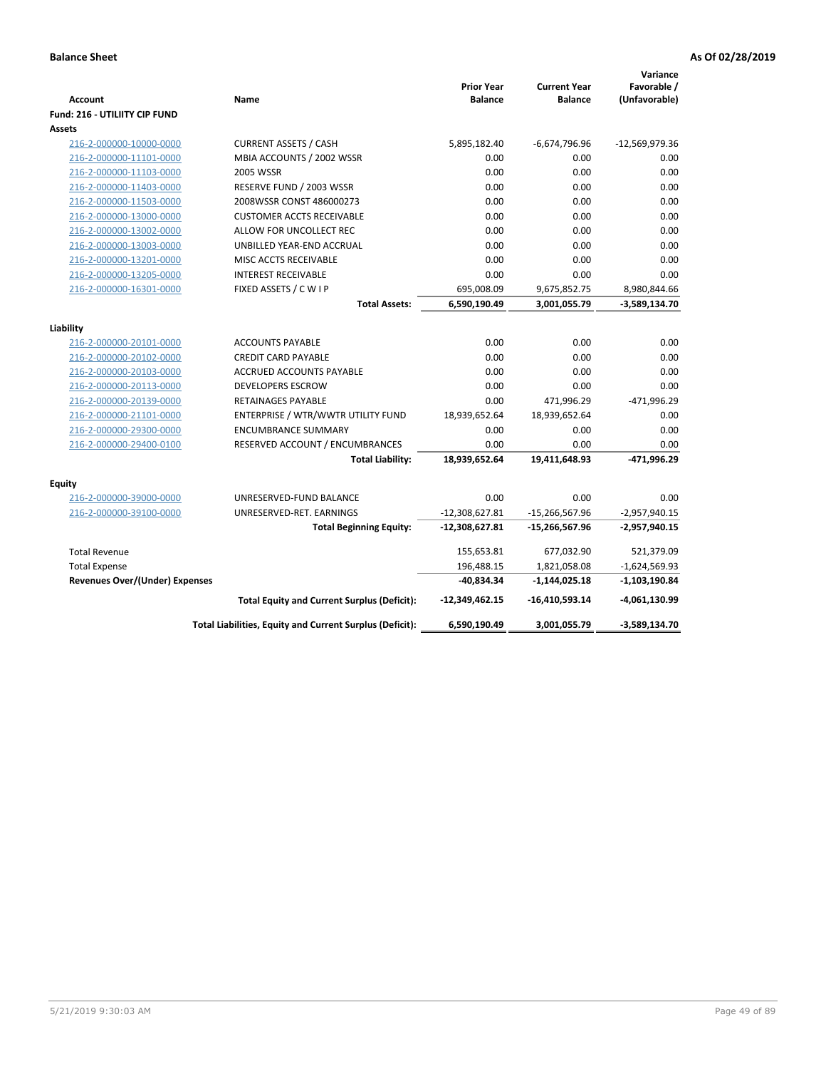| <b>Account</b>                                     | Name                                                      | <b>Prior Year</b><br><b>Balance</b> | <b>Current Year</b><br><b>Balance</b> | Variance<br>Favorable /<br>(Unfavorable) |
|----------------------------------------------------|-----------------------------------------------------------|-------------------------------------|---------------------------------------|------------------------------------------|
| Fund: 216 - UTILIITY CIP FUND                      |                                                           |                                     |                                       |                                          |
| <b>Assets</b>                                      |                                                           |                                     |                                       |                                          |
| 216-2-000000-10000-0000<br>216-2-000000-11101-0000 | <b>CURRENT ASSETS / CASH</b><br>MBIA ACCOUNTS / 2002 WSSR | 5,895,182.40<br>0.00                | $-6,674,796.96$<br>0.00               | $-12,569,979.36$<br>0.00                 |
|                                                    | 2005 WSSR                                                 | 0.00                                | 0.00                                  | 0.00                                     |
| 216-2-000000-11103-0000<br>216-2-000000-11403-0000 | RESERVE FUND / 2003 WSSR                                  | 0.00                                | 0.00                                  | 0.00                                     |
| 216-2-000000-11503-0000                            | 2008WSSR CONST 486000273                                  | 0.00                                | 0.00                                  | 0.00                                     |
| 216-2-000000-13000-0000                            | <b>CUSTOMER ACCTS RECEIVABLE</b>                          | 0.00                                | 0.00                                  | 0.00                                     |
| 216-2-000000-13002-0000                            | ALLOW FOR UNCOLLECT REC                                   | 0.00                                | 0.00                                  | 0.00                                     |
| 216-2-000000-13003-0000                            | UNBILLED YEAR-END ACCRUAL                                 | 0.00                                | 0.00                                  | 0.00                                     |
| 216-2-000000-13201-0000                            | MISC ACCTS RECEIVABLE                                     | 0.00                                | 0.00                                  | 0.00                                     |
| 216-2-000000-13205-0000                            | <b>INTEREST RECEIVABLE</b>                                | 0.00                                | 0.00                                  | 0.00                                     |
| 216-2-000000-16301-0000                            | FIXED ASSETS / C W I P                                    | 695,008.09                          | 9,675,852.75                          | 8,980,844.66                             |
|                                                    | <b>Total Assets:</b>                                      | 6,590,190.49                        | 3,001,055.79                          | -3,589,134.70                            |
|                                                    |                                                           |                                     |                                       |                                          |
| Liability                                          |                                                           |                                     |                                       |                                          |
| 216-2-000000-20101-0000                            | <b>ACCOUNTS PAYABLE</b>                                   | 0.00                                | 0.00                                  | 0.00                                     |
| 216-2-000000-20102-0000                            | <b>CREDIT CARD PAYABLE</b>                                | 0.00                                | 0.00                                  | 0.00                                     |
| 216-2-000000-20103-0000                            | ACCRUED ACCOUNTS PAYABLE                                  | 0.00                                | 0.00                                  | 0.00                                     |
| 216-2-000000-20113-0000                            | <b>DEVELOPERS ESCROW</b>                                  | 0.00                                | 0.00                                  | 0.00                                     |
| 216-2-000000-20139-0000                            | RETAINAGES PAYABLE                                        | 0.00                                | 471,996.29                            | -471,996.29                              |
| 216-2-000000-21101-0000                            | ENTERPRISE / WTR/WWTR UTILITY FUND                        | 18,939,652.64                       | 18,939,652.64                         | 0.00                                     |
| 216-2-000000-29300-0000                            | <b>ENCUMBRANCE SUMMARY</b>                                | 0.00                                | 0.00                                  | 0.00                                     |
| 216-2-000000-29400-0100                            | RESERVED ACCOUNT / ENCUMBRANCES                           | 0.00                                | 0.00                                  | 0.00                                     |
|                                                    | <b>Total Liability:</b>                                   | 18,939,652.64                       | 19,411,648.93                         | -471,996.29                              |
| <b>Equity</b>                                      |                                                           |                                     |                                       |                                          |
| 216-2-000000-39000-0000                            | UNRESERVED-FUND BALANCE                                   | 0.00                                | 0.00                                  | 0.00                                     |
| 216-2-000000-39100-0000                            | UNRESERVED-RET. EARNINGS                                  | $-12,308,627.81$                    | $-15,266,567.96$                      | $-2,957,940.15$                          |
|                                                    | <b>Total Beginning Equity:</b>                            | $-12,308,627.81$                    | $-15,266,567.96$                      | $-2,957,940.15$                          |
| <b>Total Revenue</b>                               |                                                           | 155,653.81                          | 677,032.90                            | 521,379.09                               |
| <b>Total Expense</b>                               |                                                           | 196,488.15                          | 1,821,058.08                          | $-1,624,569.93$                          |
| <b>Revenues Over/(Under) Expenses</b>              |                                                           | $-40,834.34$                        | $-1,144,025.18$                       | $-1,103,190.84$                          |
|                                                    | <b>Total Equity and Current Surplus (Deficit):</b>        | $-12,349,462.15$                    | -16,410,593.14                        | -4,061,130.99                            |
|                                                    | Total Liabilities, Equity and Current Surplus (Deficit):  | 6,590,190.49                        | 3,001,055.79                          | -3,589,134.70                            |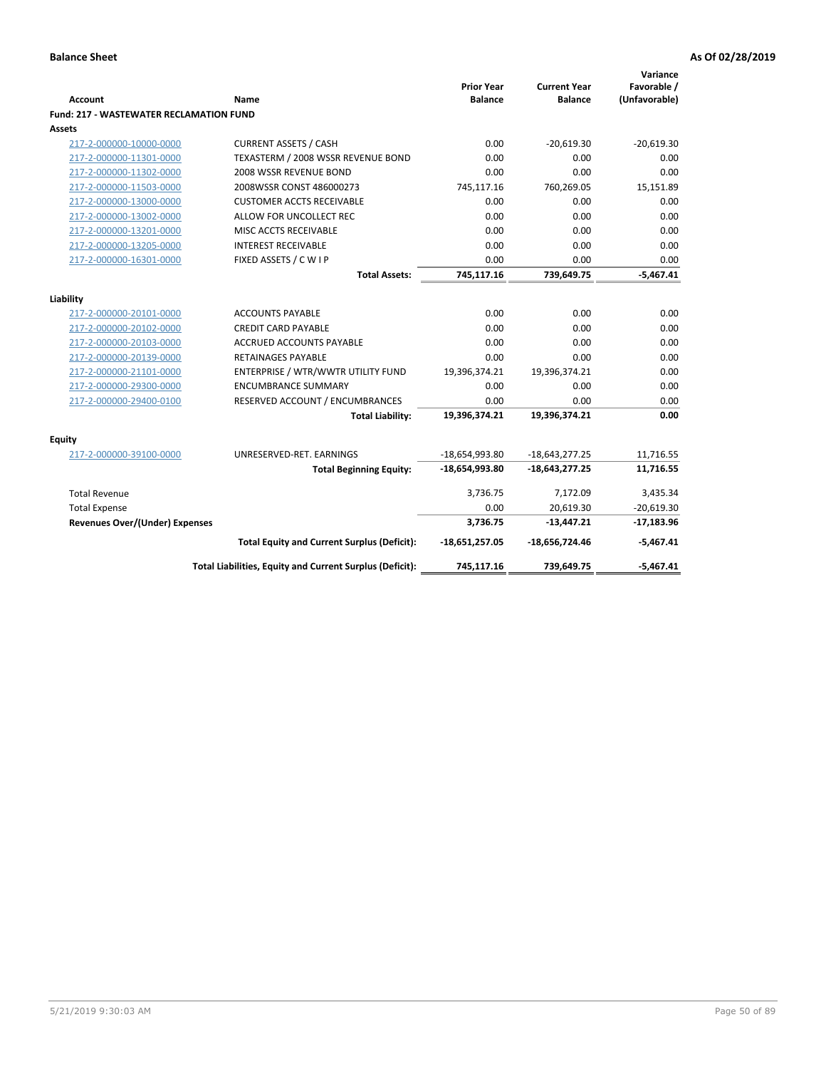| Account                                        | Name                                                     | <b>Prior Year</b><br><b>Balance</b> | <b>Current Year</b><br><b>Balance</b> | Variance<br>Favorable /<br>(Unfavorable) |
|------------------------------------------------|----------------------------------------------------------|-------------------------------------|---------------------------------------|------------------------------------------|
| <b>Fund: 217 - WASTEWATER RECLAMATION FUND</b> |                                                          |                                     |                                       |                                          |
| Assets                                         |                                                          |                                     |                                       |                                          |
| 217-2-000000-10000-0000                        | <b>CURRENT ASSETS / CASH</b>                             | 0.00                                | $-20,619.30$                          | $-20,619.30$                             |
| 217-2-000000-11301-0000                        | TEXASTERM / 2008 WSSR REVENUE BOND                       | 0.00                                | 0.00                                  | 0.00                                     |
| 217-2-000000-11302-0000                        | 2008 WSSR REVENUE BOND                                   | 0.00                                | 0.00                                  | 0.00                                     |
| 217-2-000000-11503-0000                        | 2008WSSR CONST 486000273                                 | 745,117.16                          | 760,269.05                            | 15,151.89                                |
| 217-2-000000-13000-0000                        | <b>CUSTOMER ACCTS RECEIVABLE</b>                         | 0.00                                | 0.00                                  | 0.00                                     |
| 217-2-000000-13002-0000                        | ALLOW FOR UNCOLLECT REC                                  | 0.00                                | 0.00                                  | 0.00                                     |
| 217-2-000000-13201-0000                        | MISC ACCTS RECEIVABLE                                    | 0.00                                | 0.00                                  | 0.00                                     |
| 217-2-000000-13205-0000                        | <b>INTEREST RECEIVABLE</b>                               | 0.00                                | 0.00                                  | 0.00                                     |
| 217-2-000000-16301-0000                        | FIXED ASSETS / C W I P                                   | 0.00                                | 0.00                                  | 0.00                                     |
|                                                | <b>Total Assets:</b>                                     | 745,117.16                          | 739,649.75                            | $-5,467.41$                              |
|                                                |                                                          |                                     |                                       |                                          |
| Liability<br>217-2-000000-20101-0000           | <b>ACCOUNTS PAYABLE</b>                                  | 0.00                                | 0.00                                  | 0.00                                     |
| 217-2-000000-20102-0000                        | <b>CREDIT CARD PAYABLE</b>                               | 0.00                                | 0.00                                  | 0.00                                     |
| 217-2-000000-20103-0000                        | ACCRUED ACCOUNTS PAYABLE                                 | 0.00                                | 0.00                                  | 0.00                                     |
| 217-2-000000-20139-0000                        | RETAINAGES PAYABLE                                       | 0.00                                | 0.00                                  | 0.00                                     |
| 217-2-000000-21101-0000                        | ENTERPRISE / WTR/WWTR UTILITY FUND                       | 19,396,374.21                       | 19,396,374.21                         | 0.00                                     |
| 217-2-000000-29300-0000                        | <b>ENCUMBRANCE SUMMARY</b>                               | 0.00                                | 0.00                                  | 0.00                                     |
| 217-2-000000-29400-0100                        | RESERVED ACCOUNT / ENCUMBRANCES                          | 0.00                                | 0.00                                  | 0.00                                     |
|                                                | <b>Total Liability:</b>                                  | 19,396,374.21                       | 19,396,374.21                         | 0.00                                     |
|                                                |                                                          |                                     |                                       |                                          |
| <b>Equity</b>                                  |                                                          |                                     |                                       |                                          |
| 217-2-000000-39100-0000                        | UNRESERVED-RET. EARNINGS                                 | $-18,654,993.80$                    | $-18,643,277.25$                      | 11,716.55                                |
|                                                | <b>Total Beginning Equity:</b>                           | $-18,654,993.80$                    | $-18,643,277.25$                      | 11,716.55                                |
| <b>Total Revenue</b>                           |                                                          | 3,736.75                            | 7,172.09                              | 3,435.34                                 |
| <b>Total Expense</b>                           |                                                          | 0.00                                | 20,619.30                             | $-20,619.30$                             |
| <b>Revenues Over/(Under) Expenses</b>          |                                                          | 3,736.75                            | $-13,447.21$                          | $-17,183.96$                             |
|                                                | <b>Total Equity and Current Surplus (Deficit):</b>       | $-18,651,257.05$                    | -18,656,724.46                        | $-5,467.41$                              |
|                                                | Total Liabilities, Equity and Current Surplus (Deficit): | 745,117.16                          | 739,649.75                            | $-5,467.41$                              |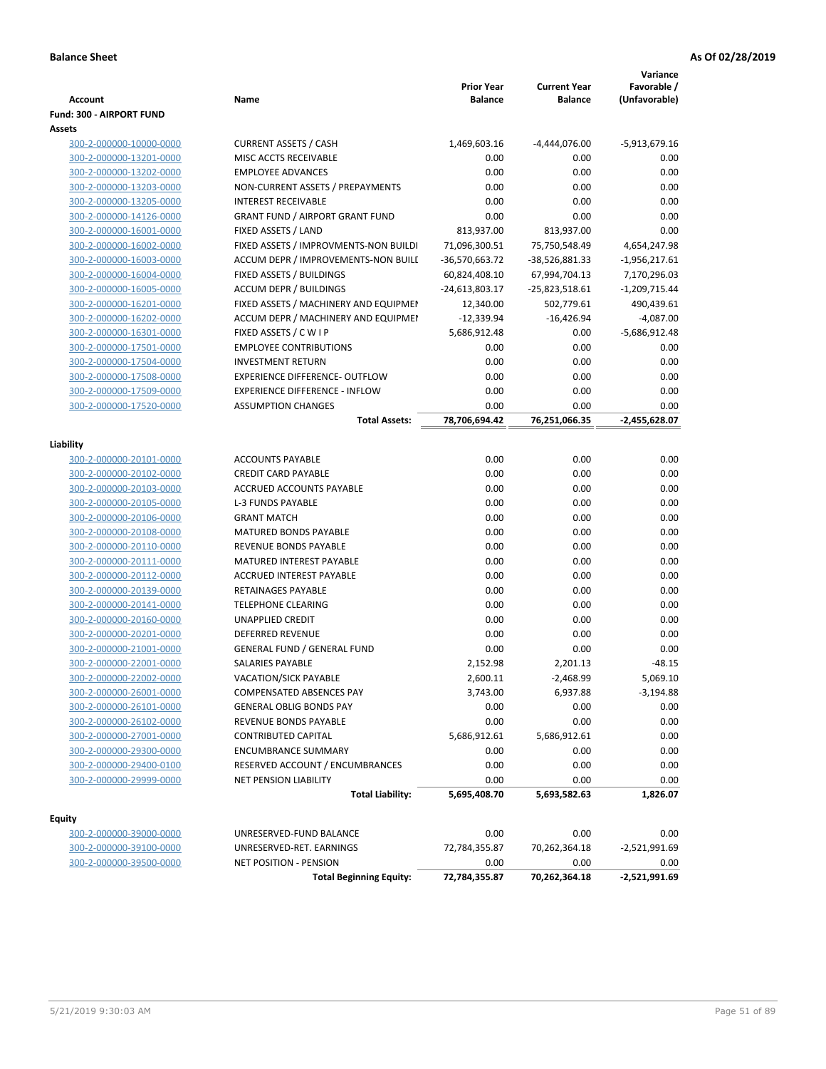| <b>Account</b>                                     | Name                                           | <b>Prior Year</b><br><b>Balance</b> | <b>Current Year</b><br><b>Balance</b> | Variance<br>Favorable /<br>(Unfavorable) |
|----------------------------------------------------|------------------------------------------------|-------------------------------------|---------------------------------------|------------------------------------------|
| Fund: 300 - AIRPORT FUND                           |                                                |                                     |                                       |                                          |
| Assets                                             |                                                |                                     |                                       |                                          |
| 300-2-000000-10000-0000                            | <b>CURRENT ASSETS / CASH</b>                   | 1,469,603.16                        | -4,444,076.00                         | -5,913,679.16                            |
| 300-2-000000-13201-0000                            | MISC ACCTS RECEIVABLE                          | 0.00                                | 0.00                                  | 0.00                                     |
| 300-2-000000-13202-0000                            | <b>EMPLOYEE ADVANCES</b>                       | 0.00                                | 0.00                                  | 0.00                                     |
| 300-2-000000-13203-0000                            | NON-CURRENT ASSETS / PREPAYMENTS               | 0.00                                | 0.00                                  | 0.00                                     |
| 300-2-000000-13205-0000                            | <b>INTEREST RECEIVABLE</b>                     | 0.00                                | 0.00                                  | 0.00                                     |
| 300-2-000000-14126-0000                            | <b>GRANT FUND / AIRPORT GRANT FUND</b>         | 0.00                                | 0.00                                  | 0.00                                     |
| 300-2-000000-16001-0000                            | FIXED ASSETS / LAND                            | 813,937.00                          | 813,937.00                            | 0.00                                     |
| 300-2-000000-16002-0000                            | FIXED ASSETS / IMPROVMENTS-NON BUILDI          | 71,096,300.51                       | 75,750,548.49                         | 4,654,247.98                             |
| 300-2-000000-16003-0000                            | ACCUM DEPR / IMPROVEMENTS-NON BUILI            | -36,570,663.72                      | -38,526,881.33                        | $-1,956,217.61$                          |
| 300-2-000000-16004-0000                            | FIXED ASSETS / BUILDINGS                       | 60,824,408.10                       | 67,994,704.13                         | 7,170,296.03                             |
| 300-2-000000-16005-0000                            | <b>ACCUM DEPR / BUILDINGS</b>                  | $-24,613,803.17$                    | $-25,823,518.61$                      | $-1,209,715.44$                          |
| 300-2-000000-16201-0000                            | FIXED ASSETS / MACHINERY AND EQUIPMEN          | 12,340.00                           | 502,779.61                            | 490,439.61                               |
| 300-2-000000-16202-0000                            | ACCUM DEPR / MACHINERY AND EQUIPMEI            | $-12,339.94$                        | $-16,426.94$                          | $-4,087.00$                              |
| 300-2-000000-16301-0000                            | FIXED ASSETS / C W I P                         | 5,686,912.48                        | 0.00                                  | $-5,686,912.48$                          |
| 300-2-000000-17501-0000                            | <b>EMPLOYEE CONTRIBUTIONS</b>                  | 0.00                                | 0.00                                  | 0.00                                     |
| 300-2-000000-17504-0000                            | <b>INVESTMENT RETURN</b>                       | 0.00                                | 0.00                                  | 0.00                                     |
| 300-2-000000-17508-0000                            | <b>EXPERIENCE DIFFERENCE- OUTFLOW</b>          | 0.00                                | 0.00                                  | 0.00                                     |
| 300-2-000000-17509-0000                            | <b>EXPERIENCE DIFFERENCE - INFLOW</b>          | 0.00                                | 0.00                                  | 0.00                                     |
| 300-2-000000-17520-0000                            | <b>ASSUMPTION CHANGES</b>                      | 0.00                                | 0.00                                  | 0.00                                     |
|                                                    | <b>Total Assets:</b>                           | 78,706,694.42                       | 76,251,066.35                         | $-2,455,628.07$                          |
|                                                    |                                                |                                     |                                       |                                          |
| Liability                                          |                                                |                                     |                                       |                                          |
| 300-2-000000-20101-0000                            | <b>ACCOUNTS PAYABLE</b>                        | 0.00                                | 0.00                                  | 0.00                                     |
| 300-2-000000-20102-0000                            | <b>CREDIT CARD PAYABLE</b>                     | 0.00                                | 0.00                                  | 0.00                                     |
| 300-2-000000-20103-0000                            | ACCRUED ACCOUNTS PAYABLE                       | 0.00                                | 0.00                                  | 0.00                                     |
| 300-2-000000-20105-0000                            | <b>L-3 FUNDS PAYABLE</b><br><b>GRANT MATCH</b> | 0.00<br>0.00                        | 0.00<br>0.00                          | 0.00<br>0.00                             |
| 300-2-000000-20106-0000                            | <b>MATURED BONDS PAYABLE</b>                   | 0.00                                | 0.00                                  | 0.00                                     |
| 300-2-000000-20108-0000<br>300-2-000000-20110-0000 | REVENUE BONDS PAYABLE                          | 0.00                                | 0.00                                  | 0.00                                     |
| 300-2-000000-20111-0000                            | MATURED INTEREST PAYABLE                       | 0.00                                | 0.00                                  | 0.00                                     |
| 300-2-000000-20112-0000                            | <b>ACCRUED INTEREST PAYABLE</b>                | 0.00                                | 0.00                                  | 0.00                                     |
| 300-2-000000-20139-0000                            | RETAINAGES PAYABLE                             | 0.00                                | 0.00                                  | 0.00                                     |
| 300-2-000000-20141-0000                            | <b>TELEPHONE CLEARING</b>                      | 0.00                                | 0.00                                  | 0.00                                     |
| 300-2-000000-20160-0000                            | <b>UNAPPLIED CREDIT</b>                        | 0.00                                | 0.00                                  | 0.00                                     |
| 300-2-000000-20201-0000                            | <b>DEFERRED REVENUE</b>                        | 0.00                                | 0.00                                  | 0.00                                     |
| 300-2-000000-21001-0000                            | <b>GENERAL FUND / GENERAL FUND</b>             | 0.00                                | 0.00                                  | 0.00                                     |
| 300-2-000000-22001-0000                            | SALARIES PAYABLE                               | 2,152.98                            | 2,201.13                              | $-48.15$                                 |
| 300-2-000000-22002-0000                            | VACATION/SICK PAYABLE                          | 2,600.11                            | $-2,468.99$                           | 5,069.10                                 |
| 300-2-000000-26001-0000                            | COMPENSATED ABSENCES PAY                       | 3,743.00                            | 6,937.88                              | $-3,194.88$                              |
| 300-2-000000-26101-0000                            | <b>GENERAL OBLIG BONDS PAY</b>                 | 0.00                                | 0.00                                  | 0.00                                     |
| 300-2-000000-26102-0000                            | REVENUE BONDS PAYABLE                          | 0.00                                | 0.00                                  | 0.00                                     |
| 300-2-000000-27001-0000                            | CONTRIBUTED CAPITAL                            | 5,686,912.61                        | 5,686,912.61                          | 0.00                                     |
| 300-2-000000-29300-0000                            | <b>ENCUMBRANCE SUMMARY</b>                     | 0.00                                | 0.00                                  | 0.00                                     |
| 300-2-000000-29400-0100                            | RESERVED ACCOUNT / ENCUMBRANCES                | 0.00                                | 0.00                                  | 0.00                                     |
| 300-2-000000-29999-0000                            | NET PENSION LIABILITY                          | 0.00                                | 0.00                                  | 0.00                                     |
|                                                    | <b>Total Liability:</b>                        | 5,695,408.70                        | 5,693,582.63                          | 1,826.07                                 |
|                                                    |                                                |                                     |                                       |                                          |
| Equity                                             |                                                |                                     |                                       |                                          |
| 300-2-000000-39000-0000                            | UNRESERVED-FUND BALANCE                        | 0.00                                | 0.00                                  | 0.00                                     |
| 300-2-000000-39100-0000                            | UNRESERVED-RET. EARNINGS                       | 72,784,355.87                       | 70,262,364.18                         | $-2,521,991.69$                          |
| 300-2-000000-39500-0000                            | NET POSITION - PENSION                         | 0.00                                | 0.00                                  | 0.00                                     |
|                                                    | <b>Total Beginning Equity:</b>                 | 72,784,355.87                       | 70,262,364.18                         | $-2,521,991.69$                          |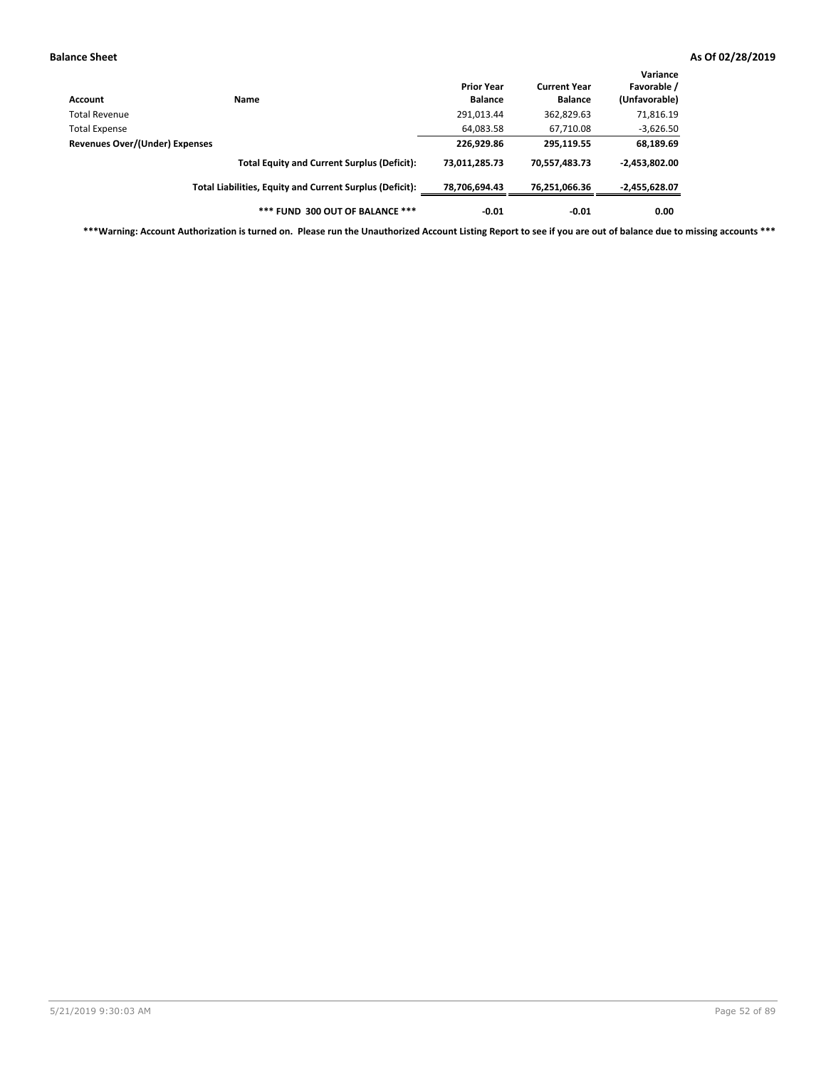| Account                        | Name                                                     | <b>Prior Year</b><br><b>Balance</b> | <b>Current Year</b><br><b>Balance</b> | Variance<br>Favorable /<br>(Unfavorable) |
|--------------------------------|----------------------------------------------------------|-------------------------------------|---------------------------------------|------------------------------------------|
| Total Revenue                  |                                                          | 291,013.44                          | 362,829.63                            | 71,816.19                                |
| <b>Total Expense</b>           |                                                          | 64,083.58                           | 67,710.08                             | $-3,626.50$                              |
| Revenues Over/(Under) Expenses |                                                          | 226,929.86                          | 295,119.55                            | 68,189.69                                |
|                                | <b>Total Equity and Current Surplus (Deficit):</b>       | 73,011,285.73                       | 70,557,483.73                         | $-2,453,802.00$                          |
|                                | Total Liabilities, Equity and Current Surplus (Deficit): | 78,706,694.43                       | 76,251,066.36                         | -2,455,628.07                            |
|                                | *** FUND 300 OUT OF BALANCE ***                          | $-0.01$                             | $-0.01$                               | 0.00                                     |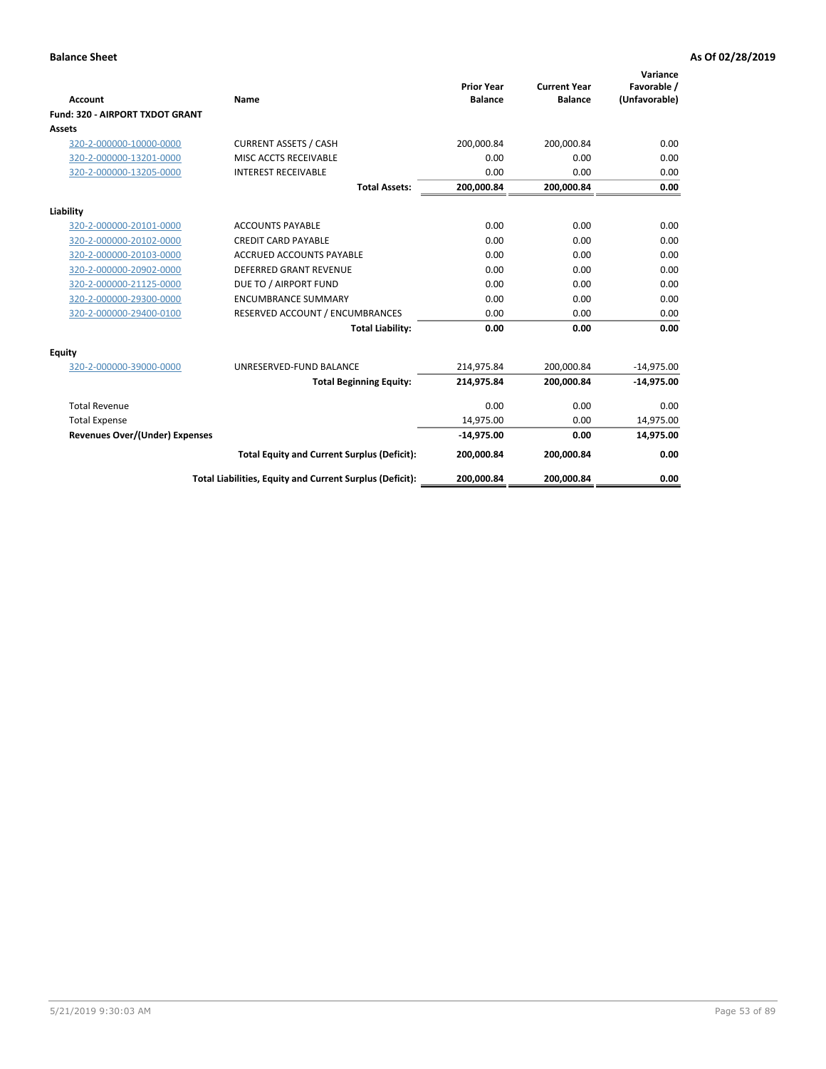|                                       |                                                          |                                     |                                       | Variance                     |
|---------------------------------------|----------------------------------------------------------|-------------------------------------|---------------------------------------|------------------------------|
| <b>Account</b>                        | Name                                                     | <b>Prior Year</b><br><b>Balance</b> | <b>Current Year</b><br><b>Balance</b> | Favorable /<br>(Unfavorable) |
| Fund: 320 - AIRPORT TXDOT GRANT       |                                                          |                                     |                                       |                              |
| Assets                                |                                                          |                                     |                                       |                              |
| 320-2-000000-10000-0000               | <b>CURRENT ASSETS / CASH</b>                             | 200,000.84                          | 200,000.84                            | 0.00                         |
| 320-2-000000-13201-0000               | MISC ACCTS RECEIVABLE                                    | 0.00                                | 0.00                                  | 0.00                         |
| 320-2-000000-13205-0000               | <b>INTEREST RECEIVABLE</b>                               | 0.00                                | 0.00                                  | 0.00                         |
|                                       | <b>Total Assets:</b>                                     | 200,000.84                          | 200,000.84                            | 0.00                         |
| Liability                             |                                                          |                                     |                                       |                              |
| 320-2-000000-20101-0000               | <b>ACCOUNTS PAYABLE</b>                                  | 0.00                                | 0.00                                  | 0.00                         |
| 320-2-000000-20102-0000               | <b>CREDIT CARD PAYABLE</b>                               | 0.00                                | 0.00                                  | 0.00                         |
| 320-2-000000-20103-0000               | <b>ACCRUED ACCOUNTS PAYABLE</b>                          | 0.00                                | 0.00                                  | 0.00                         |
| 320-2-000000-20902-0000               | <b>DEFERRED GRANT REVENUE</b>                            | 0.00                                | 0.00                                  | 0.00                         |
| 320-2-000000-21125-0000               | DUE TO / AIRPORT FUND                                    | 0.00                                | 0.00                                  | 0.00                         |
| 320-2-000000-29300-0000               | <b>ENCUMBRANCE SUMMARY</b>                               | 0.00                                | 0.00                                  | 0.00                         |
| 320-2-000000-29400-0100               | RESERVED ACCOUNT / ENCUMBRANCES                          | 0.00                                | 0.00                                  | 0.00                         |
|                                       | <b>Total Liability:</b>                                  | 0.00                                | 0.00                                  | 0.00                         |
| <b>Equity</b>                         |                                                          |                                     |                                       |                              |
| 320-2-000000-39000-0000               | UNRESERVED-FUND BALANCE                                  | 214,975.84                          | 200,000.84                            | $-14,975.00$                 |
|                                       | <b>Total Beginning Equity:</b>                           | 214,975.84                          | 200,000.84                            | $-14,975.00$                 |
| <b>Total Revenue</b>                  |                                                          | 0.00                                | 0.00                                  | 0.00                         |
| <b>Total Expense</b>                  |                                                          | 14,975.00                           | 0.00                                  | 14,975.00                    |
| <b>Revenues Over/(Under) Expenses</b> |                                                          | $-14,975.00$                        | 0.00                                  | 14,975.00                    |
|                                       | <b>Total Equity and Current Surplus (Deficit):</b>       | 200,000.84                          | 200,000.84                            | 0.00                         |
|                                       | Total Liabilities, Equity and Current Surplus (Deficit): | 200,000.84                          | 200,000.84                            | 0.00                         |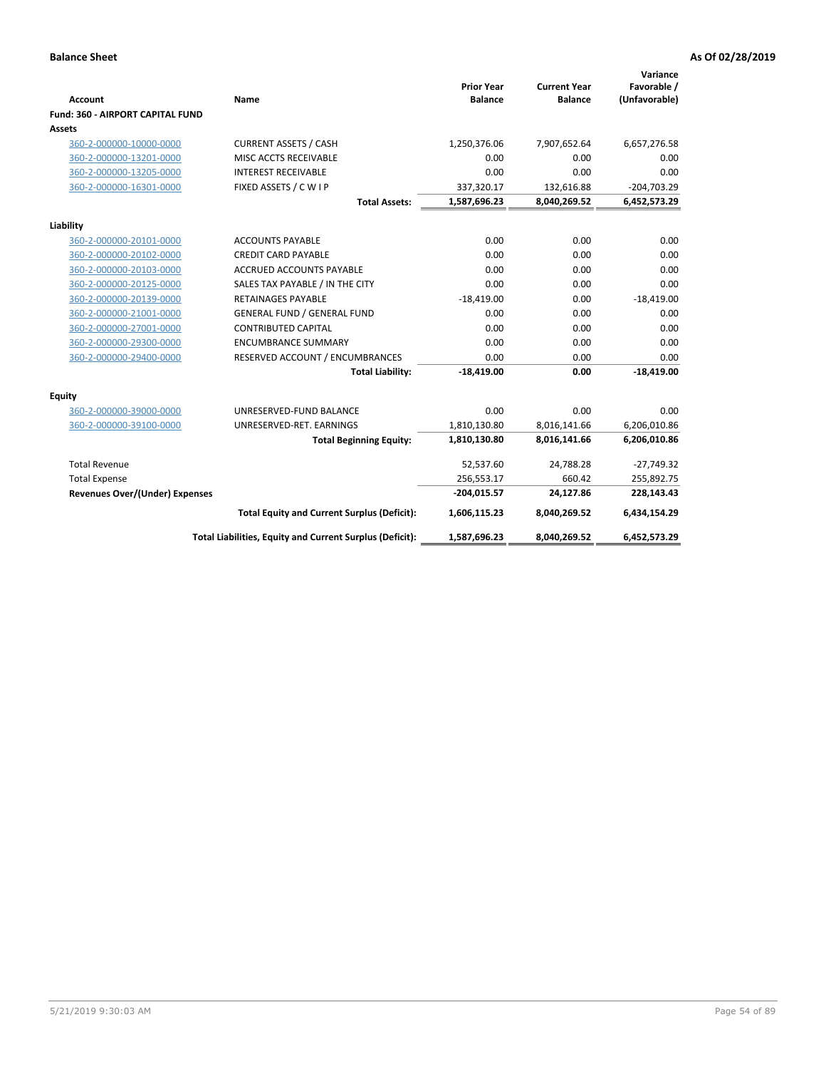| Account                               | Name                                                     | <b>Prior Year</b><br><b>Balance</b> | <b>Current Year</b><br><b>Balance</b> | Variance<br>Favorable /<br>(Unfavorable) |
|---------------------------------------|----------------------------------------------------------|-------------------------------------|---------------------------------------|------------------------------------------|
| Fund: 360 - AIRPORT CAPITAL FUND      |                                                          |                                     |                                       |                                          |
| Assets                                |                                                          |                                     |                                       |                                          |
| 360-2-000000-10000-0000               | <b>CURRENT ASSETS / CASH</b>                             | 1,250,376.06                        | 7,907,652.64                          | 6,657,276.58                             |
| 360-2-000000-13201-0000               | MISC ACCTS RECEIVABLE                                    | 0.00                                | 0.00                                  | 0.00                                     |
| 360-2-000000-13205-0000               | <b>INTEREST RECEIVABLE</b>                               | 0.00                                | 0.00                                  | 0.00                                     |
| 360-2-000000-16301-0000               | FIXED ASSETS / C W I P                                   | 337,320.17                          | 132,616.88                            | $-204,703.29$                            |
|                                       | <b>Total Assets:</b>                                     | 1,587,696.23                        | 8,040,269.52                          | 6,452,573.29                             |
| Liability                             |                                                          |                                     |                                       |                                          |
| 360-2-000000-20101-0000               | <b>ACCOUNTS PAYABLE</b>                                  | 0.00                                | 0.00                                  | 0.00                                     |
| 360-2-000000-20102-0000               | <b>CREDIT CARD PAYABLE</b>                               | 0.00                                | 0.00                                  | 0.00                                     |
| 360-2-000000-20103-0000               | <b>ACCRUED ACCOUNTS PAYABLE</b>                          | 0.00                                | 0.00                                  | 0.00                                     |
| 360-2-000000-20125-0000               | SALES TAX PAYABLE / IN THE CITY                          | 0.00                                | 0.00                                  | 0.00                                     |
| 360-2-000000-20139-0000               | <b>RETAINAGES PAYABLE</b>                                | $-18,419.00$                        | 0.00                                  | $-18,419.00$                             |
| 360-2-000000-21001-0000               | <b>GENERAL FUND / GENERAL FUND</b>                       | 0.00                                | 0.00                                  | 0.00                                     |
| 360-2-000000-27001-0000               | <b>CONTRIBUTED CAPITAL</b>                               | 0.00                                | 0.00                                  | 0.00                                     |
| 360-2-000000-29300-0000               | <b>ENCUMBRANCE SUMMARY</b>                               | 0.00                                | 0.00                                  | 0.00                                     |
| 360-2-000000-29400-0000               | RESERVED ACCOUNT / ENCUMBRANCES                          | 0.00                                | 0.00                                  | 0.00                                     |
|                                       | <b>Total Liability:</b>                                  | $-18,419.00$                        | 0.00                                  | $-18,419.00$                             |
| <b>Equity</b>                         |                                                          |                                     |                                       |                                          |
| 360-2-000000-39000-0000               | UNRESERVED-FUND BALANCE                                  | 0.00                                | 0.00                                  | 0.00                                     |
| 360-2-000000-39100-0000               | UNRESERVED-RET. EARNINGS                                 | 1,810,130.80                        | 8,016,141.66                          | 6,206,010.86                             |
|                                       | <b>Total Beginning Equity:</b>                           | 1,810,130.80                        | 8,016,141.66                          | 6,206,010.86                             |
|                                       |                                                          |                                     |                                       |                                          |
| <b>Total Revenue</b>                  |                                                          | 52,537.60                           | 24,788.28                             | $-27,749.32$                             |
| <b>Total Expense</b>                  |                                                          | 256,553.17                          | 660.42                                | 255,892.75                               |
| <b>Revenues Over/(Under) Expenses</b> |                                                          | $-204,015.57$                       | 24,127.86                             | 228,143.43                               |
|                                       | <b>Total Equity and Current Surplus (Deficit):</b>       | 1,606,115.23                        | 8,040,269.52                          | 6,434,154.29                             |
|                                       | Total Liabilities, Equity and Current Surplus (Deficit): | 1,587,696.23                        | 8,040,269.52                          | 6,452,573.29                             |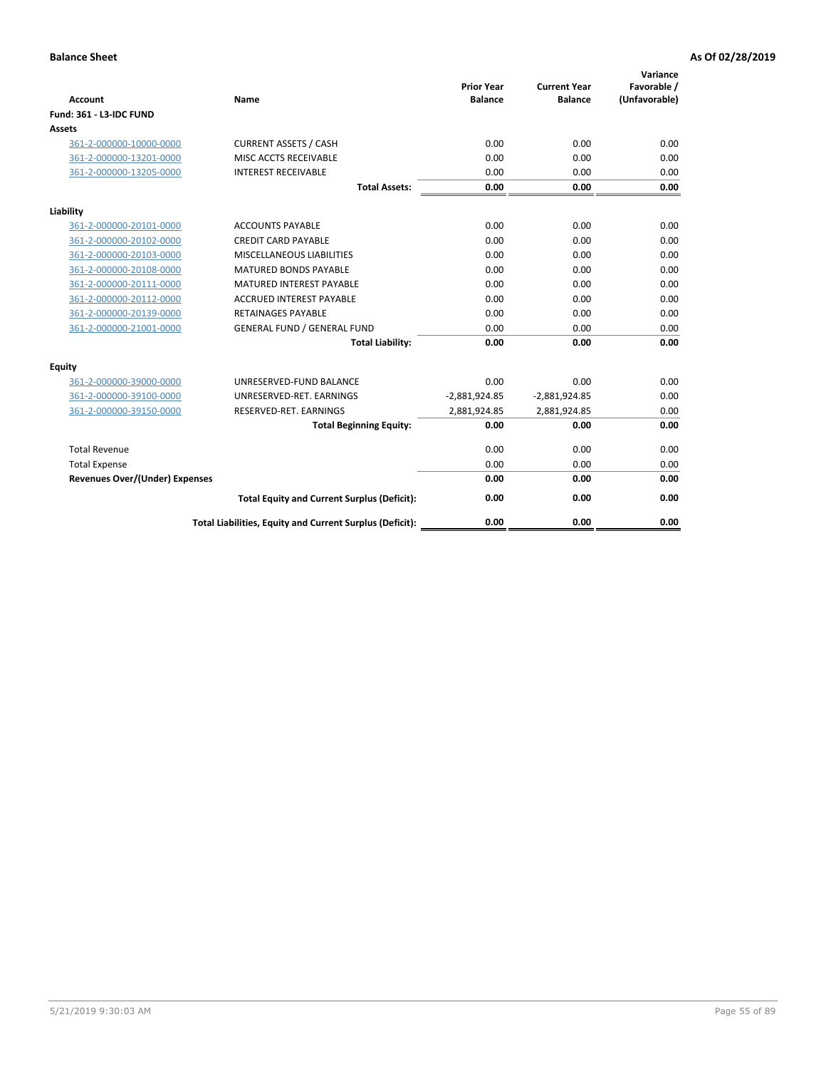| <b>Account</b>                        | <b>Name</b>                                              | <b>Prior Year</b><br><b>Balance</b> | <b>Current Year</b><br><b>Balance</b> | Variance<br>Favorable /<br>(Unfavorable) |
|---------------------------------------|----------------------------------------------------------|-------------------------------------|---------------------------------------|------------------------------------------|
| <b>Fund: 361 - L3-IDC FUND</b>        |                                                          |                                     |                                       |                                          |
| Assets                                |                                                          |                                     |                                       |                                          |
| 361-2-000000-10000-0000               | <b>CURRENT ASSETS / CASH</b>                             | 0.00                                | 0.00                                  | 0.00                                     |
| 361-2-000000-13201-0000               | MISC ACCTS RECEIVABLE                                    | 0.00                                | 0.00                                  | 0.00                                     |
| 361-2-000000-13205-0000               | <b>INTEREST RECEIVABLE</b>                               | 0.00                                | 0.00                                  | 0.00                                     |
|                                       | <b>Total Assets:</b>                                     | 0.00                                | 0.00                                  | 0.00                                     |
| Liability                             |                                                          |                                     |                                       |                                          |
| 361-2-000000-20101-0000               | <b>ACCOUNTS PAYABLE</b>                                  | 0.00                                | 0.00                                  | 0.00                                     |
| 361-2-000000-20102-0000               | <b>CREDIT CARD PAYABLE</b>                               | 0.00                                | 0.00                                  | 0.00                                     |
| 361-2-000000-20103-0000               | MISCELLANEOUS LIABILITIES                                | 0.00                                | 0.00                                  | 0.00                                     |
| 361-2-000000-20108-0000               | <b>MATURED BONDS PAYABLE</b>                             | 0.00                                | 0.00                                  | 0.00                                     |
| 361-2-000000-20111-0000               | <b>MATURED INTEREST PAYABLE</b>                          | 0.00                                | 0.00                                  | 0.00                                     |
| 361-2-000000-20112-0000               | <b>ACCRUED INTEREST PAYABLE</b>                          | 0.00                                | 0.00                                  | 0.00                                     |
| 361-2-000000-20139-0000               | <b>RETAINAGES PAYABLE</b>                                | 0.00                                | 0.00                                  | 0.00                                     |
| 361-2-000000-21001-0000               | <b>GENERAL FUND / GENERAL FUND</b>                       | 0.00                                | 0.00                                  | 0.00                                     |
|                                       | <b>Total Liability:</b>                                  | 0.00                                | 0.00                                  | 0.00                                     |
| Equity                                |                                                          |                                     |                                       |                                          |
| 361-2-000000-39000-0000               | UNRESERVED-FUND BALANCE                                  | 0.00                                | 0.00                                  | 0.00                                     |
| 361-2-000000-39100-0000               | UNRESERVED-RET. EARNINGS                                 | $-2,881,924.85$                     | $-2,881,924.85$                       | 0.00                                     |
| 361-2-000000-39150-0000               | RESERVED-RET. EARNINGS                                   | 2,881,924.85                        | 2,881,924.85                          | 0.00                                     |
|                                       | <b>Total Beginning Equity:</b>                           | 0.00                                | 0.00                                  | 0.00                                     |
| <b>Total Revenue</b>                  |                                                          | 0.00                                | 0.00                                  | 0.00                                     |
| <b>Total Expense</b>                  |                                                          | 0.00                                | 0.00                                  | 0.00                                     |
| <b>Revenues Over/(Under) Expenses</b> |                                                          | 0.00                                | 0.00                                  | 0.00                                     |
|                                       | <b>Total Equity and Current Surplus (Deficit):</b>       | 0.00                                | 0.00                                  | 0.00                                     |
|                                       | Total Liabilities, Equity and Current Surplus (Deficit): | 0.00                                | 0.00                                  | 0.00                                     |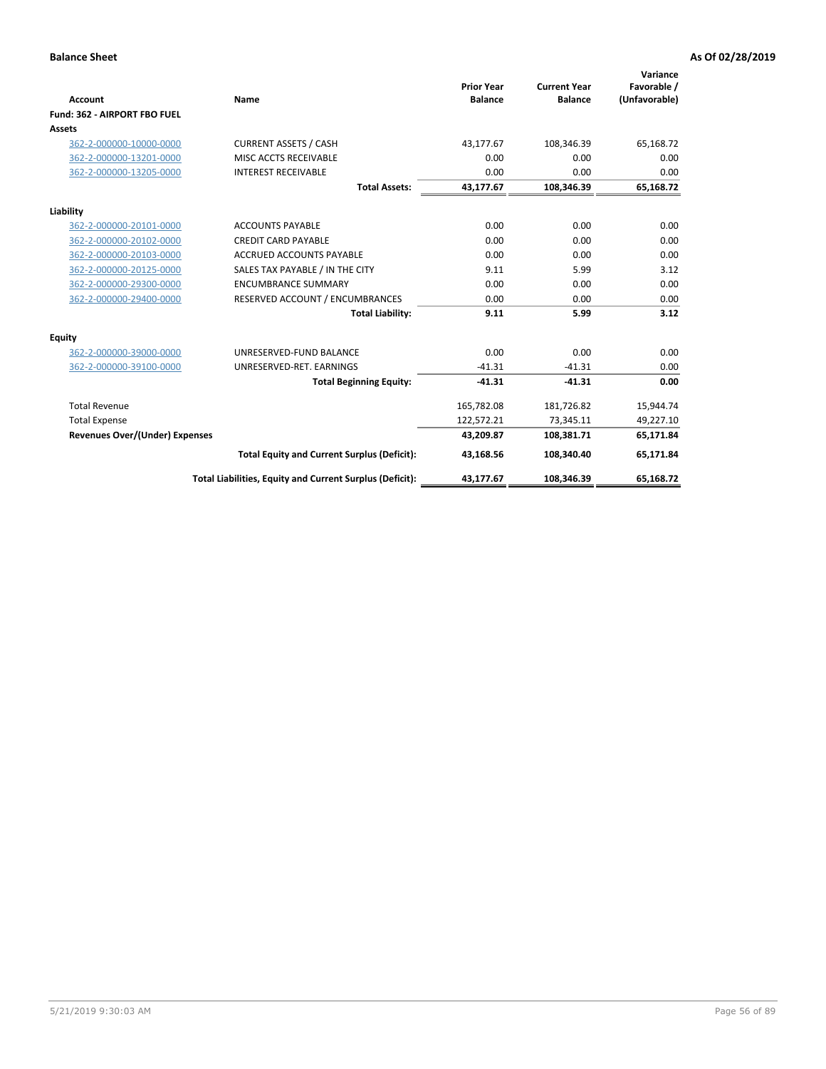|                                       |                                                          |                                     |                                       | Variance                     |
|---------------------------------------|----------------------------------------------------------|-------------------------------------|---------------------------------------|------------------------------|
| <b>Account</b>                        | Name                                                     | <b>Prior Year</b><br><b>Balance</b> | <b>Current Year</b><br><b>Balance</b> | Favorable /<br>(Unfavorable) |
| Fund: 362 - AIRPORT FBO FUEL          |                                                          |                                     |                                       |                              |
| Assets                                |                                                          |                                     |                                       |                              |
| 362-2-000000-10000-0000               | <b>CURRENT ASSETS / CASH</b>                             | 43.177.67                           | 108,346.39                            | 65,168.72                    |
| 362-2-000000-13201-0000               | MISC ACCTS RECEIVABLE                                    | 0.00                                | 0.00                                  | 0.00                         |
| 362-2-000000-13205-0000               | <b>INTEREST RECEIVABLE</b>                               | 0.00                                | 0.00                                  | 0.00                         |
|                                       | <b>Total Assets:</b>                                     | 43,177.67                           | 108,346.39                            | 65,168.72                    |
| Liability                             |                                                          |                                     |                                       |                              |
| 362-2-000000-20101-0000               | <b>ACCOUNTS PAYABLE</b>                                  | 0.00                                | 0.00                                  | 0.00                         |
| 362-2-000000-20102-0000               | <b>CREDIT CARD PAYABLE</b>                               | 0.00                                | 0.00                                  | 0.00                         |
| 362-2-000000-20103-0000               | <b>ACCRUED ACCOUNTS PAYABLE</b>                          | 0.00                                | 0.00                                  | 0.00                         |
| 362-2-000000-20125-0000               | SALES TAX PAYABLE / IN THE CITY                          | 9.11                                | 5.99                                  | 3.12                         |
| 362-2-000000-29300-0000               | <b>ENCUMBRANCE SUMMARY</b>                               | 0.00                                | 0.00                                  | 0.00                         |
| 362-2-000000-29400-0000               | RESERVED ACCOUNT / ENCUMBRANCES                          | 0.00                                | 0.00                                  | 0.00                         |
|                                       | <b>Total Liability:</b>                                  | 9.11                                | 5.99                                  | 3.12                         |
| <b>Equity</b>                         |                                                          |                                     |                                       |                              |
| 362-2-000000-39000-0000               | UNRESERVED-FUND BALANCE                                  | 0.00                                | 0.00                                  | 0.00                         |
| 362-2-000000-39100-0000               | UNRESERVED-RET. EARNINGS                                 | $-41.31$                            | $-41.31$                              | 0.00                         |
|                                       | <b>Total Beginning Equity:</b>                           | $-41.31$                            | $-41.31$                              | 0.00                         |
| <b>Total Revenue</b>                  |                                                          | 165,782.08                          | 181,726.82                            | 15,944.74                    |
| <b>Total Expense</b>                  |                                                          | 122,572.21                          | 73,345.11                             | 49,227.10                    |
| <b>Revenues Over/(Under) Expenses</b> |                                                          | 43,209.87                           | 108,381.71                            | 65,171.84                    |
|                                       | <b>Total Equity and Current Surplus (Deficit):</b>       | 43,168.56                           | 108,340.40                            | 65,171.84                    |
|                                       | Total Liabilities, Equity and Current Surplus (Deficit): | 43,177.67                           | 108,346.39                            | 65,168.72                    |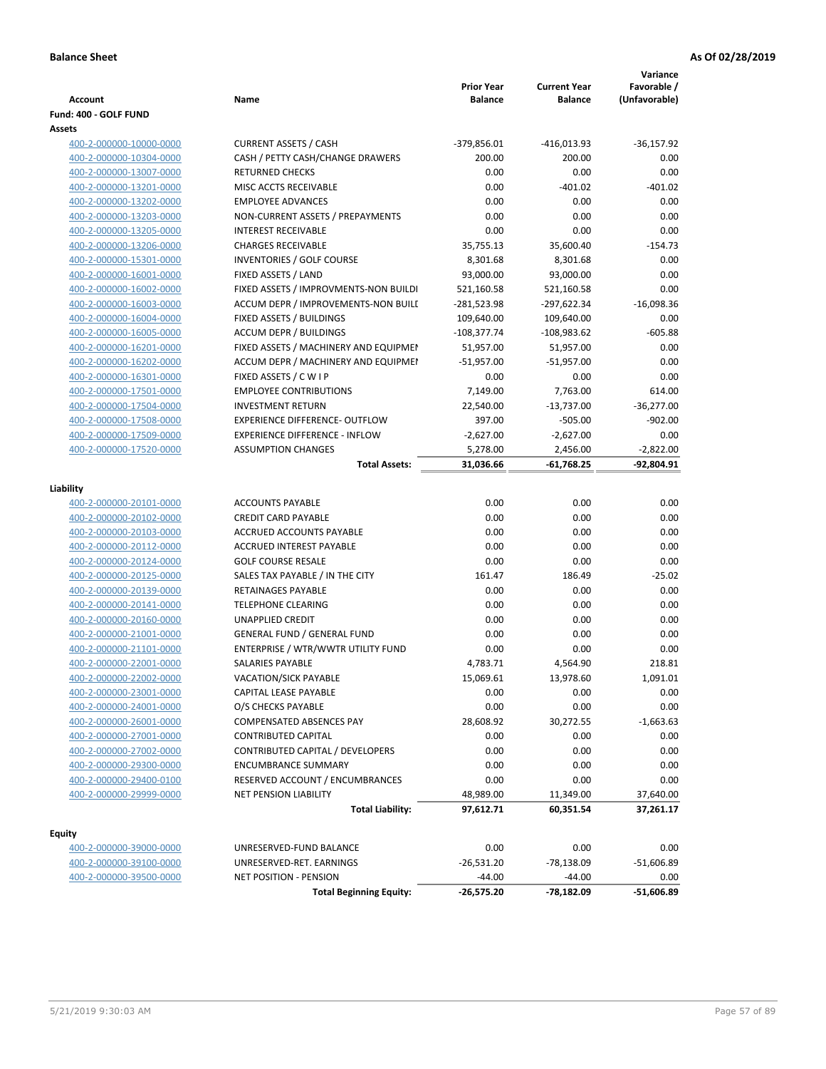| <b>Account</b><br>Fund: 400 - GOLF FUND | Name                                  | <b>Prior Year</b><br><b>Balance</b> | <b>Current Year</b><br><b>Balance</b> | Variance<br>Favorable /<br>(Unfavorable) |
|-----------------------------------------|---------------------------------------|-------------------------------------|---------------------------------------|------------------------------------------|
| Assets                                  |                                       |                                     |                                       |                                          |
| 400-2-000000-10000-0000                 | <b>CURRENT ASSETS / CASH</b>          | $-379,856.01$                       | -416,013.93                           | $-36,157.92$                             |
| 400-2-000000-10304-0000                 | CASH / PETTY CASH/CHANGE DRAWERS      | 200.00                              | 200.00                                | 0.00                                     |
| 400-2-000000-13007-0000                 | <b>RETURNED CHECKS</b>                | 0.00                                | 0.00                                  | 0.00                                     |
| 400-2-000000-13201-0000                 | MISC ACCTS RECEIVABLE                 | 0.00                                | $-401.02$                             | $-401.02$                                |
| 400-2-000000-13202-0000                 | <b>EMPLOYEE ADVANCES</b>              | 0.00                                | 0.00                                  | 0.00                                     |
| 400-2-000000-13203-0000                 | NON-CURRENT ASSETS / PREPAYMENTS      | 0.00                                | 0.00                                  | 0.00                                     |
| 400-2-000000-13205-0000                 | <b>INTEREST RECEIVABLE</b>            | 0.00                                | 0.00                                  | 0.00                                     |
| 400-2-000000-13206-0000                 | <b>CHARGES RECEIVABLE</b>             | 35,755.13                           | 35,600.40                             | $-154.73$                                |
| 400-2-000000-15301-0000                 | INVENTORIES / GOLF COURSE             | 8,301.68                            | 8,301.68                              | 0.00                                     |
| 400-2-000000-16001-0000                 | FIXED ASSETS / LAND                   | 93,000.00                           | 93,000.00                             | 0.00                                     |
| 400-2-000000-16002-0000                 | FIXED ASSETS / IMPROVMENTS-NON BUILDI | 521,160.58                          | 521,160.58                            | 0.00                                     |
| 400-2-000000-16003-0000                 | ACCUM DEPR / IMPROVEMENTS-NON BUILI   | -281,523.98                         | -297,622.34                           | $-16,098.36$                             |
| 400-2-000000-16004-0000                 | FIXED ASSETS / BUILDINGS              | 109,640.00                          | 109,640.00                            | 0.00                                     |
| 400-2-000000-16005-0000                 | <b>ACCUM DEPR / BUILDINGS</b>         | $-108,377.74$                       | -108,983.62                           | $-605.88$                                |
| 400-2-000000-16201-0000                 | FIXED ASSETS / MACHINERY AND EQUIPMEN | 51,957.00                           | 51,957.00                             | 0.00                                     |
| 400-2-000000-16202-0000                 | ACCUM DEPR / MACHINERY AND EQUIPMEI   | -51,957.00                          | $-51,957.00$                          | 0.00                                     |
| 400-2-000000-16301-0000                 | FIXED ASSETS / C W I P                | 0.00                                | 0.00                                  | 0.00                                     |
| 400-2-000000-17501-0000                 | <b>EMPLOYEE CONTRIBUTIONS</b>         | 7,149.00                            | 7,763.00                              | 614.00                                   |
| 400-2-000000-17504-0000                 | <b>INVESTMENT RETURN</b>              | 22,540.00                           | $-13,737.00$                          | $-36,277.00$                             |
| 400-2-000000-17508-0000                 | <b>EXPERIENCE DIFFERENCE- OUTFLOW</b> | 397.00                              | $-505.00$                             | $-902.00$                                |
| 400-2-000000-17509-0000                 | <b>EXPERIENCE DIFFERENCE - INFLOW</b> | $-2,627.00$                         | $-2,627.00$                           | 0.00                                     |
| 400-2-000000-17520-0000                 | <b>ASSUMPTION CHANGES</b>             | 5,278.00                            | 2,456.00                              | $-2,822.00$                              |
|                                         | <b>Total Assets:</b>                  | 31,036.66                           | $-61,768.25$                          | $-92,804.91$                             |
| Liability                               |                                       |                                     |                                       |                                          |
| 400-2-000000-20101-0000                 | <b>ACCOUNTS PAYABLE</b>               | 0.00                                | 0.00                                  | 0.00                                     |
| 400-2-000000-20102-0000                 | <b>CREDIT CARD PAYABLE</b>            | 0.00                                | 0.00                                  | 0.00                                     |
| 400-2-000000-20103-0000                 | ACCRUED ACCOUNTS PAYABLE              | 0.00                                | 0.00                                  | 0.00                                     |
| 400-2-000000-20112-0000                 | <b>ACCRUED INTEREST PAYABLE</b>       | 0.00                                | 0.00                                  | 0.00                                     |
| 400-2-000000-20124-0000                 | <b>GOLF COURSE RESALE</b>             | 0.00                                | 0.00                                  | 0.00                                     |
| 400-2-000000-20125-0000                 | SALES TAX PAYABLE / IN THE CITY       | 161.47                              | 186.49                                | $-25.02$                                 |
| 400-2-000000-20139-0000                 | RETAINAGES PAYABLE                    | 0.00                                | 0.00                                  | 0.00                                     |
| 400-2-000000-20141-0000                 | <b>TELEPHONE CLEARING</b>             | 0.00                                | 0.00                                  | 0.00                                     |
| 400-2-000000-20160-0000                 | <b>UNAPPLIED CREDIT</b>               | 0.00                                | 0.00                                  | 0.00                                     |
| 400-2-000000-21001-0000                 | <b>GENERAL FUND / GENERAL FUND</b>    | 0.00                                | 0.00                                  | 0.00                                     |
| 400-2-000000-21101-0000                 | ENTERPRISE / WTR/WWTR UTILITY FUND    | 0.00                                | 0.00                                  | 0.00                                     |
| 400-2-000000-22001-0000                 | SALARIES PAYABLE                      | 4,783.71                            | 4,564.90                              | 218.81                                   |
| 400-2-000000-22002-0000                 | VACATION/SICK PAYABLE                 | 15,069.61                           | 13,978.60                             | 1,091.01                                 |
| 400-2-000000-23001-0000                 | CAPITAL LEASE PAYABLE                 | 0.00                                | 0.00                                  | 0.00                                     |
| 400-2-000000-24001-0000                 | O/S CHECKS PAYABLE                    | 0.00                                | 0.00                                  | 0.00                                     |
| 400-2-000000-26001-0000                 | <b>COMPENSATED ABSENCES PAY</b>       | 28,608.92                           | 30,272.55                             | $-1,663.63$                              |
| 400-2-000000-27001-0000                 | <b>CONTRIBUTED CAPITAL</b>            | 0.00                                | 0.00                                  | 0.00                                     |
| 400-2-000000-27002-0000                 | CONTRIBUTED CAPITAL / DEVELOPERS      | 0.00                                | 0.00                                  | 0.00                                     |
| 400-2-000000-29300-0000                 | <b>ENCUMBRANCE SUMMARY</b>            | 0.00                                | 0.00                                  | 0.00                                     |
| 400-2-000000-29400-0100                 | RESERVED ACCOUNT / ENCUMBRANCES       | 0.00                                | 0.00                                  | 0.00                                     |
| 400-2-000000-29999-0000                 | NET PENSION LIABILITY                 | 48,989.00                           | 11,349.00                             | 37,640.00                                |
|                                         | <b>Total Liability:</b>               | 97,612.71                           | 60,351.54                             | 37,261.17                                |
|                                         |                                       |                                     |                                       |                                          |
| <b>Equity</b>                           |                                       |                                     |                                       |                                          |
| 400-2-000000-39000-0000                 | UNRESERVED-FUND BALANCE               | 0.00                                | 0.00                                  | 0.00                                     |
| 400-2-000000-39100-0000                 | UNRESERVED-RET. EARNINGS              | $-26,531.20$                        | $-78,138.09$                          | $-51,606.89$                             |
| 400-2-000000-39500-0000                 | <b>NET POSITION - PENSION</b>         | $-44.00$                            | $-44.00$                              | 0.00                                     |
|                                         | <b>Total Beginning Equity:</b>        | $-26,575.20$                        | -78,182.09                            | $-51,606.89$                             |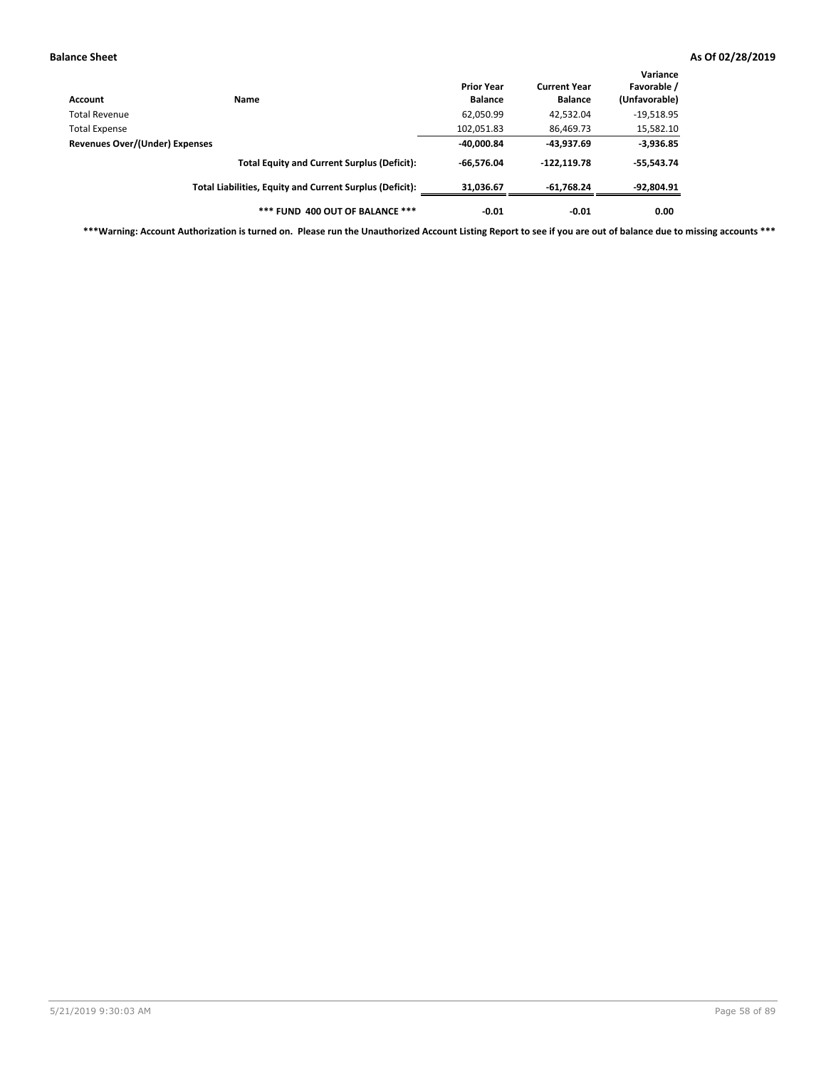| Account                        | Name                                                     | <b>Prior Year</b><br><b>Balance</b> | <b>Current Year</b><br><b>Balance</b> | Variance<br>Favorable /<br>(Unfavorable) |
|--------------------------------|----------------------------------------------------------|-------------------------------------|---------------------------------------|------------------------------------------|
| <b>Total Revenue</b>           |                                                          | 62,050.99                           | 42,532.04                             | $-19,518.95$                             |
| <b>Total Expense</b>           |                                                          | 102,051.83                          | 86,469.73                             | 15,582.10                                |
| Revenues Over/(Under) Expenses | $-40,000.84$                                             | -43,937.69                          | $-3,936.85$                           |                                          |
|                                | <b>Total Equity and Current Surplus (Deficit):</b>       | $-66.576.04$                        | $-122, 119.78$                        | $-55,543.74$                             |
|                                | Total Liabilities, Equity and Current Surplus (Deficit): | 31,036.67                           | $-61,768.24$                          | -92,804.91                               |
|                                | *** FUND 400 OUT OF BALANCE ***                          | $-0.01$                             | $-0.01$                               | 0.00                                     |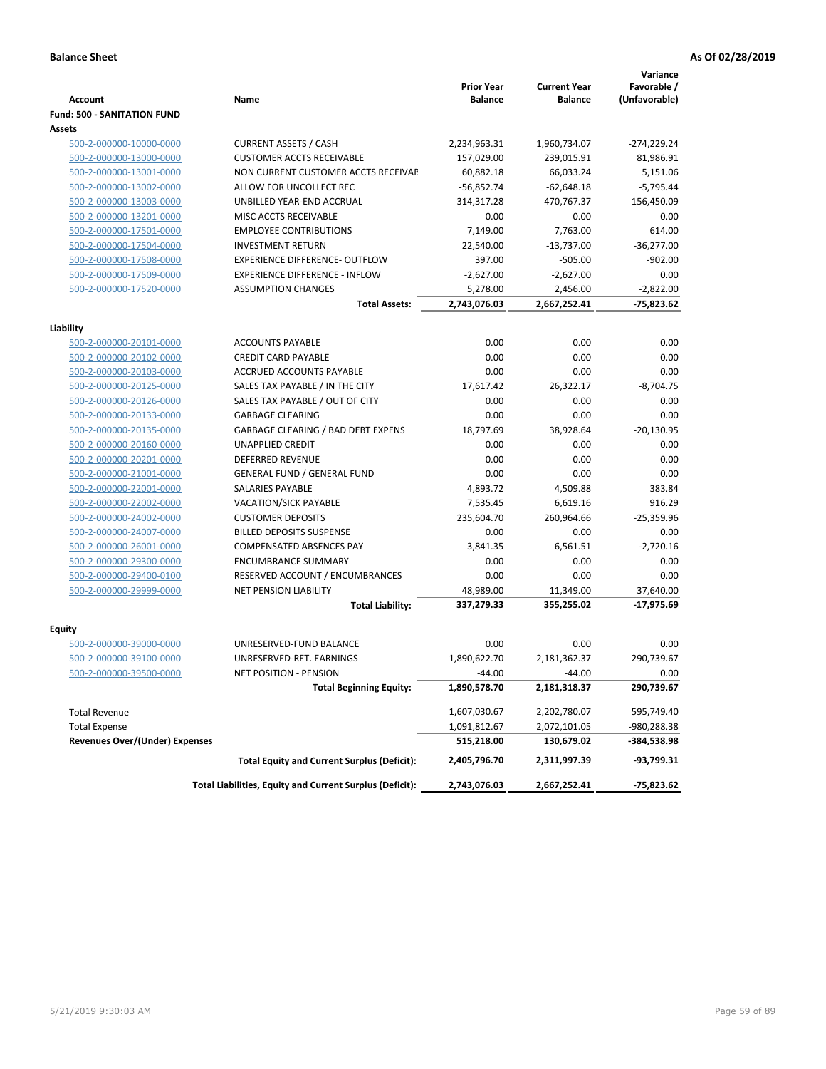|                                       |                                                          | <b>Prior Year</b> | <b>Current Year</b> | Variance<br>Favorable / |
|---------------------------------------|----------------------------------------------------------|-------------------|---------------------|-------------------------|
| <b>Account</b>                        | Name                                                     | <b>Balance</b>    | <b>Balance</b>      | (Unfavorable)           |
| <b>Fund: 500 - SANITATION FUND</b>    |                                                          |                   |                     |                         |
| Assets                                |                                                          |                   |                     |                         |
| 500-2-000000-10000-0000               | <b>CURRENT ASSETS / CASH</b>                             | 2,234,963.31      | 1,960,734.07        | $-274,229.24$           |
| 500-2-000000-13000-0000               | <b>CUSTOMER ACCTS RECEIVABLE</b>                         | 157,029.00        | 239,015.91          | 81,986.91               |
| 500-2-000000-13001-0000               | NON CURRENT CUSTOMER ACCTS RECEIVAE                      | 60,882.18         | 66,033.24           | 5,151.06                |
| 500-2-000000-13002-0000               | ALLOW FOR UNCOLLECT REC                                  | $-56,852.74$      | $-62,648.18$        | $-5,795.44$             |
| 500-2-000000-13003-0000               | UNBILLED YEAR-END ACCRUAL                                | 314,317.28        | 470,767.37          | 156,450.09              |
| 500-2-000000-13201-0000               | MISC ACCTS RECEIVABLE                                    | 0.00              | 0.00                | 0.00                    |
| 500-2-000000-17501-0000               | <b>EMPLOYEE CONTRIBUTIONS</b>                            | 7,149.00          | 7,763.00            | 614.00                  |
| 500-2-000000-17504-0000               | <b>INVESTMENT RETURN</b>                                 | 22,540.00         | $-13,737.00$        | $-36,277.00$            |
| 500-2-000000-17508-0000               | <b>EXPERIENCE DIFFERENCE- OUTFLOW</b>                    | 397.00            | $-505.00$           | $-902.00$               |
| 500-2-000000-17509-0000               | <b>EXPERIENCE DIFFERENCE - INFLOW</b>                    | $-2,627.00$       | $-2,627.00$         | 0.00                    |
| 500-2-000000-17520-0000               | <b>ASSUMPTION CHANGES</b>                                | 5,278.00          | 2,456.00            | $-2,822.00$             |
|                                       | <b>Total Assets:</b>                                     | 2,743,076.03      | 2,667,252.41        | $-75,823.62$            |
|                                       |                                                          |                   |                     |                         |
| Liability                             |                                                          |                   |                     |                         |
| 500-2-000000-20101-0000               | <b>ACCOUNTS PAYABLE</b>                                  | 0.00              | 0.00                | 0.00                    |
| 500-2-000000-20102-0000               | <b>CREDIT CARD PAYABLE</b>                               | 0.00              | 0.00                | 0.00                    |
| 500-2-000000-20103-0000               | ACCRUED ACCOUNTS PAYABLE                                 | 0.00              | 0.00                | 0.00                    |
| 500-2-000000-20125-0000               | SALES TAX PAYABLE / IN THE CITY                          | 17,617.42         | 26,322.17           | $-8,704.75$             |
| 500-2-000000-20126-0000               | SALES TAX PAYABLE / OUT OF CITY                          | 0.00              | 0.00                | 0.00                    |
| 500-2-000000-20133-0000               | <b>GARBAGE CLEARING</b>                                  | 0.00              | 0.00                | 0.00                    |
| 500-2-000000-20135-0000               | <b>GARBAGE CLEARING / BAD DEBT EXPENS</b>                | 18.797.69         | 38,928.64           | $-20,130.95$            |
| 500-2-000000-20160-0000               | <b>UNAPPLIED CREDIT</b>                                  | 0.00              | 0.00                | 0.00                    |
| 500-2-000000-20201-0000               | <b>DEFERRED REVENUE</b>                                  | 0.00              | 0.00                | 0.00                    |
| 500-2-000000-21001-0000               | <b>GENERAL FUND / GENERAL FUND</b>                       | 0.00              | 0.00                | 0.00                    |
| 500-2-000000-22001-0000               | <b>SALARIES PAYABLE</b>                                  | 4,893.72          | 4,509.88            | 383.84                  |
| 500-2-000000-22002-0000               | <b>VACATION/SICK PAYABLE</b>                             | 7,535.45          | 6,619.16            | 916.29                  |
| 500-2-000000-24002-0000               | <b>CUSTOMER DEPOSITS</b>                                 | 235,604.70        | 260,964.66          | $-25,359.96$            |
| 500-2-000000-24007-0000               | <b>BILLED DEPOSITS SUSPENSE</b>                          | 0.00              | 0.00                | 0.00                    |
| 500-2-000000-26001-0000               | <b>COMPENSATED ABSENCES PAY</b>                          | 3,841.35          | 6,561.51            | $-2,720.16$             |
| 500-2-000000-29300-0000               | <b>ENCUMBRANCE SUMMARY</b>                               | 0.00              | 0.00                | 0.00                    |
| 500-2-000000-29400-0100               | RESERVED ACCOUNT / ENCUMBRANCES                          | 0.00              | 0.00                | 0.00                    |
| 500-2-000000-29999-0000               | <b>NET PENSION LIABILITY</b>                             | 48,989.00         | 11,349.00           | 37,640.00               |
|                                       | <b>Total Liability:</b>                                  | 337,279.33        | 355,255.02          | $-17,975.69$            |
| Equity                                |                                                          |                   |                     |                         |
| 500-2-000000-39000-0000               | UNRESERVED-FUND BALANCE                                  | 0.00              | 0.00                | 0.00                    |
| 500-2-000000-39100-0000               | UNRESERVED-RET. EARNINGS                                 | 1,890,622.70      | 2,181,362.37        | 290,739.67              |
| 500-2-000000-39500-0000               | NET POSITION - PENSION                                   | $-44.00$          | $-44.00$            | 0.00                    |
|                                       | <b>Total Beginning Equity:</b>                           | 1,890,578.70      | 2,181,318.37        | 290,739.67              |
| <b>Total Revenue</b>                  |                                                          | 1,607,030.67      | 2,202,780.07        | 595,749.40              |
| <b>Total Expense</b>                  |                                                          | 1,091,812.67      | 2,072,101.05        | -980,288.38             |
| <b>Revenues Over/(Under) Expenses</b> |                                                          | 515,218.00        | 130,679.02          | -384,538.98             |
|                                       | <b>Total Equity and Current Surplus (Deficit):</b>       | 2,405,796.70      | 2,311,997.39        | -93,799.31              |
|                                       | Total Liabilities, Equity and Current Surplus (Deficit): | 2,743,076.03      | 2,667,252.41        | -75,823.62              |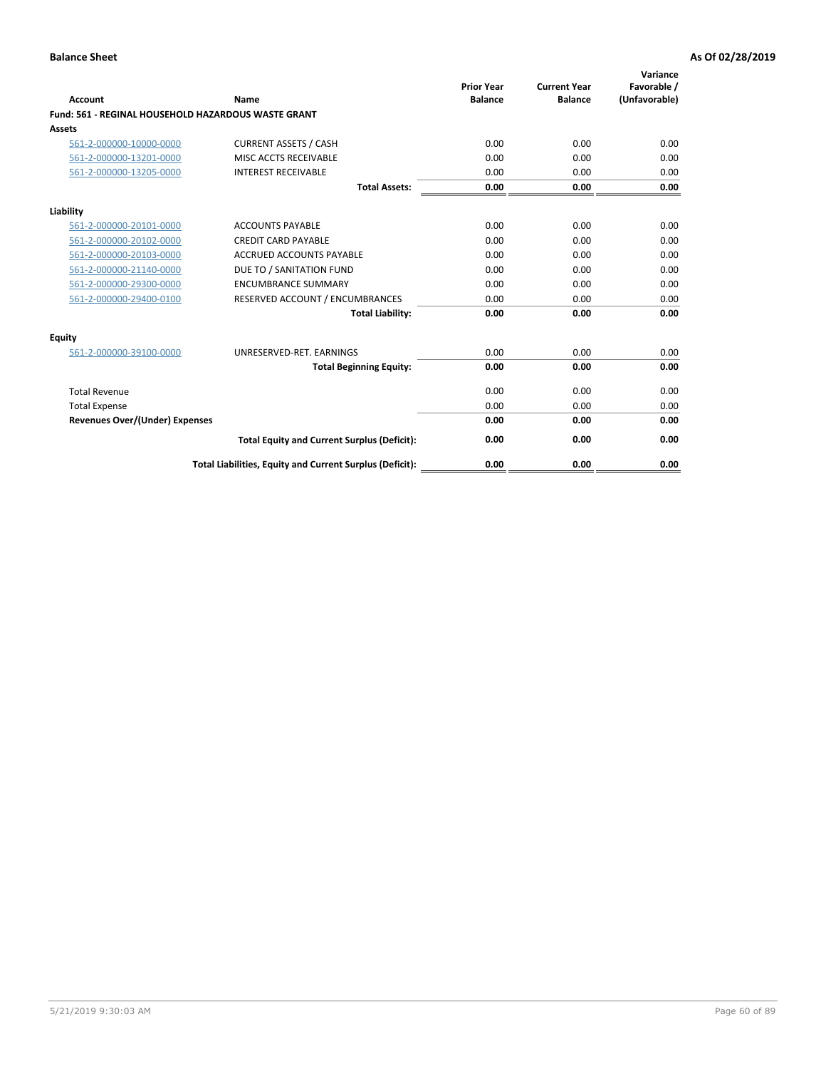| Account                                                    | Name                                                     | <b>Prior Year</b><br><b>Balance</b> | <b>Current Year</b><br><b>Balance</b> | Variance<br>Favorable /<br>(Unfavorable) |
|------------------------------------------------------------|----------------------------------------------------------|-------------------------------------|---------------------------------------|------------------------------------------|
| <b>Fund: 561 - REGINAL HOUSEHOLD HAZARDOUS WASTE GRANT</b> |                                                          |                                     |                                       |                                          |
| <b>Assets</b>                                              |                                                          |                                     |                                       |                                          |
| 561-2-000000-10000-0000                                    | <b>CURRENT ASSETS / CASH</b>                             | 0.00                                | 0.00                                  | 0.00                                     |
| 561-2-000000-13201-0000                                    | MISC ACCTS RECEIVABLE                                    | 0.00                                | 0.00                                  | 0.00                                     |
| 561-2-000000-13205-0000                                    | <b>INTEREST RECEIVABLE</b>                               | 0.00                                | 0.00                                  | 0.00                                     |
|                                                            | <b>Total Assets:</b>                                     | 0.00                                | 0.00                                  | 0.00                                     |
| Liability                                                  |                                                          |                                     |                                       |                                          |
| 561-2-000000-20101-0000                                    | <b>ACCOUNTS PAYABLE</b>                                  | 0.00                                | 0.00                                  | 0.00                                     |
| 561-2-000000-20102-0000                                    | <b>CREDIT CARD PAYABLE</b>                               | 0.00                                | 0.00                                  | 0.00                                     |
| 561-2-000000-20103-0000                                    | <b>ACCRUED ACCOUNTS PAYABLE</b>                          | 0.00                                | 0.00                                  | 0.00                                     |
| 561-2-000000-21140-0000                                    | DUE TO / SANITATION FUND                                 | 0.00                                | 0.00                                  | 0.00                                     |
| 561-2-000000-29300-0000                                    | <b>ENCUMBRANCE SUMMARY</b>                               | 0.00                                | 0.00                                  | 0.00                                     |
| 561-2-000000-29400-0100                                    | RESERVED ACCOUNT / ENCUMBRANCES                          | 0.00                                | 0.00                                  | 0.00                                     |
|                                                            | <b>Total Liability:</b>                                  | 0.00                                | 0.00                                  | 0.00                                     |
| <b>Equity</b>                                              |                                                          |                                     |                                       |                                          |
| 561-2-000000-39100-0000                                    | UNRESERVED-RET. EARNINGS                                 | 0.00                                | 0.00                                  | 0.00                                     |
|                                                            | <b>Total Beginning Equity:</b>                           | 0.00                                | 0.00                                  | 0.00                                     |
| <b>Total Revenue</b>                                       |                                                          | 0.00                                | 0.00                                  | 0.00                                     |
| <b>Total Expense</b>                                       |                                                          | 0.00                                | 0.00                                  | 0.00                                     |
| <b>Revenues Over/(Under) Expenses</b>                      |                                                          | 0.00                                | 0.00                                  | 0.00                                     |
|                                                            | <b>Total Equity and Current Surplus (Deficit):</b>       | 0.00                                | 0.00                                  | 0.00                                     |
|                                                            | Total Liabilities, Equity and Current Surplus (Deficit): | 0.00                                | 0.00                                  | 0.00                                     |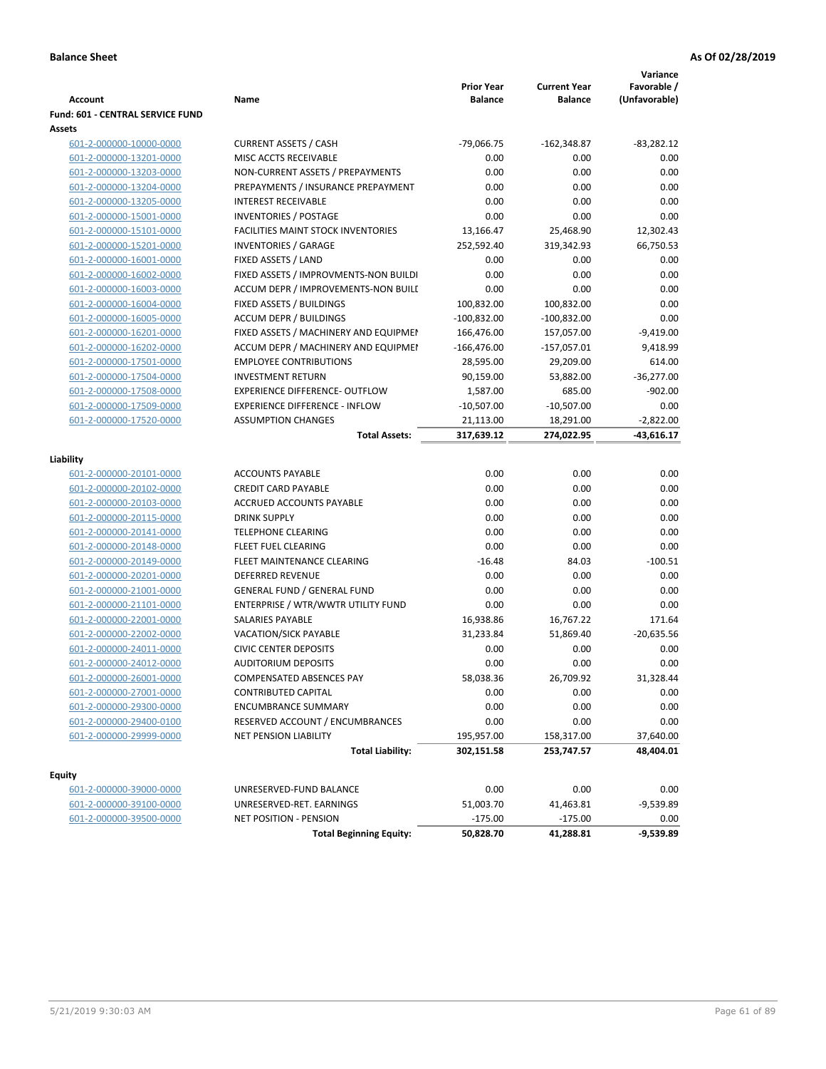| <b>Account</b>                          | Name                                      | <b>Prior Year</b><br><b>Balance</b> | <b>Current Year</b><br><b>Balance</b> | Variance<br>Favorable /<br>(Unfavorable) |
|-----------------------------------------|-------------------------------------------|-------------------------------------|---------------------------------------|------------------------------------------|
| <b>Fund: 601 - CENTRAL SERVICE FUND</b> |                                           |                                     |                                       |                                          |
| Assets                                  |                                           |                                     |                                       |                                          |
| 601-2-000000-10000-0000                 | <b>CURRENT ASSETS / CASH</b>              | $-79,066.75$                        | $-162,348.87$                         | $-83,282.12$                             |
| 601-2-000000-13201-0000                 | MISC ACCTS RECEIVABLE                     | 0.00                                | 0.00                                  | 0.00                                     |
| 601-2-000000-13203-0000                 | NON-CURRENT ASSETS / PREPAYMENTS          | 0.00                                | 0.00                                  | 0.00                                     |
| 601-2-000000-13204-0000                 | PREPAYMENTS / INSURANCE PREPAYMENT        | 0.00                                | 0.00                                  | 0.00                                     |
| 601-2-000000-13205-0000                 | <b>INTEREST RECEIVABLE</b>                | 0.00                                | 0.00                                  | 0.00                                     |
| 601-2-000000-15001-0000                 | INVENTORIES / POSTAGE                     | 0.00                                | 0.00                                  | 0.00                                     |
| 601-2-000000-15101-0000                 | <b>FACILITIES MAINT STOCK INVENTORIES</b> | 13,166.47                           | 25,468.90                             | 12,302.43                                |
| 601-2-000000-15201-0000                 | <b>INVENTORIES / GARAGE</b>               | 252,592.40                          | 319,342.93                            | 66,750.53                                |
| 601-2-000000-16001-0000                 | FIXED ASSETS / LAND                       | 0.00                                | 0.00                                  | 0.00                                     |
| 601-2-000000-16002-0000                 | FIXED ASSETS / IMPROVMENTS-NON BUILDI     | 0.00                                | 0.00                                  | 0.00                                     |
| 601-2-000000-16003-0000                 | ACCUM DEPR / IMPROVEMENTS-NON BUILI       | 0.00                                | 0.00                                  | 0.00                                     |
| 601-2-000000-16004-0000                 | FIXED ASSETS / BUILDINGS                  | 100,832.00                          | 100,832.00                            | 0.00                                     |
| 601-2-000000-16005-0000                 | <b>ACCUM DEPR / BUILDINGS</b>             | $-100,832.00$                       | $-100,832.00$                         | 0.00                                     |
| 601-2-000000-16201-0000                 | FIXED ASSETS / MACHINERY AND EQUIPMEN     | 166,476.00                          | 157,057.00                            | $-9,419.00$                              |
| 601-2-000000-16202-0000                 | ACCUM DEPR / MACHINERY AND EQUIPMEI       | $-166,476.00$                       | $-157,057.01$                         | 9,418.99                                 |
| 601-2-000000-17501-0000                 | <b>EMPLOYEE CONTRIBUTIONS</b>             | 28,595.00                           | 29,209.00                             | 614.00                                   |
| 601-2-000000-17504-0000                 | <b>INVESTMENT RETURN</b>                  | 90,159.00                           | 53,882.00                             | $-36,277.00$                             |
| 601-2-000000-17508-0000                 | <b>EXPERIENCE DIFFERENCE- OUTFLOW</b>     | 1,587.00                            | 685.00                                | $-902.00$                                |
| 601-2-000000-17509-0000                 | <b>EXPERIENCE DIFFERENCE - INFLOW</b>     | $-10,507.00$                        | $-10,507.00$                          | 0.00                                     |
| 601-2-000000-17520-0000                 | <b>ASSUMPTION CHANGES</b>                 | 21,113.00                           | 18,291.00                             | $-2,822.00$                              |
|                                         | <b>Total Assets:</b>                      | 317,639.12                          | 274,022.95                            | -43,616.17                               |
| Liability                               |                                           |                                     |                                       |                                          |
| 601-2-000000-20101-0000                 | <b>ACCOUNTS PAYABLE</b>                   | 0.00                                | 0.00                                  | 0.00                                     |
| 601-2-000000-20102-0000                 | <b>CREDIT CARD PAYABLE</b>                | 0.00                                | 0.00                                  | 0.00                                     |
| 601-2-000000-20103-0000                 | ACCRUED ACCOUNTS PAYABLE                  | 0.00                                | 0.00                                  | 0.00                                     |
| 601-2-000000-20115-0000                 | <b>DRINK SUPPLY</b>                       | 0.00                                | 0.00                                  | 0.00                                     |
| 601-2-000000-20141-0000                 | <b>TELEPHONE CLEARING</b>                 | 0.00                                | 0.00                                  | 0.00                                     |
| 601-2-000000-20148-0000                 | <b>FLEET FUEL CLEARING</b>                | 0.00                                | 0.00                                  | 0.00                                     |
| 601-2-000000-20149-0000                 | FLEET MAINTENANCE CLEARING                | $-16.48$                            | 84.03                                 | $-100.51$                                |
| 601-2-000000-20201-0000                 | <b>DEFERRED REVENUE</b>                   | 0.00                                | 0.00                                  | 0.00                                     |
| 601-2-000000-21001-0000                 | <b>GENERAL FUND / GENERAL FUND</b>        | 0.00                                | 0.00                                  | 0.00                                     |
| 601-2-000000-21101-0000                 | ENTERPRISE / WTR/WWTR UTILITY FUND        | 0.00                                | 0.00                                  | 0.00                                     |
| 601-2-000000-22001-0000                 | SALARIES PAYABLE                          | 16,938.86                           | 16,767.22                             | 171.64                                   |
| 601-2-000000-22002-0000                 | <b>VACATION/SICK PAYABLE</b>              | 31,233.84                           | 51,869.40                             | $-20,635.56$                             |
| 601-2-000000-24011-0000                 | <b>CIVIC CENTER DEPOSITS</b>              | 0.00                                | 0.00                                  | 0.00                                     |
| 601-2-000000-24012-0000                 | <b>AUDITORIUM DEPOSITS</b>                | 0.00                                | 0.00                                  | 0.00                                     |
| 601-2-000000-26001-0000                 | COMPENSATED ABSENCES PAY                  | 58,038.36                           | 26,709.92                             | 31,328.44                                |
| 601-2-000000-27001-0000                 | <b>CONTRIBUTED CAPITAL</b>                | 0.00                                | 0.00                                  | 0.00                                     |
| 601-2-000000-29300-0000                 | <b>ENCUMBRANCE SUMMARY</b>                | 0.00                                | 0.00                                  | 0.00                                     |
| 601-2-000000-29400-0100                 | RESERVED ACCOUNT / ENCUMBRANCES           | 0.00                                | 0.00                                  | 0.00                                     |
| 601-2-000000-29999-0000                 | NET PENSION LIABILITY                     | 195,957.00                          | 158,317.00                            | 37,640.00                                |
|                                         | <b>Total Liability:</b>                   | 302,151.58                          | 253,747.57                            | 48,404.01                                |
|                                         |                                           |                                     |                                       |                                          |
| <b>Equity</b>                           |                                           |                                     |                                       |                                          |
| 601-2-000000-39000-0000                 | UNRESERVED-FUND BALANCE                   | 0.00                                | 0.00                                  | 0.00                                     |
| 601-2-000000-39100-0000                 | UNRESERVED-RET. EARNINGS                  | 51,003.70                           | 41,463.81                             | $-9,539.89$                              |
| 601-2-000000-39500-0000                 | NET POSITION - PENSION                    | $-175.00$                           | $-175.00$                             | 0.00                                     |
|                                         | <b>Total Beginning Equity:</b>            | 50,828.70                           | 41,288.81                             | $-9,539.89$                              |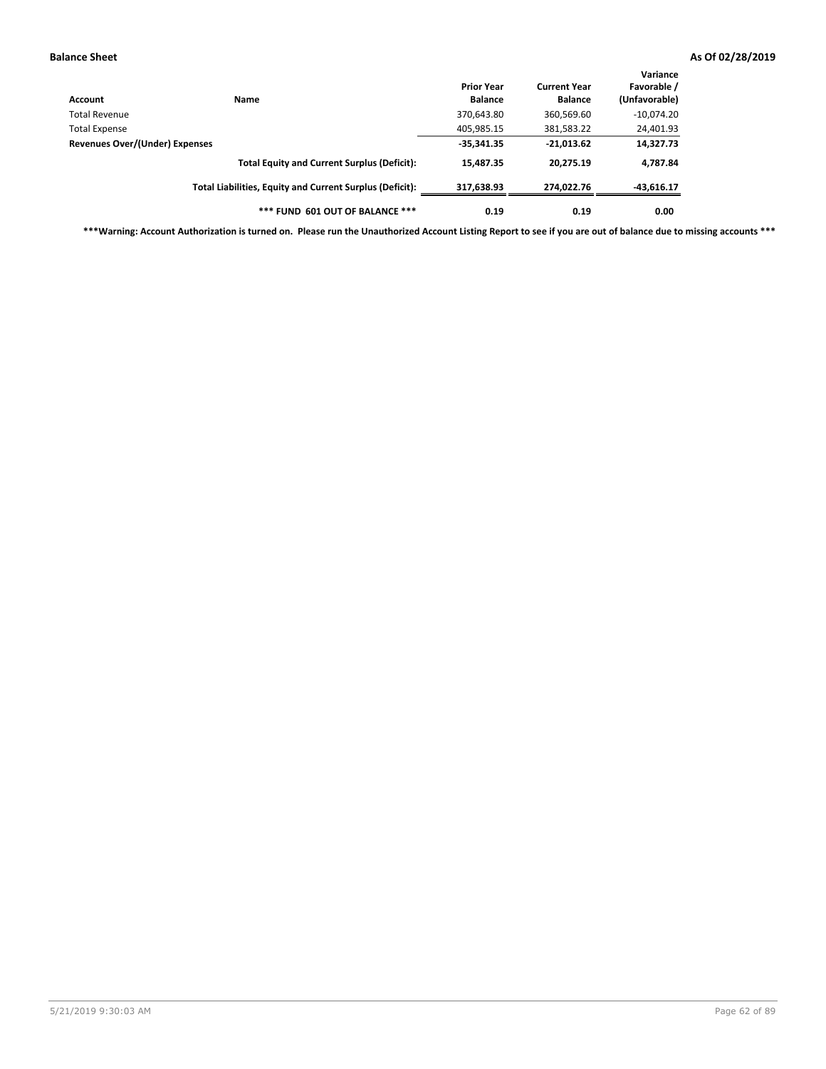| Account                        | Name                                                     | <b>Prior Year</b><br><b>Balance</b> | <b>Current Year</b><br><b>Balance</b> | Variance<br>Favorable /<br>(Unfavorable) |
|--------------------------------|----------------------------------------------------------|-------------------------------------|---------------------------------------|------------------------------------------|
| Total Revenue                  |                                                          | 370,643.80                          | 360,569.60                            | $-10,074.20$                             |
| <b>Total Expense</b>           |                                                          | 405,985.15                          | 381,583.22                            | 24,401.93                                |
| Revenues Over/(Under) Expenses |                                                          | $-35,341.35$                        | $-21,013.62$                          | 14,327.73                                |
|                                | <b>Total Equity and Current Surplus (Deficit):</b>       | 15,487.35                           | 20.275.19                             | 4,787.84                                 |
|                                | Total Liabilities, Equity and Current Surplus (Deficit): | 317,638.93                          | 274.022.76                            | $-43,616.17$                             |
|                                | *** FUND 601 OUT OF BALANCE ***                          | 0.19                                | 0.19                                  | 0.00                                     |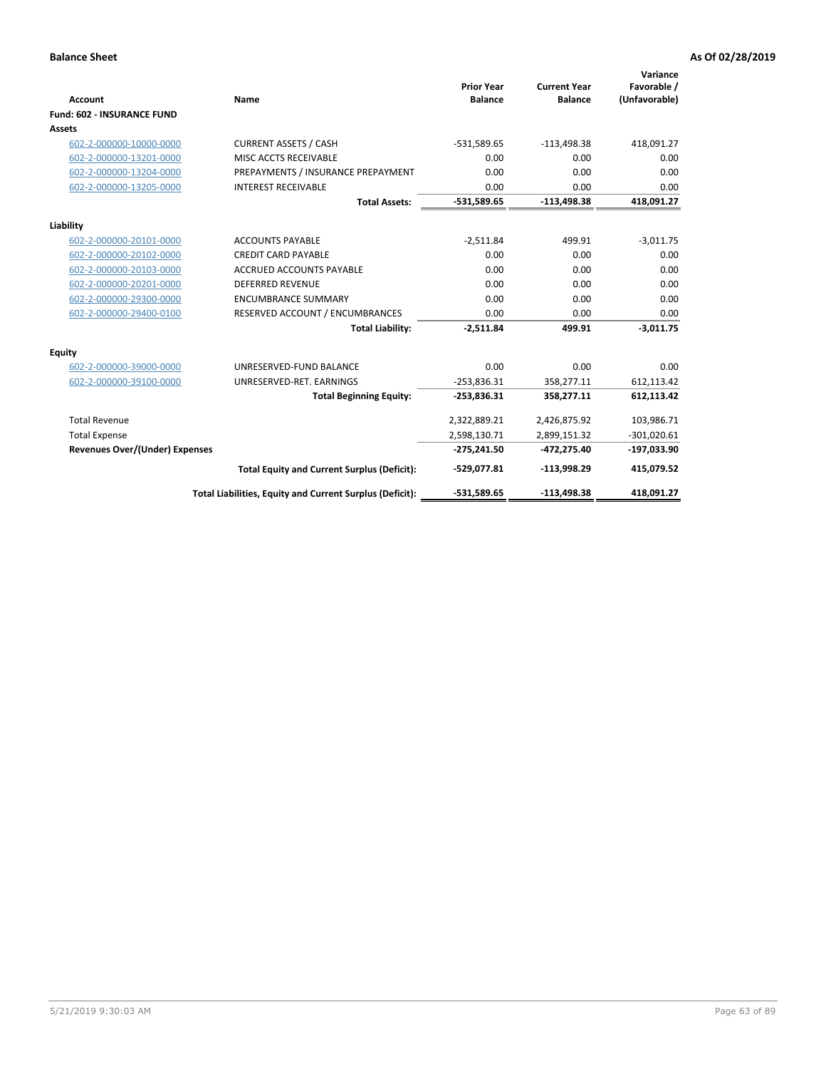| <b>Account</b>                        | Name                                                     | <b>Prior Year</b><br><b>Balance</b> | <b>Current Year</b><br><b>Balance</b> | Variance<br>Favorable /<br>(Unfavorable) |
|---------------------------------------|----------------------------------------------------------|-------------------------------------|---------------------------------------|------------------------------------------|
| <b>Fund: 602 - INSURANCE FUND</b>     |                                                          |                                     |                                       |                                          |
| <b>Assets</b>                         |                                                          |                                     |                                       |                                          |
| 602-2-000000-10000-0000               | <b>CURRENT ASSETS / CASH</b>                             | $-531,589.65$                       | $-113,498.38$                         | 418,091.27                               |
| 602-2-000000-13201-0000               | MISC ACCTS RECEIVABLE                                    | 0.00                                | 0.00                                  | 0.00                                     |
| 602-2-000000-13204-0000               | PREPAYMENTS / INSURANCE PREPAYMENT                       | 0.00                                | 0.00                                  | 0.00                                     |
| 602-2-000000-13205-0000               | <b>INTEREST RECEIVABLE</b>                               | 0.00                                | 0.00                                  | 0.00                                     |
|                                       | <b>Total Assets:</b>                                     | $-531,589.65$                       | $-113,498.38$                         | 418,091.27                               |
| Liability                             |                                                          |                                     |                                       |                                          |
| 602-2-000000-20101-0000               | <b>ACCOUNTS PAYABLE</b>                                  | $-2,511.84$                         | 499.91                                | $-3,011.75$                              |
| 602-2-000000-20102-0000               | <b>CREDIT CARD PAYABLE</b>                               | 0.00                                | 0.00                                  | 0.00                                     |
| 602-2-000000-20103-0000               | <b>ACCRUED ACCOUNTS PAYABLE</b>                          | 0.00                                | 0.00                                  | 0.00                                     |
| 602-2-000000-20201-0000               | <b>DEFERRED REVENUE</b>                                  | 0.00                                | 0.00                                  | 0.00                                     |
| 602-2-000000-29300-0000               | <b>ENCUMBRANCE SUMMARY</b>                               | 0.00                                | 0.00                                  | 0.00                                     |
| 602-2-000000-29400-0100               | RESERVED ACCOUNT / ENCUMBRANCES                          | 0.00                                | 0.00                                  | 0.00                                     |
|                                       | <b>Total Liability:</b>                                  | $-2,511.84$                         | 499.91                                | $-3,011.75$                              |
| <b>Equity</b>                         |                                                          |                                     |                                       |                                          |
| 602-2-000000-39000-0000               | UNRESERVED-FUND BALANCE                                  | 0.00                                | 0.00                                  | 0.00                                     |
| 602-2-000000-39100-0000               | UNRESERVED-RET. EARNINGS                                 | $-253,836.31$                       | 358,277.11                            | 612,113.42                               |
|                                       | <b>Total Beginning Equity:</b>                           | $-253,836.31$                       | 358,277.11                            | 612,113.42                               |
| <b>Total Revenue</b>                  |                                                          | 2,322,889.21                        | 2,426,875.92                          | 103,986.71                               |
| <b>Total Expense</b>                  |                                                          | 2,598,130.71                        | 2,899,151.32                          | $-301,020.61$                            |
| <b>Revenues Over/(Under) Expenses</b> |                                                          | $-275,241.50$                       | -472,275.40                           | $-197,033.90$                            |
|                                       | <b>Total Equity and Current Surplus (Deficit):</b>       | $-529,077.81$                       | $-113,998.29$                         | 415,079.52                               |
|                                       | Total Liabilities, Equity and Current Surplus (Deficit): | -531,589.65                         | $-113,498.38$                         | 418.091.27                               |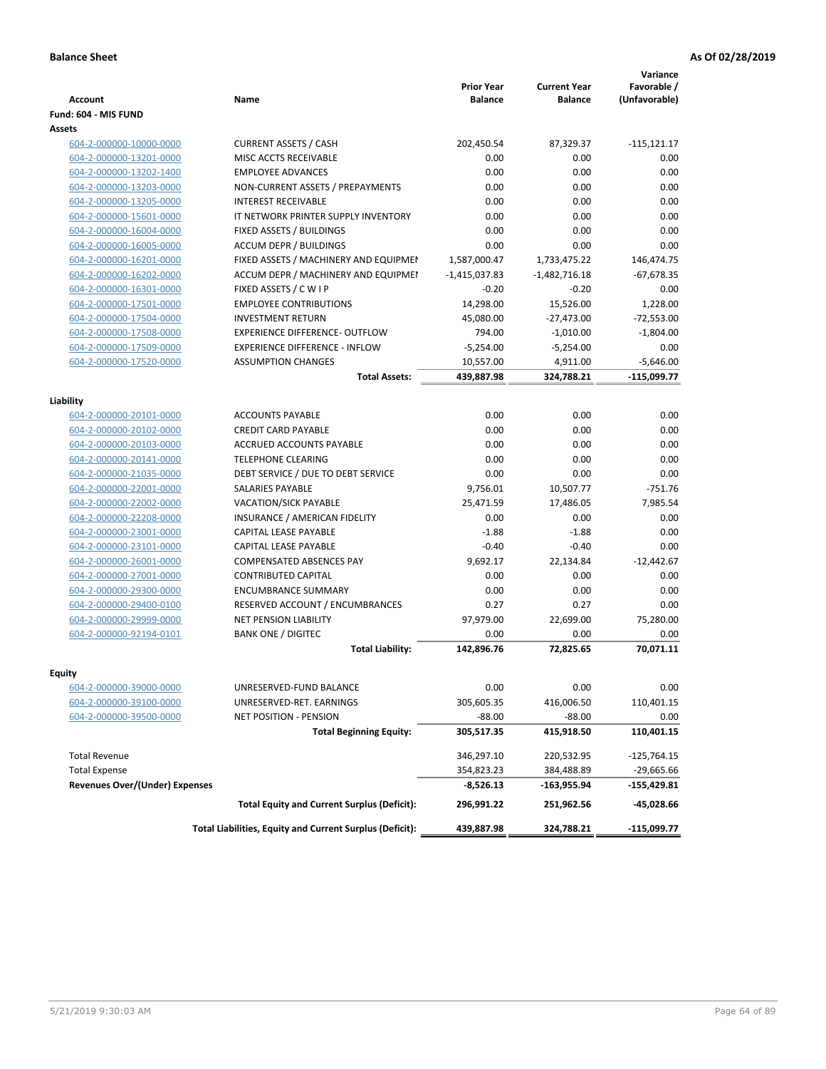| <b>Account</b>                        | Name                                                     | <b>Prior Year</b><br><b>Balance</b> | <b>Current Year</b><br><b>Balance</b> | Variance<br>Favorable /<br>(Unfavorable) |
|---------------------------------------|----------------------------------------------------------|-------------------------------------|---------------------------------------|------------------------------------------|
| Fund: 604 - MIS FUND                  |                                                          |                                     |                                       |                                          |
| <b>Assets</b>                         |                                                          |                                     |                                       |                                          |
| 604-2-000000-10000-0000               | <b>CURRENT ASSETS / CASH</b>                             | 202,450.54                          | 87,329.37                             | $-115, 121.17$                           |
| 604-2-000000-13201-0000               | MISC ACCTS RECEIVABLE                                    | 0.00                                | 0.00                                  | 0.00                                     |
| 604-2-000000-13202-1400               | <b>EMPLOYEE ADVANCES</b>                                 | 0.00                                | 0.00                                  | 0.00                                     |
| 604-2-000000-13203-0000               | NON-CURRENT ASSETS / PREPAYMENTS                         | 0.00                                | 0.00                                  | 0.00                                     |
| 604-2-000000-13205-0000               | <b>INTEREST RECEIVABLE</b>                               | 0.00                                | 0.00                                  | 0.00                                     |
| 604-2-000000-15601-0000               | IT NETWORK PRINTER SUPPLY INVENTORY                      | 0.00                                | 0.00                                  | 0.00                                     |
| 604-2-000000-16004-0000               | FIXED ASSETS / BUILDINGS                                 | 0.00                                | 0.00                                  | 0.00                                     |
| 604-2-000000-16005-0000               | <b>ACCUM DEPR / BUILDINGS</b>                            | 0.00                                | 0.00                                  | 0.00                                     |
| 604-2-000000-16201-0000               | FIXED ASSETS / MACHINERY AND EQUIPMEN                    | 1,587,000.47                        | 1,733,475.22                          | 146,474.75                               |
| 604-2-000000-16202-0000               | ACCUM DEPR / MACHINERY AND EQUIPMEI                      | $-1,415,037.83$                     | $-1,482,716.18$                       | $-67,678.35$                             |
| 604-2-000000-16301-0000               | FIXED ASSETS / C W I P                                   | $-0.20$                             | $-0.20$                               | 0.00                                     |
| 604-2-000000-17501-0000               | <b>EMPLOYEE CONTRIBUTIONS</b>                            | 14,298.00                           | 15,526.00                             | 1,228.00                                 |
| 604-2-000000-17504-0000               | <b>INVESTMENT RETURN</b>                                 | 45,080.00                           | $-27,473.00$                          | $-72,553.00$                             |
| 604-2-000000-17508-0000               | EXPERIENCE DIFFERENCE- OUTFLOW                           | 794.00                              | $-1,010.00$                           | $-1.804.00$                              |
| 604-2-000000-17509-0000               | <b>EXPERIENCE DIFFERENCE - INFLOW</b>                    | $-5,254.00$                         | $-5,254.00$                           | 0.00                                     |
| 604-2-000000-17520-0000               | <b>ASSUMPTION CHANGES</b>                                | 10,557.00                           | 4,911.00                              | $-5,646.00$                              |
|                                       | <b>Total Assets:</b>                                     | 439,887.98                          | 324,788.21                            | $-115,099.77$                            |
|                                       |                                                          |                                     |                                       |                                          |
| Liability                             |                                                          |                                     |                                       |                                          |
| 604-2-000000-20101-0000               | <b>ACCOUNTS PAYABLE</b>                                  | 0.00                                | 0.00                                  | 0.00                                     |
| 604-2-000000-20102-0000               | <b>CREDIT CARD PAYABLE</b>                               | 0.00                                | 0.00                                  | 0.00                                     |
| 604-2-000000-20103-0000               | <b>ACCRUED ACCOUNTS PAYABLE</b>                          | 0.00                                | 0.00                                  | 0.00                                     |
| 604-2-000000-20141-0000               | <b>TELEPHONE CLEARING</b>                                | 0.00                                | 0.00                                  | 0.00                                     |
| 604-2-000000-21035-0000               | DEBT SERVICE / DUE TO DEBT SERVICE                       | 0.00                                | 0.00                                  | 0.00                                     |
| 604-2-000000-22001-0000               | SALARIES PAYABLE                                         | 9,756.01                            | 10,507.77                             | $-751.76$                                |
| 604-2-000000-22002-0000               | <b>VACATION/SICK PAYABLE</b>                             | 25,471.59                           | 17,486.05                             | 7,985.54                                 |
| 604-2-000000-22208-0000               | INSURANCE / AMERICAN FIDELITY                            | 0.00                                | 0.00                                  | 0.00                                     |
| 604-2-000000-23001-0000               | CAPITAL LEASE PAYABLE                                    | $-1.88$                             | $-1.88$                               | 0.00                                     |
| 604-2-000000-23101-0000               | CAPITAL LEASE PAYABLE                                    | $-0.40$                             | $-0.40$                               | 0.00                                     |
| 604-2-000000-26001-0000               | <b>COMPENSATED ABSENCES PAY</b>                          | 9,692.17                            | 22,134.84                             | $-12,442.67$                             |
| 604-2-000000-27001-0000               | <b>CONTRIBUTED CAPITAL</b>                               | 0.00                                | 0.00                                  | 0.00                                     |
| 604-2-000000-29300-0000               | <b>ENCUMBRANCE SUMMARY</b>                               | 0.00                                | 0.00                                  | 0.00                                     |
| 604-2-000000-29400-0100               | RESERVED ACCOUNT / ENCUMBRANCES                          | 0.27                                | 0.27                                  | 0.00                                     |
| 604-2-000000-29999-0000               | <b>NET PENSION LIABILITY</b>                             | 97,979.00                           | 22,699.00                             | 75,280.00                                |
| 604-2-000000-92194-0101               | <b>BANK ONE / DIGITEC</b>                                | 0.00                                | 0.00                                  | 0.00                                     |
|                                       | <b>Total Liability:</b>                                  | 142,896.76                          | 72,825.65                             | 70,071.11                                |
|                                       |                                                          |                                     |                                       |                                          |
| <b>Equity</b>                         |                                                          | 0.00                                | 0.00                                  | 0.00                                     |
| 604-2-000000-39000-0000               | UNRESERVED-FUND BALANCE<br>UNRESERVED-RET. EARNINGS      |                                     |                                       |                                          |
| 604-2-000000-39100-0000               |                                                          | 305,605.35                          | 416,006.50                            | 110,401.15                               |
| 604-2-000000-39500-0000               | NET POSITION - PENSION                                   | $-88.00$                            | $-88.00$                              | 0.00                                     |
|                                       | <b>Total Beginning Equity:</b>                           | 305,517.35                          | 415,918.50                            | 110,401.15                               |
| <b>Total Revenue</b>                  |                                                          | 346,297.10                          | 220,532.95                            | $-125,764.15$                            |
| <b>Total Expense</b>                  |                                                          | 354,823.23                          | 384,488.89                            | $-29,665.66$                             |
| <b>Revenues Over/(Under) Expenses</b> |                                                          | -8,526.13                           | -163,955.94                           | -155,429.81                              |
|                                       | <b>Total Equity and Current Surplus (Deficit):</b>       | 296,991.22                          | 251,962.56                            | -45,028.66                               |
|                                       | Total Liabilities, Equity and Current Surplus (Deficit): | 439,887.98                          | 324,788.21                            | $-115,099.77$                            |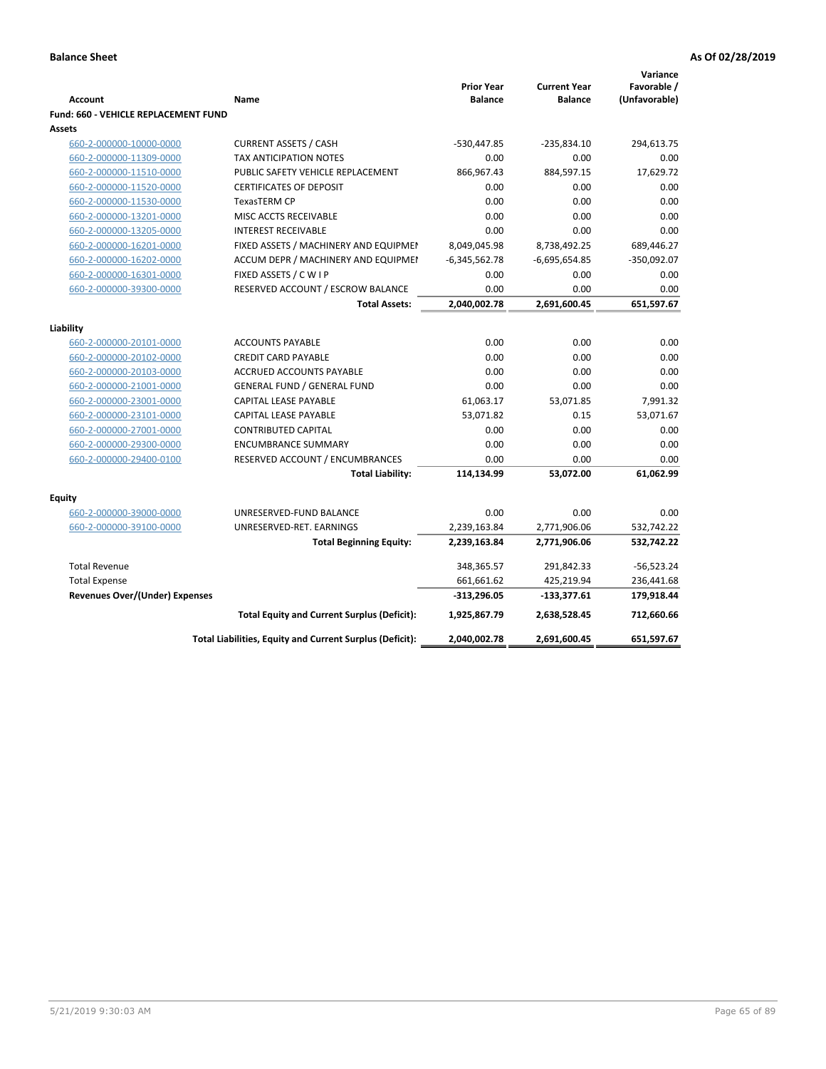|                                             |                                                          |                                     |                                       | Variance                     |
|---------------------------------------------|----------------------------------------------------------|-------------------------------------|---------------------------------------|------------------------------|
| <b>Account</b>                              | Name                                                     | <b>Prior Year</b><br><b>Balance</b> | <b>Current Year</b><br><b>Balance</b> | Favorable /<br>(Unfavorable) |
| <b>Fund: 660 - VEHICLE REPLACEMENT FUND</b> |                                                          |                                     |                                       |                              |
| Assets                                      |                                                          |                                     |                                       |                              |
| 660-2-000000-10000-0000                     | <b>CURRENT ASSETS / CASH</b>                             | -530,447.85                         | $-235,834.10$                         | 294,613.75                   |
| 660-2-000000-11309-0000                     | TAX ANTICIPATION NOTES                                   | 0.00                                | 0.00                                  | 0.00                         |
| 660-2-000000-11510-0000                     | PUBLIC SAFETY VEHICLE REPLACEMENT                        | 866,967.43                          | 884,597.15                            | 17,629.72                    |
| 660-2-000000-11520-0000                     | <b>CERTIFICATES OF DEPOSIT</b>                           | 0.00                                | 0.00                                  | 0.00                         |
| 660-2-000000-11530-0000                     | TexasTERM CP                                             | 0.00                                | 0.00                                  | 0.00                         |
| 660-2-000000-13201-0000                     | MISC ACCTS RECEIVABLE                                    | 0.00                                | 0.00                                  | 0.00                         |
| 660-2-000000-13205-0000                     | <b>INTEREST RECEIVABLE</b>                               | 0.00                                | 0.00                                  | 0.00                         |
| 660-2-000000-16201-0000                     | FIXED ASSETS / MACHINERY AND EQUIPMEN                    | 8,049,045.98                        | 8,738,492.25                          | 689,446.27                   |
| 660-2-000000-16202-0000                     | ACCUM DEPR / MACHINERY AND EQUIPMEI                      | $-6,345,562.78$                     | $-6,695,654.85$                       | $-350,092.07$                |
| 660-2-000000-16301-0000                     | FIXED ASSETS / C W I P                                   | 0.00                                | 0.00                                  | 0.00                         |
| 660-2-000000-39300-0000                     | RESERVED ACCOUNT / ESCROW BALANCE                        | 0.00                                | 0.00                                  | 0.00                         |
|                                             | <b>Total Assets:</b>                                     | 2,040,002.78                        | 2,691,600.45                          | 651,597.67                   |
|                                             |                                                          |                                     |                                       |                              |
| Liability                                   |                                                          |                                     |                                       |                              |
| 660-2-000000-20101-0000                     | <b>ACCOUNTS PAYABLE</b>                                  | 0.00                                | 0.00                                  | 0.00                         |
| 660-2-000000-20102-0000                     | <b>CREDIT CARD PAYABLE</b>                               | 0.00                                | 0.00                                  | 0.00                         |
| 660-2-000000-20103-0000                     | ACCRUED ACCOUNTS PAYABLE                                 | 0.00                                | 0.00                                  | 0.00                         |
| 660-2-000000-21001-0000                     | <b>GENERAL FUND / GENERAL FUND</b>                       | 0.00                                | 0.00                                  | 0.00                         |
| 660-2-000000-23001-0000                     | <b>CAPITAL LEASE PAYABLE</b>                             | 61,063.17                           | 53,071.85                             | 7,991.32                     |
| 660-2-000000-23101-0000                     | <b>CAPITAL LEASE PAYABLE</b>                             | 53,071.82                           | 0.15                                  | 53,071.67                    |
| 660-2-000000-27001-0000                     | <b>CONTRIBUTED CAPITAL</b>                               | 0.00                                | 0.00                                  | 0.00                         |
| 660-2-000000-29300-0000                     | <b>ENCUMBRANCE SUMMARY</b>                               | 0.00                                | 0.00                                  | 0.00                         |
| 660-2-000000-29400-0100                     | RESERVED ACCOUNT / ENCUMBRANCES                          | 0.00                                | 0.00                                  | 0.00                         |
|                                             | <b>Total Liability:</b>                                  | 114,134.99                          | 53,072.00                             | 61,062.99                    |
| <b>Equity</b>                               |                                                          |                                     |                                       |                              |
| 660-2-000000-39000-0000                     | UNRESERVED-FUND BALANCE                                  | 0.00                                | 0.00                                  | 0.00                         |
| 660-2-000000-39100-0000                     | UNRESERVED-RET. EARNINGS                                 | 2,239,163.84                        | 2,771,906.06                          | 532,742.22                   |
|                                             | <b>Total Beginning Equity:</b>                           | 2,239,163.84                        | 2,771,906.06                          | 532,742.22                   |
|                                             |                                                          |                                     |                                       |                              |
| <b>Total Revenue</b>                        |                                                          | 348,365.57                          | 291,842.33                            | $-56,523.24$                 |
| <b>Total Expense</b>                        |                                                          | 661,661.62                          | 425,219.94                            | 236,441.68                   |
| Revenues Over/(Under) Expenses              |                                                          | $-313,296.05$                       | $-133,377.61$                         | 179,918.44                   |
|                                             | <b>Total Equity and Current Surplus (Deficit):</b>       | 1,925,867.79                        | 2,638,528.45                          | 712,660.66                   |
|                                             | Total Liabilities, Equity and Current Surplus (Deficit): | 2,040,002.78                        | 2,691,600.45                          | 651,597.67                   |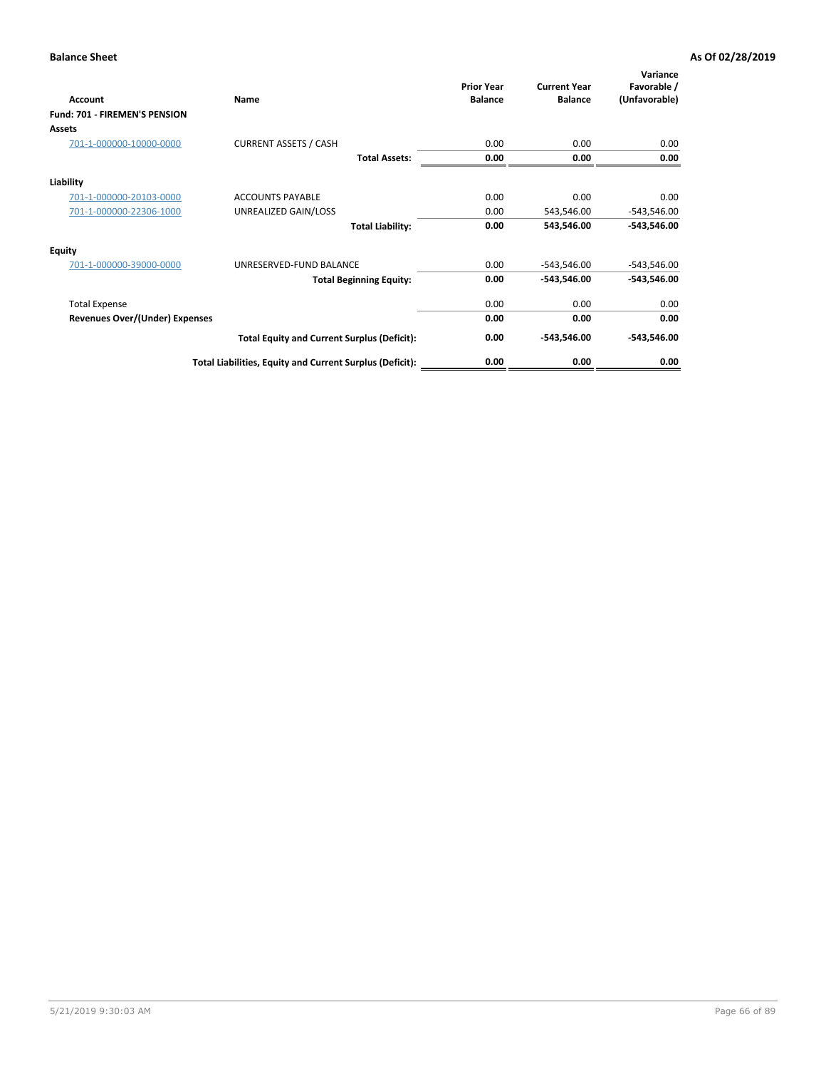| Account                        | Name                                                     | <b>Prior Year</b><br><b>Balance</b> | <b>Current Year</b><br><b>Balance</b> | Variance<br>Favorable /<br>(Unfavorable) |
|--------------------------------|----------------------------------------------------------|-------------------------------------|---------------------------------------|------------------------------------------|
| Fund: 701 - FIREMEN'S PENSION  |                                                          |                                     |                                       |                                          |
| <b>Assets</b>                  |                                                          |                                     |                                       |                                          |
| 701-1-000000-10000-0000        | <b>CURRENT ASSETS / CASH</b>                             | 0.00                                | 0.00                                  | 0.00                                     |
|                                | <b>Total Assets:</b>                                     | 0.00                                | 0.00                                  | 0.00                                     |
| Liability                      |                                                          |                                     |                                       |                                          |
| 701-1-000000-20103-0000        | <b>ACCOUNTS PAYABLE</b>                                  | 0.00                                | 0.00                                  | 0.00                                     |
| 701-1-000000-22306-1000        | UNREALIZED GAIN/LOSS                                     | 0.00                                | 543,546.00                            | $-543,546.00$                            |
|                                | <b>Total Liability:</b>                                  | 0.00                                | 543,546.00                            | $-543,546.00$                            |
| <b>Equity</b>                  |                                                          |                                     |                                       |                                          |
| 701-1-000000-39000-0000        | UNRESERVED-FUND BALANCE                                  | 0.00                                | $-543,546.00$                         | $-543,546.00$                            |
|                                | <b>Total Beginning Equity:</b>                           | 0.00                                | -543,546.00                           | $-543,546.00$                            |
| <b>Total Expense</b>           |                                                          | 0.00                                | 0.00                                  | 0.00                                     |
| Revenues Over/(Under) Expenses |                                                          | 0.00                                | 0.00                                  | 0.00                                     |
|                                | <b>Total Equity and Current Surplus (Deficit):</b>       | 0.00                                | -543,546.00                           | $-543,546.00$                            |
|                                | Total Liabilities, Equity and Current Surplus (Deficit): | 0.00                                | 0.00                                  | 0.00                                     |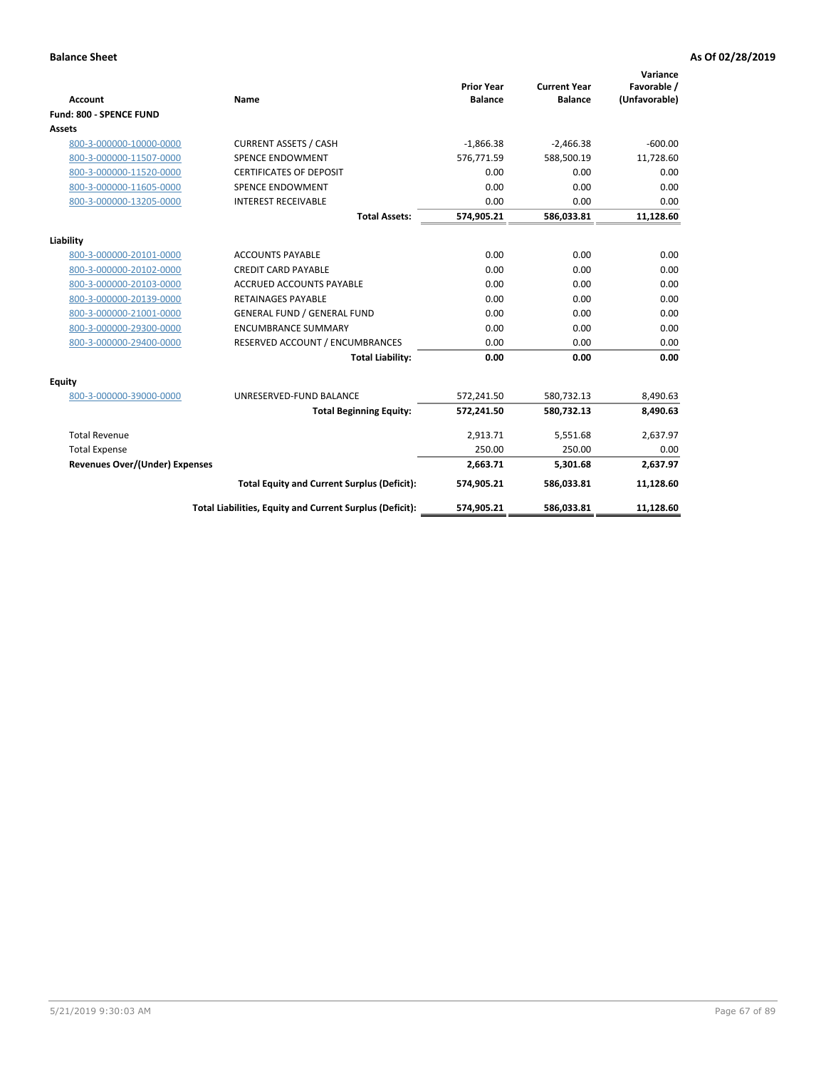|                                       |                                                          |                                     |                                       | Variance                     |
|---------------------------------------|----------------------------------------------------------|-------------------------------------|---------------------------------------|------------------------------|
| <b>Account</b>                        | <b>Name</b>                                              | <b>Prior Year</b><br><b>Balance</b> | <b>Current Year</b><br><b>Balance</b> | Favorable /<br>(Unfavorable) |
| Fund: 800 - SPENCE FUND               |                                                          |                                     |                                       |                              |
| <b>Assets</b>                         |                                                          |                                     |                                       |                              |
| 800-3-000000-10000-0000               | <b>CURRENT ASSETS / CASH</b>                             | $-1,866.38$                         | $-2,466.38$                           | $-600.00$                    |
| 800-3-000000-11507-0000               | <b>SPENCE ENDOWMENT</b>                                  | 576,771.59                          | 588,500.19                            | 11,728.60                    |
| 800-3-000000-11520-0000               | <b>CERTIFICATES OF DEPOSIT</b>                           | 0.00                                | 0.00                                  | 0.00                         |
| 800-3-000000-11605-0000               | <b>SPENCE ENDOWMENT</b>                                  | 0.00                                | 0.00                                  | 0.00                         |
| 800-3-000000-13205-0000               | <b>INTEREST RECEIVABLE</b>                               | 0.00                                | 0.00                                  | 0.00                         |
|                                       | <b>Total Assets:</b>                                     | 574,905.21                          | 586,033.81                            | 11,128.60                    |
| Liability                             |                                                          |                                     |                                       |                              |
| 800-3-000000-20101-0000               | <b>ACCOUNTS PAYABLE</b>                                  | 0.00                                | 0.00                                  | 0.00                         |
| 800-3-000000-20102-0000               | <b>CREDIT CARD PAYABLE</b>                               | 0.00                                | 0.00                                  | 0.00                         |
| 800-3-000000-20103-0000               | <b>ACCRUED ACCOUNTS PAYABLE</b>                          | 0.00                                | 0.00                                  | 0.00                         |
| 800-3-000000-20139-0000               | <b>RETAINAGES PAYABLE</b>                                | 0.00                                | 0.00                                  | 0.00                         |
| 800-3-000000-21001-0000               | <b>GENERAL FUND / GENERAL FUND</b>                       | 0.00                                | 0.00                                  | 0.00                         |
| 800-3-000000-29300-0000               | <b>ENCUMBRANCE SUMMARY</b>                               | 0.00                                | 0.00                                  | 0.00                         |
| 800-3-000000-29400-0000               | RESERVED ACCOUNT / ENCUMBRANCES                          | 0.00                                | 0.00                                  | 0.00                         |
|                                       | <b>Total Liability:</b>                                  | 0.00                                | 0.00                                  | 0.00                         |
| <b>Equity</b>                         |                                                          |                                     |                                       |                              |
| 800-3-000000-39000-0000               | UNRESERVED-FUND BALANCE                                  | 572,241.50                          | 580,732.13                            | 8,490.63                     |
|                                       | <b>Total Beginning Equity:</b>                           | 572,241.50                          | 580,732.13                            | 8,490.63                     |
| <b>Total Revenue</b>                  |                                                          | 2,913.71                            | 5,551.68                              | 2,637.97                     |
| <b>Total Expense</b>                  |                                                          | 250.00                              | 250.00                                | 0.00                         |
| <b>Revenues Over/(Under) Expenses</b> |                                                          | 2,663.71                            | 5,301.68                              | 2,637.97                     |
|                                       | <b>Total Equity and Current Surplus (Deficit):</b>       | 574,905.21                          | 586,033.81                            | 11,128.60                    |
|                                       |                                                          |                                     |                                       |                              |
|                                       | Total Liabilities, Equity and Current Surplus (Deficit): | 574,905.21                          | 586,033.81                            | 11,128.60                    |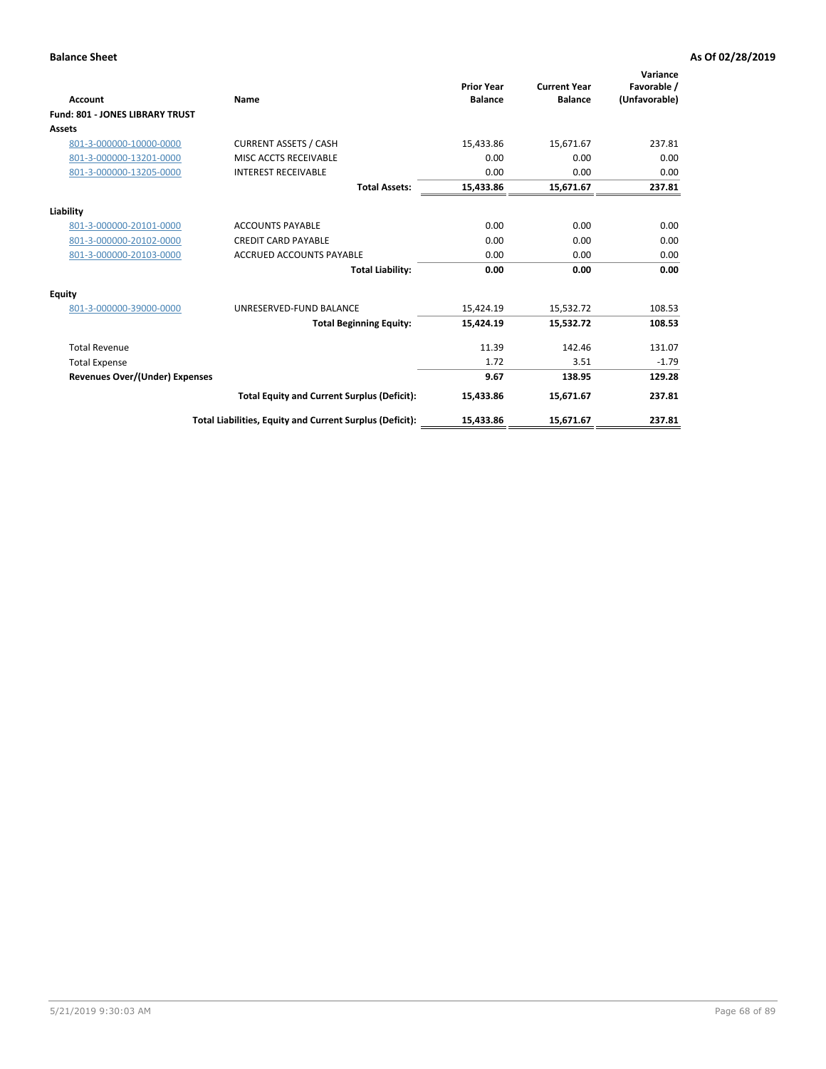| <b>Account</b>                         | Name                                                     | <b>Prior Year</b><br><b>Balance</b> | <b>Current Year</b><br><b>Balance</b> | Variance<br>Favorable /<br>(Unfavorable) |
|----------------------------------------|----------------------------------------------------------|-------------------------------------|---------------------------------------|------------------------------------------|
| <b>Fund: 801 - JONES LIBRARY TRUST</b> |                                                          |                                     |                                       |                                          |
| Assets                                 |                                                          |                                     |                                       |                                          |
| 801-3-000000-10000-0000                | <b>CURRENT ASSETS / CASH</b>                             | 15,433.86                           | 15,671.67                             | 237.81                                   |
| 801-3-000000-13201-0000                | MISC ACCTS RECEIVABLE                                    | 0.00                                | 0.00                                  | 0.00                                     |
| 801-3-000000-13205-0000                | <b>INTEREST RECEIVABLE</b>                               | 0.00                                | 0.00                                  | 0.00                                     |
|                                        | <b>Total Assets:</b>                                     | 15,433.86                           | 15,671.67                             | 237.81                                   |
| Liability                              |                                                          |                                     |                                       |                                          |
| 801-3-000000-20101-0000                | <b>ACCOUNTS PAYABLE</b>                                  | 0.00                                | 0.00                                  | 0.00                                     |
| 801-3-000000-20102-0000                | <b>CREDIT CARD PAYABLE</b>                               | 0.00                                | 0.00                                  | 0.00                                     |
| 801-3-000000-20103-0000                | <b>ACCRUED ACCOUNTS PAYABLE</b>                          | 0.00                                | 0.00                                  | 0.00                                     |
|                                        | <b>Total Liability:</b>                                  | 0.00                                | 0.00                                  | 0.00                                     |
| Equity                                 |                                                          |                                     |                                       |                                          |
| 801-3-000000-39000-0000                | UNRESERVED-FUND BALANCE                                  | 15,424.19                           | 15,532.72                             | 108.53                                   |
|                                        | <b>Total Beginning Equity:</b>                           | 15,424.19                           | 15,532.72                             | 108.53                                   |
| <b>Total Revenue</b>                   |                                                          | 11.39                               | 142.46                                | 131.07                                   |
| <b>Total Expense</b>                   |                                                          | 1.72                                | 3.51                                  | $-1.79$                                  |
| <b>Revenues Over/(Under) Expenses</b>  |                                                          | 9.67                                | 138.95                                | 129.28                                   |
|                                        | <b>Total Equity and Current Surplus (Deficit):</b>       | 15,433.86                           | 15,671.67                             | 237.81                                   |
|                                        | Total Liabilities, Equity and Current Surplus (Deficit): | 15,433.86                           | 15,671.67                             | 237.81                                   |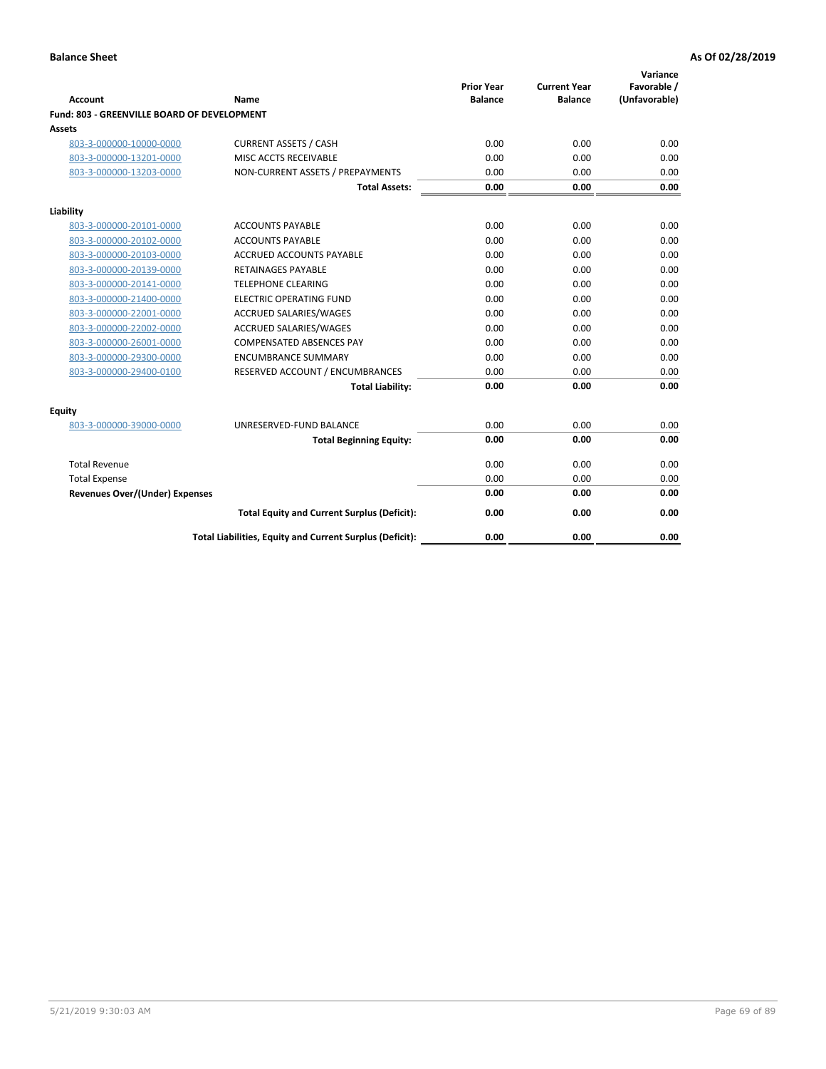| <b>Account</b>                              | <b>Name</b>                                              | <b>Prior Year</b><br><b>Balance</b> | <b>Current Year</b><br><b>Balance</b> | Variance<br>Favorable /<br>(Unfavorable) |
|---------------------------------------------|----------------------------------------------------------|-------------------------------------|---------------------------------------|------------------------------------------|
| Fund: 803 - GREENVILLE BOARD OF DEVELOPMENT |                                                          |                                     |                                       |                                          |
| Assets                                      |                                                          |                                     |                                       |                                          |
| 803-3-000000-10000-0000                     | <b>CURRENT ASSETS / CASH</b>                             | 0.00                                | 0.00                                  | 0.00                                     |
| 803-3-000000-13201-0000                     | MISC ACCTS RECEIVABLE                                    | 0.00                                | 0.00                                  | 0.00                                     |
| 803-3-000000-13203-0000                     | NON-CURRENT ASSETS / PREPAYMENTS                         | 0.00                                | 0.00                                  | 0.00                                     |
|                                             | <b>Total Assets:</b>                                     | 0.00                                | 0.00                                  | 0.00                                     |
| Liability                                   |                                                          |                                     |                                       |                                          |
| 803-3-000000-20101-0000                     | <b>ACCOUNTS PAYABLE</b>                                  | 0.00                                | 0.00                                  | 0.00                                     |
| 803-3-000000-20102-0000                     | <b>ACCOUNTS PAYABLE</b>                                  | 0.00                                | 0.00                                  | 0.00                                     |
| 803-3-000000-20103-0000                     | <b>ACCRUED ACCOUNTS PAYABLE</b>                          | 0.00                                | 0.00                                  | 0.00                                     |
| 803-3-000000-20139-0000                     | <b>RETAINAGES PAYABLE</b>                                | 0.00                                | 0.00                                  | 0.00                                     |
| 803-3-000000-20141-0000                     | <b>TELEPHONE CLEARING</b>                                | 0.00                                | 0.00                                  | 0.00                                     |
| 803-3-000000-21400-0000                     | <b>ELECTRIC OPERATING FUND</b>                           | 0.00                                | 0.00                                  | 0.00                                     |
| 803-3-000000-22001-0000                     | ACCRUED SALARIES/WAGES                                   | 0.00                                | 0.00                                  | 0.00                                     |
| 803-3-000000-22002-0000                     | ACCRUED SALARIES/WAGES                                   | 0.00                                | 0.00                                  | 0.00                                     |
| 803-3-000000-26001-0000                     | <b>COMPENSATED ABSENCES PAY</b>                          | 0.00                                | 0.00                                  | 0.00                                     |
| 803-3-000000-29300-0000                     | <b>ENCUMBRANCE SUMMARY</b>                               | 0.00                                | 0.00                                  | 0.00                                     |
| 803-3-000000-29400-0100                     | RESERVED ACCOUNT / ENCUMBRANCES                          | 0.00                                | 0.00                                  | 0.00                                     |
|                                             | <b>Total Liability:</b>                                  | 0.00                                | 0.00                                  | 0.00                                     |
| Equity                                      |                                                          |                                     |                                       |                                          |
| 803-3-000000-39000-0000                     | UNRESERVED-FUND BALANCE                                  | 0.00                                | 0.00                                  | 0.00                                     |
|                                             | <b>Total Beginning Equity:</b>                           | 0.00                                | 0.00                                  | 0.00                                     |
| <b>Total Revenue</b>                        |                                                          | 0.00                                | 0.00                                  | 0.00                                     |
| <b>Total Expense</b>                        |                                                          | 0.00                                | 0.00                                  | 0.00                                     |
| <b>Revenues Over/(Under) Expenses</b>       |                                                          | 0.00                                | 0.00                                  | 0.00                                     |
|                                             | <b>Total Equity and Current Surplus (Deficit):</b>       | 0.00                                | 0.00                                  | 0.00                                     |
|                                             | Total Liabilities, Equity and Current Surplus (Deficit): | 0.00                                | 0.00                                  | 0.00                                     |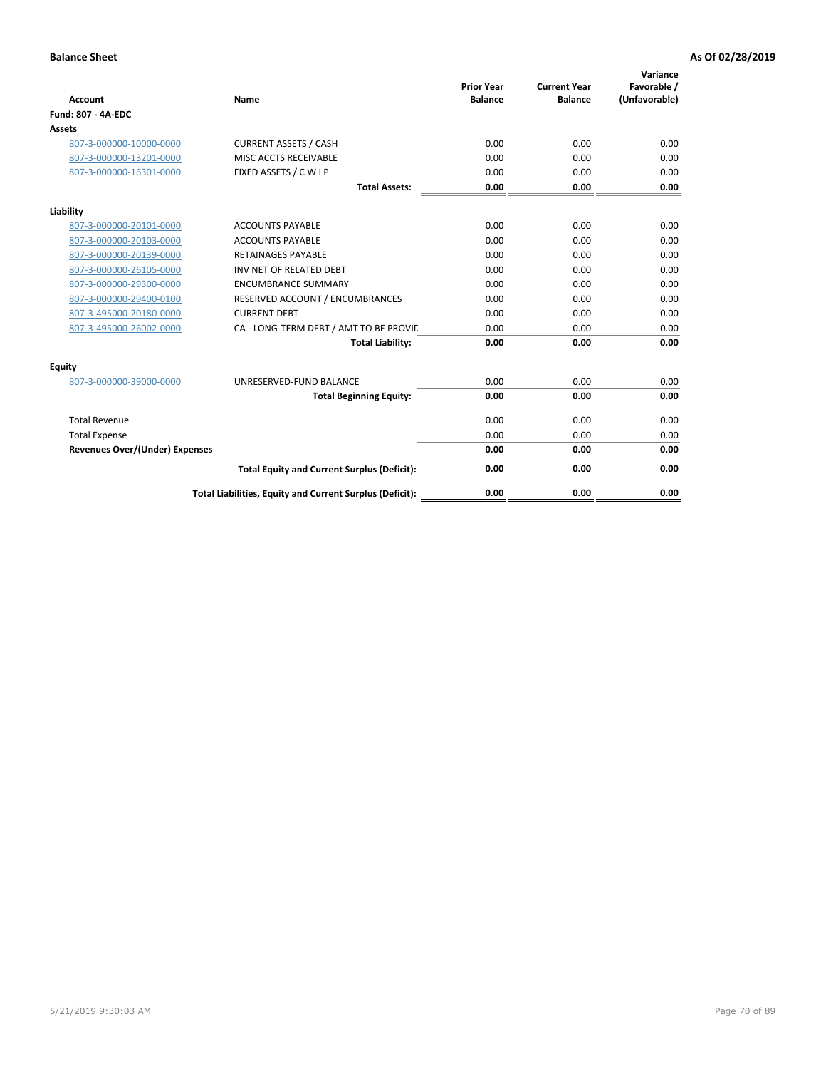| <b>Account</b>                        | Name                                                     | <b>Prior Year</b><br><b>Balance</b> | <b>Current Year</b><br><b>Balance</b> | Variance<br>Favorable /<br>(Unfavorable) |
|---------------------------------------|----------------------------------------------------------|-------------------------------------|---------------------------------------|------------------------------------------|
| Fund: 807 - 4A-EDC                    |                                                          |                                     |                                       |                                          |
| <b>Assets</b>                         |                                                          |                                     |                                       |                                          |
| 807-3-000000-10000-0000               | <b>CURRENT ASSETS / CASH</b>                             | 0.00                                | 0.00                                  | 0.00                                     |
| 807-3-000000-13201-0000               | MISC ACCTS RECEIVABLE                                    | 0.00                                | 0.00                                  | 0.00                                     |
| 807-3-000000-16301-0000               | FIXED ASSETS / C W I P                                   | 0.00                                | 0.00                                  | 0.00                                     |
|                                       | <b>Total Assets:</b>                                     | 0.00                                | 0.00                                  | 0.00                                     |
| Liability                             |                                                          |                                     |                                       |                                          |
| 807-3-000000-20101-0000               | <b>ACCOUNTS PAYABLE</b>                                  | 0.00                                | 0.00                                  | 0.00                                     |
| 807-3-000000-20103-0000               | <b>ACCOUNTS PAYABLE</b>                                  | 0.00                                | 0.00                                  | 0.00                                     |
| 807-3-000000-20139-0000               | <b>RETAINAGES PAYABLE</b>                                | 0.00                                | 0.00                                  | 0.00                                     |
| 807-3-000000-26105-0000               | INV NET OF RELATED DEBT                                  | 0.00                                | 0.00                                  | 0.00                                     |
| 807-3-000000-29300-0000               | <b>ENCUMBRANCE SUMMARY</b>                               | 0.00                                | 0.00                                  | 0.00                                     |
| 807-3-000000-29400-0100               | RESERVED ACCOUNT / ENCUMBRANCES                          | 0.00                                | 0.00                                  | 0.00                                     |
| 807-3-495000-20180-0000               | <b>CURRENT DEBT</b>                                      | 0.00                                | 0.00                                  | 0.00                                     |
| 807-3-495000-26002-0000               | CA - LONG-TERM DEBT / AMT TO BE PROVIL                   | 0.00                                | 0.00                                  | 0.00                                     |
|                                       | <b>Total Liability:</b>                                  | 0.00                                | 0.00                                  | 0.00                                     |
| Equity                                |                                                          |                                     |                                       |                                          |
| 807-3-000000-39000-0000               | UNRESERVED-FUND BALANCE                                  | 0.00                                | 0.00                                  | 0.00                                     |
|                                       | <b>Total Beginning Equity:</b>                           | 0.00                                | 0.00                                  | 0.00                                     |
| <b>Total Revenue</b>                  |                                                          | 0.00                                | 0.00                                  | 0.00                                     |
| <b>Total Expense</b>                  |                                                          | 0.00                                | 0.00                                  | 0.00                                     |
| <b>Revenues Over/(Under) Expenses</b> |                                                          | 0.00                                | 0.00                                  | 0.00                                     |
|                                       | <b>Total Equity and Current Surplus (Deficit):</b>       | 0.00                                | 0.00                                  | 0.00                                     |
|                                       | Total Liabilities, Equity and Current Surplus (Deficit): | 0.00                                | 0.00                                  | 0.00                                     |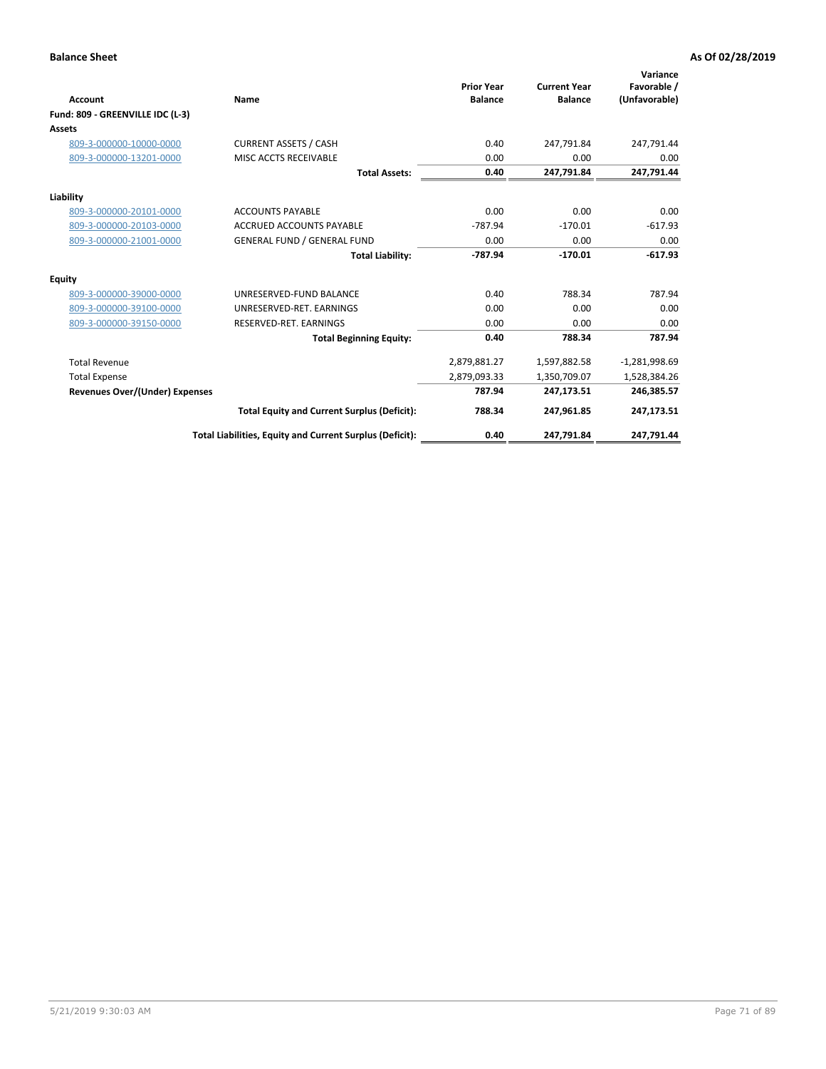| <b>Account</b>                        | Name                                                     | <b>Prior Year</b><br><b>Balance</b> | <b>Current Year</b><br><b>Balance</b> | Variance<br>Favorable /<br>(Unfavorable) |
|---------------------------------------|----------------------------------------------------------|-------------------------------------|---------------------------------------|------------------------------------------|
| Fund: 809 - GREENVILLE IDC (L-3)      |                                                          |                                     |                                       |                                          |
| <b>Assets</b>                         |                                                          |                                     |                                       |                                          |
| 809-3-000000-10000-0000               | <b>CURRENT ASSETS / CASH</b>                             | 0.40                                | 247,791.84                            | 247,791.44                               |
| 809-3-000000-13201-0000               | MISC ACCTS RECEIVABLE                                    | 0.00                                | 0.00                                  | 0.00                                     |
|                                       | <b>Total Assets:</b>                                     | 0.40                                | 247,791.84                            | 247,791.44                               |
| Liability                             |                                                          |                                     |                                       |                                          |
| 809-3-000000-20101-0000               | <b>ACCOUNTS PAYABLE</b>                                  | 0.00                                | 0.00                                  | 0.00                                     |
| 809-3-000000-20103-0000               | <b>ACCRUED ACCOUNTS PAYABLE</b>                          | $-787.94$                           | $-170.01$                             | $-617.93$                                |
| 809-3-000000-21001-0000               | <b>GENERAL FUND / GENERAL FUND</b>                       | 0.00                                | 0.00                                  | 0.00                                     |
|                                       | <b>Total Liability:</b>                                  | $-787.94$                           | $-170.01$                             | $-617.93$                                |
| Equity                                |                                                          |                                     |                                       |                                          |
| 809-3-000000-39000-0000               | UNRESERVED-FUND BALANCE                                  | 0.40                                | 788.34                                | 787.94                                   |
| 809-3-000000-39100-0000               | UNRESERVED-RET. EARNINGS                                 | 0.00                                | 0.00                                  | 0.00                                     |
| 809-3-000000-39150-0000               | RESERVED-RET. EARNINGS                                   | 0.00                                | 0.00                                  | 0.00                                     |
|                                       | <b>Total Beginning Equity:</b>                           | 0.40                                | 788.34                                | 787.94                                   |
| <b>Total Revenue</b>                  |                                                          | 2,879,881.27                        | 1,597,882.58                          | $-1,281,998.69$                          |
| <b>Total Expense</b>                  |                                                          | 2,879,093.33                        | 1,350,709.07                          | 1,528,384.26                             |
| <b>Revenues Over/(Under) Expenses</b> |                                                          | 787.94                              | 247,173.51                            | 246,385.57                               |
|                                       | <b>Total Equity and Current Surplus (Deficit):</b>       | 788.34                              | 247,961.85                            | 247,173.51                               |
|                                       | Total Liabilities, Equity and Current Surplus (Deficit): | 0.40                                | 247,791.84                            | 247,791.44                               |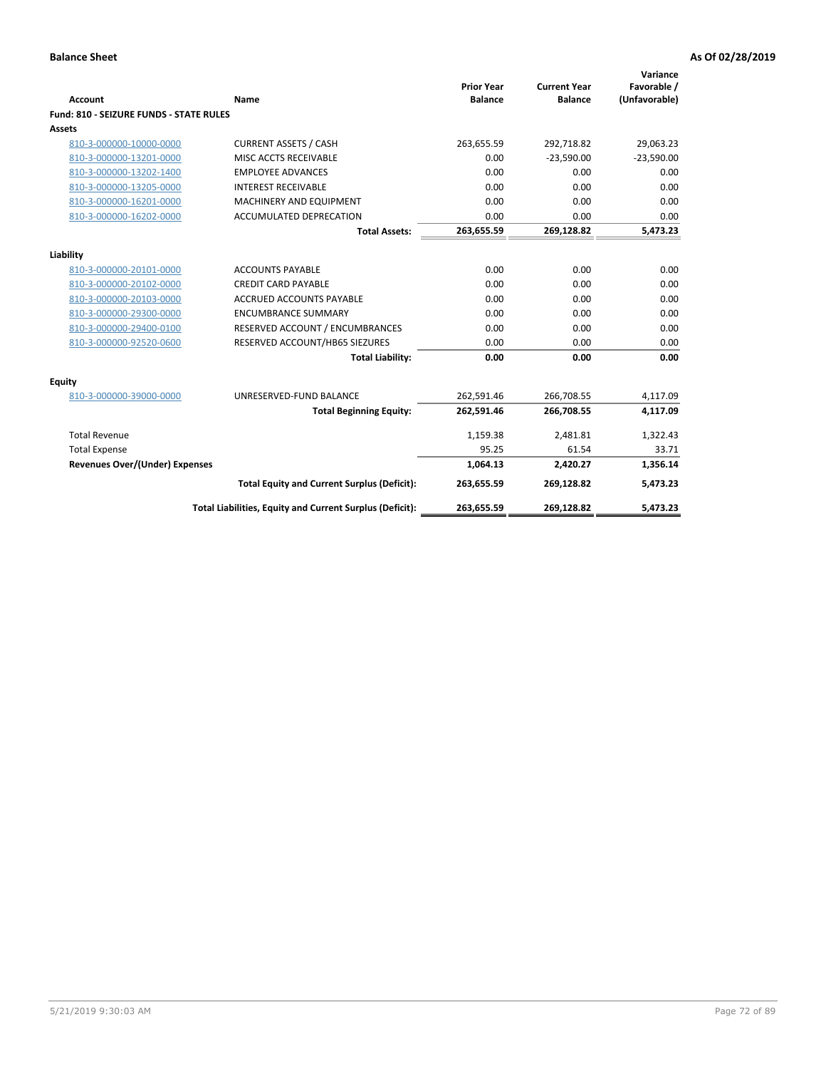| <b>Account</b>                          | Name                                                     | <b>Prior Year</b><br><b>Balance</b> | <b>Current Year</b><br><b>Balance</b> | Variance<br>Favorable /<br>(Unfavorable) |
|-----------------------------------------|----------------------------------------------------------|-------------------------------------|---------------------------------------|------------------------------------------|
| Fund: 810 - SEIZURE FUNDS - STATE RULES |                                                          |                                     |                                       |                                          |
| Assets                                  |                                                          |                                     |                                       |                                          |
| 810-3-000000-10000-0000                 | <b>CURRENT ASSETS / CASH</b>                             | 263,655.59                          | 292,718.82                            | 29,063.23                                |
| 810-3-000000-13201-0000                 | MISC ACCTS RECEIVABLE                                    | 0.00                                | $-23,590.00$                          | $-23,590.00$                             |
| 810-3-000000-13202-1400                 | <b>EMPLOYEE ADVANCES</b>                                 | 0.00                                | 0.00                                  | 0.00                                     |
| 810-3-000000-13205-0000                 | <b>INTEREST RECEIVABLE</b>                               | 0.00                                | 0.00                                  | 0.00                                     |
| 810-3-000000-16201-0000                 | MACHINERY AND EQUIPMENT                                  | 0.00                                | 0.00                                  | 0.00                                     |
| 810-3-000000-16202-0000                 | ACCUMULATED DEPRECATION                                  | 0.00                                | 0.00                                  | 0.00                                     |
|                                         | <b>Total Assets:</b>                                     | 263,655.59                          | 269,128.82                            | 5,473.23                                 |
|                                         |                                                          |                                     |                                       |                                          |
| Liability                               |                                                          |                                     |                                       |                                          |
| 810-3-000000-20101-0000                 | <b>ACCOUNTS PAYABLE</b>                                  | 0.00                                | 0.00                                  | 0.00                                     |
| 810-3-000000-20102-0000                 | <b>CREDIT CARD PAYABLE</b>                               | 0.00                                | 0.00                                  | 0.00                                     |
| 810-3-000000-20103-0000                 | <b>ACCRUED ACCOUNTS PAYABLE</b>                          | 0.00                                | 0.00                                  | 0.00                                     |
| 810-3-000000-29300-0000                 | <b>ENCUMBRANCE SUMMARY</b>                               | 0.00                                | 0.00                                  | 0.00                                     |
| 810-3-000000-29400-0100                 | RESERVED ACCOUNT / ENCUMBRANCES                          | 0.00                                | 0.00                                  | 0.00                                     |
| 810-3-000000-92520-0600                 | RESERVED ACCOUNT/HB65 SIEZURES                           | 0.00                                | 0.00                                  | 0.00                                     |
|                                         | <b>Total Liability:</b>                                  | 0.00                                | 0.00                                  | 0.00                                     |
| <b>Equity</b>                           |                                                          |                                     |                                       |                                          |
| 810-3-000000-39000-0000                 | UNRESERVED-FUND BALANCE                                  | 262,591.46                          | 266,708.55                            | 4,117.09                                 |
|                                         | <b>Total Beginning Equity:</b>                           | 262,591.46                          | 266,708.55                            | 4,117.09                                 |
| <b>Total Revenue</b>                    |                                                          | 1,159.38                            | 2,481.81                              | 1,322.43                                 |
| <b>Total Expense</b>                    |                                                          | 95.25                               | 61.54                                 | 33.71                                    |
| <b>Revenues Over/(Under) Expenses</b>   |                                                          | 1,064.13                            | 2,420.27                              | 1,356.14                                 |
|                                         | <b>Total Equity and Current Surplus (Deficit):</b>       | 263,655.59                          | 269,128.82                            | 5,473.23                                 |
|                                         | Total Liabilities, Equity and Current Surplus (Deficit): | 263,655.59                          | 269,128.82                            | 5,473.23                                 |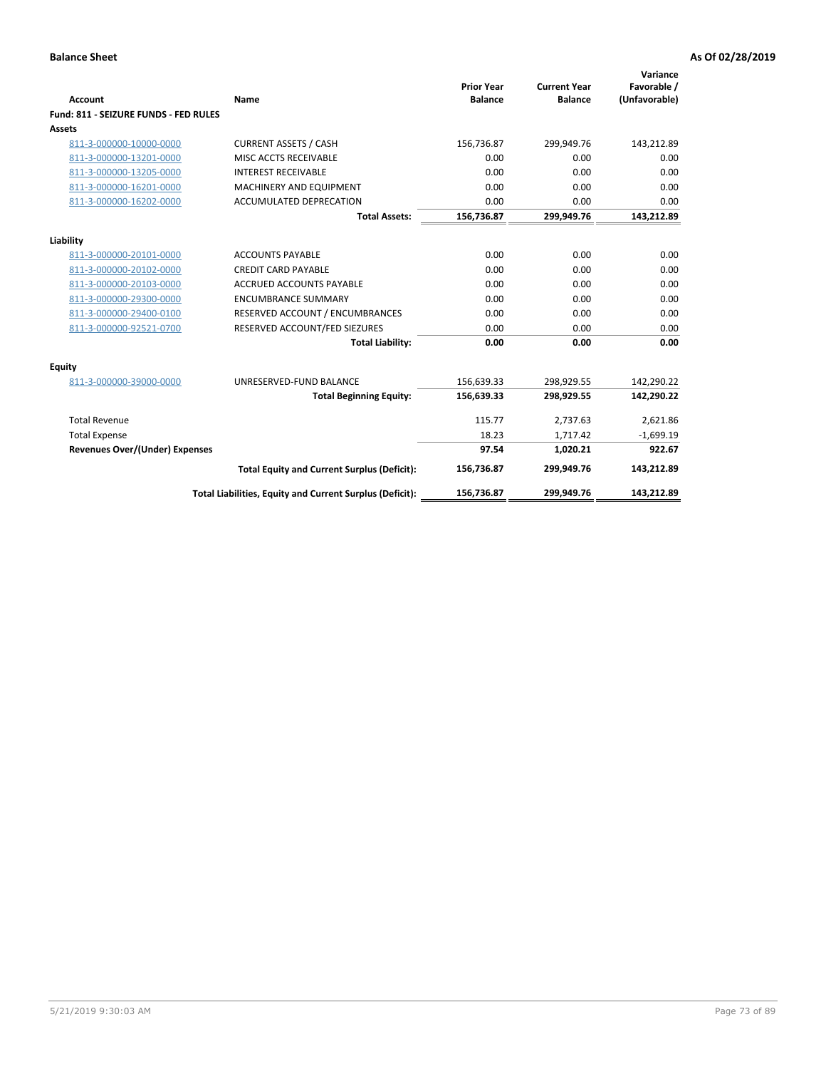| <b>Account</b>                        | Name                                                     | <b>Prior Year</b><br><b>Balance</b> | <b>Current Year</b><br><b>Balance</b> | Variance<br>Favorable /<br>(Unfavorable) |
|---------------------------------------|----------------------------------------------------------|-------------------------------------|---------------------------------------|------------------------------------------|
| Fund: 811 - SEIZURE FUNDS - FED RULES |                                                          |                                     |                                       |                                          |
| <b>Assets</b>                         |                                                          |                                     |                                       |                                          |
| 811-3-000000-10000-0000               | <b>CURRENT ASSETS / CASH</b>                             | 156,736.87                          | 299,949.76                            | 143,212.89                               |
| 811-3-000000-13201-0000               | MISC ACCTS RECEIVABLE                                    | 0.00                                | 0.00                                  | 0.00                                     |
| 811-3-000000-13205-0000               | <b>INTEREST RECEIVABLE</b>                               | 0.00                                | 0.00                                  | 0.00                                     |
| 811-3-000000-16201-0000               | <b>MACHINERY AND EQUIPMENT</b>                           | 0.00                                | 0.00                                  | 0.00                                     |
| 811-3-000000-16202-0000               | <b>ACCUMULATED DEPRECATION</b>                           | 0.00                                | 0.00                                  | 0.00                                     |
|                                       | <b>Total Assets:</b>                                     | 156,736.87                          | 299,949.76                            | 143,212.89                               |
| Liability                             |                                                          |                                     |                                       |                                          |
| 811-3-000000-20101-0000               | <b>ACCOUNTS PAYABLE</b>                                  | 0.00                                | 0.00                                  | 0.00                                     |
| 811-3-000000-20102-0000               | <b>CREDIT CARD PAYABLE</b>                               | 0.00                                | 0.00                                  | 0.00                                     |
| 811-3-000000-20103-0000               | <b>ACCRUED ACCOUNTS PAYABLE</b>                          | 0.00                                | 0.00                                  | 0.00                                     |
| 811-3-000000-29300-0000               | <b>ENCUMBRANCE SUMMARY</b>                               | 0.00                                | 0.00                                  | 0.00                                     |
| 811-3-000000-29400-0100               | RESERVED ACCOUNT / ENCUMBRANCES                          | 0.00                                | 0.00                                  | 0.00                                     |
| 811-3-000000-92521-0700               | RESERVED ACCOUNT/FED SIEZURES                            | 0.00                                | 0.00                                  | 0.00                                     |
|                                       | <b>Total Liability:</b>                                  | 0.00                                | 0.00                                  | 0.00                                     |
| Equity                                |                                                          |                                     |                                       |                                          |
| 811-3-000000-39000-0000               | UNRESERVED-FUND BALANCE                                  | 156,639.33                          | 298,929.55                            | 142,290.22                               |
|                                       | <b>Total Beginning Equity:</b>                           | 156,639.33                          | 298,929.55                            | 142,290.22                               |
| <b>Total Revenue</b>                  |                                                          | 115.77                              | 2,737.63                              | 2,621.86                                 |
| <b>Total Expense</b>                  |                                                          | 18.23                               | 1,717.42                              | $-1,699.19$                              |
| Revenues Over/(Under) Expenses        |                                                          | 97.54                               | 1,020.21                              | 922.67                                   |
|                                       | <b>Total Equity and Current Surplus (Deficit):</b>       | 156,736.87                          | 299,949.76                            | 143,212.89                               |
|                                       | Total Liabilities, Equity and Current Surplus (Deficit): | 156,736.87                          | 299.949.76                            | 143.212.89                               |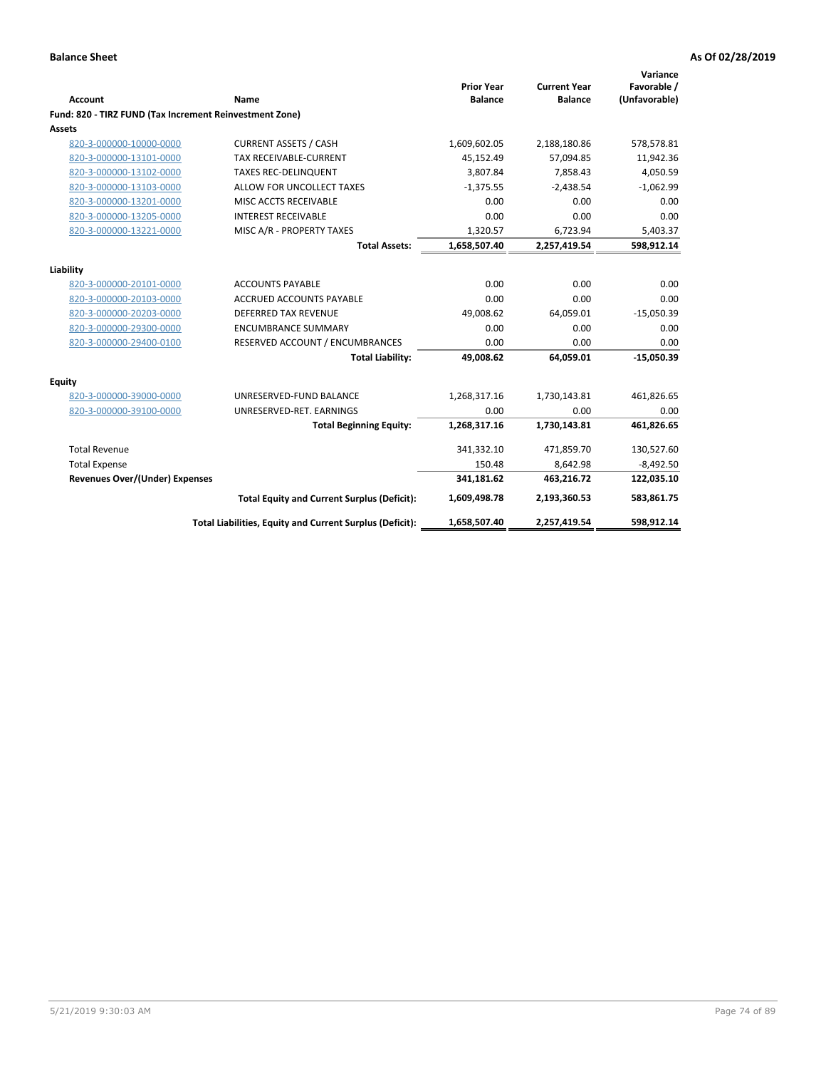|                                                         |                                                          | <b>Prior Year</b> | <b>Current Year</b> | Variance<br>Favorable / |
|---------------------------------------------------------|----------------------------------------------------------|-------------------|---------------------|-------------------------|
| <b>Account</b>                                          | Name                                                     | <b>Balance</b>    | <b>Balance</b>      | (Unfavorable)           |
| Fund: 820 - TIRZ FUND (Tax Increment Reinvestment Zone) |                                                          |                   |                     |                         |
| Assets                                                  |                                                          |                   |                     |                         |
| 820-3-000000-10000-0000                                 | <b>CURRENT ASSETS / CASH</b>                             | 1,609,602.05      | 2,188,180.86        | 578,578.81              |
| 820-3-000000-13101-0000                                 | TAX RECEIVABLE-CURRENT                                   | 45,152.49         | 57,094.85           | 11,942.36               |
| 820-3-000000-13102-0000                                 | <b>TAXES REC-DELINQUENT</b>                              | 3,807.84          | 7,858.43            | 4,050.59                |
| 820-3-000000-13103-0000                                 | ALLOW FOR UNCOLLECT TAXES                                | $-1,375.55$       | $-2,438.54$         | $-1,062.99$             |
| 820-3-000000-13201-0000                                 | MISC ACCTS RECEIVABLE                                    | 0.00              | 0.00                | 0.00                    |
| 820-3-000000-13205-0000                                 | <b>INTEREST RECEIVABLE</b>                               | 0.00              | 0.00                | 0.00                    |
| 820-3-000000-13221-0000                                 | MISC A/R - PROPERTY TAXES                                | 1,320.57          | 6,723.94            | 5,403.37                |
|                                                         | <b>Total Assets:</b>                                     | 1,658,507.40      | 2,257,419.54        | 598,912.14              |
| Liability                                               |                                                          |                   |                     |                         |
| 820-3-000000-20101-0000                                 | <b>ACCOUNTS PAYABLE</b>                                  | 0.00              | 0.00                | 0.00                    |
| 820-3-000000-20103-0000                                 | <b>ACCRUED ACCOUNTS PAYABLE</b>                          | 0.00              | 0.00                | 0.00                    |
| 820-3-000000-20203-0000                                 | <b>DEFERRED TAX REVENUE</b>                              | 49,008.62         | 64,059.01           | $-15,050.39$            |
| 820-3-000000-29300-0000                                 | <b>ENCUMBRANCE SUMMARY</b>                               | 0.00              | 0.00                | 0.00                    |
| 820-3-000000-29400-0100                                 | RESERVED ACCOUNT / ENCUMBRANCES                          | 0.00              | 0.00                | 0.00                    |
|                                                         | <b>Total Liability:</b>                                  | 49,008.62         | 64,059.01           | $-15,050.39$            |
| Equity                                                  |                                                          |                   |                     |                         |
| 820-3-000000-39000-0000                                 | UNRESERVED-FUND BALANCE                                  | 1,268,317.16      | 1,730,143.81        | 461,826.65              |
| 820-3-000000-39100-0000                                 | UNRESERVED-RET. EARNINGS                                 | 0.00              | 0.00                | 0.00                    |
|                                                         | <b>Total Beginning Equity:</b>                           | 1,268,317.16      | 1,730,143.81        | 461,826.65              |
| <b>Total Revenue</b>                                    |                                                          | 341,332.10        | 471,859.70          | 130,527.60              |
| <b>Total Expense</b>                                    |                                                          | 150.48            | 8,642.98            | $-8,492.50$             |
| <b>Revenues Over/(Under) Expenses</b>                   |                                                          | 341,181.62        | 463,216.72          | 122,035.10              |
|                                                         | <b>Total Equity and Current Surplus (Deficit):</b>       | 1,609,498.78      | 2,193,360.53        | 583,861.75              |
|                                                         | Total Liabilities, Equity and Current Surplus (Deficit): | 1,658,507.40      | 2,257,419.54        | 598,912.14              |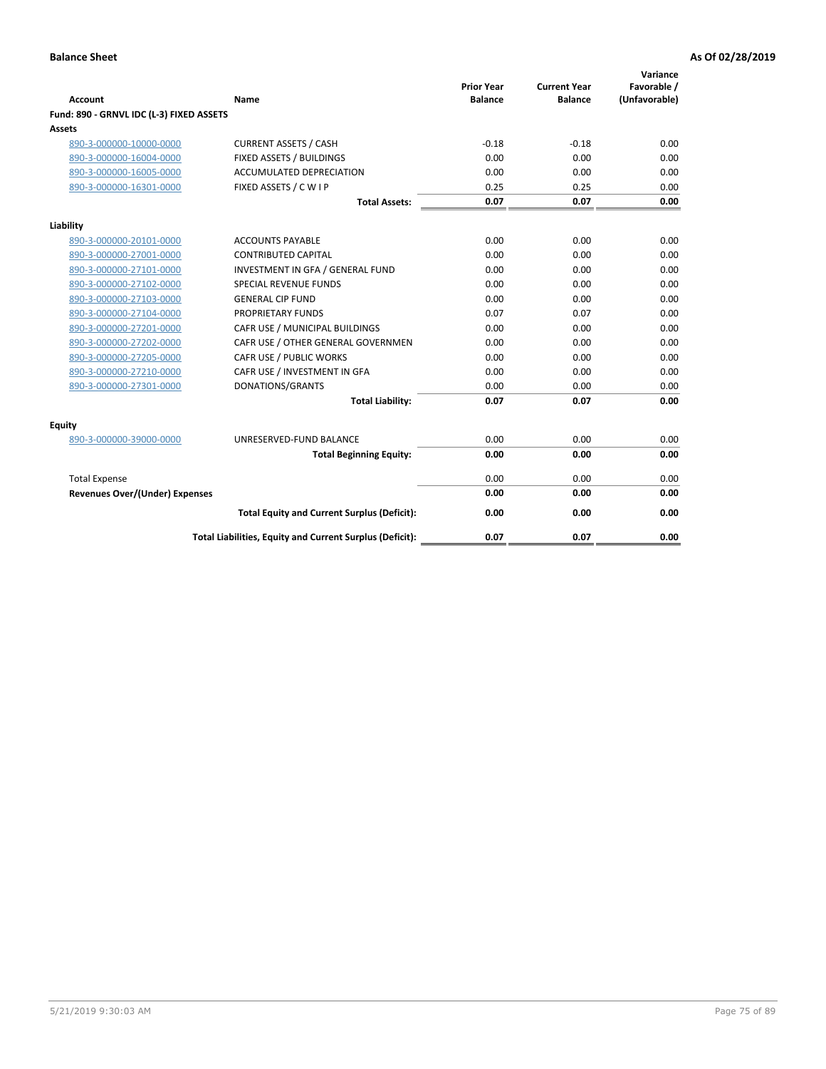| <b>Account</b>                           | Name                                                     | <b>Prior Year</b><br><b>Balance</b> | <b>Current Year</b><br><b>Balance</b> | Variance<br>Favorable /<br>(Unfavorable) |
|------------------------------------------|----------------------------------------------------------|-------------------------------------|---------------------------------------|------------------------------------------|
| Fund: 890 - GRNVL IDC (L-3) FIXED ASSETS |                                                          |                                     |                                       |                                          |
| <b>Assets</b>                            |                                                          |                                     |                                       |                                          |
| 890-3-000000-10000-0000                  | <b>CURRENT ASSETS / CASH</b>                             | $-0.18$                             | $-0.18$                               | 0.00                                     |
| 890-3-000000-16004-0000                  | FIXED ASSETS / BUILDINGS                                 | 0.00                                | 0.00                                  | 0.00                                     |
| 890-3-000000-16005-0000                  | <b>ACCUMULATED DEPRECIATION</b>                          | 0.00                                | 0.00                                  | 0.00                                     |
| 890-3-000000-16301-0000                  | FIXED ASSETS / C W I P                                   | 0.25                                | 0.25                                  | 0.00                                     |
|                                          | <b>Total Assets:</b>                                     | 0.07                                | 0.07                                  | 0.00                                     |
| Liability                                |                                                          |                                     |                                       |                                          |
| 890-3-000000-20101-0000                  | <b>ACCOUNTS PAYABLE</b>                                  | 0.00                                | 0.00                                  | 0.00                                     |
| 890-3-000000-27001-0000                  | <b>CONTRIBUTED CAPITAL</b>                               | 0.00                                | 0.00                                  | 0.00                                     |
| 890-3-000000-27101-0000                  | INVESTMENT IN GFA / GENERAL FUND                         | 0.00                                | 0.00                                  | 0.00                                     |
| 890-3-000000-27102-0000                  | <b>SPECIAL REVENUE FUNDS</b>                             | 0.00                                | 0.00                                  | 0.00                                     |
| 890-3-000000-27103-0000                  | <b>GENERAL CIP FUND</b>                                  | 0.00                                | 0.00                                  | 0.00                                     |
| 890-3-000000-27104-0000                  | PROPRIETARY FUNDS                                        | 0.07                                | 0.07                                  | 0.00                                     |
| 890-3-000000-27201-0000                  | CAFR USE / MUNICIPAL BUILDINGS                           | 0.00                                | 0.00                                  | 0.00                                     |
| 890-3-000000-27202-0000                  | CAFR USE / OTHER GENERAL GOVERNMEN                       | 0.00                                | 0.00                                  | 0.00                                     |
| 890-3-000000-27205-0000                  | CAFR USE / PUBLIC WORKS                                  | 0.00                                | 0.00                                  | 0.00                                     |
| 890-3-000000-27210-0000                  | CAFR USE / INVESTMENT IN GFA                             | 0.00                                | 0.00                                  | 0.00                                     |
| 890-3-000000-27301-0000                  | DONATIONS/GRANTS                                         | 0.00                                | 0.00                                  | 0.00                                     |
|                                          | <b>Total Liability:</b>                                  | 0.07                                | 0.07                                  | 0.00                                     |
| Equity                                   |                                                          |                                     |                                       |                                          |
| 890-3-000000-39000-0000                  | UNRESERVED-FUND BALANCE                                  | 0.00                                | 0.00                                  | 0.00                                     |
|                                          | <b>Total Beginning Equity:</b>                           | 0.00                                | 0.00                                  | 0.00                                     |
| <b>Total Expense</b>                     |                                                          | 0.00                                | 0.00                                  | 0.00                                     |
| Revenues Over/(Under) Expenses           |                                                          | 0.00                                | 0.00                                  | 0.00                                     |
|                                          |                                                          |                                     |                                       |                                          |
|                                          | <b>Total Equity and Current Surplus (Deficit):</b>       | 0.00                                | 0.00                                  | 0.00                                     |
|                                          | Total Liabilities, Equity and Current Surplus (Deficit): | 0.07                                | 0.07                                  | 0.00                                     |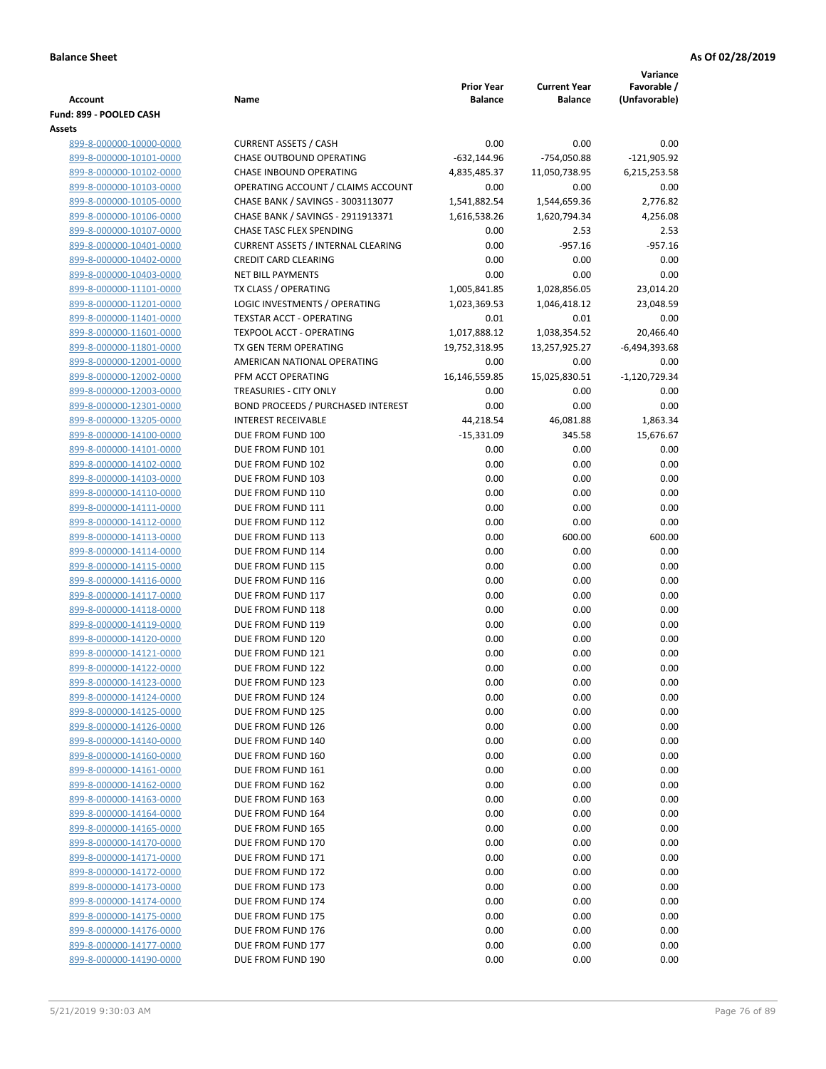|                                                    |                                                          |                                     |                                       | Variance                     |
|----------------------------------------------------|----------------------------------------------------------|-------------------------------------|---------------------------------------|------------------------------|
| <b>Account</b>                                     | Name                                                     | <b>Prior Year</b><br><b>Balance</b> | <b>Current Year</b><br><b>Balance</b> | Favorable /<br>(Unfavorable) |
| Fund: 899 - POOLED CASH                            |                                                          |                                     |                                       |                              |
| Assets                                             |                                                          |                                     |                                       |                              |
| 899-8-000000-10000-0000                            | <b>CURRENT ASSETS / CASH</b>                             | 0.00                                | 0.00                                  | 0.00                         |
| 899-8-000000-10101-0000                            | CHASE OUTBOUND OPERATING                                 | $-632,144.96$                       | -754,050.88                           | $-121,905.92$                |
| 899-8-000000-10102-0000                            | CHASE INBOUND OPERATING                                  | 4,835,485.37                        | 11,050,738.95                         | 6,215,253.58                 |
| 899-8-000000-10103-0000                            | OPERATING ACCOUNT / CLAIMS ACCOUNT                       | 0.00                                | 0.00                                  | 0.00                         |
| 899-8-000000-10105-0000                            | CHASE BANK / SAVINGS - 3003113077                        | 1,541,882.54                        | 1,544,659.36                          | 2,776.82                     |
| 899-8-000000-10106-0000                            | CHASE BANK / SAVINGS - 2911913371                        | 1,616,538.26                        | 1,620,794.34                          | 4,256.08                     |
| 899-8-000000-10107-0000                            | CHASE TASC FLEX SPENDING                                 | 0.00                                | 2.53                                  | 2.53                         |
| 899-8-000000-10401-0000                            | <b>CURRENT ASSETS / INTERNAL CLEARING</b>                | 0.00                                | $-957.16$                             | $-957.16$                    |
| 899-8-000000-10402-0000                            | <b>CREDIT CARD CLEARING</b>                              | 0.00                                | 0.00                                  | 0.00                         |
| 899-8-000000-10403-0000                            | <b>NET BILL PAYMENTS</b>                                 | 0.00                                | 0.00                                  | 0.00                         |
| 899-8-000000-11101-0000                            | TX CLASS / OPERATING                                     | 1,005,841.85                        | 1,028,856.05                          | 23,014.20                    |
| 899-8-000000-11201-0000                            | LOGIC INVESTMENTS / OPERATING                            | 1,023,369.53                        | 1,046,418.12                          | 23,048.59                    |
| 899-8-000000-11401-0000                            | TEXSTAR ACCT - OPERATING                                 | 0.01                                | 0.01                                  | 0.00                         |
| 899-8-000000-11601-0000                            | <b>TEXPOOL ACCT - OPERATING</b><br>TX GEN TERM OPERATING | 1,017,888.12                        | 1,038,354.52                          | 20,466.40                    |
| 899-8-000000-11801-0000<br>899-8-000000-12001-0000 | AMERICAN NATIONAL OPERATING                              | 19,752,318.95<br>0.00               | 13,257,925.27<br>0.00                 | $-6,494,393.68$<br>0.00      |
| 899-8-000000-12002-0000                            | PFM ACCT OPERATING                                       | 16,146,559.85                       | 15,025,830.51                         | $-1,120,729.34$              |
| 899-8-000000-12003-0000                            | TREASURIES - CITY ONLY                                   | 0.00                                | 0.00                                  | 0.00                         |
| 899-8-000000-12301-0000                            | <b>BOND PROCEEDS / PURCHASED INTEREST</b>                | 0.00                                | 0.00                                  | 0.00                         |
| 899-8-000000-13205-0000                            | <b>INTEREST RECEIVABLE</b>                               | 44,218.54                           | 46,081.88                             | 1,863.34                     |
| 899-8-000000-14100-0000                            | DUE FROM FUND 100                                        | $-15,331.09$                        | 345.58                                | 15,676.67                    |
| 899-8-000000-14101-0000                            | DUE FROM FUND 101                                        | 0.00                                | 0.00                                  | 0.00                         |
| 899-8-000000-14102-0000                            | DUE FROM FUND 102                                        | 0.00                                | 0.00                                  | 0.00                         |
| 899-8-000000-14103-0000                            | DUE FROM FUND 103                                        | 0.00                                | 0.00                                  | 0.00                         |
| 899-8-000000-14110-0000                            | DUE FROM FUND 110                                        | 0.00                                | 0.00                                  | 0.00                         |
| 899-8-000000-14111-0000                            | DUE FROM FUND 111                                        | 0.00                                | 0.00                                  | 0.00                         |
| 899-8-000000-14112-0000                            | DUE FROM FUND 112                                        | 0.00                                | 0.00                                  | 0.00                         |
| 899-8-000000-14113-0000                            | DUE FROM FUND 113                                        | 0.00                                | 600.00                                | 600.00                       |
| 899-8-000000-14114-0000                            | DUE FROM FUND 114                                        | 0.00                                | 0.00                                  | 0.00                         |
| 899-8-000000-14115-0000                            | DUE FROM FUND 115                                        | 0.00                                | 0.00                                  | 0.00                         |
| 899-8-000000-14116-0000                            | DUE FROM FUND 116                                        | 0.00                                | 0.00                                  | 0.00                         |
| 899-8-000000-14117-0000                            | DUE FROM FUND 117                                        | 0.00                                | 0.00                                  | 0.00                         |
| 899-8-000000-14118-0000                            | DUE FROM FUND 118                                        | 0.00                                | 0.00                                  | 0.00                         |
| 899-8-000000-14119-0000                            | DUE FROM FUND 119<br>DUE FROM FUND 120                   | 0.00                                | 0.00                                  | 0.00<br>0.00                 |
| 899-8-000000-14120-0000<br>899-8-000000-14121-0000 | DUE FROM FUND 121                                        | 0.00<br>0.00                        | 0.00<br>0.00                          | 0.00                         |
| 899-8-000000-14122-0000                            | DUE FROM FUND 122                                        | 0.00                                | 0.00                                  | 0.00                         |
| 899-8-000000-14123-0000                            | DUE FROM FUND 123                                        | 0.00                                | 0.00                                  | 0.00                         |
| 899-8-000000-14124-0000                            | DUE FROM FUND 124                                        | 0.00                                | 0.00                                  | 0.00                         |
| 899-8-000000-14125-0000                            | DUE FROM FUND 125                                        | 0.00                                | 0.00                                  | 0.00                         |
| 899-8-000000-14126-0000                            | DUE FROM FUND 126                                        | 0.00                                | 0.00                                  | 0.00                         |
| 899-8-000000-14140-0000                            | DUE FROM FUND 140                                        | 0.00                                | 0.00                                  | 0.00                         |
| 899-8-000000-14160-0000                            | DUE FROM FUND 160                                        | 0.00                                | 0.00                                  | 0.00                         |
| 899-8-000000-14161-0000                            | DUE FROM FUND 161                                        | 0.00                                | 0.00                                  | 0.00                         |
| 899-8-000000-14162-0000                            | DUE FROM FUND 162                                        | 0.00                                | 0.00                                  | 0.00                         |
| 899-8-000000-14163-0000                            | DUE FROM FUND 163                                        | 0.00                                | 0.00                                  | 0.00                         |
| 899-8-000000-14164-0000                            | DUE FROM FUND 164                                        | 0.00                                | 0.00                                  | 0.00                         |
| 899-8-000000-14165-0000                            | DUE FROM FUND 165                                        | 0.00                                | 0.00                                  | 0.00                         |
| 899-8-000000-14170-0000                            | DUE FROM FUND 170                                        | 0.00                                | 0.00                                  | 0.00                         |
| 899-8-000000-14171-0000                            | DUE FROM FUND 171                                        | 0.00                                | 0.00                                  | 0.00                         |
| 899-8-000000-14172-0000                            | DUE FROM FUND 172                                        | 0.00                                | 0.00                                  | 0.00                         |
| 899-8-000000-14173-0000                            | DUE FROM FUND 173                                        | 0.00                                | 0.00                                  | 0.00                         |
| 899-8-000000-14174-0000                            | DUE FROM FUND 174                                        | 0.00                                | 0.00                                  | 0.00                         |
| 899-8-000000-14175-0000<br>899-8-000000-14176-0000 | DUE FROM FUND 175<br>DUE FROM FUND 176                   | 0.00<br>0.00                        | 0.00<br>0.00                          | 0.00<br>0.00                 |
| 899-8-000000-14177-0000                            | DUE FROM FUND 177                                        | 0.00                                | 0.00                                  | 0.00                         |
| 899-8-000000-14190-0000                            | DUE FROM FUND 190                                        | 0.00                                | 0.00                                  | 0.00                         |
|                                                    |                                                          |                                     |                                       |                              |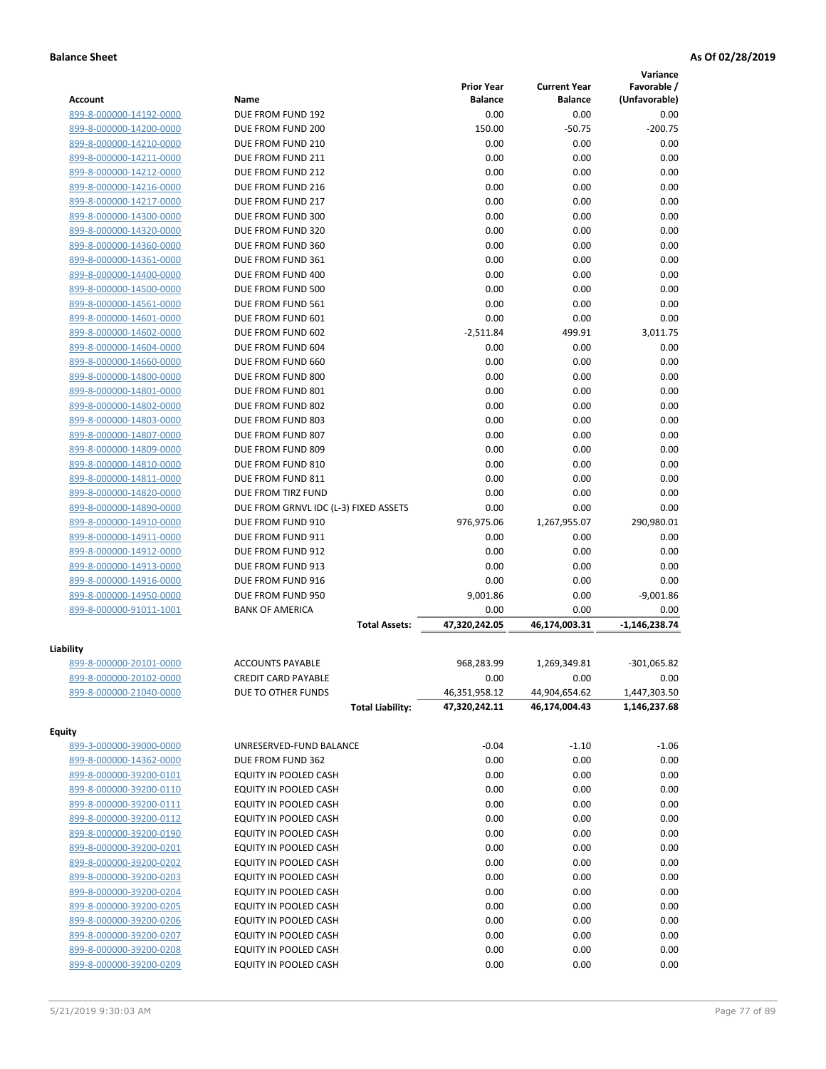|                         |                                       |                   |                     | Variance      |
|-------------------------|---------------------------------------|-------------------|---------------------|---------------|
|                         |                                       | <b>Prior Year</b> | <b>Current Year</b> | Favorable /   |
| <b>Account</b>          | Name                                  | <b>Balance</b>    | <b>Balance</b>      | (Unfavorable) |
| 899-8-000000-14192-0000 | DUE FROM FUND 192                     | 0.00              | 0.00                | 0.00          |
| 899-8-000000-14200-0000 | DUE FROM FUND 200                     | 150.00            | $-50.75$            | $-200.75$     |
| 899-8-000000-14210-0000 | DUE FROM FUND 210                     | 0.00              | 0.00                | 0.00          |
| 899-8-000000-14211-0000 | DUE FROM FUND 211                     | 0.00              | 0.00                | 0.00          |
| 899-8-000000-14212-0000 | DUE FROM FUND 212                     | 0.00              | 0.00                | 0.00          |
| 899-8-000000-14216-0000 | DUE FROM FUND 216                     | 0.00              | 0.00                | 0.00          |
| 899-8-000000-14217-0000 | DUE FROM FUND 217                     | 0.00              | 0.00                | 0.00          |
| 899-8-000000-14300-0000 | DUE FROM FUND 300                     | 0.00              | 0.00                | 0.00          |
| 899-8-000000-14320-0000 | DUE FROM FUND 320                     | 0.00              | 0.00                | 0.00          |
| 899-8-000000-14360-0000 | DUE FROM FUND 360                     | 0.00              | 0.00                | 0.00          |
| 899-8-000000-14361-0000 | DUE FROM FUND 361                     | 0.00              | 0.00                | 0.00          |
| 899-8-000000-14400-0000 | DUE FROM FUND 400                     | 0.00              | 0.00                | 0.00          |
| 899-8-000000-14500-0000 | DUE FROM FUND 500                     | 0.00              | 0.00                | 0.00          |
| 899-8-000000-14561-0000 | DUE FROM FUND 561                     | 0.00              | 0.00                | 0.00          |
| 899-8-000000-14601-0000 | DUE FROM FUND 601                     | 0.00              | 0.00                | 0.00          |
| 899-8-000000-14602-0000 | DUE FROM FUND 602                     | $-2,511.84$       | 499.91              | 3,011.75      |
| 899-8-000000-14604-0000 | DUE FROM FUND 604                     | 0.00              | 0.00                | 0.00          |
| 899-8-000000-14660-0000 | DUE FROM FUND 660                     | 0.00              | 0.00                | 0.00          |
| 899-8-000000-14800-0000 | DUE FROM FUND 800                     | 0.00              | 0.00                | 0.00          |
| 899-8-000000-14801-0000 | DUE FROM FUND 801                     | 0.00              | 0.00                | 0.00          |
| 899-8-000000-14802-0000 | DUE FROM FUND 802                     | 0.00              | 0.00                | 0.00          |
| 899-8-000000-14803-0000 | DUE FROM FUND 803                     | 0.00              | 0.00                | 0.00          |
| 899-8-000000-14807-0000 |                                       | 0.00              | 0.00                | 0.00          |
|                         | DUE FROM FUND 807                     |                   |                     |               |
| 899-8-000000-14809-0000 | DUE FROM FUND 809                     | 0.00              | 0.00                | 0.00          |
| 899-8-000000-14810-0000 | DUE FROM FUND 810                     | 0.00              | 0.00                | 0.00          |
| 899-8-000000-14811-0000 | DUE FROM FUND 811                     | 0.00              | 0.00                | 0.00          |
| 899-8-000000-14820-0000 | DUE FROM TIRZ FUND                    | 0.00              | 0.00                | 0.00          |
| 899-8-000000-14890-0000 | DUE FROM GRNVL IDC (L-3) FIXED ASSETS | 0.00              | 0.00                | 0.00          |
| 899-8-000000-14910-0000 | DUE FROM FUND 910                     | 976,975.06        | 1,267,955.07        | 290,980.01    |
| 899-8-000000-14911-0000 | DUE FROM FUND 911                     | 0.00              | 0.00                | 0.00          |
| 899-8-000000-14912-0000 | DUE FROM FUND 912                     | 0.00              | 0.00                | 0.00          |
| 899-8-000000-14913-0000 | DUE FROM FUND 913                     | 0.00              | 0.00                | 0.00          |
| 899-8-000000-14916-0000 | DUE FROM FUND 916                     | 0.00              | 0.00                | 0.00          |
| 899-8-000000-14950-0000 | DUE FROM FUND 950                     | 9,001.86          | 0.00                | $-9,001.86$   |
| 899-8-000000-91011-1001 | <b>BANK OF AMERICA</b>                | 0.00              | 0.00                | 0.00          |
|                         | <b>Total Assets:</b>                  | 47,320,242.05     | 46,174,003.31       | -1,146,238.74 |
|                         |                                       |                   |                     |               |
| Liability               |                                       |                   |                     |               |
| 899-8-000000-20101-0000 | <b>ACCOUNTS PAYABLE</b>               | 968,283.99        | 1,269,349.81        | $-301,065.82$ |
| 899-8-000000-20102-0000 | <b>CREDIT CARD PAYABLE</b>            | 0.00              | 0.00                | 0.00          |
| 899-8-000000-21040-0000 | DUE TO OTHER FUNDS                    | 46,351,958.12     | 44,904,654.62       | 1,447,303.50  |
|                         | <b>Total Liability:</b>               | 47,320,242.11     | 46,174,004.43       | 1,146,237.68  |
| <b>Equity</b>           |                                       |                   |                     |               |
| 899-3-000000-39000-0000 | UNRESERVED-FUND BALANCE               | $-0.04$           | $-1.10$             | $-1.06$       |
|                         |                                       |                   |                     |               |
| 899-8-000000-14362-0000 | DUE FROM FUND 362                     | 0.00              | 0.00                | 0.00          |
| 899-8-000000-39200-0101 | EQUITY IN POOLED CASH                 | 0.00              | 0.00                | 0.00          |
| 899-8-000000-39200-0110 | EQUITY IN POOLED CASH                 | 0.00              | 0.00                | 0.00          |
| 899-8-000000-39200-0111 | EQUITY IN POOLED CASH                 | 0.00              | 0.00                | 0.00          |
| 899-8-000000-39200-0112 | EQUITY IN POOLED CASH                 | 0.00              | 0.00                | 0.00          |
| 899-8-000000-39200-0190 | EQUITY IN POOLED CASH                 | 0.00              | 0.00                | 0.00          |
| 899-8-000000-39200-0201 | EQUITY IN POOLED CASH                 | 0.00              | 0.00                | 0.00          |
| 899-8-000000-39200-0202 | EQUITY IN POOLED CASH                 | 0.00              | 0.00                | 0.00          |
| 899-8-000000-39200-0203 | EQUITY IN POOLED CASH                 | 0.00              | 0.00                | 0.00          |
| 899-8-000000-39200-0204 | EQUITY IN POOLED CASH                 | 0.00              | 0.00                | 0.00          |
| 899-8-000000-39200-0205 | EQUITY IN POOLED CASH                 | 0.00              | 0.00                | 0.00          |
| 899-8-000000-39200-0206 | EQUITY IN POOLED CASH                 | 0.00              | 0.00                | 0.00          |
| 899-8-000000-39200-0207 | EQUITY IN POOLED CASH                 | 0.00              | 0.00                | 0.00          |
| 899-8-000000-39200-0208 | EQUITY IN POOLED CASH                 | 0.00              | 0.00                | 0.00          |
| 899-8-000000-39200-0209 | EQUITY IN POOLED CASH                 | 0.00              | 0.00                | 0.00          |
|                         |                                       |                   |                     |               |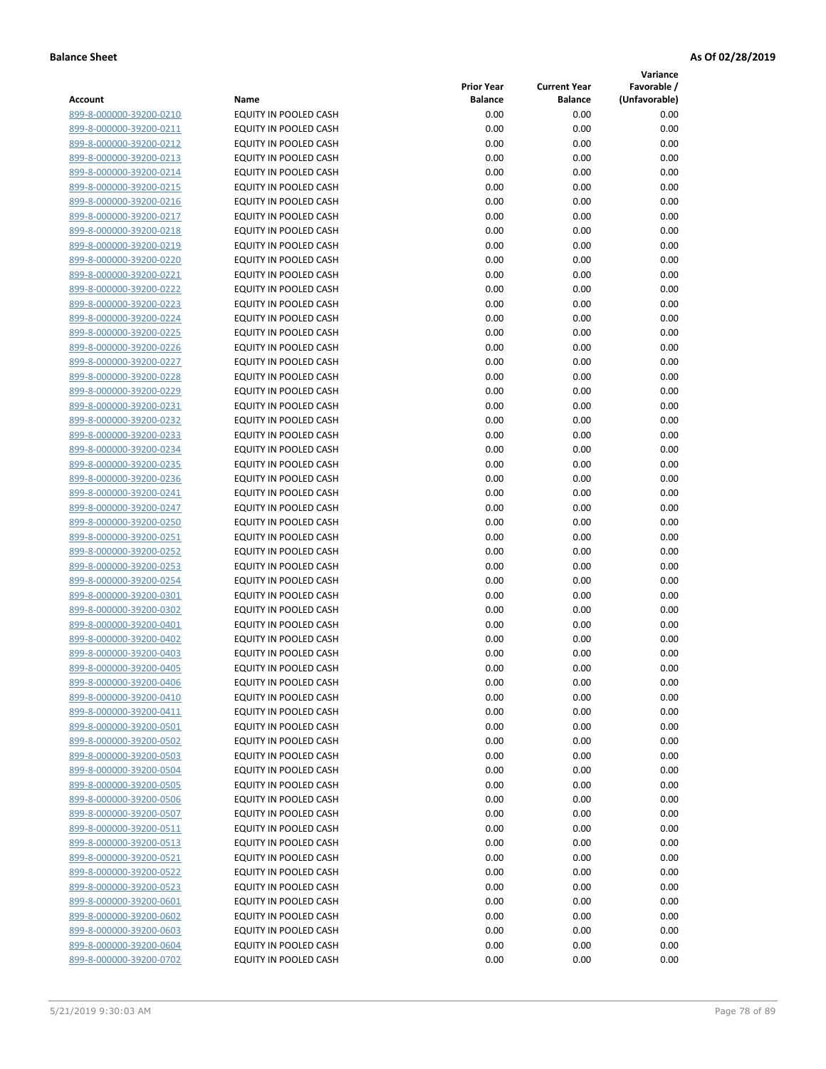**Variance**

|                         |                              | <b>Prior Year</b> | <b>Current Year</b> | Favorable /   |
|-------------------------|------------------------------|-------------------|---------------------|---------------|
| Account                 | Name                         | <b>Balance</b>    | <b>Balance</b>      | (Unfavorable) |
| 899-8-000000-39200-0210 | EQUITY IN POOLED CASH        | 0.00              | 0.00                | 0.00          |
| 899-8-000000-39200-0211 | EQUITY IN POOLED CASH        | 0.00              | 0.00                | 0.00          |
| 899-8-000000-39200-0212 | EQUITY IN POOLED CASH        | 0.00              | 0.00                | 0.00          |
| 899-8-000000-39200-0213 | EQUITY IN POOLED CASH        | 0.00              | 0.00                | 0.00          |
| 899-8-000000-39200-0214 | <b>EQUITY IN POOLED CASH</b> | 0.00              | 0.00                | 0.00          |
| 899-8-000000-39200-0215 | EQUITY IN POOLED CASH        | 0.00              | 0.00                | 0.00          |
| 899-8-000000-39200-0216 | EQUITY IN POOLED CASH        | 0.00              | 0.00                | 0.00          |
| 899-8-000000-39200-0217 | EQUITY IN POOLED CASH        | 0.00              | 0.00                | 0.00          |
| 899-8-000000-39200-0218 | EQUITY IN POOLED CASH        | 0.00              | 0.00                | 0.00          |
| 899-8-000000-39200-0219 | <b>EQUITY IN POOLED CASH</b> | 0.00              | 0.00                | 0.00          |
| 899-8-000000-39200-0220 | EQUITY IN POOLED CASH        | 0.00              | 0.00                | 0.00          |
| 899-8-000000-39200-0221 | EQUITY IN POOLED CASH        | 0.00              | 0.00                | 0.00          |
| 899-8-000000-39200-0222 | EQUITY IN POOLED CASH        | 0.00              | 0.00                | 0.00          |
| 899-8-000000-39200-0223 | EQUITY IN POOLED CASH        | 0.00              | 0.00                | 0.00          |
| 899-8-000000-39200-0224 | EQUITY IN POOLED CASH        | 0.00              | 0.00                | 0.00          |
| 899-8-000000-39200-0225 | EQUITY IN POOLED CASH        | 0.00              | 0.00                | 0.00          |
| 899-8-000000-39200-0226 | EQUITY IN POOLED CASH        | 0.00              | 0.00                | 0.00          |
| 899-8-000000-39200-0227 | EQUITY IN POOLED CASH        | 0.00              | 0.00                | 0.00          |
| 899-8-000000-39200-0228 | <b>EQUITY IN POOLED CASH</b> | 0.00              | 0.00                | 0.00          |
| 899-8-000000-39200-0229 | <b>EQUITY IN POOLED CASH</b> | 0.00              | 0.00                | 0.00          |
| 899-8-000000-39200-0231 | EQUITY IN POOLED CASH        | 0.00              | 0.00                | 0.00          |
| 899-8-000000-39200-0232 | EQUITY IN POOLED CASH        | 0.00              | 0.00                | 0.00          |
| 899-8-000000-39200-0233 | <b>EQUITY IN POOLED CASH</b> | 0.00              | 0.00                | 0.00          |
| 899-8-000000-39200-0234 | EQUITY IN POOLED CASH        | 0.00              | 0.00                | 0.00          |
| 899-8-000000-39200-0235 | EQUITY IN POOLED CASH        | 0.00              | 0.00                | 0.00          |
| 899-8-000000-39200-0236 | EQUITY IN POOLED CASH        | 0.00              | 0.00                | 0.00          |
| 899-8-000000-39200-0241 | EQUITY IN POOLED CASH        | 0.00              | 0.00                | 0.00          |
| 899-8-000000-39200-0247 | EQUITY IN POOLED CASH        | 0.00              | 0.00                | 0.00          |
| 899-8-000000-39200-0250 | EQUITY IN POOLED CASH        | 0.00              | 0.00                | 0.00          |
| 899-8-000000-39200-0251 | EQUITY IN POOLED CASH        | 0.00              | 0.00                | 0.00          |
| 899-8-000000-39200-0252 | EQUITY IN POOLED CASH        | 0.00              | 0.00                | 0.00          |
| 899-8-000000-39200-0253 | EQUITY IN POOLED CASH        | 0.00              | 0.00                | 0.00          |
| 899-8-000000-39200-0254 | EQUITY IN POOLED CASH        | 0.00              | 0.00                | 0.00          |
| 899-8-000000-39200-0301 | EQUITY IN POOLED CASH        | 0.00              | 0.00                | 0.00          |
| 899-8-000000-39200-0302 | EQUITY IN POOLED CASH        | 0.00              | 0.00                | 0.00          |
| 899-8-000000-39200-0401 | EQUITY IN POOLED CASH        | 0.00              | 0.00                | 0.00          |
| 899-8-000000-39200-0402 | EQUITY IN POOLED CASH        | 0.00              | 0.00                | 0.00          |
| 899-8-000000-39200-0403 | EQUITY IN POOLED CASH        | 0.00              | 0.00                | 0.00          |
| 899-8-000000-39200-0405 | <b>EQUITY IN POOLED CASH</b> | 0.00              | 0.00                | 0.00          |
| 899-8-000000-39200-0406 | <b>EQUITY IN POOLED CASH</b> | 0.00              | 0.00                | 0.00          |
| 899-8-000000-39200-0410 | EQUITY IN POOLED CASH        | 0.00              | 0.00                | 0.00          |
| 899-8-000000-39200-0411 | EQUITY IN POOLED CASH        | 0.00              | 0.00                | 0.00          |
| 899-8-000000-39200-0501 | EQUITY IN POOLED CASH        | 0.00              | 0.00                | 0.00          |
| 899-8-000000-39200-0502 | EQUITY IN POOLED CASH        | 0.00              | 0.00                | 0.00          |
| 899-8-000000-39200-0503 | EQUITY IN POOLED CASH        | 0.00              | 0.00                | 0.00          |
| 899-8-000000-39200-0504 | EQUITY IN POOLED CASH        | 0.00              | 0.00                | 0.00          |
| 899-8-000000-39200-0505 | EQUITY IN POOLED CASH        | 0.00              | 0.00                | 0.00          |
| 899-8-000000-39200-0506 | EQUITY IN POOLED CASH        | 0.00              | 0.00                | 0.00          |
| 899-8-000000-39200-0507 | EQUITY IN POOLED CASH        | 0.00              | 0.00                | 0.00          |
| 899-8-000000-39200-0511 | <b>EQUITY IN POOLED CASH</b> | 0.00              | 0.00                | 0.00          |
| 899-8-000000-39200-0513 | EQUITY IN POOLED CASH        | 0.00              | 0.00                | 0.00          |
| 899-8-000000-39200-0521 | EQUITY IN POOLED CASH        | 0.00              | 0.00                | 0.00          |
| 899-8-000000-39200-0522 | EQUITY IN POOLED CASH        | 0.00              | 0.00                | 0.00          |
| 899-8-000000-39200-0523 | EQUITY IN POOLED CASH        | 0.00              | 0.00                | 0.00          |
| 899-8-000000-39200-0601 | EQUITY IN POOLED CASH        | 0.00              | 0.00                | 0.00          |
| 899-8-000000-39200-0602 | EQUITY IN POOLED CASH        | 0.00              | 0.00                | 0.00          |
| 899-8-000000-39200-0603 | EQUITY IN POOLED CASH        | 0.00              | 0.00                | 0.00          |
| 899-8-000000-39200-0604 | EQUITY IN POOLED CASH        | 0.00              | 0.00                | 0.00          |
| 899-8-000000-39200-0702 | EQUITY IN POOLED CASH        | 0.00              | 0.00                | 0.00          |
|                         |                              |                   |                     |               |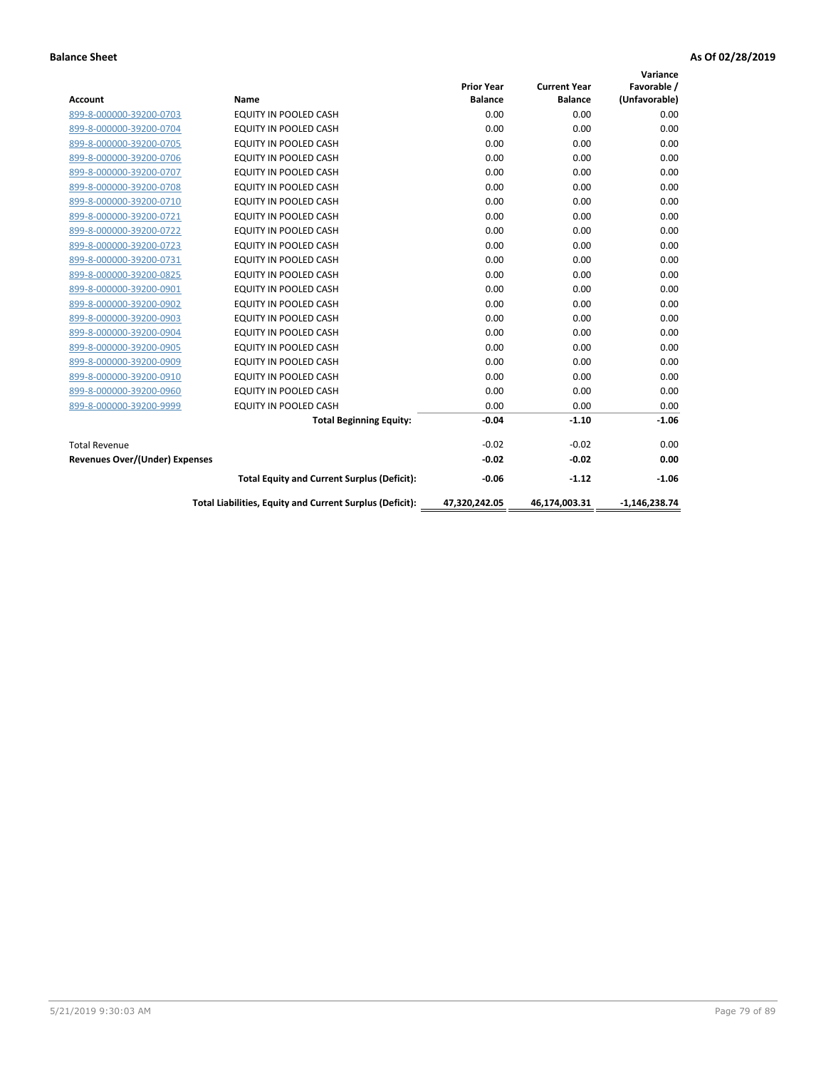| <b>Account</b>                        | Name                                                     | <b>Prior Year</b><br><b>Balance</b> | <b>Current Year</b><br><b>Balance</b> | Variance<br>Favorable /<br>(Unfavorable) |
|---------------------------------------|----------------------------------------------------------|-------------------------------------|---------------------------------------|------------------------------------------|
| 899-8-000000-39200-0703               | <b>EQUITY IN POOLED CASH</b>                             | 0.00                                | 0.00                                  | 0.00                                     |
| 899-8-000000-39200-0704               | <b>EQUITY IN POOLED CASH</b>                             | 0.00                                | 0.00                                  | 0.00                                     |
| 899-8-000000-39200-0705               | EQUITY IN POOLED CASH                                    | 0.00                                | 0.00                                  | 0.00                                     |
| 899-8-000000-39200-0706               | EQUITY IN POOLED CASH                                    | 0.00                                | 0.00                                  | 0.00                                     |
| 899-8-000000-39200-0707               | EQUITY IN POOLED CASH                                    | 0.00                                | 0.00                                  | 0.00                                     |
| 899-8-000000-39200-0708               | <b>EQUITY IN POOLED CASH</b>                             | 0.00                                | 0.00                                  | 0.00                                     |
| 899-8-000000-39200-0710               | EQUITY IN POOLED CASH                                    | 0.00                                | 0.00                                  | 0.00                                     |
| 899-8-000000-39200-0721               | EQUITY IN POOLED CASH                                    | 0.00                                | 0.00                                  | 0.00                                     |
| 899-8-000000-39200-0722               | <b>EQUITY IN POOLED CASH</b>                             | 0.00                                | 0.00                                  | 0.00                                     |
| 899-8-000000-39200-0723               | <b>EQUITY IN POOLED CASH</b>                             | 0.00                                | 0.00                                  | 0.00                                     |
| 899-8-000000-39200-0731               | <b>EQUITY IN POOLED CASH</b>                             | 0.00                                | 0.00                                  | 0.00                                     |
| 899-8-000000-39200-0825               | <b>EQUITY IN POOLED CASH</b>                             | 0.00                                | 0.00                                  | 0.00                                     |
| 899-8-000000-39200-0901               | EQUITY IN POOLED CASH                                    | 0.00                                | 0.00                                  | 0.00                                     |
| 899-8-000000-39200-0902               | <b>EQUITY IN POOLED CASH</b>                             | 0.00                                | 0.00                                  | 0.00                                     |
| 899-8-000000-39200-0903               | <b>EQUITY IN POOLED CASH</b>                             | 0.00                                | 0.00                                  | 0.00                                     |
| 899-8-000000-39200-0904               | <b>EQUITY IN POOLED CASH</b>                             | 0.00                                | 0.00                                  | 0.00                                     |
| 899-8-000000-39200-0905               | EQUITY IN POOLED CASH                                    | 0.00                                | 0.00                                  | 0.00                                     |
| 899-8-000000-39200-0909               | EQUITY IN POOLED CASH                                    | 0.00                                | 0.00                                  | 0.00                                     |
| 899-8-000000-39200-0910               | <b>EQUITY IN POOLED CASH</b>                             | 0.00                                | 0.00                                  | 0.00                                     |
| 899-8-000000-39200-0960               | <b>EQUITY IN POOLED CASH</b>                             | 0.00                                | 0.00                                  | 0.00                                     |
| 899-8-000000-39200-9999               | EQUITY IN POOLED CASH                                    | 0.00                                | 0.00                                  | 0.00                                     |
|                                       | <b>Total Beginning Equity:</b>                           | $-0.04$                             | $-1.10$                               | $-1.06$                                  |
| <b>Total Revenue</b>                  |                                                          | $-0.02$                             | $-0.02$                               | 0.00                                     |
| <b>Revenues Over/(Under) Expenses</b> |                                                          | $-0.02$                             | $-0.02$                               | 0.00                                     |
|                                       | <b>Total Equity and Current Surplus (Deficit):</b>       | $-0.06$                             | $-1.12$                               | $-1.06$                                  |
|                                       | Total Liabilities, Equity and Current Surplus (Deficit): | 47,320,242.05                       | 46,174,003.31                         | $-1,146,238.74$                          |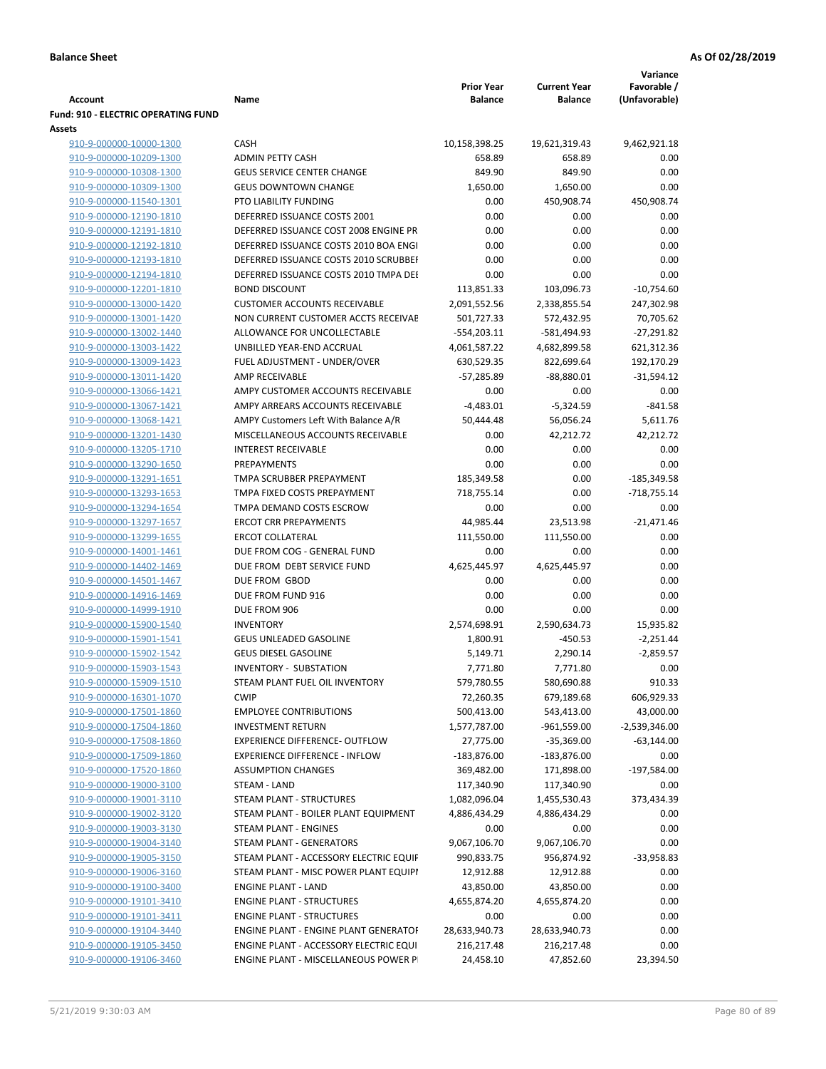|                                                      |                                        |                   |                     | Variance        |
|------------------------------------------------------|----------------------------------------|-------------------|---------------------|-----------------|
|                                                      |                                        | <b>Prior Year</b> | <b>Current Year</b> | Favorable /     |
| Account                                              | Name                                   | Balance           | <b>Balance</b>      | (Unfavorable)   |
| <b>Fund: 910 - ELECTRIC OPERATING FUND</b><br>Assets |                                        |                   |                     |                 |
| 910-9-000000-10000-1300                              | <b>CASH</b>                            | 10,158,398.25     | 19,621,319.43       | 9,462,921.18    |
| 910-9-000000-10209-1300                              | <b>ADMIN PETTY CASH</b>                | 658.89            | 658.89              | 0.00            |
| 910-9-000000-10308-1300                              | <b>GEUS SERVICE CENTER CHANGE</b>      | 849.90            | 849.90              | 0.00            |
| 910-9-000000-10309-1300                              | <b>GEUS DOWNTOWN CHANGE</b>            | 1,650.00          | 1,650.00            | 0.00            |
| 910-9-000000-11540-1301                              | PTO LIABILITY FUNDING                  | 0.00              | 450,908.74          | 450,908.74      |
| 910-9-000000-12190-1810                              | DEFERRED ISSUANCE COSTS 2001           | 0.00              | 0.00                | 0.00            |
| 910-9-000000-12191-1810                              | DEFERRED ISSUANCE COST 2008 ENGINE PR  | 0.00              | 0.00                | 0.00            |
| 910-9-000000-12192-1810                              | DEFERRED ISSUANCE COSTS 2010 BOA ENGI  | 0.00              | 0.00                | 0.00            |
| 910-9-000000-12193-1810                              | DEFERRED ISSUANCE COSTS 2010 SCRUBBEI  | 0.00              | 0.00                | 0.00            |
| 910-9-000000-12194-1810                              | DEFERRED ISSUANCE COSTS 2010 TMPA DEI  | 0.00              | 0.00                | 0.00            |
| 910-9-000000-12201-1810                              | <b>BOND DISCOUNT</b>                   | 113,851.33        | 103,096.73          | $-10,754.60$    |
| 910-9-000000-13000-1420                              | <b>CUSTOMER ACCOUNTS RECEIVABLE</b>    | 2,091,552.56      | 2,338,855.54        | 247,302.98      |
| 910-9-000000-13001-1420                              | NON CURRENT CUSTOMER ACCTS RECEIVAE    | 501,727.33        | 572,432.95          | 70,705.62       |
| 910-9-000000-13002-1440                              | ALLOWANCE FOR UNCOLLECTABLE            | $-554,203.11$     | $-581,494.93$       | $-27,291.82$    |
| 910-9-000000-13003-1422                              | UNBILLED YEAR-END ACCRUAL              | 4,061,587.22      | 4,682,899.58        | 621,312.36      |
| 910-9-000000-13009-1423                              | FUEL ADJUSTMENT - UNDER/OVER           | 630,529.35        | 822,699.64          | 192,170.29      |
| 910-9-000000-13011-1420                              | AMP RECEIVABLE                         | $-57,285.89$      | $-88,880.01$        | $-31,594.12$    |
| 910-9-000000-13066-1421                              | AMPY CUSTOMER ACCOUNTS RECEIVABLE      | 0.00              | 0.00                | 0.00            |
| 910-9-000000-13067-1421                              | AMPY ARREARS ACCOUNTS RECEIVABLE       | $-4,483.01$       | $-5,324.59$         | $-841.58$       |
| 910-9-000000-13068-1421                              | AMPY Customers Left With Balance A/R   | 50,444.48         | 56,056.24           | 5,611.76        |
| 910-9-000000-13201-1430                              | MISCELLANEOUS ACCOUNTS RECEIVABLE      | 0.00              | 42,212.72           | 42,212.72       |
| 910-9-000000-13205-1710                              | <b>INTEREST RECEIVABLE</b>             | 0.00              | 0.00                | 0.00            |
| 910-9-000000-13290-1650                              | PREPAYMENTS                            | 0.00              | 0.00                | 0.00            |
| 910-9-000000-13291-1651                              | TMPA SCRUBBER PREPAYMENT               | 185,349.58        | 0.00                | $-185,349.58$   |
| 910-9-000000-13293-1653                              | TMPA FIXED COSTS PREPAYMENT            | 718,755.14        | 0.00                | $-718,755.14$   |
| 910-9-000000-13294-1654                              | TMPA DEMAND COSTS ESCROW               | 0.00              | 0.00                | 0.00            |
| 910-9-000000-13297-1657                              | <b>ERCOT CRR PREPAYMENTS</b>           | 44,985.44         | 23,513.98           | $-21,471.46$    |
| 910-9-000000-13299-1655                              | <b>ERCOT COLLATERAL</b>                | 111,550.00        | 111,550.00          | 0.00            |
| 910-9-000000-14001-1461                              | DUE FROM COG - GENERAL FUND            | 0.00              | 0.00                | 0.00            |
| 910-9-000000-14402-1469                              | DUE FROM DEBT SERVICE FUND             | 4,625,445.97      | 4,625,445.97        | 0.00            |
| 910-9-000000-14501-1467                              | DUE FROM GBOD                          | 0.00              | 0.00                | 0.00            |
| 910-9-000000-14916-1469                              | DUE FROM FUND 916                      | 0.00              | 0.00                | 0.00            |
| 910-9-000000-14999-1910                              | DUE FROM 906                           | 0.00              | 0.00                | 0.00            |
| 910-9-000000-15900-1540                              | <b>INVENTORY</b>                       | 2,574,698.91      | 2,590,634.73        | 15,935.82       |
| 910-9-000000-15901-1541                              | <b>GEUS UNLEADED GASOLINE</b>          | 1,800.91          | $-450.53$           | $-2,251.44$     |
| 910-9-000000-15902-1542                              | <b>GEUS DIESEL GASOLINE</b>            | 5,149.71          | 2,290.14            | $-2,859.57$     |
| 910-9-000000-15903-1543                              | <b>INVENTORY - SUBSTATION</b>          | 7.771.80          | 7.771.80            | 0.00            |
| 910-9-000000-15909-1510                              | STEAM PLANT FUEL OIL INVENTORY         | 579,780.55        | 580,690.88          | 910.33          |
| 910-9-000000-16301-1070                              | <b>CWIP</b>                            | 72,260.35         | 679,189.68          | 606,929.33      |
| 910-9-000000-17501-1860                              | <b>EMPLOYEE CONTRIBUTIONS</b>          | 500,413.00        | 543,413.00          | 43,000.00       |
| 910-9-000000-17504-1860                              | <b>INVESTMENT RETURN</b>               | 1,577,787.00      | $-961,559.00$       | $-2,539,346.00$ |
| 910-9-000000-17508-1860                              | <b>EXPERIENCE DIFFERENCE- OUTFLOW</b>  | 27,775.00         | $-35,369.00$        | $-63,144.00$    |
| 910-9-000000-17509-1860                              | <b>EXPERIENCE DIFFERENCE - INFLOW</b>  | $-183,876.00$     | $-183,876.00$       | 0.00            |
| 910-9-000000-17520-1860                              | <b>ASSUMPTION CHANGES</b>              | 369,482.00        | 171,898.00          | $-197,584.00$   |
| 910-9-000000-19000-3100                              | STEAM - LAND                           | 117,340.90        | 117,340.90          | 0.00            |
| 910-9-000000-19001-3110                              | STEAM PLANT - STRUCTURES               | 1,082,096.04      | 1,455,530.43        | 373,434.39      |
| 910-9-000000-19002-3120                              | STEAM PLANT - BOILER PLANT EQUIPMENT   | 4,886,434.29      | 4,886,434.29        | 0.00            |
| 910-9-000000-19003-3130                              | STEAM PLANT - ENGINES                  | 0.00              | 0.00                | 0.00            |
| 910-9-000000-19004-3140                              | STEAM PLANT - GENERATORS               | 9,067,106.70      | 9,067,106.70        | 0.00            |
| 910-9-000000-19005-3150                              | STEAM PLANT - ACCESSORY ELECTRIC EQUIF | 990,833.75        | 956,874.92          | $-33,958.83$    |
| 910-9-000000-19006-3160                              | STEAM PLANT - MISC POWER PLANT EQUIPI  | 12,912.88         | 12,912.88           | 0.00            |
| 910-9-000000-19100-3400                              | <b>ENGINE PLANT - LAND</b>             | 43,850.00         | 43,850.00           | 0.00            |
| 910-9-000000-19101-3410                              | <b>ENGINE PLANT - STRUCTURES</b>       | 4,655,874.20      | 4,655,874.20        | 0.00            |
| 910-9-000000-19101-3411                              | <b>ENGINE PLANT - STRUCTURES</b>       | 0.00              | 0.00                | 0.00            |
| 910-9-000000-19104-3440                              | ENGINE PLANT - ENGINE PLANT GENERATOF  | 28,633,940.73     | 28,633,940.73       | 0.00            |
| 910-9-000000-19105-3450                              | ENGINE PLANT - ACCESSORY ELECTRIC EQUI | 216,217.48        | 216,217.48          | 0.00            |
| 910-9-000000-19106-3460                              | ENGINE PLANT - MISCELLANEOUS POWER P   | 24,458.10         | 47,852.60           | 23,394.50       |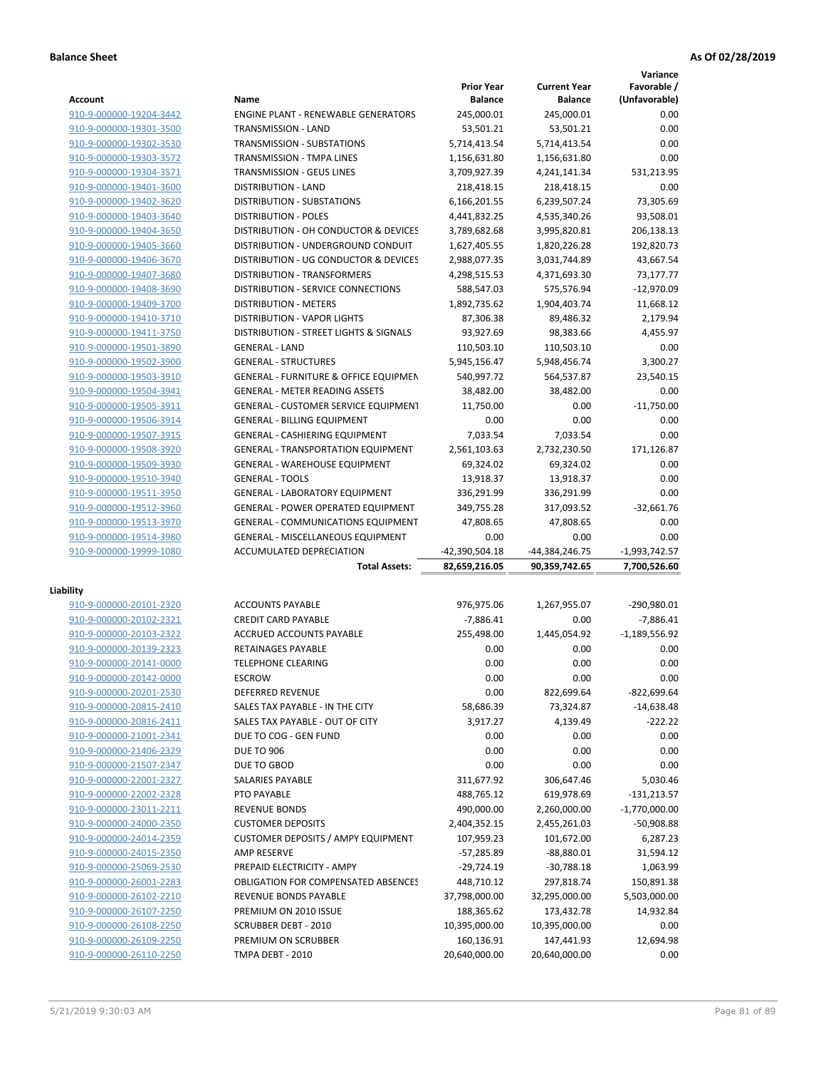|                                                    |                                             |                             |                             | Variance          |
|----------------------------------------------------|---------------------------------------------|-----------------------------|-----------------------------|-------------------|
|                                                    |                                             | <b>Prior Year</b>           | <b>Current Year</b>         | Favorable /       |
| <b>Account</b>                                     | Name                                        | <b>Balance</b>              | <b>Balance</b>              | (Unfavorable)     |
| 910-9-000000-19204-3442                            | <b>ENGINE PLANT - RENEWABLE GENERATORS</b>  | 245,000.01                  | 245.000.01                  | 0.00              |
| 910-9-000000-19301-3500                            | TRANSMISSION - LAND                         | 53,501.21                   | 53,501.21                   | 0.00              |
| 910-9-000000-19302-3530                            | <b>TRANSMISSION - SUBSTATIONS</b>           | 5,714,413.54                | 5,714,413.54                | 0.00              |
| 910-9-000000-19303-3572                            | <b>TRANSMISSION - TMPA LINES</b>            | 1,156,631.80                | 1,156,631.80                | 0.00              |
| 910-9-000000-19304-3571                            | TRANSMISSION - GEUS LINES                   | 3,709,927.39                | 4,241,141.34                | 531,213.95        |
| 910-9-000000-19401-3600                            | <b>DISTRIBUTION - LAND</b>                  | 218,418.15                  | 218,418.15                  | 0.00              |
| 910-9-000000-19402-3620                            | DISTRIBUTION - SUBSTATIONS                  | 6,166,201.55                | 6,239,507.24                | 73,305.69         |
| 910-9-000000-19403-3640                            | <b>DISTRIBUTION - POLES</b>                 | 4,441,832.25                | 4,535,340.26                | 93,508.01         |
| 910-9-000000-19404-3650                            | DISTRIBUTION - OH CONDUCTOR & DEVICES       | 3,789,682.68                | 3,995,820.81                | 206,138.13        |
| 910-9-000000-19405-3660                            | DISTRIBUTION - UNDERGROUND CONDUIT          | 1,627,405.55                | 1,820,226.28                | 192,820.73        |
| 910-9-000000-19406-3670                            | DISTRIBUTION - UG CONDUCTOR & DEVICES       | 2,988,077.35                | 3,031,744.89                | 43,667.54         |
| 910-9-000000-19407-3680                            | DISTRIBUTION - TRANSFORMERS                 | 4,298,515.53                | 4,371,693.30                | 73,177.77         |
| 910-9-000000-19408-3690                            | DISTRIBUTION - SERVICE CONNECTIONS          | 588,547.03                  | 575,576.94                  | $-12,970.09$      |
| 910-9-000000-19409-3700                            | <b>DISTRIBUTION - METERS</b>                | 1,892,735.62                | 1,904,403.74                | 11,668.12         |
| 910-9-000000-19410-3710                            | <b>DISTRIBUTION - VAPOR LIGHTS</b>          | 87,306.38                   | 89,486.32                   | 2,179.94          |
| 910-9-000000-19411-3750                            | DISTRIBUTION - STREET LIGHTS & SIGNALS      | 93,927.69                   | 98.383.66                   | 4,455.97          |
| 910-9-000000-19501-3890                            | <b>GENERAL - LAND</b>                       | 110,503.10                  | 110,503.10                  | 0.00              |
| 910-9-000000-19502-3900                            | <b>GENERAL - STRUCTURES</b>                 | 5,945,156.47                | 5,948,456.74                | 3,300.27          |
| 910-9-000000-19503-3910                            | GENERAL - FURNITURE & OFFICE EQUIPMEN       | 540,997.72                  | 564,537.87                  | 23,540.15         |
| 910-9-000000-19504-3941                            | <b>GENERAL - METER READING ASSETS</b>       | 38,482.00                   | 38,482.00                   | 0.00              |
| 910-9-000000-19505-3911                            | <b>GENERAL - CUSTOMER SERVICE EQUIPMENT</b> | 11,750.00                   | 0.00                        | $-11,750.00$      |
| 910-9-000000-19506-3914                            | <b>GENERAL - BILLING EQUIPMENT</b>          | 0.00                        | 0.00                        | 0.00              |
| 910-9-000000-19507-3915                            | GENERAL - CASHIERING EQUIPMENT              | 7.033.54                    | 7,033.54                    | 0.00              |
| 910-9-000000-19508-3920                            | <b>GENERAL - TRANSPORTATION EQUIPMENT</b>   | 2,561,103.63                | 2,732,230.50                | 171,126.87        |
| 910-9-000000-19509-3930                            | <b>GENERAL - WAREHOUSE EQUIPMENT</b>        | 69,324.02                   | 69,324.02                   | 0.00              |
| 910-9-000000-19510-3940                            | <b>GENERAL - TOOLS</b>                      | 13,918.37                   | 13,918.37                   | 0.00              |
| 910-9-000000-19511-3950                            | <b>GENERAL - LABORATORY EQUIPMENT</b>       | 336,291.99                  | 336,291.99                  | 0.00              |
| 910-9-000000-19512-3960                            | <b>GENERAL - POWER OPERATED EQUIPMENT</b>   | 349,755.28                  | 317,093.52                  | $-32,661.76$      |
| 910-9-000000-19513-3970                            | <b>GENERAL - COMMUNICATIONS EQUIPMENT</b>   | 47,808.65                   | 47,808.65                   | 0.00              |
| 910-9-000000-19514-3980                            | <b>GENERAL - MISCELLANEOUS EQUIPMENT</b>    | 0.00                        | 0.00                        | 0.00              |
| 910-9-000000-19999-1080                            | ACCUMULATED DEPRECIATION                    | -42,390,504.18              | -44,384,246.75              | $-1,993,742.57$   |
|                                                    | <b>Total Assets:</b>                        | 82,659,216.05               | 90,359,742.65               | 7,700,526.60      |
|                                                    |                                             |                             |                             |                   |
| Liability                                          |                                             |                             |                             |                   |
| 910-9-000000-20101-2320                            | <b>ACCOUNTS PAYABLE</b>                     | 976,975.06                  | 1,267,955.07                | -290,980.01       |
| 910-9-000000-20102-2321                            | <b>CREDIT CARD PAYABLE</b>                  | $-7,886.41$                 | 0.00                        | $-7,886.41$       |
| 910-9-000000-20103-2322                            | ACCRUED ACCOUNTS PAYABLE                    | 255,498.00                  | 1,445,054.92                | $-1,189,556.92$   |
| 910-9-000000-20139-2323                            | RETAINAGES PAYABLE                          | 0.00                        | 0.00                        | 0.00              |
| 910-9-000000-20141-0000                            | <b>TELEPHONE CLEARING</b>                   | 0.00                        | 0.00                        | 0.00              |
| 910-9-000000-20142-0000                            | <b>ESCROW</b>                               | 0.00                        | 0.00                        | 0.00              |
| 910-9-000000-20201-2530                            | <b>DEFERRED REVENUE</b>                     | 0.00                        | 822,699.64                  | $-822,699.64$     |
| 910-9-000000-20815-2410                            | SALES TAX PAYABLE - IN THE CITY             | 58,686.39                   | 73,324.87                   | $-14,638.48$      |
| 910-9-000000-20816-2411                            | SALES TAX PAYABLE - OUT OF CITY             | 3,917.27                    | 4,139.49                    | $-222.22$         |
| 910-9-000000-21001-2341                            | DUE TO COG - GEN FUND                       | 0.00                        | 0.00                        | 0.00              |
| 910-9-000000-21406-2329                            | <b>DUE TO 906</b>                           | 0.00                        | 0.00                        | 0.00              |
| 910-9-000000-21507-2347                            | DUE TO GBOD                                 | 0.00                        | 0.00                        | 0.00              |
| 910-9-000000-22001-2327                            | SALARIES PAYABLE                            |                             |                             |                   |
|                                                    |                                             | 311,677.92                  | 306,647.46                  | 5,030.46          |
| 910-9-000000-22002-2328                            | PTO PAYABLE                                 | 488,765.12                  | 619,978.69                  | $-131,213.57$     |
| 910-9-000000-23011-2211                            | <b>REVENUE BONDS</b>                        | 490,000.00                  | 2,260,000.00                | $-1,770,000.00$   |
| 910-9-000000-24000-2350                            | <b>CUSTOMER DEPOSITS</b>                    | 2,404,352.15                | 2,455,261.03                | -50,908.88        |
| 910-9-000000-24014-2359                            | <b>CUSTOMER DEPOSITS / AMPY EQUIPMENT</b>   | 107,959.23                  | 101,672.00                  | 6,287.23          |
| 910-9-000000-24015-2350                            | AMP RESERVE                                 | $-57,285.89$                | $-88,880.01$                | 31,594.12         |
| 910-9-000000-25069-2530                            | PREPAID ELECTRICITY - AMPY                  | $-29,724.19$                | $-30,788.18$                | 1,063.99          |
| 910-9-000000-26001-2283                            | <b>OBLIGATION FOR COMPENSATED ABSENCES</b>  | 448,710.12                  | 297,818.74                  | 150,891.38        |
| 910-9-000000-26102-2210                            | REVENUE BONDS PAYABLE                       | 37,798,000.00               | 32,295,000.00               | 5,503,000.00      |
|                                                    |                                             |                             |                             |                   |
| 910-9-000000-26107-2250                            | PREMIUM ON 2010 ISSUE                       | 188,365.62                  | 173,432.78                  | 14,932.84         |
| 910-9-000000-26108-2250                            | <b>SCRUBBER DEBT - 2010</b>                 | 10,395,000.00               | 10,395,000.00               | 0.00              |
| 910-9-000000-26109-2250<br>910-9-000000-26110-2250 | PREMIUM ON SCRUBBER<br>TMPA DEBT - 2010     | 160,136.91<br>20,640,000.00 | 147,441.93<br>20,640,000.00 | 12,694.98<br>0.00 |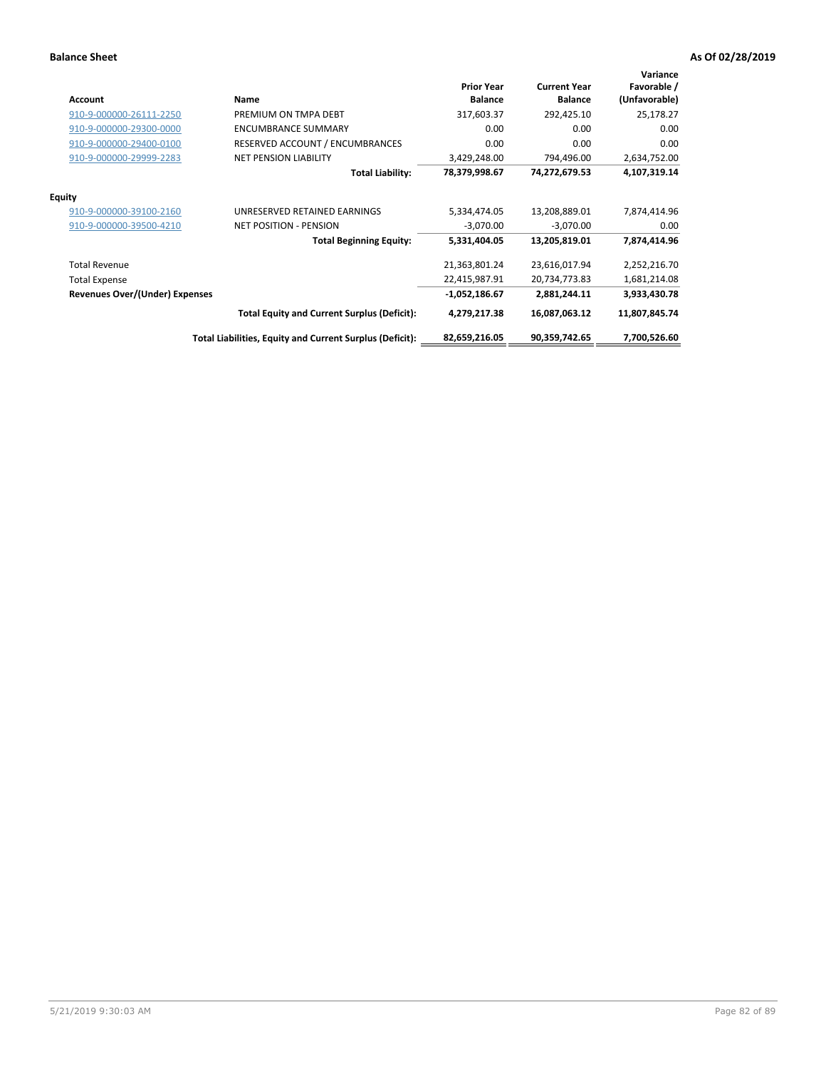| <b>Account</b>                        | Name                                                     | <b>Prior Year</b><br><b>Balance</b> | <b>Current Year</b><br><b>Balance</b> | Variance<br>Favorable /<br>(Unfavorable) |
|---------------------------------------|----------------------------------------------------------|-------------------------------------|---------------------------------------|------------------------------------------|
| 910-9-000000-26111-2250               | PREMIUM ON TMPA DEBT                                     | 317,603.37                          | 292,425.10                            | 25,178.27                                |
| 910-9-000000-29300-0000               | <b>ENCUMBRANCE SUMMARY</b>                               | 0.00                                | 0.00                                  | 0.00                                     |
| 910-9-000000-29400-0100               | RESERVED ACCOUNT / ENCUMBRANCES                          | 0.00                                | 0.00                                  | 0.00                                     |
| 910-9-000000-29999-2283               | <b>NET PENSION LIABILITY</b>                             | 3,429,248.00                        | 794,496.00                            | 2,634,752.00                             |
|                                       | <b>Total Liability:</b>                                  | 78,379,998.67                       | 74,272,679.53                         | 4,107,319.14                             |
| <b>Equity</b>                         |                                                          |                                     |                                       |                                          |
| 910-9-000000-39100-2160               | UNRESERVED RETAINED EARNINGS                             | 5,334,474.05                        | 13,208,889.01                         | 7,874,414.96                             |
| 910-9-000000-39500-4210               | <b>NET POSITION - PENSION</b>                            | $-3,070.00$                         | $-3,070.00$                           | 0.00                                     |
|                                       | <b>Total Beginning Equity:</b>                           | 5,331,404.05                        | 13,205,819.01                         | 7,874,414.96                             |
| <b>Total Revenue</b>                  |                                                          | 21,363,801.24                       | 23,616,017.94                         | 2,252,216.70                             |
| <b>Total Expense</b>                  |                                                          | 22,415,987.91                       | 20,734,773.83                         | 1,681,214.08                             |
| <b>Revenues Over/(Under) Expenses</b> |                                                          | $-1,052,186.67$                     | 2,881,244.11                          | 3,933,430.78                             |
|                                       | <b>Total Equity and Current Surplus (Deficit):</b>       | 4,279,217.38                        | 16,087,063.12                         | 11,807,845.74                            |
|                                       | Total Liabilities, Equity and Current Surplus (Deficit): | 82,659,216.05                       | 90,359,742.65                         | 7,700,526.60                             |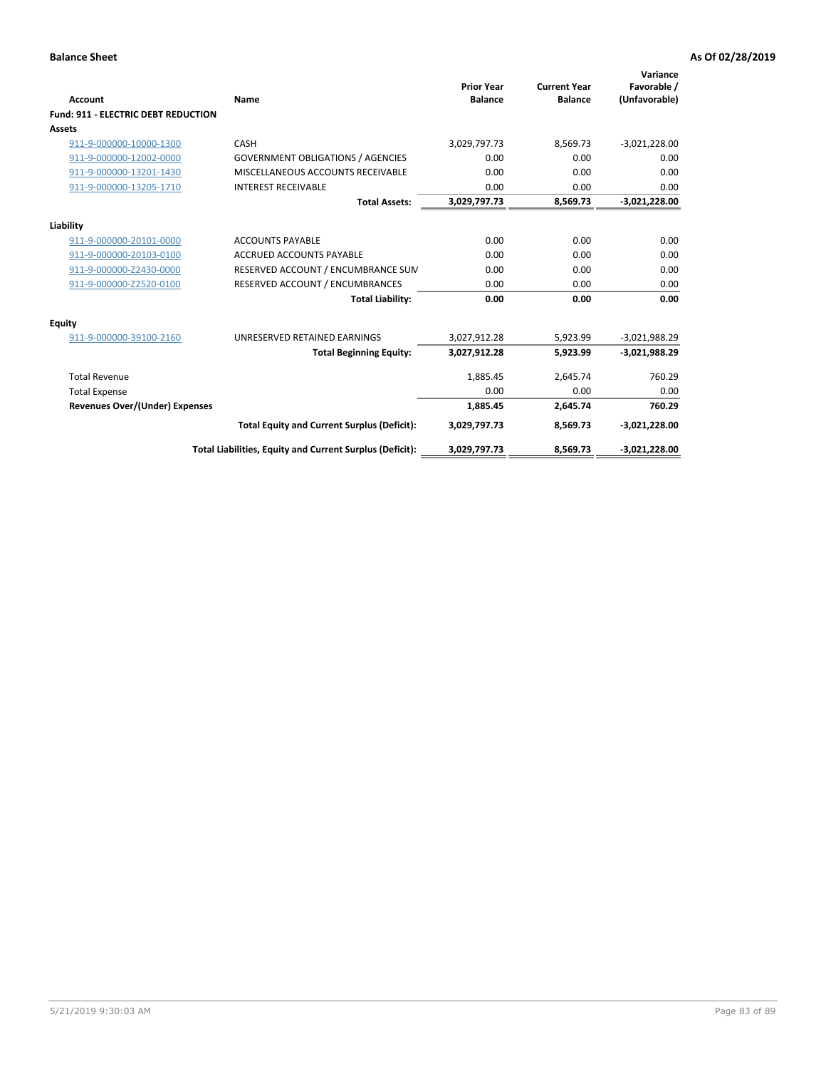| Account                                    | Name                                                     | <b>Prior Year</b><br><b>Balance</b> | <b>Current Year</b><br><b>Balance</b> | Variance<br>Favorable /<br>(Unfavorable) |
|--------------------------------------------|----------------------------------------------------------|-------------------------------------|---------------------------------------|------------------------------------------|
| <b>Fund: 911 - ELECTRIC DEBT REDUCTION</b> |                                                          |                                     |                                       |                                          |
| Assets                                     |                                                          |                                     |                                       |                                          |
| 911-9-000000-10000-1300                    | CASH                                                     | 3,029,797.73                        | 8,569.73                              | $-3,021,228.00$                          |
| 911-9-000000-12002-0000                    | <b>GOVERNMENT OBLIGATIONS / AGENCIES</b>                 | 0.00                                | 0.00                                  | 0.00                                     |
| 911-9-000000-13201-1430                    | MISCELLANEOUS ACCOUNTS RECEIVABLE                        | 0.00                                | 0.00                                  | 0.00                                     |
| 911-9-000000-13205-1710                    | <b>INTEREST RECEIVABLE</b>                               | 0.00                                | 0.00                                  | 0.00                                     |
|                                            | <b>Total Assets:</b>                                     | 3,029,797.73                        | 8,569.73                              | $-3,021,228.00$                          |
| Liability                                  |                                                          |                                     |                                       |                                          |
| 911-9-000000-20101-0000                    | <b>ACCOUNTS PAYABLE</b>                                  | 0.00                                | 0.00                                  | 0.00                                     |
| 911-9-000000-20103-0100                    | <b>ACCRUED ACCOUNTS PAYABLE</b>                          | 0.00                                | 0.00                                  | 0.00                                     |
| 911-9-000000-Z2430-0000                    | RESERVED ACCOUNT / ENCUMBRANCE SUM                       | 0.00                                | 0.00                                  | 0.00                                     |
| 911-9-000000-Z2520-0100                    | RESERVED ACCOUNT / ENCUMBRANCES                          | 0.00                                | 0.00                                  | 0.00                                     |
|                                            | <b>Total Liability:</b>                                  | 0.00                                | 0.00                                  | 0.00                                     |
| Equity                                     |                                                          |                                     |                                       |                                          |
| 911-9-000000-39100-2160                    | UNRESERVED RETAINED EARNINGS                             | 3,027,912.28                        | 5,923.99                              | $-3,021,988.29$                          |
|                                            | <b>Total Beginning Equity:</b>                           | 3,027,912.28                        | 5,923.99                              | $-3,021,988.29$                          |
| <b>Total Revenue</b>                       |                                                          | 1,885.45                            | 2,645.74                              | 760.29                                   |
| <b>Total Expense</b>                       |                                                          | 0.00                                | 0.00                                  | 0.00                                     |
| <b>Revenues Over/(Under) Expenses</b>      |                                                          | 1,885.45                            | 2,645.74                              | 760.29                                   |
|                                            | <b>Total Equity and Current Surplus (Deficit):</b>       | 3,029,797.73                        | 8,569.73                              | $-3,021,228.00$                          |
|                                            | Total Liabilities, Equity and Current Surplus (Deficit): | 3,029,797.73                        | 8,569.73                              | $-3,021,228.00$                          |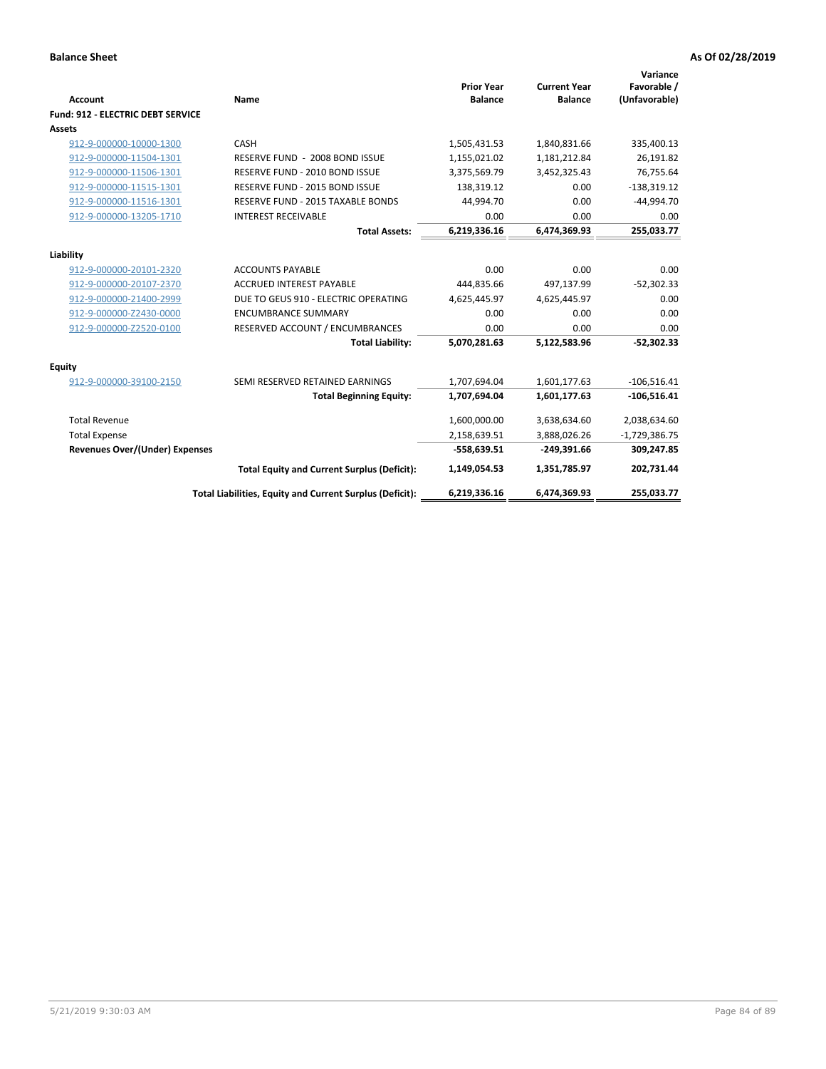| <b>Account</b>                           | Name                                                     | <b>Prior Year</b><br><b>Balance</b> | <b>Current Year</b><br><b>Balance</b> | Variance<br>Favorable /<br>(Unfavorable) |
|------------------------------------------|----------------------------------------------------------|-------------------------------------|---------------------------------------|------------------------------------------|
| <b>Fund: 912 - ELECTRIC DEBT SERVICE</b> |                                                          |                                     |                                       |                                          |
| <b>Assets</b>                            |                                                          |                                     |                                       |                                          |
| 912-9-000000-10000-1300                  | CASH                                                     | 1,505,431.53                        | 1,840,831.66                          | 335,400.13                               |
| 912-9-000000-11504-1301                  | RESERVE FUND - 2008 BOND ISSUE                           | 1,155,021.02                        | 1,181,212.84                          | 26,191.82                                |
| 912-9-000000-11506-1301                  | RESERVE FUND - 2010 BOND ISSUE                           | 3,375,569.79                        | 3,452,325.43                          | 76,755.64                                |
| 912-9-000000-11515-1301                  | RESERVE FUND - 2015 BOND ISSUE                           | 138.319.12                          | 0.00                                  | $-138,319.12$                            |
| 912-9-000000-11516-1301                  | RESERVE FUND - 2015 TAXABLE BONDS                        | 44,994.70                           | 0.00                                  | $-44,994.70$                             |
| 912-9-000000-13205-1710                  | <b>INTEREST RECEIVABLE</b>                               | 0.00                                | 0.00                                  | 0.00                                     |
|                                          | <b>Total Assets:</b>                                     | 6,219,336.16                        | 6,474,369.93                          | 255,033.77                               |
| Liability                                |                                                          |                                     |                                       |                                          |
| 912-9-000000-20101-2320                  | <b>ACCOUNTS PAYABLE</b>                                  | 0.00                                | 0.00                                  | 0.00                                     |
| 912-9-000000-20107-2370                  | <b>ACCRUED INTEREST PAYABLE</b>                          | 444,835.66                          | 497,137.99                            | $-52,302.33$                             |
| 912-9-000000-21400-2999                  | DUE TO GEUS 910 - ELECTRIC OPERATING                     | 4,625,445.97                        | 4,625,445.97                          | 0.00                                     |
| 912-9-000000-Z2430-0000                  | <b>ENCUMBRANCE SUMMARY</b>                               | 0.00                                | 0.00                                  | 0.00                                     |
| 912-9-000000-Z2520-0100                  | RESERVED ACCOUNT / ENCUMBRANCES                          | 0.00                                | 0.00                                  | 0.00                                     |
|                                          | <b>Total Liability:</b>                                  | 5,070,281.63                        | 5,122,583.96                          | $-52,302.33$                             |
|                                          |                                                          |                                     |                                       |                                          |
| Equity                                   |                                                          |                                     |                                       |                                          |
| 912-9-000000-39100-2150                  | SEMI RESERVED RETAINED EARNINGS                          | 1,707,694.04                        | 1,601,177.63                          | $-106,516.41$                            |
|                                          | <b>Total Beginning Equity:</b>                           | 1,707,694.04                        | 1,601,177.63                          | $-106,516.41$                            |
| <b>Total Revenue</b>                     |                                                          | 1,600,000.00                        | 3,638,634.60                          | 2,038,634.60                             |
| <b>Total Expense</b>                     |                                                          | 2,158,639.51                        | 3,888,026.26                          | $-1,729,386.75$                          |
| <b>Revenues Over/(Under) Expenses</b>    |                                                          | $-558,639.51$                       | $-249,391.66$                         | 309,247.85                               |
|                                          | <b>Total Equity and Current Surplus (Deficit):</b>       | 1,149,054.53                        | 1,351,785.97                          | 202,731.44                               |
|                                          | Total Liabilities, Equity and Current Surplus (Deficit): | 6,219,336.16                        | 6,474,369.93                          | 255.033.77                               |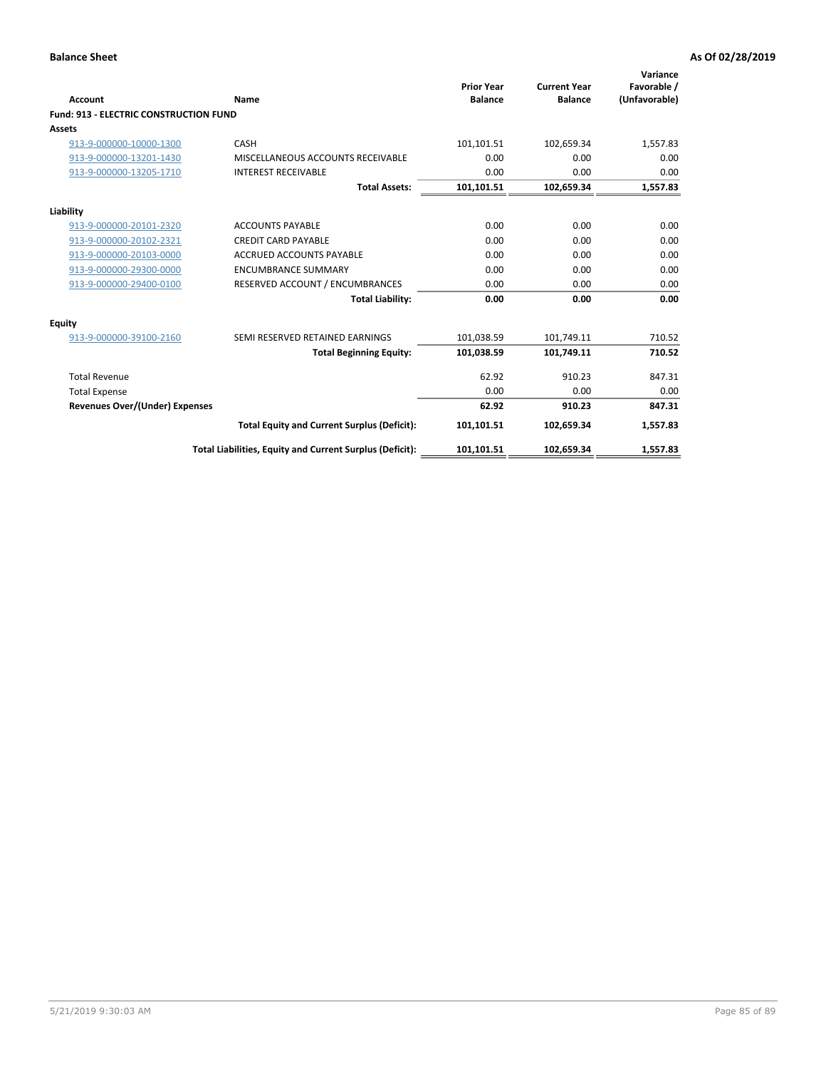| Account                                       | <b>Name</b>                                              | <b>Prior Year</b><br><b>Balance</b> | <b>Current Year</b><br><b>Balance</b> | Variance<br>Favorable /<br>(Unfavorable) |
|-----------------------------------------------|----------------------------------------------------------|-------------------------------------|---------------------------------------|------------------------------------------|
| <b>Fund: 913 - ELECTRIC CONSTRUCTION FUND</b> |                                                          |                                     |                                       |                                          |
| Assets                                        |                                                          |                                     |                                       |                                          |
| 913-9-000000-10000-1300                       | CASH                                                     | 101,101.51                          | 102,659.34                            | 1,557.83                                 |
| 913-9-000000-13201-1430                       | MISCELLANEOUS ACCOUNTS RECEIVABLE                        | 0.00                                | 0.00                                  | 0.00                                     |
| 913-9-000000-13205-1710                       | <b>INTEREST RECEIVABLE</b>                               | 0.00                                | 0.00                                  | 0.00                                     |
|                                               | <b>Total Assets:</b>                                     | 101,101.51                          | 102,659.34                            | 1,557.83                                 |
| Liability                                     |                                                          |                                     |                                       |                                          |
| 913-9-000000-20101-2320                       | <b>ACCOUNTS PAYABLE</b>                                  | 0.00                                | 0.00                                  | 0.00                                     |
| 913-9-000000-20102-2321                       | <b>CREDIT CARD PAYABLE</b>                               | 0.00                                | 0.00                                  | 0.00                                     |
| 913-9-000000-20103-0000                       | <b>ACCRUED ACCOUNTS PAYABLE</b>                          | 0.00                                | 0.00                                  | 0.00                                     |
| 913-9-000000-29300-0000                       | <b>ENCUMBRANCE SUMMARY</b>                               | 0.00                                | 0.00                                  | 0.00                                     |
| 913-9-000000-29400-0100                       | RESERVED ACCOUNT / ENCUMBRANCES                          | 0.00                                | 0.00                                  | 0.00                                     |
|                                               | <b>Total Liability:</b>                                  | 0.00                                | 0.00                                  | 0.00                                     |
| <b>Equity</b>                                 |                                                          |                                     |                                       |                                          |
| 913-9-000000-39100-2160                       | SEMI RESERVED RETAINED EARNINGS                          | 101,038.59                          | 101,749.11                            | 710.52                                   |
|                                               | <b>Total Beginning Equity:</b>                           | 101,038.59                          | 101,749.11                            | 710.52                                   |
| <b>Total Revenue</b>                          |                                                          | 62.92                               | 910.23                                | 847.31                                   |
| <b>Total Expense</b>                          |                                                          | 0.00                                | 0.00                                  | 0.00                                     |
| Revenues Over/(Under) Expenses                |                                                          | 62.92                               | 910.23                                | 847.31                                   |
|                                               | <b>Total Equity and Current Surplus (Deficit):</b>       | 101,101.51                          | 102,659.34                            | 1,557.83                                 |
|                                               | Total Liabilities, Equity and Current Surplus (Deficit): | 101,101.51                          | 102,659.34                            | 1,557.83                                 |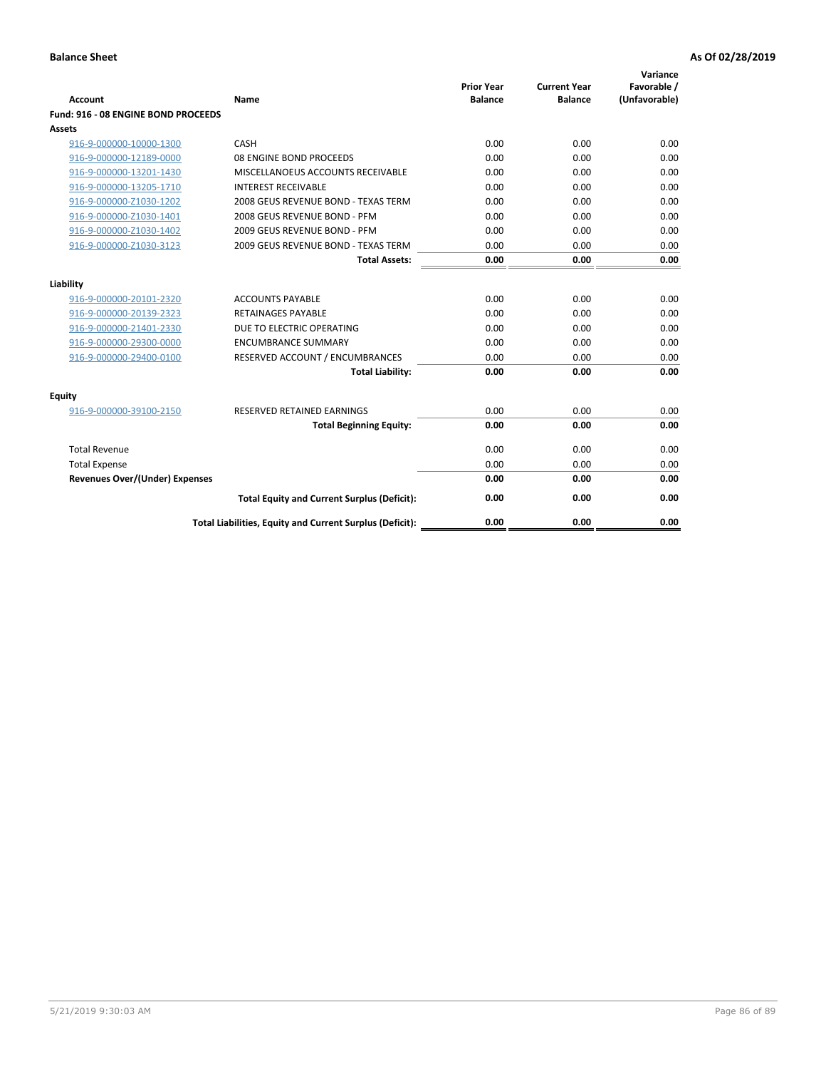| <b>Account</b>                      | Name                                                     | <b>Prior Year</b><br><b>Balance</b> | <b>Current Year</b><br><b>Balance</b> | Variance<br>Favorable /<br>(Unfavorable) |
|-------------------------------------|----------------------------------------------------------|-------------------------------------|---------------------------------------|------------------------------------------|
| Fund: 916 - 08 ENGINE BOND PROCEEDS |                                                          |                                     |                                       |                                          |
| Assets                              |                                                          |                                     |                                       |                                          |
| 916-9-000000-10000-1300             | CASH                                                     | 0.00                                | 0.00                                  | 0.00                                     |
| 916-9-000000-12189-0000             | 08 ENGINE BOND PROCEEDS                                  | 0.00                                | 0.00                                  | 0.00                                     |
| 916-9-000000-13201-1430             | MISCELLANOEUS ACCOUNTS RECEIVABLE                        | 0.00                                | 0.00                                  | 0.00                                     |
| 916-9-000000-13205-1710             | <b>INTEREST RECEIVABLE</b>                               | 0.00                                | 0.00                                  | 0.00                                     |
| 916-9-000000-Z1030-1202             | 2008 GEUS REVENUE BOND - TEXAS TERM                      | 0.00                                | 0.00                                  | 0.00                                     |
| 916-9-000000-Z1030-1401             | 2008 GEUS REVENUE BOND - PFM                             | 0.00                                | 0.00                                  | 0.00                                     |
| 916-9-000000-Z1030-1402             | 2009 GEUS REVENUE BOND - PFM                             | 0.00                                | 0.00                                  | 0.00                                     |
| 916-9-000000-Z1030-3123             | 2009 GEUS REVENUE BOND - TEXAS TERM                      | 0.00                                | 0.00                                  | 0.00                                     |
|                                     | <b>Total Assets:</b>                                     | 0.00                                | 0.00                                  | 0.00                                     |
| Liability                           |                                                          |                                     |                                       |                                          |
| 916-9-000000-20101-2320             | <b>ACCOUNTS PAYABLE</b>                                  | 0.00                                | 0.00                                  | 0.00                                     |
| 916-9-000000-20139-2323             | <b>RETAINAGES PAYABLE</b>                                | 0.00                                | 0.00                                  | 0.00                                     |
| 916-9-000000-21401-2330             | DUE TO ELECTRIC OPERATING                                | 0.00                                | 0.00                                  | 0.00                                     |
| 916-9-000000-29300-0000             | <b>ENCUMBRANCE SUMMARY</b>                               | 0.00                                | 0.00                                  | 0.00                                     |
| 916-9-000000-29400-0100             | RESERVED ACCOUNT / ENCUMBRANCES                          | 0.00                                | 0.00                                  | 0.00                                     |
|                                     | <b>Total Liability:</b>                                  | 0.00                                | 0.00                                  | 0.00                                     |
| Equity                              |                                                          |                                     |                                       |                                          |
| 916-9-000000-39100-2150             | <b>RESERVED RETAINED EARNINGS</b>                        | 0.00                                | 0.00                                  | 0.00                                     |
|                                     | <b>Total Beginning Equity:</b>                           | 0.00                                | 0.00                                  | 0.00                                     |
| <b>Total Revenue</b>                |                                                          | 0.00                                | 0.00                                  | 0.00                                     |
| <b>Total Expense</b>                |                                                          | 0.00                                | 0.00                                  | 0.00                                     |
| Revenues Over/(Under) Expenses      |                                                          | 0.00                                | 0.00                                  | 0.00                                     |
|                                     | <b>Total Equity and Current Surplus (Deficit):</b>       | 0.00                                | 0.00                                  | 0.00                                     |
|                                     | Total Liabilities, Equity and Current Surplus (Deficit): | 0.00                                | 0.00                                  | 0.00                                     |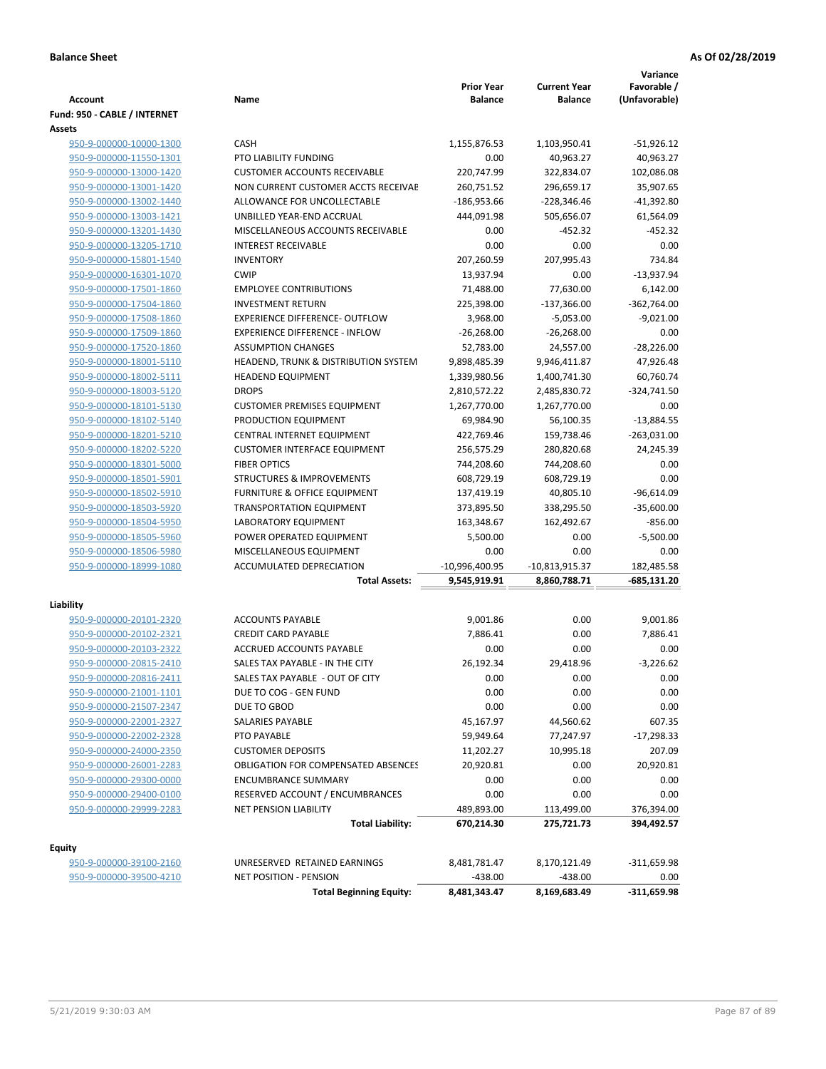| Account                      | Name                                       | <b>Prior Year</b><br><b>Balance</b> | <b>Current Year</b><br><b>Balance</b> | Variance<br>Favorable /<br>(Unfavorable) |
|------------------------------|--------------------------------------------|-------------------------------------|---------------------------------------|------------------------------------------|
| Fund: 950 - CABLE / INTERNET |                                            |                                     |                                       |                                          |
| <b>Assets</b>                |                                            |                                     |                                       |                                          |
| 950-9-000000-10000-1300      | <b>CASH</b>                                | 1,155,876.53                        | 1,103,950.41                          | $-51,926.12$                             |
| 950-9-000000-11550-1301      | PTO LIABILITY FUNDING                      | 0.00                                | 40,963.27                             | 40,963.27                                |
| 950-9-000000-13000-1420      | <b>CUSTOMER ACCOUNTS RECEIVABLE</b>        | 220,747.99                          | 322,834.07                            | 102,086.08                               |
| 950-9-000000-13001-1420      | NON CURRENT CUSTOMER ACCTS RECEIVAE        | 260,751.52                          | 296,659.17                            | 35,907.65                                |
| 950-9-000000-13002-1440      | ALLOWANCE FOR UNCOLLECTABLE                | $-186,953.66$                       | $-228,346.46$                         | $-41,392.80$                             |
| 950-9-000000-13003-1421      | UNBILLED YEAR-END ACCRUAL                  | 444,091.98                          | 505,656.07                            | 61,564.09                                |
| 950-9-000000-13201-1430      | MISCELLANEOUS ACCOUNTS RECEIVABLE          | 0.00                                | $-452.32$                             | $-452.32$                                |
| 950-9-000000-13205-1710      | <b>INTEREST RECEIVABLE</b>                 | 0.00                                | 0.00                                  | 0.00                                     |
| 950-9-000000-15801-1540      | <b>INVENTORY</b>                           | 207,260.59                          | 207,995.43                            | 734.84                                   |
| 950-9-000000-16301-1070      | <b>CWIP</b>                                | 13,937.94                           | 0.00                                  | $-13,937.94$                             |
| 950-9-000000-17501-1860      | <b>EMPLOYEE CONTRIBUTIONS</b>              | 71,488.00                           | 77,630.00                             | 6,142.00                                 |
| 950-9-000000-17504-1860      | <b>INVESTMENT RETURN</b>                   | 225,398.00                          | $-137,366.00$                         | -362,764.00                              |
| 950-9-000000-17508-1860      | <b>EXPERIENCE DIFFERENCE- OUTFLOW</b>      | 3,968.00                            | $-5,053.00$                           | $-9,021.00$                              |
| 950-9-000000-17509-1860      | <b>EXPERIENCE DIFFERENCE - INFLOW</b>      | $-26,268.00$                        | $-26,268.00$                          | 0.00                                     |
| 950-9-000000-17520-1860      | <b>ASSUMPTION CHANGES</b>                  | 52,783.00                           | 24,557.00                             | $-28,226.00$                             |
| 950-9-000000-18001-5110      | HEADEND, TRUNK & DISTRIBUTION SYSTEM       | 9,898,485.39                        | 9,946,411.87                          | 47,926.48                                |
| 950-9-000000-18002-5111      | <b>HEADEND EQUIPMENT</b>                   | 1,339,980.56                        | 1,400,741.30                          | 60,760.74                                |
| 950-9-000000-18003-5120      | <b>DROPS</b>                               | 2,810,572.22                        | 2,485,830.72                          | $-324,741.50$                            |
| 950-9-000000-18101-5130      | <b>CUSTOMER PREMISES EQUIPMENT</b>         | 1,267,770.00                        | 1,267,770.00                          | 0.00                                     |
| 950-9-000000-18102-5140      | PRODUCTION EQUIPMENT                       | 69,984.90                           | 56,100.35                             | $-13,884.55$                             |
| 950-9-000000-18201-5210      | CENTRAL INTERNET EQUIPMENT                 | 422,769.46                          | 159,738.46                            | $-263,031.00$                            |
| 950-9-000000-18202-5220      | <b>CUSTOMER INTERFACE EQUIPMENT</b>        | 256,575.29                          | 280,820.68                            | 24,245.39                                |
| 950-9-000000-18301-5000      | <b>FIBER OPTICS</b>                        | 744,208.60                          | 744,208.60                            | 0.00                                     |
| 950-9-000000-18501-5901      | <b>STRUCTURES &amp; IMPROVEMENTS</b>       | 608,729.19                          | 608,729.19                            | 0.00                                     |
| 950-9-000000-18502-5910      | <b>FURNITURE &amp; OFFICE EQUIPMENT</b>    | 137,419.19                          | 40,805.10                             | $-96,614.09$                             |
| 950-9-000000-18503-5920      | <b>TRANSPORTATION EQUIPMENT</b>            | 373,895.50                          | 338,295.50                            | $-35,600.00$                             |
| 950-9-000000-18504-5950      | LABORATORY EQUIPMENT                       | 163,348.67                          | 162,492.67                            | $-856.00$                                |
| 950-9-000000-18505-5960      | POWER OPERATED EQUIPMENT                   | 5,500.00                            | 0.00                                  | $-5,500.00$                              |
| 950-9-000000-18506-5980      | MISCELLANEOUS EQUIPMENT                    | 0.00                                | 0.00                                  | 0.00                                     |
| 950-9-000000-18999-1080      | ACCUMULATED DEPRECIATION                   | $-10,996,400.95$                    | $-10,813,915.37$                      | 182,485.58                               |
|                              | <b>Total Assets:</b>                       | 9,545,919.91                        | 8,860,788.71                          | -685,131.20                              |
| Liability                    |                                            |                                     |                                       |                                          |
| 950-9-000000-20101-2320      | <b>ACCOUNTS PAYABLE</b>                    | 9,001.86                            | 0.00                                  | 9,001.86                                 |
| 950-9-000000-20102-2321      | <b>CREDIT CARD PAYABLE</b>                 | 7,886.41                            | 0.00                                  | 7,886.41                                 |
| 950-9-000000-20103-2322      | ACCRUED ACCOUNTS PAYABLE                   | 0.00                                | 0.00                                  | 0.00                                     |
| 950-9-000000-20815-2410      | SALES TAX PAYABLE - IN THE CITY            | 26,192.34                           | 29,418.96                             | $-3.226.62$                              |
| 950-9-000000-20816-2411      | SALES TAX PAYABLE - OUT OF CITY            | 0.00                                | 0.00                                  | 0.00                                     |
| 950-9-000000-21001-1101      | DUE TO COG - GEN FUND                      | 0.00                                | 0.00                                  | 0.00                                     |
| 950-9-000000-21507-2347      | DUE TO GBOD                                | 0.00                                | 0.00                                  | 0.00                                     |
| 950-9-000000-22001-2327      | SALARIES PAYABLE                           | 45,167.97                           | 44,560.62                             | 607.35                                   |
| 950-9-000000-22002-2328      | PTO PAYABLE                                | 59,949.64                           | 77,247.97                             | $-17,298.33$                             |
| 950-9-000000-24000-2350      | <b>CUSTOMER DEPOSITS</b>                   | 11,202.27                           | 10,995.18                             | 207.09                                   |
| 950-9-000000-26001-2283      | <b>OBLIGATION FOR COMPENSATED ABSENCES</b> | 20,920.81                           | 0.00                                  | 20,920.81                                |
| 950-9-000000-29300-0000      | <b>ENCUMBRANCE SUMMARY</b>                 | 0.00                                | 0.00                                  | 0.00                                     |
| 950-9-000000-29400-0100      | RESERVED ACCOUNT / ENCUMBRANCES            | 0.00                                | 0.00                                  | 0.00                                     |
| 950-9-000000-29999-2283      | NET PENSION LIABILITY                      | 489,893.00                          | 113,499.00                            | 376,394.00                               |
|                              | <b>Total Liability:</b>                    | 670,214.30                          | 275,721.73                            | 394,492.57                               |
|                              |                                            |                                     |                                       |                                          |
| <b>Equity</b>                |                                            |                                     |                                       |                                          |
| 950-9-000000-39100-2160      | UNRESERVED RETAINED EARNINGS               | 8,481,781.47                        | 8,170,121.49                          | -311,659.98                              |

950-9-000000-39500-4210 NET POSITION - PENSION<br>Total Beginning Equity:  $\frac{438.00}{8,481,343.47}$   $\frac{438.00}{8,169,683.49}$  -311,659.98

**Total Beginning Equity: 8,481,343.47 8,169,683.49**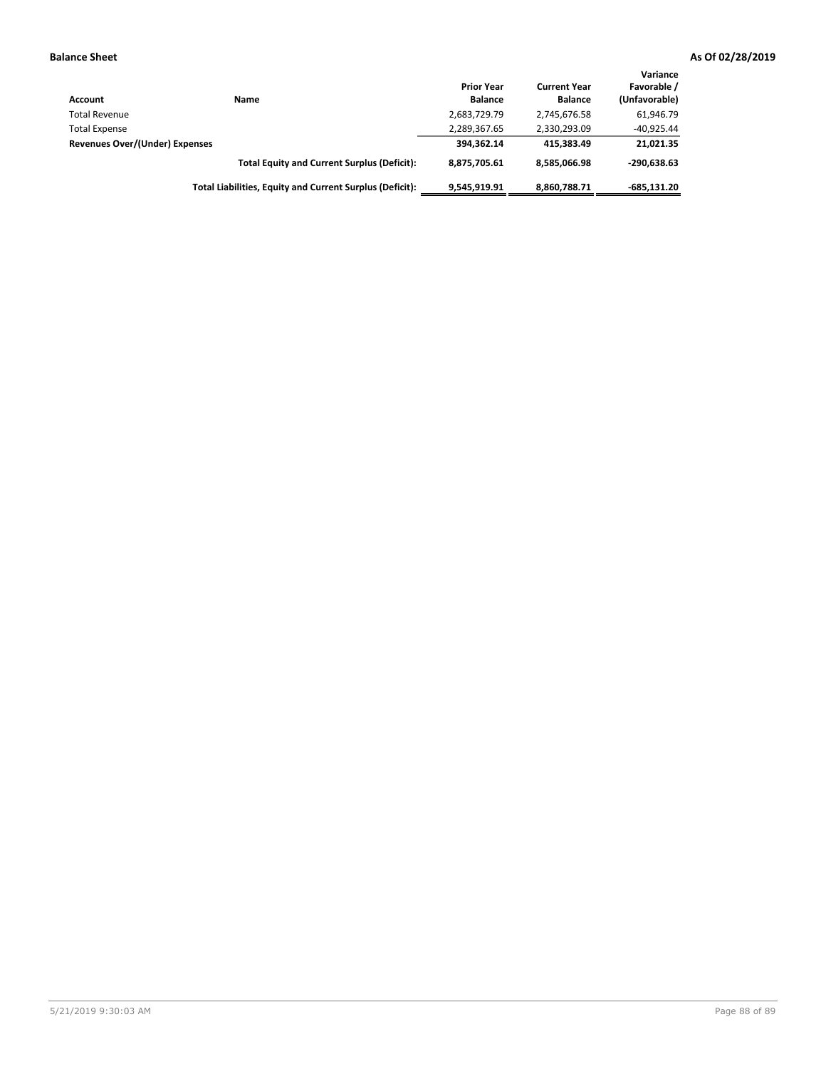| Account                        | Name                                                     | <b>Prior Year</b><br><b>Balance</b> | <b>Current Year</b><br><b>Balance</b> | Variance<br>Favorable /<br>(Unfavorable) |
|--------------------------------|----------------------------------------------------------|-------------------------------------|---------------------------------------|------------------------------------------|
| <b>Total Revenue</b>           |                                                          | 2,683,729.79                        | 2,745,676.58                          | 61,946.79                                |
| <b>Total Expense</b>           |                                                          | 2,289,367.65                        | 2,330,293.09                          | $-40,925.44$                             |
| Revenues Over/(Under) Expenses |                                                          | 394,362.14                          | 415.383.49                            | 21,021.35                                |
|                                | <b>Total Equity and Current Surplus (Deficit):</b>       | 8.875.705.61                        | 8,585,066.98                          | $-290.638.63$                            |
|                                | Total Liabilities, Equity and Current Surplus (Deficit): | 9,545,919.91                        | 8,860,788.71                          | $-685.131.20$                            |